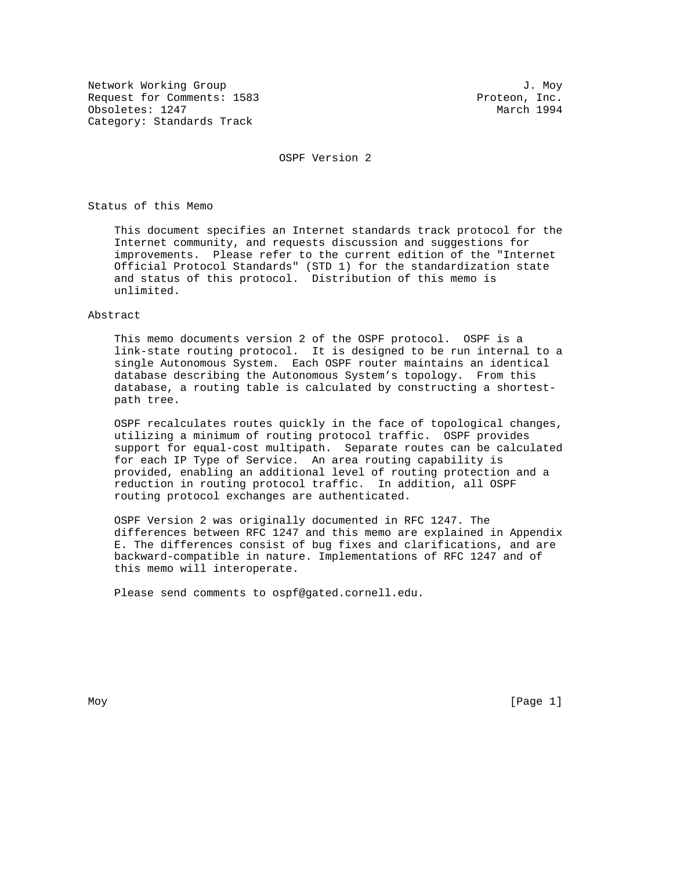Network Working Group and J. Moy<br>Request for Comments: 1583 (1999) and J. Moy Request for Comments: 1583 Obsoletes: 1247 March 1994 Category: Standards Track

OSPF Version 2

Status of this Memo

 This document specifies an Internet standards track protocol for the Internet community, and requests discussion and suggestions for improvements. Please refer to the current edition of the "Internet Official Protocol Standards" (STD 1) for the standardization state and status of this protocol. Distribution of this memo is unlimited.

#### Abstract

 This memo documents version 2 of the OSPF protocol. OSPF is a link-state routing protocol. It is designed to be run internal to a single Autonomous System. Each OSPF router maintains an identical database describing the Autonomous System's topology. From this database, a routing table is calculated by constructing a shortest path tree.

 OSPF recalculates routes quickly in the face of topological changes, utilizing a minimum of routing protocol traffic. OSPF provides support for equal-cost multipath. Separate routes can be calculated for each IP Type of Service. An area routing capability is provided, enabling an additional level of routing protection and a reduction in routing protocol traffic. In addition, all OSPF routing protocol exchanges are authenticated.

 OSPF Version 2 was originally documented in RFC 1247. The differences between RFC 1247 and this memo are explained in Appendix E. The differences consist of bug fixes and clarifications, and are backward-compatible in nature. Implementations of RFC 1247 and of this memo will interoperate.

Please send comments to ospf@gated.cornell.edu.

Moy [Page 1]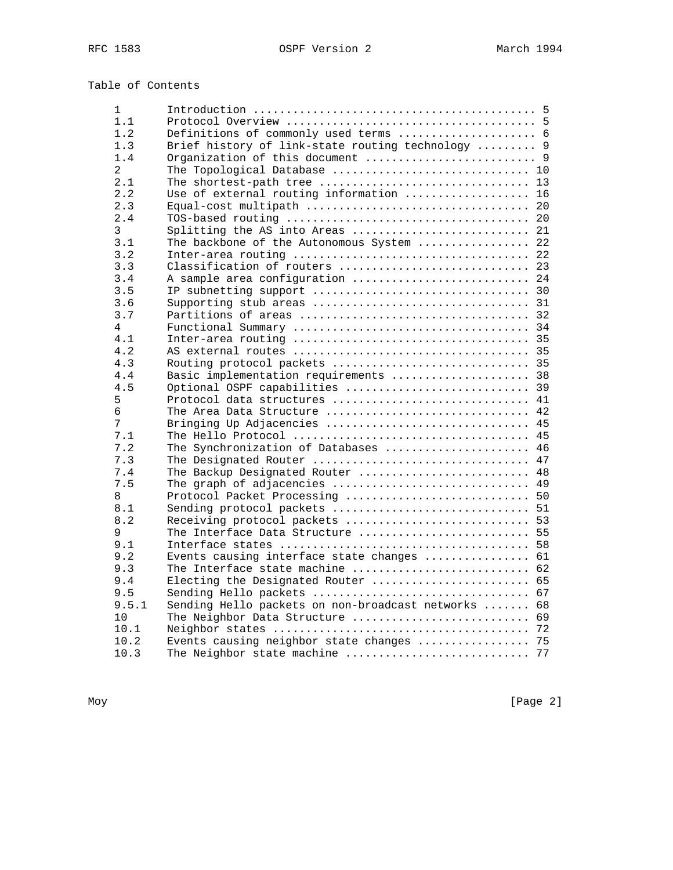# Table of Contents

| $\mathbf{1}$ |                                                                                                |  |
|--------------|------------------------------------------------------------------------------------------------|--|
| 1.1          |                                                                                                |  |
| 1.2          | Definitions of commonly used terms  6                                                          |  |
| 1.3          | Brief history of link-state routing technology  9                                              |  |
| 1.4          |                                                                                                |  |
| 2            | The Topological Database  10                                                                   |  |
| 2.1          | The shortest-path tree  13                                                                     |  |
| 2.2          | Use of external routing information  16                                                        |  |
| 2.3          |                                                                                                |  |
| 2.4          |                                                                                                |  |
| 3            | Splitting the AS into Areas $\ldots \ldots \ldots \ldots \ldots \ldots \ldots \ldots$          |  |
| 3.1          | The backbone of the Autonomous System  22                                                      |  |
| 3.2          |                                                                                                |  |
| 3.3          | Classification of routers  23                                                                  |  |
| 3.4          | A sample area configuration  24                                                                |  |
| 3.5          |                                                                                                |  |
| 3.6          |                                                                                                |  |
| 3.7          |                                                                                                |  |
| 4            |                                                                                                |  |
| 4.1          |                                                                                                |  |
| 4.2          |                                                                                                |  |
| 4.3          | Routing protocol packets  35                                                                   |  |
| 4.4          | Basic implementation requirements  38                                                          |  |
| 4.5          | Optional OSPF capabilities  39                                                                 |  |
| 5            | Protocol data structures  41                                                                   |  |
| 6            | The Area Data Structure $42$                                                                   |  |
| 7            | Bringing Up Adjacencies  45                                                                    |  |
| 7.1          | The Hello Protocol $\,\ldots\ldots\ldots\ldots\ldots\ldots\ldots\ldots\ldots\ldots\ldots\,$ 45 |  |
| 7.2          | The Synchronization of Databases  46                                                           |  |
| 7.3          | The Designated Router  47                                                                      |  |
| 7.4          | The Backup Designated Router  48                                                               |  |
| 7.5          | The graph of adjacencies  49                                                                   |  |
| 8            | Protocol Packet Processing  50                                                                 |  |
| 8.1          |                                                                                                |  |
| 8.2          |                                                                                                |  |
| 9            | The Interface Data Structure  55                                                               |  |
| 9.1          |                                                                                                |  |
| 9.2          | Events causing interface state changes  61                                                     |  |
| 9.3          | The Interface state machine  62                                                                |  |
| 9.4          | Electing the Designated Router  65                                                             |  |
| 9.5          |                                                                                                |  |
| 9.5.1        | Sending Hello packets on non-broadcast networks  68                                            |  |
| 10           | The Neighbor Data Structure  69                                                                |  |
| 10.1         |                                                                                                |  |
| 10.2         | Events causing neighbor state changes  75                                                      |  |
| 10.3         | The Neighbor state machine<br>77                                                               |  |
|              |                                                                                                |  |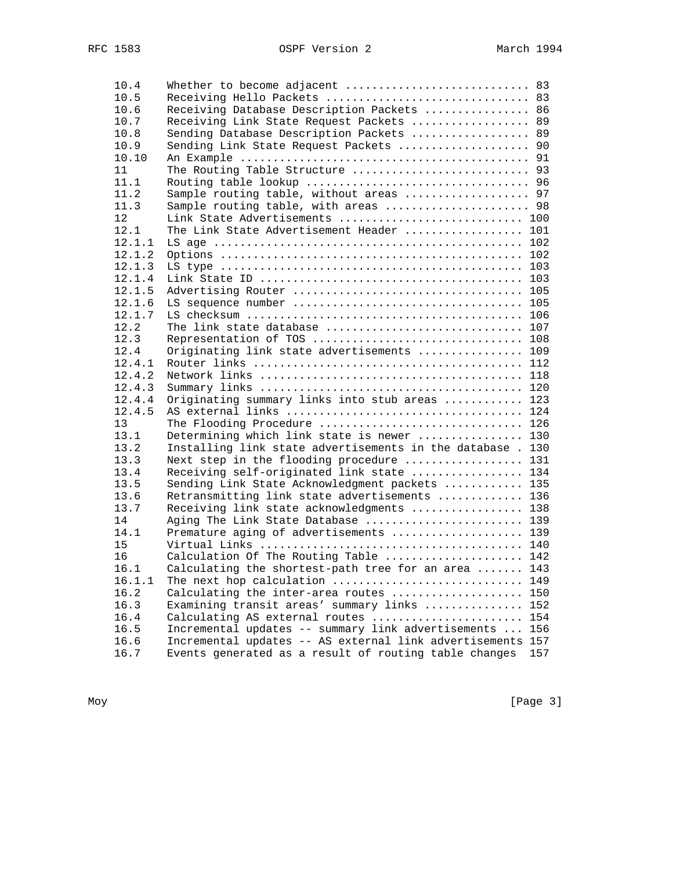| 10.4       | Whether to become adjacent  83                             |     |
|------------|------------------------------------------------------------|-----|
| 10.5       | Receiving Hello Packets  83                                |     |
| 10.6       | Receiving Database Description Packets  86                 |     |
| 10.7       | Receiving Link State Request Packets  89                   |     |
| 10.8       | Sending Database Description Packets  89                   |     |
| 10.9       | Sending Link State Request Packets  90                     |     |
| 10.10      |                                                            |     |
| 11         | The Routing Table Structure  93                            |     |
| 11.1       |                                                            |     |
| 11.2       | Sample routing table, without areas  97                    |     |
| 11.3       | Sample routing table, with areas  98                       |     |
| 12         | Link State Advertisements  100                             |     |
| 12.1       | The Link State Advertisement Header  101                   |     |
| 12.1.1     |                                                            |     |
| 12.1.2     |                                                            |     |
| 12.1.3     |                                                            |     |
| 12.1.4     |                                                            |     |
| 12.1.5     |                                                            |     |
| 12.1.6     |                                                            |     |
| 12.1.7     |                                                            |     |
| 12.2       | The link state database  107                               |     |
| 12.3       | Representation of TOS  108                                 |     |
| 12.4       | Originating link state advertisements  109                 |     |
| 12.4.1     |                                                            |     |
| 12.4.2     |                                                            |     |
| 12.4.3     |                                                            |     |
| 12.4.4     | Originating summary links into stub areas  123             |     |
| 12.4.5     |                                                            |     |
| 13         | The Flooding Procedure  126                                |     |
| 13.1       | Determining which link state is newer  130                 |     |
| 13.2       | Installing link state advertisements in the database . 130 |     |
| 13.3       | Next step in the flooding procedure  131                   |     |
| 13.4       |                                                            |     |
|            | Receiving self-originated link state  134                  |     |
| 13.5       | Sending Link State Acknowledgment packets  135             |     |
| 13.6       | Retransmitting link state advertisements  136              |     |
| 13.7<br>14 | Receiving link state acknowledgments  138                  |     |
| 14.1       | Aging The Link State Database  139                         |     |
|            | Premature aging of advertisements  139                     |     |
| 15         |                                                            |     |
| 16         | Calculation Of The Routing Table  142                      |     |
| 16.1       | Calculating the shortest-path tree for an area  143        |     |
| 16.1.1     | The next hop calculation                                   | 149 |
| 16.2       | Calculating the inter-area routes                          | 150 |
| 16.3       | Examining transit areas' summary links                     | 152 |
| 16.4       | Calculating AS external routes                             | 154 |
| 16.5       | Incremental updates -- summary link advertisements         | 156 |
| 16.6       | Incremental updates -- AS external link advertisements     | 157 |
| 16.7       | Events generated as a result of routing table changes      | 157 |

Moy [Page 3]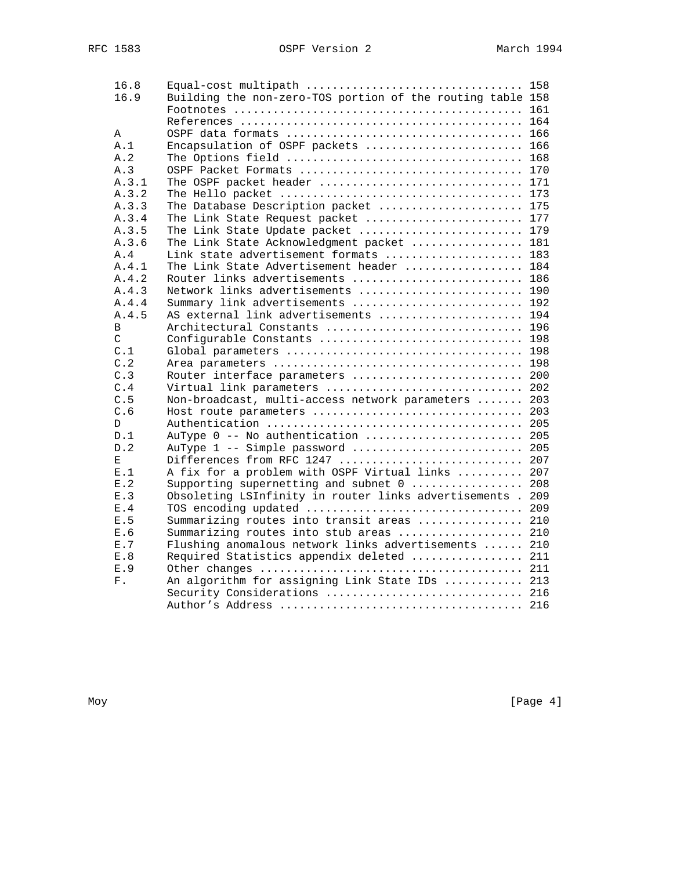| 16.8        | Equal-cost multipath  158                                  |     |
|-------------|------------------------------------------------------------|-----|
| 16.9        | Building the non-zero-TOS portion of the routing table 158 |     |
|             |                                                            | 161 |
|             |                                                            |     |
| Α           |                                                            |     |
| A.1         | Encapsulation of OSPF packets                              | 166 |
| A.2         |                                                            |     |
| A.3         | OSPF Packet Formats  170                                   |     |
| A.3.1       | The OSPF packet header  171                                |     |
| A.3.2       |                                                            |     |
| A.3.3       | The Database Description packet  175                       |     |
| A.3.4       | The Link State Request packet  177                         |     |
| A.3.5       | The Link State Update packet  179                          |     |
| A.3.6       | The Link State Acknowledgment packet  181                  |     |
| A.4         | Link state advertisement formats  183                      |     |
| A.4.1       | The Link State Advertisement header  184                   |     |
| A.4.2       | Router links advertisements  186                           |     |
| A.4.3       | Network links advertisements  190                          |     |
| A.4.4       | Summary link advertisements  192                           |     |
| A.4.5       | AS external link advertisements  194                       |     |
| B           | Architectural Constants  196                               |     |
| C           | Configurable Constants  198                                |     |
| C.1         |                                                            |     |
| C.2         |                                                            |     |
| C.3         | Router interface parameters  200                           |     |
| C.4         | Virtual link parameters  202                               |     |
| C.5         | Non-broadcast, multi-access network parameters  203        |     |
| C.6         | Host route parameters                                      | 203 |
| D           |                                                            |     |
| D.1         | AuType 0 -- No authentication  205                         |     |
| D.2         | AuType 1 -- Simple password  205                           |     |
| Е           | Differences from RFC 1247  207                             |     |
| E.1         | A fix for a problem with OSPF Virtual links  207           |     |
| E.2         | Supporting supernetting and subnet 0  208                  |     |
| E.3         | Obsoleting LSInfinity in router links advertisements . 209 |     |
| E.4         | TOS encoding updated  209                                  |     |
| E.5         | Summarizing routes into transit areas  210                 |     |
| E.6         | Summarizing routes into stub areas                         | 210 |
| E.7         | Flushing anomalous network links advertisements  210       |     |
| E.8         | Required Statistics appendix deleted  211                  |     |
| E.9         |                                                            |     |
| ${\rm F}$ . | An algorithm for assigning Link State IDs  213             |     |
|             | Security Considerations  216                               |     |
|             |                                                            | 216 |
|             |                                                            |     |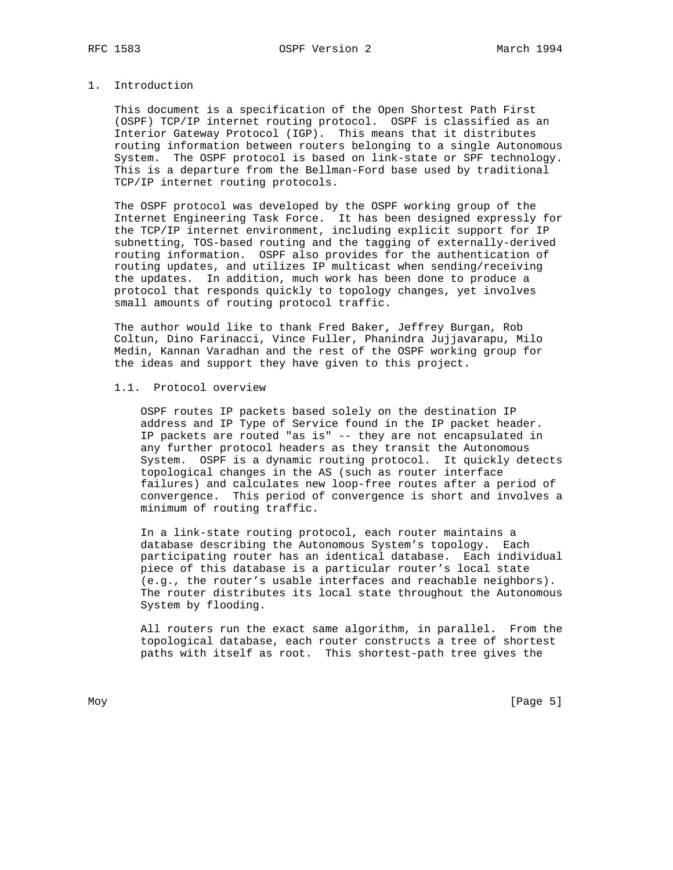## 1. Introduction

 This document is a specification of the Open Shortest Path First (OSPF) TCP/IP internet routing protocol. OSPF is classified as an Interior Gateway Protocol (IGP). This means that it distributes routing information between routers belonging to a single Autonomous System. The OSPF protocol is based on link-state or SPF technology. This is a departure from the Bellman-Ford base used by traditional TCP/IP internet routing protocols.

 The OSPF protocol was developed by the OSPF working group of the Internet Engineering Task Force. It has been designed expressly for the TCP/IP internet environment, including explicit support for IP subnetting, TOS-based routing and the tagging of externally-derived routing information. OSPF also provides for the authentication of routing updates, and utilizes IP multicast when sending/receiving the updates. In addition, much work has been done to produce a protocol that responds quickly to topology changes, yet involves small amounts of routing protocol traffic.

 The author would like to thank Fred Baker, Jeffrey Burgan, Rob Coltun, Dino Farinacci, Vince Fuller, Phanindra Jujjavarapu, Milo Medin, Kannan Varadhan and the rest of the OSPF working group for the ideas and support they have given to this project.

## 1.1. Protocol overview

 OSPF routes IP packets based solely on the destination IP address and IP Type of Service found in the IP packet header. IP packets are routed "as is" -- they are not encapsulated in any further protocol headers as they transit the Autonomous System. OSPF is a dynamic routing protocol. It quickly detects topological changes in the AS (such as router interface failures) and calculates new loop-free routes after a period of convergence. This period of convergence is short and involves a minimum of routing traffic.

 In a link-state routing protocol, each router maintains a database describing the Autonomous System's topology. Each participating router has an identical database. Each individual piece of this database is a particular router's local state (e.g., the router's usable interfaces and reachable neighbors). The router distributes its local state throughout the Autonomous System by flooding.

 All routers run the exact same algorithm, in parallel. From the topological database, each router constructs a tree of shortest paths with itself as root. This shortest-path tree gives the

Moy [Page 5]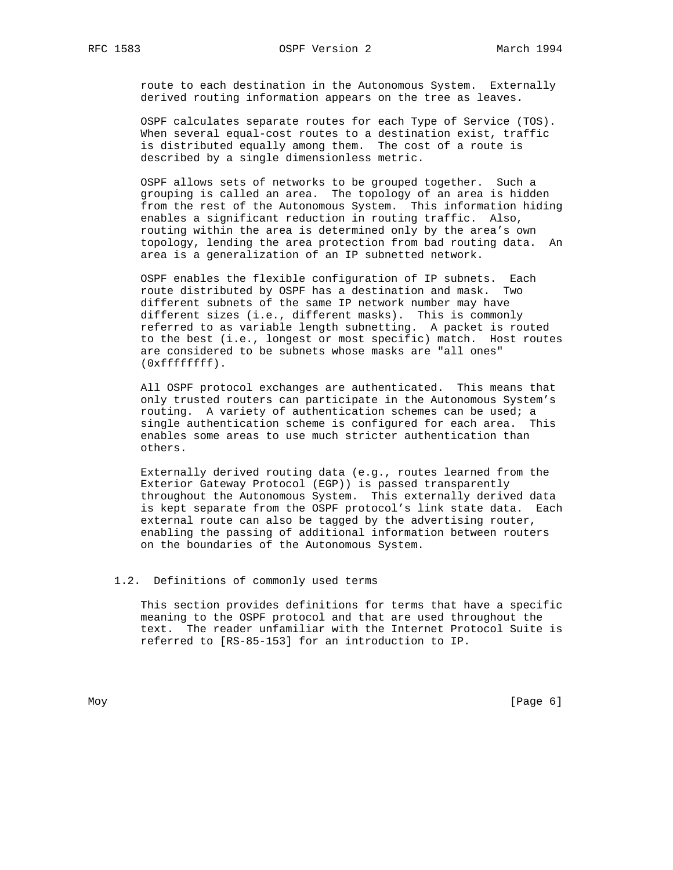route to each destination in the Autonomous System. Externally derived routing information appears on the tree as leaves.

 OSPF calculates separate routes for each Type of Service (TOS). When several equal-cost routes to a destination exist, traffic is distributed equally among them. The cost of a route is described by a single dimensionless metric.

 OSPF allows sets of networks to be grouped together. Such a grouping is called an area. The topology of an area is hidden from the rest of the Autonomous System. This information hiding enables a significant reduction in routing traffic. Also, routing within the area is determined only by the area's own topology, lending the area protection from bad routing data. An area is a generalization of an IP subnetted network.

 OSPF enables the flexible configuration of IP subnets. Each route distributed by OSPF has a destination and mask. Two different subnets of the same IP network number may have different sizes (i.e., different masks). This is commonly referred to as variable length subnetting. A packet is routed to the best (i.e., longest or most specific) match. Host routes are considered to be subnets whose masks are "all ones" (0xffffffff).

 All OSPF protocol exchanges are authenticated. This means that only trusted routers can participate in the Autonomous System's routing. A variety of authentication schemes can be used; a single authentication scheme is configured for each area. This enables some areas to use much stricter authentication than others.

 Externally derived routing data (e.g., routes learned from the Exterior Gateway Protocol (EGP)) is passed transparently throughout the Autonomous System. This externally derived data is kept separate from the OSPF protocol's link state data. Each external route can also be tagged by the advertising router, enabling the passing of additional information between routers on the boundaries of the Autonomous System.

## 1.2. Definitions of commonly used terms

 This section provides definitions for terms that have a specific meaning to the OSPF protocol and that are used throughout the text. The reader unfamiliar with the Internet Protocol Suite is referred to [RS-85-153] for an introduction to IP.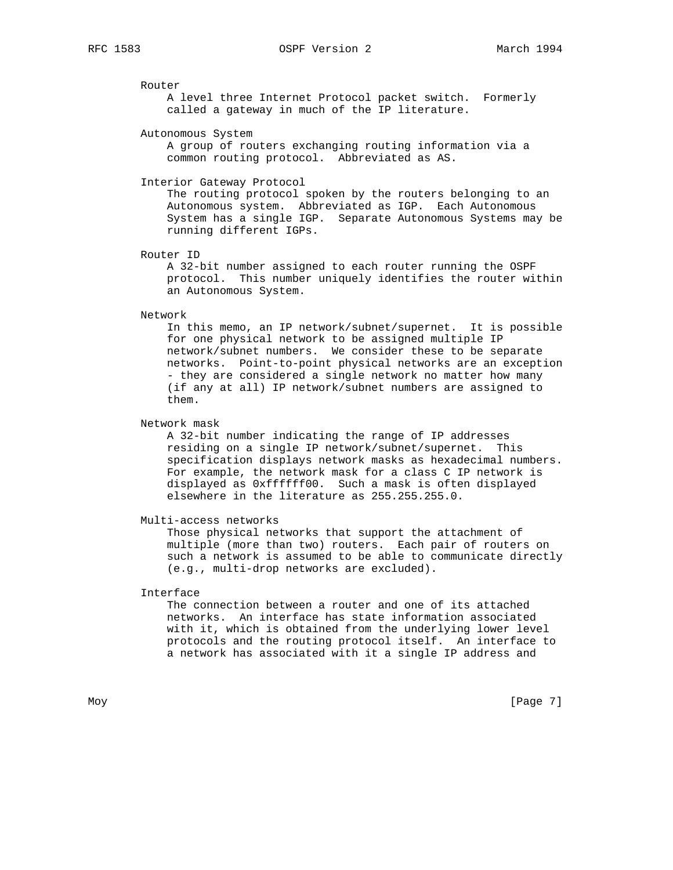### Router

 A level three Internet Protocol packet switch. Formerly called a gateway in much of the IP literature.

### Autonomous System

 A group of routers exchanging routing information via a common routing protocol. Abbreviated as AS.

#### Interior Gateway Protocol

 The routing protocol spoken by the routers belonging to an Autonomous system. Abbreviated as IGP. Each Autonomous System has a single IGP. Separate Autonomous Systems may be running different IGPs.

Router ID

 A 32-bit number assigned to each router running the OSPF protocol. This number uniquely identifies the router within an Autonomous System.

#### Network

 In this memo, an IP network/subnet/supernet. It is possible for one physical network to be assigned multiple IP network/subnet numbers. We consider these to be separate networks. Point-to-point physical networks are an exception - they are considered a single network no matter how many (if any at all) IP network/subnet numbers are assigned to them.

## Network mask

 A 32-bit number indicating the range of IP addresses residing on a single IP network/subnet/supernet. This specification displays network masks as hexadecimal numbers. For example, the network mask for a class C IP network is displayed as 0xffffff00. Such a mask is often displayed elsewhere in the literature as 255.255.255.0.

## Multi-access networks

 Those physical networks that support the attachment of multiple (more than two) routers. Each pair of routers on such a network is assumed to be able to communicate directly (e.g., multi-drop networks are excluded).

# Interface

 The connection between a router and one of its attached networks. An interface has state information associated with it, which is obtained from the underlying lower level protocols and the routing protocol itself. An interface to a network has associated with it a single IP address and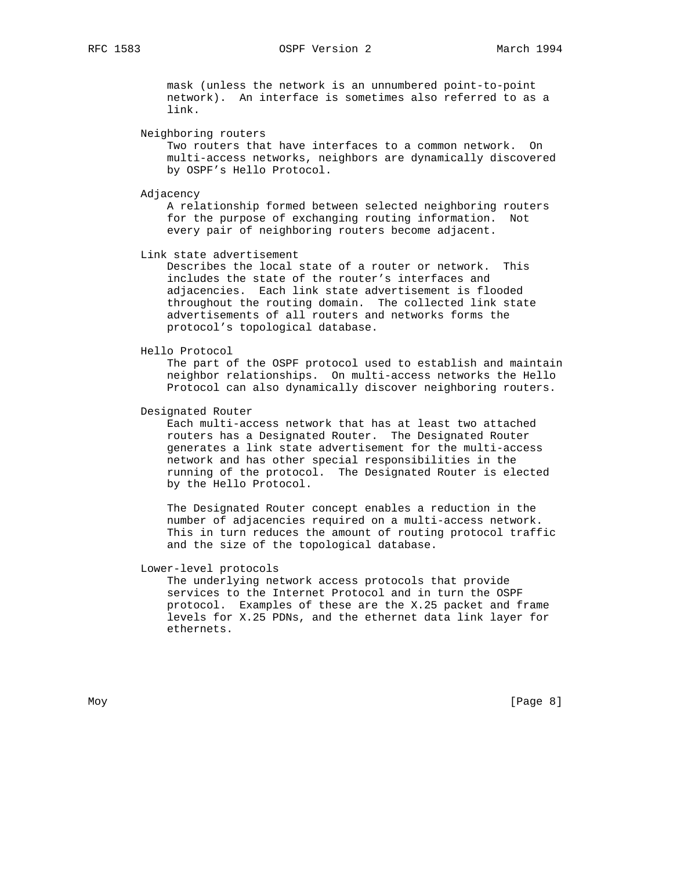mask (unless the network is an unnumbered point-to-point network). An interface is sometimes also referred to as a link.

Neighboring routers

 Two routers that have interfaces to a common network. On multi-access networks, neighbors are dynamically discovered by OSPF's Hello Protocol.

Adjacency

 A relationship formed between selected neighboring routers for the purpose of exchanging routing information. Not every pair of neighboring routers become adjacent.

Link state advertisement

 Describes the local state of a router or network. This includes the state of the router's interfaces and adjacencies. Each link state advertisement is flooded throughout the routing domain. The collected link state advertisements of all routers and networks forms the protocol's topological database.

## Hello Protocol

 The part of the OSPF protocol used to establish and maintain neighbor relationships. On multi-access networks the Hello Protocol can also dynamically discover neighboring routers.

Designated Router

 Each multi-access network that has at least two attached routers has a Designated Router. The Designated Router generates a link state advertisement for the multi-access network and has other special responsibilities in the running of the protocol. The Designated Router is elected by the Hello Protocol.

 The Designated Router concept enables a reduction in the number of adjacencies required on a multi-access network. This in turn reduces the amount of routing protocol traffic and the size of the topological database.

Lower-level protocols

 The underlying network access protocols that provide services to the Internet Protocol and in turn the OSPF protocol. Examples of these are the X.25 packet and frame levels for X.25 PDNs, and the ethernet data link layer for ethernets.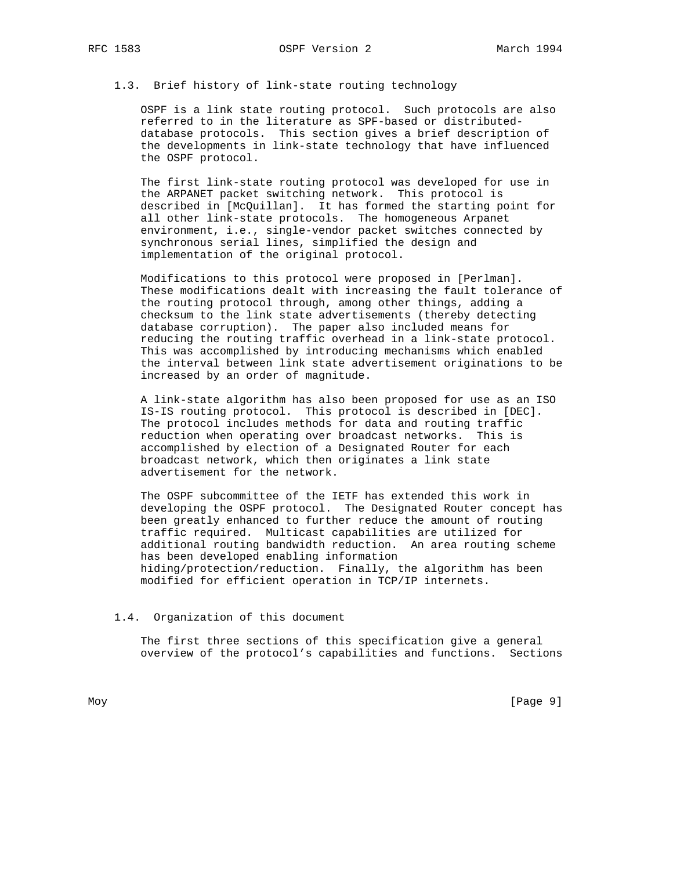## 1.3. Brief history of link-state routing technology

 OSPF is a link state routing protocol. Such protocols are also referred to in the literature as SPF-based or distributed database protocols. This section gives a brief description of the developments in link-state technology that have influenced the OSPF protocol.

 The first link-state routing protocol was developed for use in the ARPANET packet switching network. This protocol is described in [McQuillan]. It has formed the starting point for all other link-state protocols. The homogeneous Arpanet environment, i.e., single-vendor packet switches connected by synchronous serial lines, simplified the design and implementation of the original protocol.

 Modifications to this protocol were proposed in [Perlman]. These modifications dealt with increasing the fault tolerance of the routing protocol through, among other things, adding a checksum to the link state advertisements (thereby detecting database corruption). The paper also included means for reducing the routing traffic overhead in a link-state protocol. This was accomplished by introducing mechanisms which enabled the interval between link state advertisement originations to be increased by an order of magnitude.

 A link-state algorithm has also been proposed for use as an ISO IS-IS routing protocol. This protocol is described in [DEC]. The protocol includes methods for data and routing traffic reduction when operating over broadcast networks. This is accomplished by election of a Designated Router for each broadcast network, which then originates a link state advertisement for the network.

 The OSPF subcommittee of the IETF has extended this work in developing the OSPF protocol. The Designated Router concept has been greatly enhanced to further reduce the amount of routing traffic required. Multicast capabilities are utilized for additional routing bandwidth reduction. An area routing scheme has been developed enabling information hiding/protection/reduction. Finally, the algorithm has been modified for efficient operation in TCP/IP internets.

### 1.4. Organization of this document

 The first three sections of this specification give a general overview of the protocol's capabilities and functions. Sections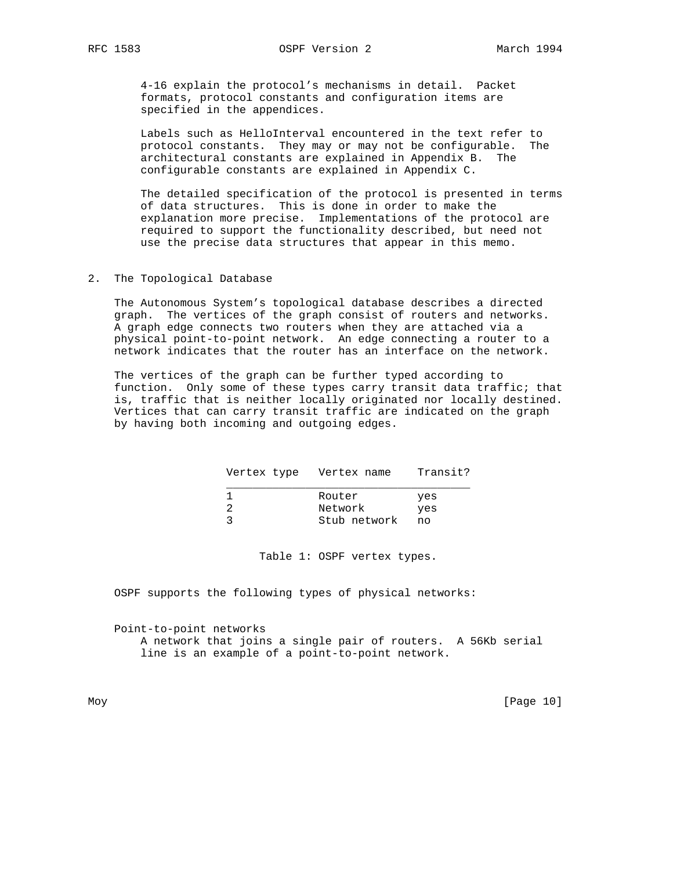4-16 explain the protocol's mechanisms in detail. Packet formats, protocol constants and configuration items are specified in the appendices.

 Labels such as HelloInterval encountered in the text refer to protocol constants. They may or may not be configurable. The architectural constants are explained in Appendix B. The configurable constants are explained in Appendix C.

 The detailed specification of the protocol is presented in terms of data structures. This is done in order to make the explanation more precise. Implementations of the protocol are required to support the functionality described, but need not use the precise data structures that appear in this memo.

2. The Topological Database

 The Autonomous System's topological database describes a directed graph. The vertices of the graph consist of routers and networks. A graph edge connects two routers when they are attached via a physical point-to-point network. An edge connecting a router to a network indicates that the router has an interface on the network.

 The vertices of the graph can be further typed according to function. Only some of these types carry transit data traffic; that is, traffic that is neither locally originated nor locally destined. Vertices that can carry transit traffic are indicated on the graph by having both incoming and outgoing edges.

| Vertex type Vertex name |              | Transit? |
|-------------------------|--------------|----------|
|                         | Router       | yes      |
|                         | Network      | yes      |
|                         | Stub network | no       |

Table 1: OSPF vertex types.

OSPF supports the following types of physical networks:

 Point-to-point networks A network that joins a single pair of routers. A 56Kb serial line is an example of a point-to-point network.

Moy [Page 10]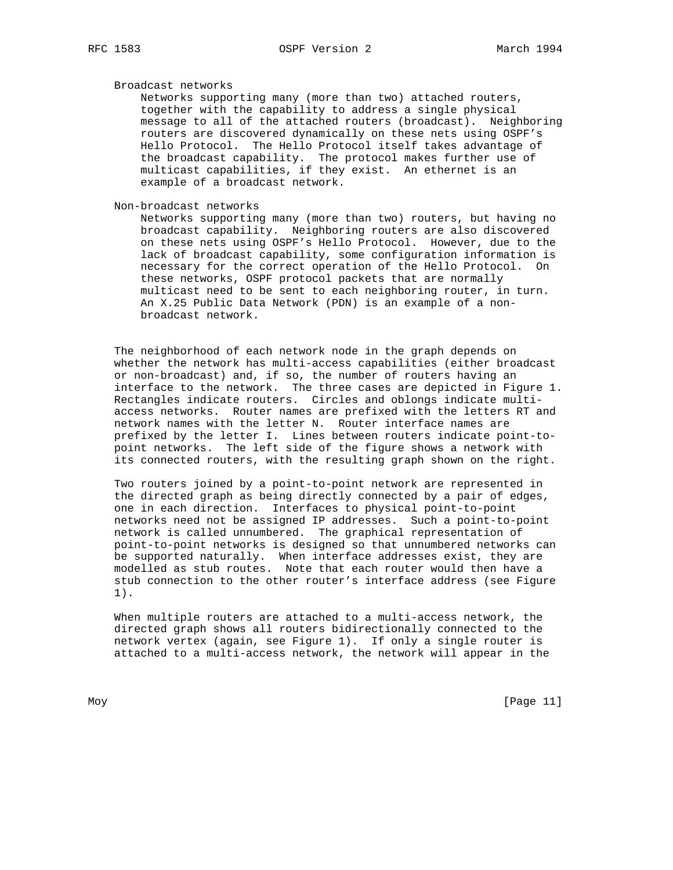Broadcast networks

 Networks supporting many (more than two) attached routers, together with the capability to address a single physical message to all of the attached routers (broadcast). Neighboring routers are discovered dynamically on these nets using OSPF's Hello Protocol. The Hello Protocol itself takes advantage of the broadcast capability. The protocol makes further use of multicast capabilities, if they exist. An ethernet is an example of a broadcast network.

Non-broadcast networks

 Networks supporting many (more than two) routers, but having no broadcast capability. Neighboring routers are also discovered on these nets using OSPF's Hello Protocol. However, due to the lack of broadcast capability, some configuration information is necessary for the correct operation of the Hello Protocol. On these networks, OSPF protocol packets that are normally multicast need to be sent to each neighboring router, in turn. An X.25 Public Data Network (PDN) is an example of a non broadcast network.

 The neighborhood of each network node in the graph depends on whether the network has multi-access capabilities (either broadcast or non-broadcast) and, if so, the number of routers having an interface to the network. The three cases are depicted in Figure 1. Rectangles indicate routers. Circles and oblongs indicate multi access networks. Router names are prefixed with the letters RT and network names with the letter N. Router interface names are prefixed by the letter I. Lines between routers indicate point-to point networks. The left side of the figure shows a network with its connected routers, with the resulting graph shown on the right.

 Two routers joined by a point-to-point network are represented in the directed graph as being directly connected by a pair of edges, one in each direction. Interfaces to physical point-to-point networks need not be assigned IP addresses. Such a point-to-point network is called unnumbered. The graphical representation of point-to-point networks is designed so that unnumbered networks can be supported naturally. When interface addresses exist, they are modelled as stub routes. Note that each router would then have a stub connection to the other router's interface address (see Figure 1).

 When multiple routers are attached to a multi-access network, the directed graph shows all routers bidirectionally connected to the network vertex (again, see Figure 1). If only a single router is attached to a multi-access network, the network will appear in the

Moy [Page 11]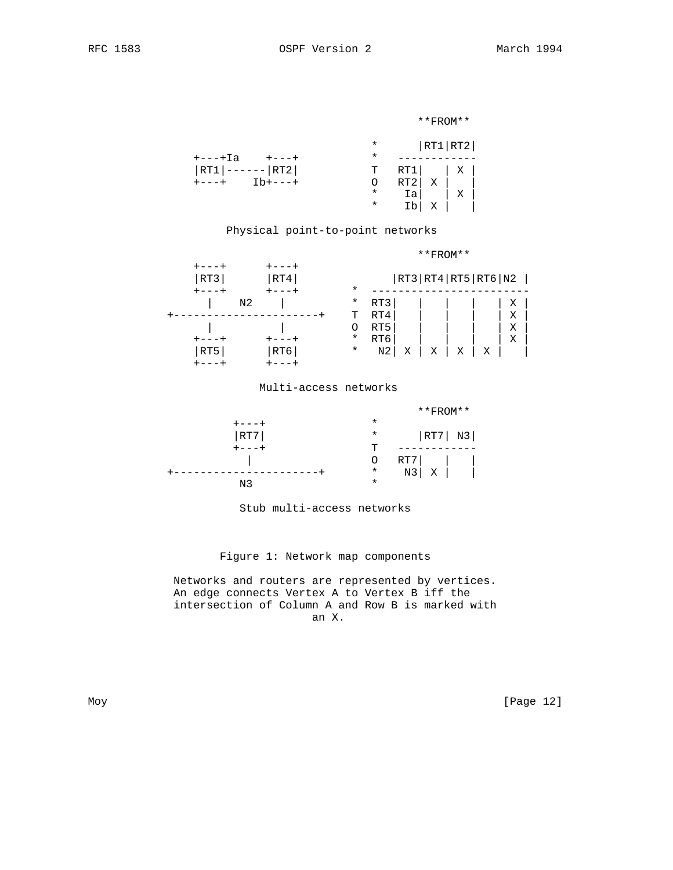### \*\*FROM\*\*

|                        |         | * $ RT1 RT2 $                                                                      |  |  |
|------------------------|---------|------------------------------------------------------------------------------------|--|--|
| $+$ ---+Ia $+$ ---+    | $\star$ |                                                                                    |  |  |
| $ RT1 $ ------ $ RT2 $ |         | $T$ RT1   X                                                                        |  |  |
| $+---+$ Ib+---+        | $\circ$ | $\begin{array}{c c c c c} \nRT2 & X & \x & x & \n\hline\nIa & & X & \n\end{array}$ |  |  |
|                        | $\ast$  |                                                                                    |  |  |
|                        | $\star$ | Ib x i                                                                             |  |  |
|                        |         |                                                                                    |  |  |

# Physical point-to-point networks

# \*\*FROM\*\*

| RT3 | RT4 | $\star$  |                |   |   |   | RT3 RT4 RT5 RT6 N2 |           |  |
|-----|-----|----------|----------------|---|---|---|--------------------|-----------|--|
| N2  |     | $^\star$ | RT3            |   |   |   |                    | Χ         |  |
|     |     | Ͳ        | RT4            |   |   |   |                    | $\bar{X}$ |  |
|     |     |          | RT5            |   |   |   |                    | X         |  |
|     |     | $^\star$ | RT6            |   |   |   |                    | Х         |  |
| RT5 | RT6 | $^\star$ | N <sub>2</sub> | Х | Χ | X | Χ                  |           |  |
|     |     |          |                |   |   |   |                    |           |  |

## Multi-access networks



Stub multi-access networks

# Figure 1: Network map components

 Networks and routers are represented by vertices. An edge connects Vertex A to Vertex B iff the intersection of Column A and Row B is marked with an X.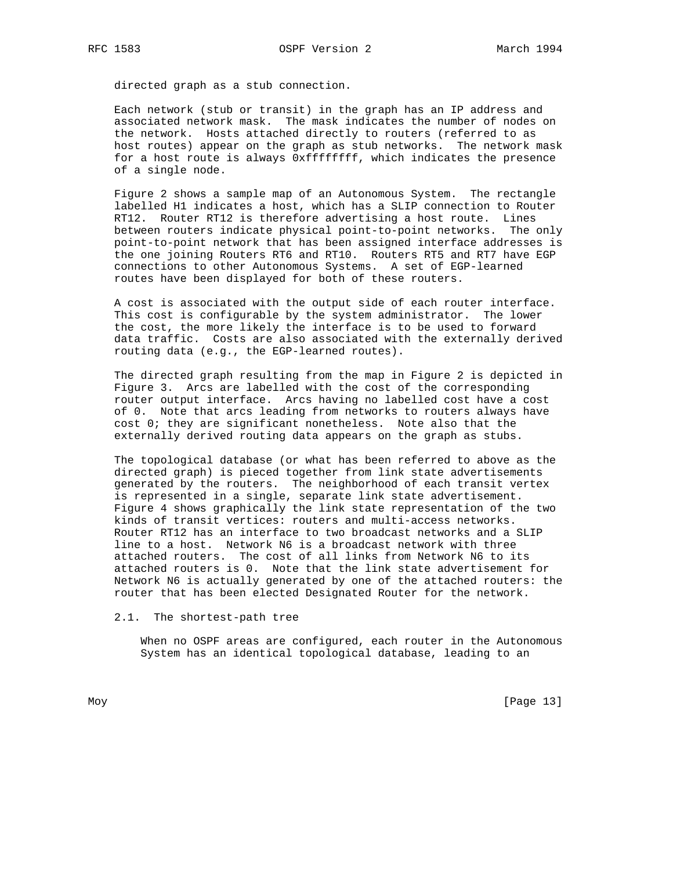directed graph as a stub connection.

 Each network (stub or transit) in the graph has an IP address and associated network mask. The mask indicates the number of nodes on the network. Hosts attached directly to routers (referred to as host routes) appear on the graph as stub networks. The network mask for a host route is always 0xffffffff, which indicates the presence of a single node.

 Figure 2 shows a sample map of an Autonomous System. The rectangle labelled H1 indicates a host, which has a SLIP connection to Router RT12. Router RT12 is therefore advertising a host route. Lines between routers indicate physical point-to-point networks. The only point-to-point network that has been assigned interface addresses is the one joining Routers RT6 and RT10. Routers RT5 and RT7 have EGP connections to other Autonomous Systems. A set of EGP-learned routes have been displayed for both of these routers.

 A cost is associated with the output side of each router interface. This cost is configurable by the system administrator. The lower the cost, the more likely the interface is to be used to forward data traffic. Costs are also associated with the externally derived routing data (e.g., the EGP-learned routes).

 The directed graph resulting from the map in Figure 2 is depicted in Figure 3. Arcs are labelled with the cost of the corresponding router output interface. Arcs having no labelled cost have a cost of 0. Note that arcs leading from networks to routers always have cost 0; they are significant nonetheless. Note also that the externally derived routing data appears on the graph as stubs.

 The topological database (or what has been referred to above as the directed graph) is pieced together from link state advertisements generated by the routers. The neighborhood of each transit vertex is represented in a single, separate link state advertisement. Figure 4 shows graphically the link state representation of the two kinds of transit vertices: routers and multi-access networks. Router RT12 has an interface to two broadcast networks and a SLIP line to a host. Network N6 is a broadcast network with three attached routers. The cost of all links from Network N6 to its attached routers is 0. Note that the link state advertisement for Network N6 is actually generated by one of the attached routers: the router that has been elected Designated Router for the network.

2.1. The shortest-path tree

 When no OSPF areas are configured, each router in the Autonomous System has an identical topological database, leading to an

Moy [Page 13]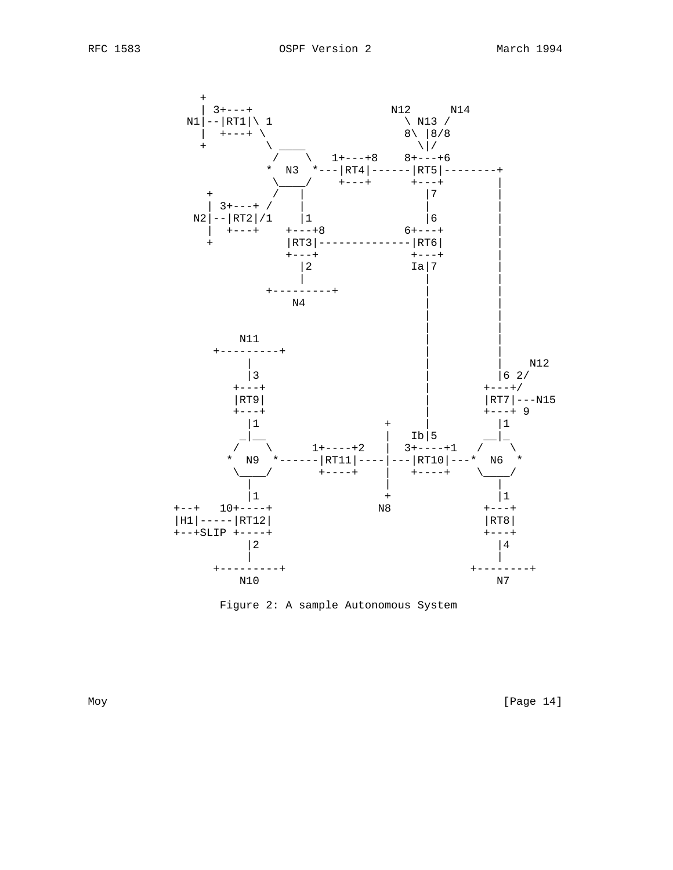

Figure 2: A sample Autonomous System

Moy [Page 14]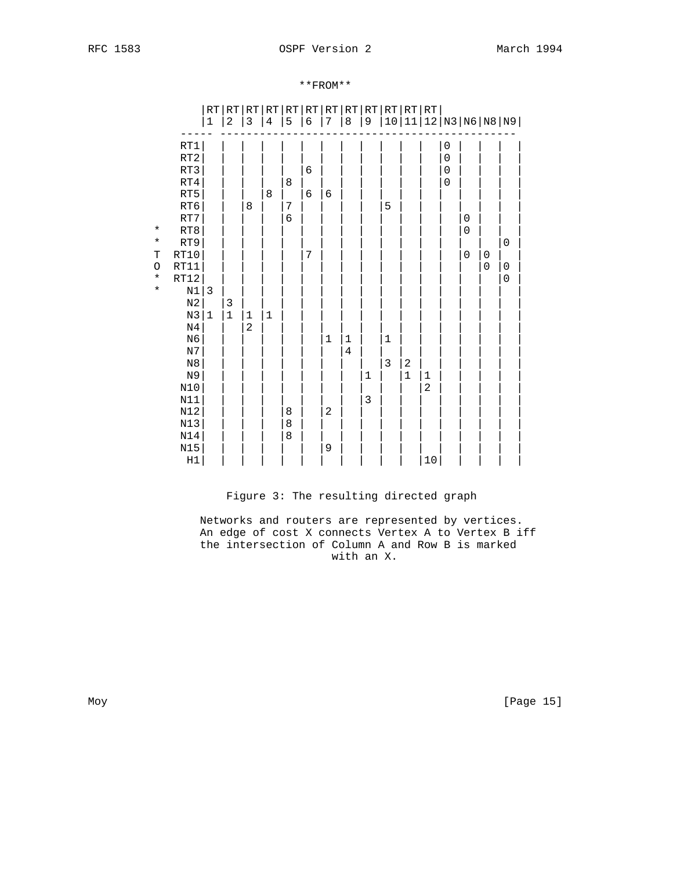# RFC 1583 OSPF Version 2 March 1994

# \*\*FROM\*\*

|             |                | $\mathop{\rm RT}$ | RT             | RT             |              | RT RT                                 |            | RT RT RT       |             | RT           |             | RT RT RT         |                |                          |                     |             |                      |  |
|-------------|----------------|-------------------|----------------|----------------|--------------|---------------------------------------|------------|----------------|-------------|--------------|-------------|------------------|----------------|--------------------------|---------------------|-------------|----------------------|--|
|             |                | $\mathbf 1$       | $\overline{c}$ | $\mathsf 3$    | $\,4$        | 5                                     | $\epsilon$ | 7              | $\,8\,$     | 9            |             |                  |                |                          |                     |             | 10 11 12 N3 N6 N8 N9 |  |
|             |                |                   |                |                |              |                                       |            |                |             |              |             |                  |                |                          |                     |             |                      |  |
|             | $\mathtt{RT1}$ |                   |                |                |              |                                       |            |                |             |              |             |                  |                | $\boldsymbol{0}$         |                     |             |                      |  |
|             | RT2<br>RT3     |                   |                |                |              |                                       | $\sqrt{6}$ |                |             |              |             |                  |                | $\mathbf 0$<br>$\pmb{0}$ |                     |             |                      |  |
|             | RT4            |                   |                |                |              | $\,8\,$                               |            |                |             |              |             |                  |                | $\mathbf 0$              |                     |             |                      |  |
|             | $\mathtt{RT5}$ |                   |                |                | 8            |                                       | 6          | $\epsilon$     |             |              |             |                  |                |                          |                     |             |                      |  |
|             | $\mathtt{RT6}$ |                   |                | 8              |              | $\sqrt{ }$                            |            |                |             |              | 5           |                  |                |                          |                     |             |                      |  |
|             | $\mathtt{RT7}$ |                   |                |                |              | $\epsilon$                            |            |                |             |              |             |                  |                |                          | $\mathbf 0$         |             |                      |  |
| $\star$     | $\mathtt{RT8}$ |                   |                |                |              |                                       |            |                |             |              |             |                  |                |                          | $\mathbf 0$         |             |                      |  |
| $\star$     | RT9            |                   |                |                |              |                                       |            |                |             |              |             |                  |                |                          |                     |             | $\mathsf 0$          |  |
| $\mathbf T$ | RT10           |                   |                |                |              |                                       | 7          |                |             |              |             |                  |                |                          | $\mathsf{O}\xspace$ | $\mathbf 0$ |                      |  |
| $\circ$     | RT11           |                   |                |                |              |                                       |            |                |             |              |             |                  |                |                          |                     | $\mathbf 0$ | $\boldsymbol{0}$     |  |
| $\star$     | RT12           |                   |                |                |              |                                       |            |                |             |              |             |                  |                |                          |                     |             | $\mathsf 0$          |  |
| $\star$     | $\rm N1$       | $\mathbf{3}$      |                |                |              |                                       |            |                |             |              |             |                  |                |                          |                     |             |                      |  |
|             | $_{\rm N2}$    |                   | 3              |                |              |                                       |            |                |             |              |             |                  |                |                          |                     |             |                      |  |
|             | N3             | 1                 | $\mathbf 1$    | 1              | $\mathbf{1}$ |                                       |            |                |             |              |             |                  |                |                          |                     |             |                      |  |
|             | $\rm N4$       |                   |                | $\overline{c}$ |              |                                       |            |                |             |              |             |                  |                |                          |                     |             |                      |  |
|             | N <sub>6</sub> |                   |                |                |              |                                       |            | $\mathbf 1$    | $\mathbf 1$ |              | $1\,$       |                  |                |                          |                     |             |                      |  |
|             | $_{\rm N7}$    |                   |                |                |              |                                       |            |                | $\bf 4$     |              |             |                  |                |                          |                     |             |                      |  |
|             | $_{\rm N8}$    |                   |                |                |              |                                       |            |                |             |              | $\mathsf 3$ | $\boldsymbol{2}$ |                |                          |                     |             |                      |  |
|             | N9             |                   |                |                |              |                                       |            |                |             | $\mathbf 1$  |             | $\mathbf{1}$     | $\mathbf{1}$   |                          |                     |             |                      |  |
|             | $\rm N10$      |                   |                |                |              |                                       |            |                |             |              |             |                  | $\overline{c}$ |                          |                     |             |                      |  |
|             | N11            |                   |                |                |              |                                       |            |                |             | $\mathbf{3}$ |             |                  |                |                          |                     |             |                      |  |
|             | $\mathtt{N}12$ |                   |                |                |              | $\begin{array}{c} 8 \\ 8 \end{array}$ |            | $\overline{c}$ |             |              |             |                  |                |                          |                     |             |                      |  |
|             | N13            |                   |                |                |              |                                       |            |                |             |              |             |                  |                |                          |                     |             |                      |  |
|             | $N14$          |                   |                |                |              | $\,8\,$                               |            |                |             |              |             |                  |                |                          |                     |             |                      |  |
|             | $N15$          |                   |                |                |              |                                       |            | 9              |             |              |             |                  |                |                          |                     |             |                      |  |
|             | $\rm H1$       |                   |                |                |              |                                       |            |                |             |              |             |                  | $10$           |                          |                     |             |                      |  |

# Figure 3: The resulting directed graph

 Networks and routers are represented by vertices. An edge of cost X connects Vertex A to Vertex B iff the intersection of Column A and Row B is marked with an X.

Moy [Page 15]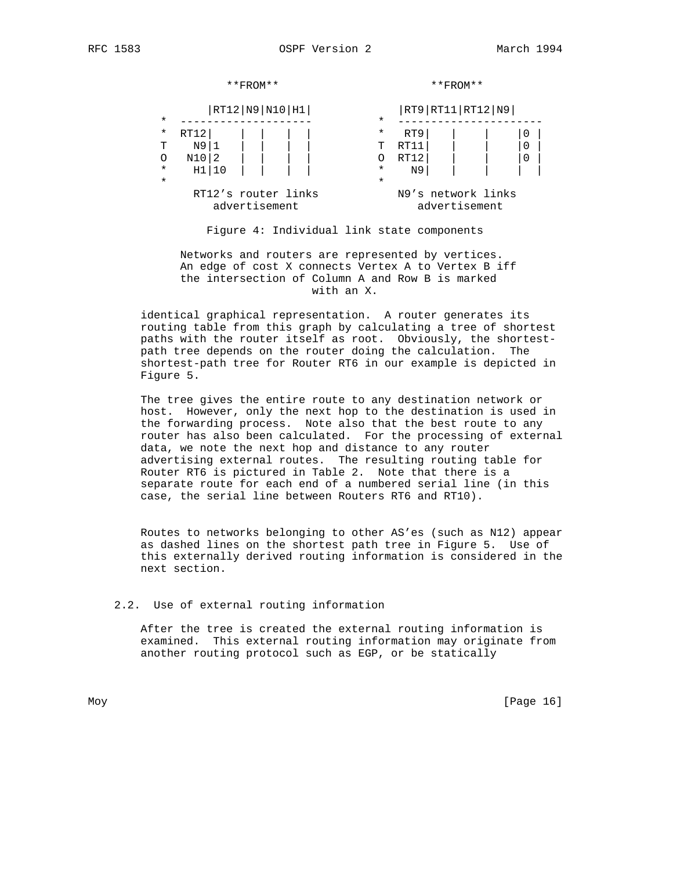|         | $**$ FROM**                          |  |  |          |                    | $**$ FROM $**$ |   |  |  |  |
|---------|--------------------------------------|--|--|----------|--------------------|----------------|---|--|--|--|
| $\star$ | RT12 N9 N10 H1                       |  |  | $\star$  | RT9 RT11 RT12 N9   |                |   |  |  |  |
| *       | RT12                                 |  |  | $^\star$ | RT9                |                | 0 |  |  |  |
| т       | N9 1                                 |  |  | Τ        | RT11               |                |   |  |  |  |
| O       | N10 2                                |  |  |          | RT12               |                |   |  |  |  |
| $\star$ | H1 10                                |  |  | $\star$  | N9                 |                |   |  |  |  |
| $\star$ |                                      |  |  | $\star$  |                    |                |   |  |  |  |
|         | RT12's router links<br>advertisement |  |  |          | N9's network links | advertisement  |   |  |  |  |

Figure 4: Individual link state components

 Networks and routers are represented by vertices. An edge of cost X connects Vertex A to Vertex B iff the intersection of Column A and Row B is marked with an X.

 identical graphical representation. A router generates its routing table from this graph by calculating a tree of shortest paths with the router itself as root. Obviously, the shortest path tree depends on the router doing the calculation. The shortest-path tree for Router RT6 in our example is depicted in Figure 5.

 The tree gives the entire route to any destination network or host. However, only the next hop to the destination is used in the forwarding process. Note also that the best route to any router has also been calculated. For the processing of external data, we note the next hop and distance to any router advertising external routes. The resulting routing table for Router RT6 is pictured in Table 2. Note that there is a separate route for each end of a numbered serial line (in this case, the serial line between Routers RT6 and RT10).

 Routes to networks belonging to other AS'es (such as N12) appear as dashed lines on the shortest path tree in Figure 5. Use of this externally derived routing information is considered in the next section.

## 2.2. Use of external routing information

 After the tree is created the external routing information is examined. This external routing information may originate from another routing protocol such as EGP, or be statically

Moy [Page 16]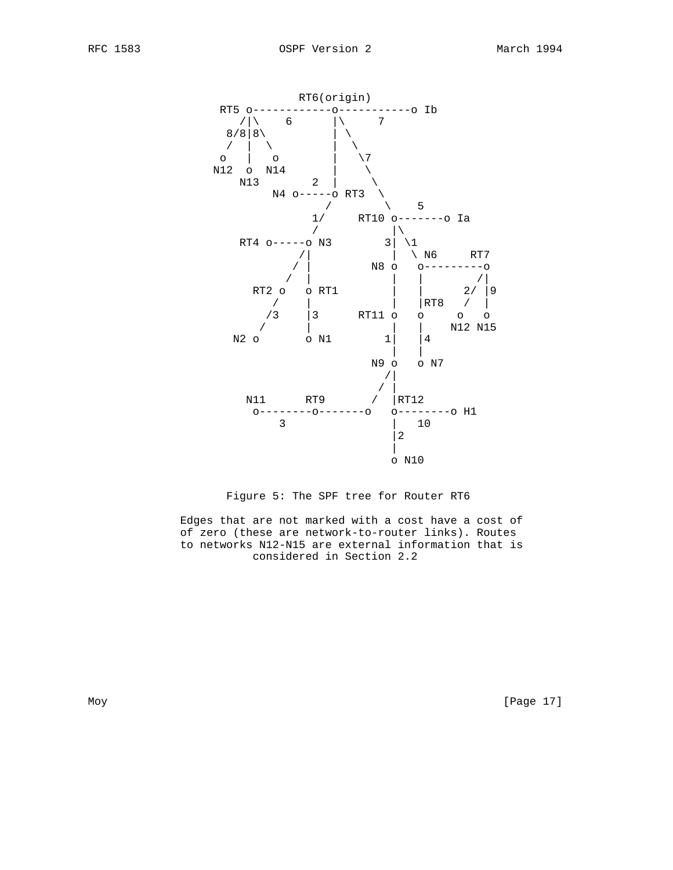



 Edges that are not marked with a cost have a cost of of zero (these are network-to-router links). Routes to networks N12-N15 are external information that is considered in Section 2.2

Moy [Page 17]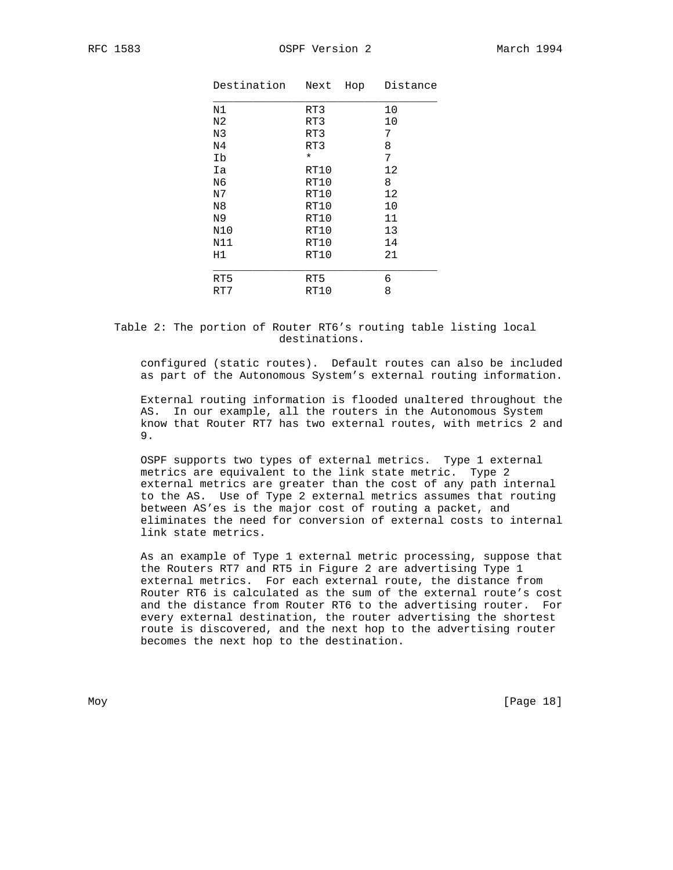| .583<br>RFC |
|-------------|
|-------------|

| Destination    | Hop<br>Next | Distance |
|----------------|-------------|----------|
| N1             | RT3         | 10       |
| N2             | RT3         | 10       |
| N3             | RT3         | 7        |
| N <sub>4</sub> | RT3         | 8        |
| Ib             | $\star$     | 7        |
| Ia             | RT10        | 12       |
| N6             | RT10        | 8        |
| N7             | RT10        | 12       |
| N <sub>8</sub> | RT10        | 10       |
| N9             | RT10        | 11       |
| N10            | RT10        | 13       |
| N11            | RT10        | 14       |
| H1             | RT10        | 21       |
|                |             |          |
| RT5            | RT5         | 6        |
| RT7            | RT10        | 8        |

 Table 2: The portion of Router RT6's routing table listing local destinations.

 configured (static routes). Default routes can also be included as part of the Autonomous System's external routing information.

 External routing information is flooded unaltered throughout the AS. In our example, all the routers in the Autonomous System know that Router RT7 has two external routes, with metrics 2 and 9.

 OSPF supports two types of external metrics. Type 1 external metrics are equivalent to the link state metric. Type 2 external metrics are greater than the cost of any path internal to the AS. Use of Type 2 external metrics assumes that routing between AS'es is the major cost of routing a packet, and eliminates the need for conversion of external costs to internal link state metrics.

 As an example of Type 1 external metric processing, suppose that the Routers RT7 and RT5 in Figure 2 are advertising Type 1 external metrics. For each external route, the distance from Router RT6 is calculated as the sum of the external route's cost and the distance from Router RT6 to the advertising router. For every external destination, the router advertising the shortest route is discovered, and the next hop to the advertising router becomes the next hop to the destination.

Moy [Page 18]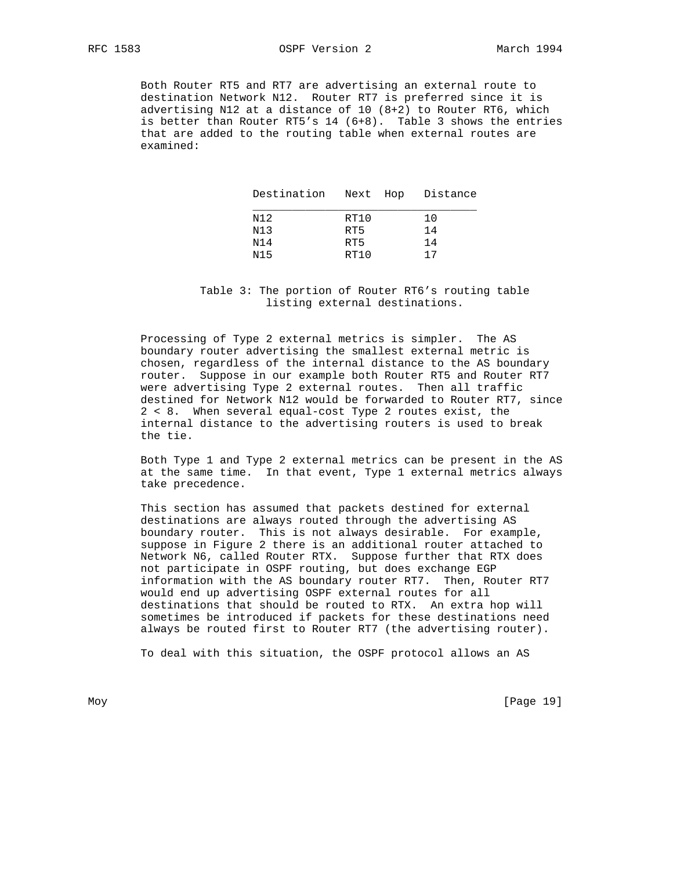RFC 1583 OSPF Version 2 March 1994

 Both Router RT5 and RT7 are advertising an external route to destination Network N12. Router RT7 is preferred since it is advertising N12 at a distance of 10  $(8+2)$  to Router RT6, which is better than Router RT5's 14 (6+8). Table 3 shows the entries that are added to the routing table when external routes are examined:

| Destination Next Hop Distance |      |    |
|-------------------------------|------|----|
| N12                           | RT10 | 10 |
| N13                           | RT5  | 14 |
| N14                           | RT5  | 14 |
| N15                           | RT10 | 17 |

 Table 3: The portion of Router RT6's routing table listing external destinations.

 Processing of Type 2 external metrics is simpler. The AS boundary router advertising the smallest external metric is chosen, regardless of the internal distance to the AS boundary router. Suppose in our example both Router RT5 and Router RT7 were advertising Type 2 external routes. Then all traffic destined for Network N12 would be forwarded to Router RT7, since 2 < 8. When several equal-cost Type 2 routes exist, the internal distance to the advertising routers is used to break the tie.

 Both Type 1 and Type 2 external metrics can be present in the AS at the same time. In that event, Type 1 external metrics always take precedence.

 This section has assumed that packets destined for external destinations are always routed through the advertising AS boundary router. This is not always desirable. For example, suppose in Figure 2 there is an additional router attached to Network N6, called Router RTX. Suppose further that RTX does not participate in OSPF routing, but does exchange EGP information with the AS boundary router RT7. Then, Router RT7 would end up advertising OSPF external routes for all destinations that should be routed to RTX. An extra hop will sometimes be introduced if packets for these destinations need always be routed first to Router RT7 (the advertising router).

To deal with this situation, the OSPF protocol allows an AS

Moy [Page 19]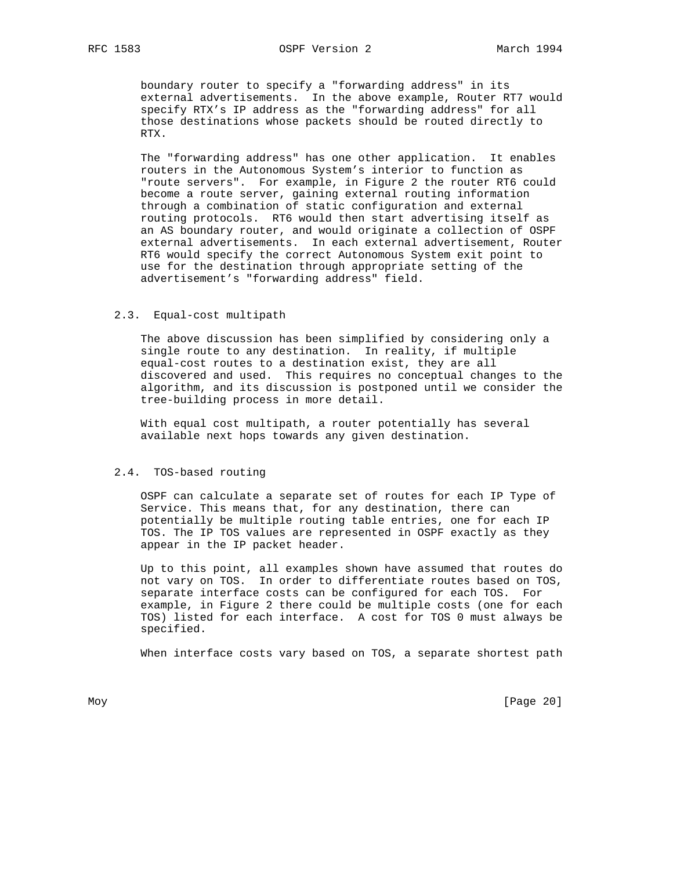boundary router to specify a "forwarding address" in its external advertisements. In the above example, Router RT7 would specify RTX's IP address as the "forwarding address" for all those destinations whose packets should be routed directly to RTX.

 The "forwarding address" has one other application. It enables routers in the Autonomous System's interior to function as "route servers". For example, in Figure 2 the router RT6 could become a route server, gaining external routing information through a combination of static configuration and external routing protocols. RT6 would then start advertising itself as an AS boundary router, and would originate a collection of OSPF external advertisements. In each external advertisement, Router RT6 would specify the correct Autonomous System exit point to use for the destination through appropriate setting of the advertisement's "forwarding address" field.

### 2.3. Equal-cost multipath

 The above discussion has been simplified by considering only a single route to any destination. In reality, if multiple equal-cost routes to a destination exist, they are all discovered and used. This requires no conceptual changes to the algorithm, and its discussion is postponed until we consider the tree-building process in more detail.

 With equal cost multipath, a router potentially has several available next hops towards any given destination.

#### 2.4. TOS-based routing

 OSPF can calculate a separate set of routes for each IP Type of Service. This means that, for any destination, there can potentially be multiple routing table entries, one for each IP TOS. The IP TOS values are represented in OSPF exactly as they appear in the IP packet header.

 Up to this point, all examples shown have assumed that routes do not vary on TOS. In order to differentiate routes based on TOS, separate interface costs can be configured for each TOS. For example, in Figure 2 there could be multiple costs (one for each TOS) listed for each interface. A cost for TOS 0 must always be specified.

When interface costs vary based on TOS, a separate shortest path

Moy [Page 20]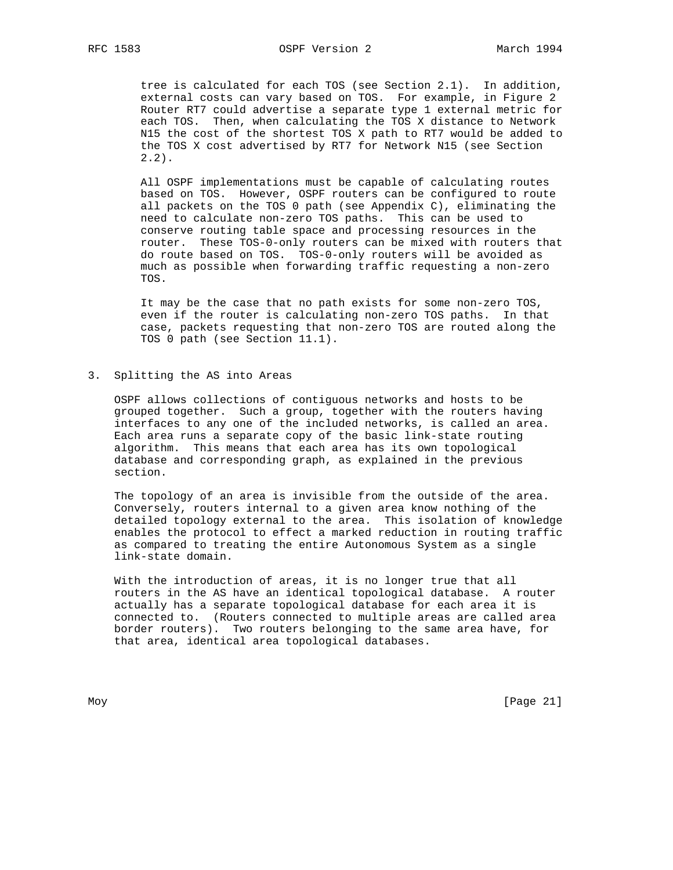tree is calculated for each TOS (see Section 2.1). In addition, external costs can vary based on TOS. For example, in Figure 2 Router RT7 could advertise a separate type 1 external metric for each TOS. Then, when calculating the TOS X distance to Network N15 the cost of the shortest TOS X path to RT7 would be added to the TOS X cost advertised by RT7 for Network N15 (see Section 2.2).

 All OSPF implementations must be capable of calculating routes based on TOS. However, OSPF routers can be configured to route all packets on the TOS 0 path (see Appendix C), eliminating the need to calculate non-zero TOS paths. This can be used to conserve routing table space and processing resources in the router. These TOS-0-only routers can be mixed with routers that do route based on TOS. TOS-0-only routers will be avoided as much as possible when forwarding traffic requesting a non-zero TOS.

 It may be the case that no path exists for some non-zero TOS, even if the router is calculating non-zero TOS paths. In that case, packets requesting that non-zero TOS are routed along the TOS 0 path (see Section 11.1).

## 3. Splitting the AS into Areas

 OSPF allows collections of contiguous networks and hosts to be grouped together. Such a group, together with the routers having interfaces to any one of the included networks, is called an area. Each area runs a separate copy of the basic link-state routing algorithm. This means that each area has its own topological database and corresponding graph, as explained in the previous section.

 The topology of an area is invisible from the outside of the area. Conversely, routers internal to a given area know nothing of the detailed topology external to the area. This isolation of knowledge enables the protocol to effect a marked reduction in routing traffic as compared to treating the entire Autonomous System as a single link-state domain.

 With the introduction of areas, it is no longer true that all routers in the AS have an identical topological database. A router actually has a separate topological database for each area it is connected to. (Routers connected to multiple areas are called area border routers). Two routers belonging to the same area have, for that area, identical area topological databases.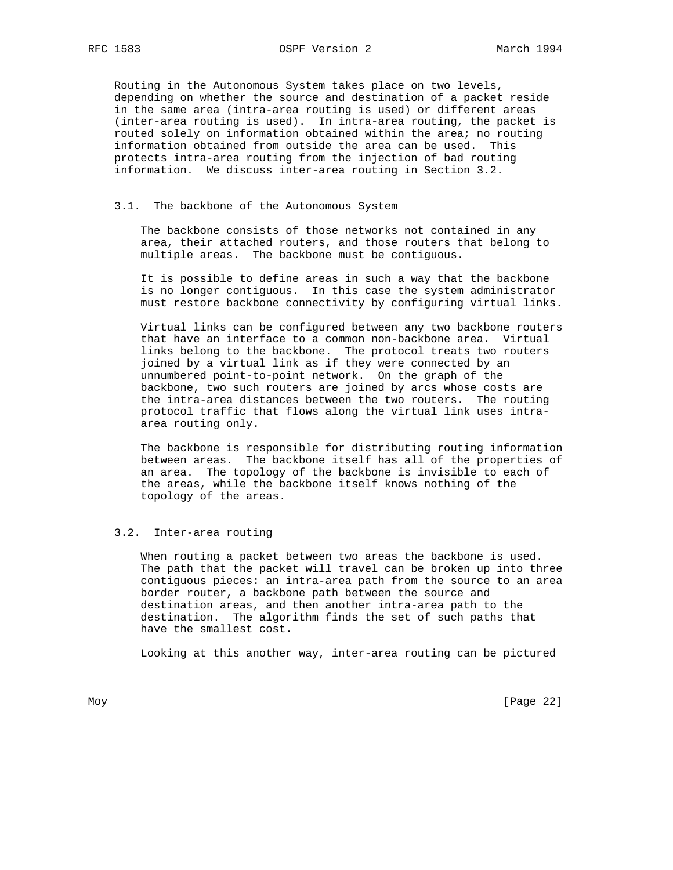Routing in the Autonomous System takes place on two levels, depending on whether the source and destination of a packet reside in the same area (intra-area routing is used) or different areas (inter-area routing is used). In intra-area routing, the packet is routed solely on information obtained within the area; no routing information obtained from outside the area can be used. This protects intra-area routing from the injection of bad routing information. We discuss inter-area routing in Section 3.2.

## 3.1. The backbone of the Autonomous System

 The backbone consists of those networks not contained in any area, their attached routers, and those routers that belong to multiple areas. The backbone must be contiguous.

 It is possible to define areas in such a way that the backbone is no longer contiguous. In this case the system administrator must restore backbone connectivity by configuring virtual links.

 Virtual links can be configured between any two backbone routers that have an interface to a common non-backbone area. Virtual links belong to the backbone. The protocol treats two routers joined by a virtual link as if they were connected by an unnumbered point-to-point network. On the graph of the backbone, two such routers are joined by arcs whose costs are the intra-area distances between the two routers. The routing protocol traffic that flows along the virtual link uses intra area routing only.

 The backbone is responsible for distributing routing information between areas. The backbone itself has all of the properties of an area. The topology of the backbone is invisible to each of the areas, while the backbone itself knows nothing of the topology of the areas.

## 3.2. Inter-area routing

 When routing a packet between two areas the backbone is used. The path that the packet will travel can be broken up into three contiguous pieces: an intra-area path from the source to an area border router, a backbone path between the source and destination areas, and then another intra-area path to the destination. The algorithm finds the set of such paths that have the smallest cost.

Looking at this another way, inter-area routing can be pictured

Moy [Page 22]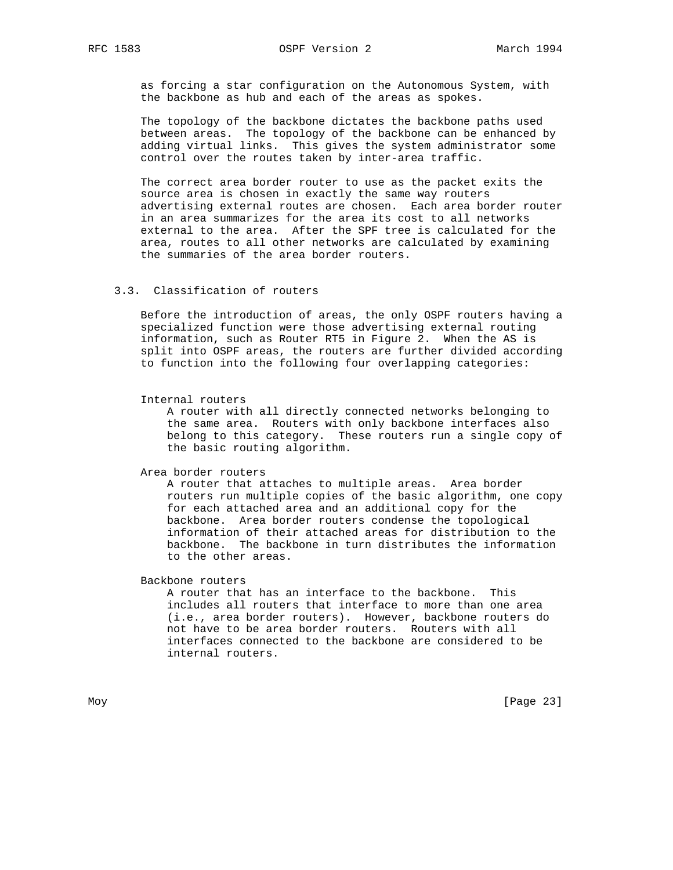as forcing a star configuration on the Autonomous System, with the backbone as hub and each of the areas as spokes.

 The topology of the backbone dictates the backbone paths used between areas. The topology of the backbone can be enhanced by adding virtual links. This gives the system administrator some control over the routes taken by inter-area traffic.

 The correct area border router to use as the packet exits the source area is chosen in exactly the same way routers advertising external routes are chosen. Each area border router in an area summarizes for the area its cost to all networks external to the area. After the SPF tree is calculated for the area, routes to all other networks are calculated by examining the summaries of the area border routers.

# 3.3. Classification of routers

 Before the introduction of areas, the only OSPF routers having a specialized function were those advertising external routing information, such as Router RT5 in Figure 2. When the AS is split into OSPF areas, the routers are further divided according to function into the following four overlapping categories:

#### Internal routers

 A router with all directly connected networks belonging to the same area. Routers with only backbone interfaces also belong to this category. These routers run a single copy of the basic routing algorithm.

Area border routers

 A router that attaches to multiple areas. Area border routers run multiple copies of the basic algorithm, one copy for each attached area and an additional copy for the backbone. Area border routers condense the topological information of their attached areas for distribution to the backbone. The backbone in turn distributes the information to the other areas.

Backbone routers

 A router that has an interface to the backbone. This includes all routers that interface to more than one area (i.e., area border routers). However, backbone routers do not have to be area border routers. Routers with all interfaces connected to the backbone are considered to be internal routers.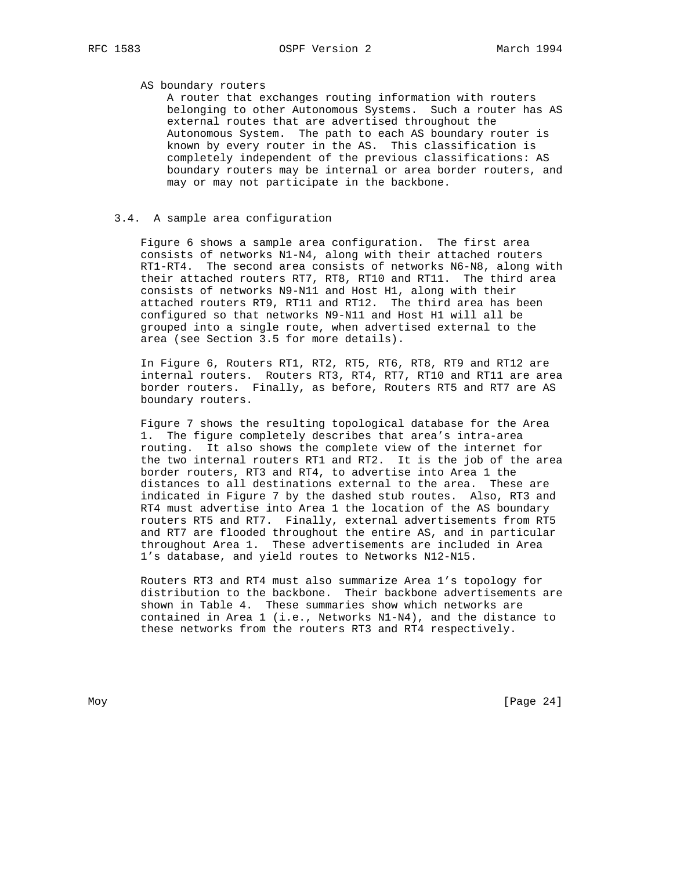## AS boundary routers

 A router that exchanges routing information with routers belonging to other Autonomous Systems. Such a router has AS external routes that are advertised throughout the Autonomous System. The path to each AS boundary router is known by every router in the AS. This classification is completely independent of the previous classifications: AS boundary routers may be internal or area border routers, and may or may not participate in the backbone.

## 3.4. A sample area configuration

 Figure 6 shows a sample area configuration. The first area consists of networks N1-N4, along with their attached routers RT1-RT4. The second area consists of networks N6-N8, along with their attached routers RT7, RT8, RT10 and RT11. The third area consists of networks N9-N11 and Host H1, along with their attached routers RT9, RT11 and RT12. The third area has been configured so that networks N9-N11 and Host H1 will all be grouped into a single route, when advertised external to the area (see Section 3.5 for more details).

 In Figure 6, Routers RT1, RT2, RT5, RT6, RT8, RT9 and RT12 are internal routers. Routers RT3, RT4, RT7, RT10 and RT11 are area border routers. Finally, as before, Routers RT5 and RT7 are AS boundary routers.

 Figure 7 shows the resulting topological database for the Area 1. The figure completely describes that area's intra-area routing. It also shows the complete view of the internet for the two internal routers RT1 and RT2. It is the job of the area border routers, RT3 and RT4, to advertise into Area 1 the distances to all destinations external to the area. These are indicated in Figure 7 by the dashed stub routes. Also, RT3 and RT4 must advertise into Area 1 the location of the AS boundary routers RT5 and RT7. Finally, external advertisements from RT5 and RT7 are flooded throughout the entire AS, and in particular throughout Area 1. These advertisements are included in Area 1's database, and yield routes to Networks N12-N15.

 Routers RT3 and RT4 must also summarize Area 1's topology for distribution to the backbone. Their backbone advertisements are shown in Table 4. These summaries show which networks are contained in Area 1 (i.e., Networks N1-N4), and the distance to these networks from the routers RT3 and RT4 respectively.

Moy [Page 24]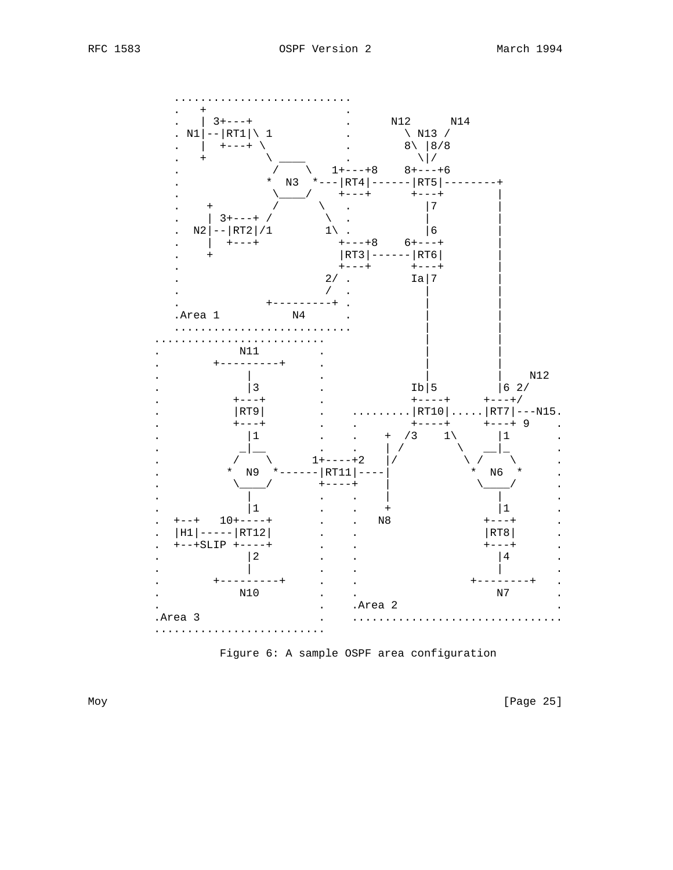

Figure 6: A sample OSPF area configuration

[Page 25]

Moy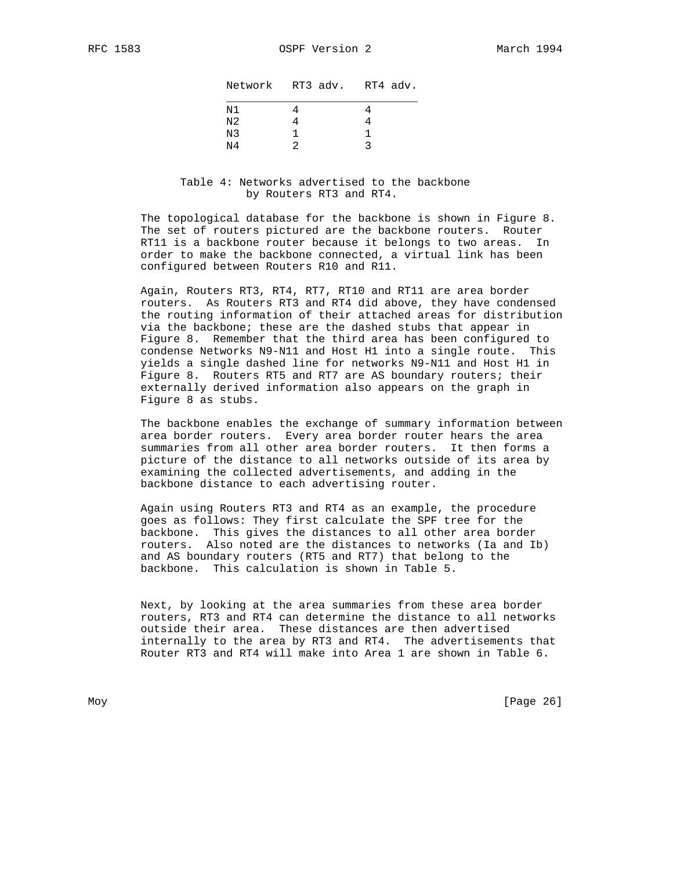|    | Network RT3 adv. RT4 adv. |  |
|----|---------------------------|--|
| N1 |                           |  |
| N2 |                           |  |
| N3 |                           |  |
| Ν4 |                           |  |

 Table 4: Networks advertised to the backbone by Routers RT3 and RT4.

 The topological database for the backbone is shown in Figure 8. The set of routers pictured are the backbone routers. Router RT11 is a backbone router because it belongs to two areas. In order to make the backbone connected, a virtual link has been configured between Routers R10 and R11.

 Again, Routers RT3, RT4, RT7, RT10 and RT11 are area border routers. As Routers RT3 and RT4 did above, they have condensed the routing information of their attached areas for distribution via the backbone; these are the dashed stubs that appear in Figure 8. Remember that the third area has been configured to condense Networks N9-N11 and Host H1 into a single route. This yields a single dashed line for networks N9-N11 and Host H1 in Figure 8. Routers RT5 and RT7 are AS boundary routers; their externally derived information also appears on the graph in Figure 8 as stubs.

 The backbone enables the exchange of summary information between area border routers. Every area border router hears the area summaries from all other area border routers. It then forms a picture of the distance to all networks outside of its area by examining the collected advertisements, and adding in the backbone distance to each advertising router.

 Again using Routers RT3 and RT4 as an example, the procedure goes as follows: They first calculate the SPF tree for the backbone. This gives the distances to all other area border routers. Also noted are the distances to networks (Ia and Ib) and AS boundary routers (RT5 and RT7) that belong to the backbone. This calculation is shown in Table 5.

 Next, by looking at the area summaries from these area border routers, RT3 and RT4 can determine the distance to all networks outside their area. These distances are then advertised internally to the area by RT3 and RT4. The advertisements that Router RT3 and RT4 will make into Area 1 are shown in Table 6.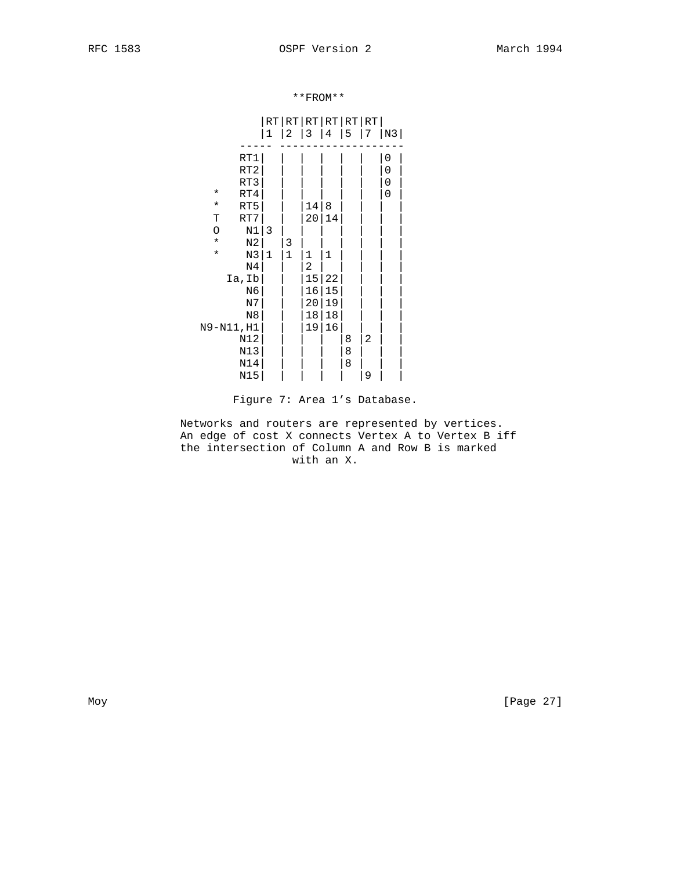\*\*FROM\*\*

|            |                 | 1            | 2           | RT RT RT RT RT RT <br>3 | 4  | 5 | 7 | N3                  |
|------------|-----------------|--------------|-------------|-------------------------|----|---|---|---------------------|
|            |                 |              |             |                         |    |   |   |                     |
|            | RT1             |              |             |                         |    |   |   | $\mathsf{O}\xspace$ |
|            | RT <sub>2</sub> |              |             |                         |    |   |   | 0                   |
|            | RT3             |              |             |                         |    |   |   | 0                   |
| $^\star$   | RT4             |              |             |                         |    |   |   | 0                   |
| $\star$    | RT5             |              |             | 14                      | 8  |   |   |                     |
| Т          | RT7             |              |             | 20                      | 14 |   |   |                     |
| O          | N1              | 3            |             |                         |    |   |   |                     |
| $\star$    | N <sub>2</sub>  |              | 3           |                         |    |   |   |                     |
| $\star$    | N3              | $\mathbf{1}$ | $\mathbf 1$ | 1                       | 1  |   |   |                     |
|            | N4              |              |             | 2                       |    |   |   |                     |
|            | Ia, Ib          |              |             | 15                      | 22 |   |   |                     |
|            | N6              |              |             | 16                      | 15 |   |   |                     |
|            | N7              |              |             | 20                      | 19 |   |   |                     |
|            | N8              |              |             | $18\,$                  | 18 |   |   |                     |
| N9-N11, H1 |                 |              |             | 19                      | 16 |   |   |                     |
|            | N12             |              |             |                         |    | 8 | 2 |                     |
|            | N13             |              |             |                         |    | 8 |   |                     |
|            | N14             |              |             |                         |    | 8 |   |                     |
|            | N15             |              |             |                         |    |   | 9 |                     |

Figure 7: Area 1's Database.

 Networks and routers are represented by vertices. An edge of cost X connects Vertex A to Vertex B iff the intersection of Column A and Row B is marked with an X.

Moy [Page 27]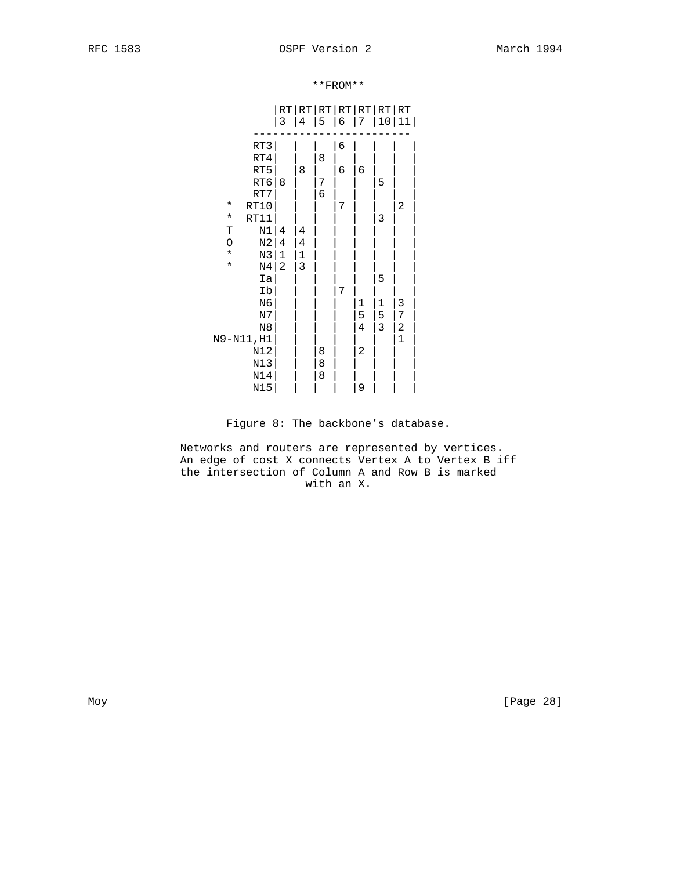|                  | $\mathsf 3$    | RT RT RT RT RT RT RT<br>4 | 5 | 6 | 7              | 10 | 11           |  |
|------------------|----------------|---------------------------|---|---|----------------|----|--------------|--|
| RT3              |                |                           |   | 6 |                |    |              |  |
| RT4              |                |                           | 8 |   |                |    |              |  |
| RT5              |                | 8                         |   | 6 | 6              |    |              |  |
| $\mathtt{RT6}$   | 8              |                           | 7 |   |                | 5  |              |  |
| RT7              |                |                           | 6 |   |                |    |              |  |
| RT10<br>$\star$  |                |                           |   | 7 |                |    | 2            |  |
| RT11<br>$\star$  |                |                           |   |   |                | 3  |              |  |
| N1<br>T          | 4              | 4                         |   |   |                |    |              |  |
| $_{\rm N2}$<br>O | $\bf 4$        | $\bf 4$                   |   |   |                |    |              |  |
| $\star$<br>N3    | $\mathbf 1$    | $\mathbf 1$               |   |   |                |    |              |  |
| $\star$<br>N4    | $\overline{2}$ | 3                         |   |   |                |    |              |  |
|                  | Ia             |                           |   |   |                | 5  |              |  |
|                  | Ib             |                           |   | 7 |                |    |              |  |
| N6               |                |                           |   |   | 1              | 1  | 3            |  |
| N7               |                |                           |   |   | 5              | 5  | 7            |  |
| $_{\rm N8}$      |                |                           |   |   | $\overline{4}$ | 3  | 2            |  |
| N9-N11, H1       |                |                           |   |   |                |    | $\mathbf{1}$ |  |
| N12              |                |                           | 8 |   | 2              |    |              |  |
| N13              |                |                           | 8 |   |                |    |              |  |
| N14              |                |                           | 8 |   |                |    |              |  |
| N15              |                |                           |   |   | 9              |    |              |  |

\*\*FROM\*\*

Figure 8: The backbone's database.

 Networks and routers are represented by vertices. An edge of cost X connects Vertex A to Vertex B iff the intersection of Column A and Row B is marked with an X.

Moy [Page 28]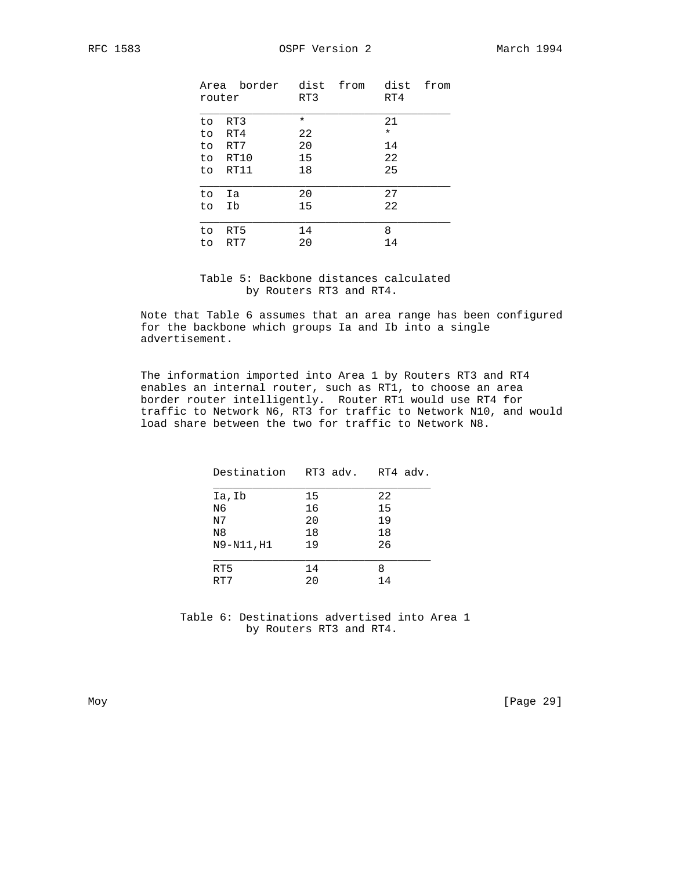| router | Area border dist from | RT3     | dist<br>RT4 | from |
|--------|-----------------------|---------|-------------|------|
| to.    | RT3                   | $\star$ | 21          |      |
| to.    | RT4                   | 22      | $\star$     |      |
| to.    | RT7                   | 20      | 14          |      |
| to.    | RT10                  | 15      | 22          |      |
| to.    | RT11                  | 18      | 25          |      |
|        |                       |         |             |      |
| to     | Ia                    | 20      | 27          |      |
| to     | Ib                    | 15      | 22          |      |
|        |                       |         |             |      |
| to     | RT5                   | 14      | 8           |      |
| to     | RT7                   | 20      | 14          |      |

# Table 5: Backbone distances calculated by Routers RT3 and RT4.

 Note that Table 6 assumes that an area range has been configured for the backbone which groups Ia and Ib into a single advertisement.

 The information imported into Area 1 by Routers RT3 and RT4 enables an internal router, such as RT1, to choose an area border router intelligently. Router RT1 would use RT4 for traffic to Network N6, RT3 for traffic to Network N10, and would load share between the two for traffic to Network N8.

| Destination RT3 adv. RT4 adv. |    |    |
|-------------------------------|----|----|
| Ia, Ib                        | 15 | 22 |
| N6                            | 16 | 15 |
| N <sub>7</sub>                | 20 | 19 |
| N <sub>8</sub>                | 18 | 18 |
| N9-N11, H1                    | 19 | 26 |
| RT5                           | 14 | 8  |
| RT7                           | 20 | 14 |
|                               |    |    |

 Table 6: Destinations advertised into Area 1 by Routers RT3 and RT4.

Moy [Page 29]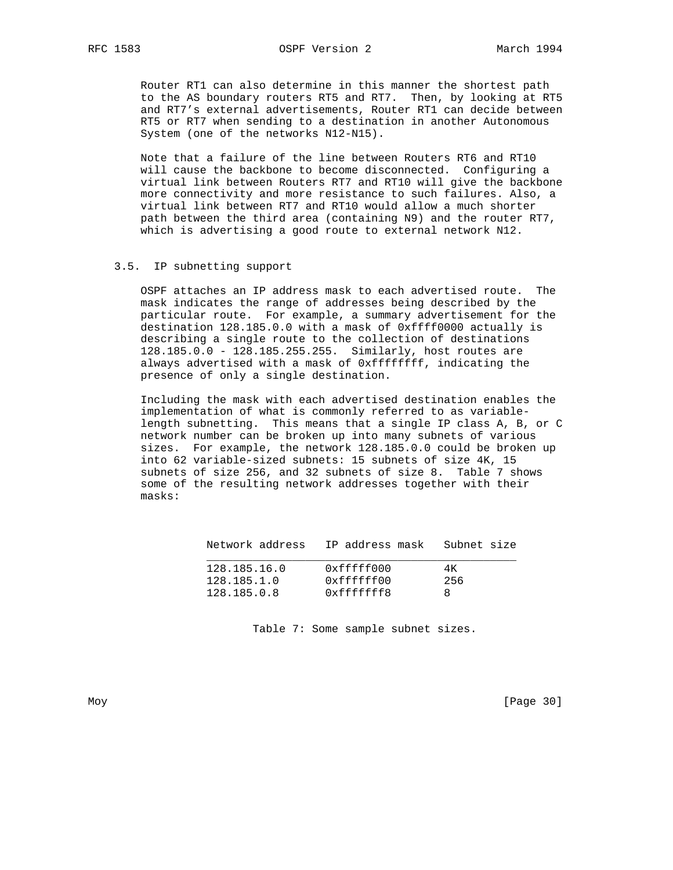Router RT1 can also determine in this manner the shortest path to the AS boundary routers RT5 and RT7. Then, by looking at RT5 and RT7's external advertisements, Router RT1 can decide between RT5 or RT7 when sending to a destination in another Autonomous System (one of the networks N12-N15).

 Note that a failure of the line between Routers RT6 and RT10 will cause the backbone to become disconnected. Configuring a virtual link between Routers RT7 and RT10 will give the backbone more connectivity and more resistance to such failures. Also, a virtual link between RT7 and RT10 would allow a much shorter path between the third area (containing N9) and the router RT7, which is advertising a good route to external network N12.

## 3.5. IP subnetting support

 OSPF attaches an IP address mask to each advertised route. The mask indicates the range of addresses being described by the particular route. For example, a summary advertisement for the destination 128.185.0.0 with a mask of 0xffff0000 actually is describing a single route to the collection of destinations 128.185.0.0 - 128.185.255.255. Similarly, host routes are always advertised with a mask of 0xffffffff, indicating the presence of only a single destination.

 Including the mask with each advertised destination enables the implementation of what is commonly referred to as variable length subnetting. This means that a single IP class A, B, or C network number can be broken up into many subnets of various sizes. For example, the network 128.185.0.0 could be broken up into 62 variable-sized subnets: 15 subnets of size 4K, 15 subnets of size 256, and 32 subnets of size 8. Table 7 shows some of the resulting network addresses together with their masks:

| Network address | IP address mask – Subnet size |     |
|-----------------|-------------------------------|-----|
| 128.185.16.0    | 0xfffff000                    | 4K. |
| 128.185.1.0     | 0xffffff00                    | 256 |
| 128.185.0.8     | 0xffffffff8                   |     |

Table 7: Some sample subnet sizes.

Moy [Page 30]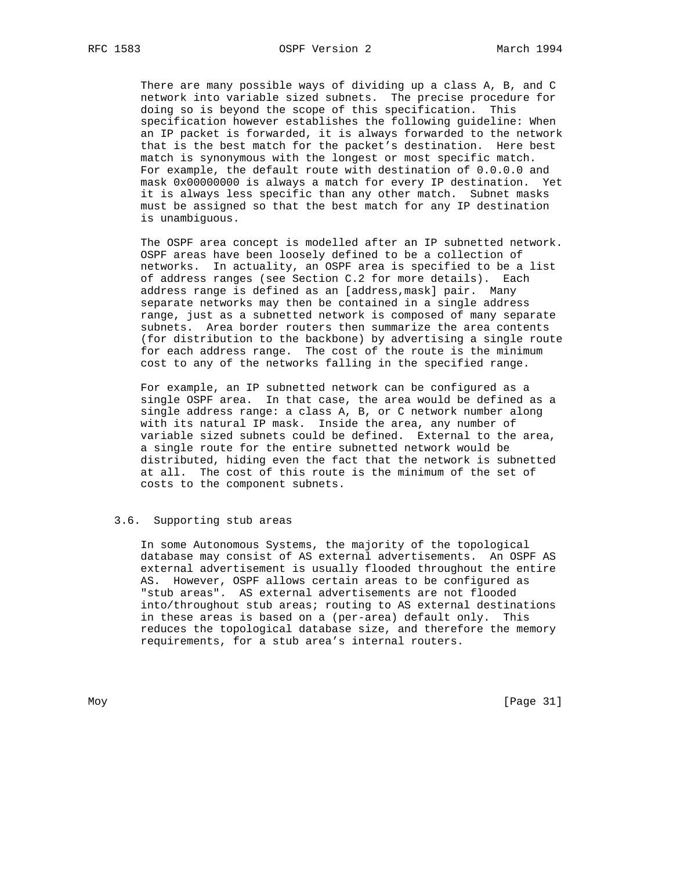There are many possible ways of dividing up a class A, B, and C network into variable sized subnets. The precise procedure for doing so is beyond the scope of this specification. This specification however establishes the following guideline: When an IP packet is forwarded, it is always forwarded to the network that is the best match for the packet's destination. Here best match is synonymous with the longest or most specific match. For example, the default route with destination of 0.0.0.0 and mask 0x00000000 is always a match for every IP destination. Yet it is always less specific than any other match. Subnet masks must be assigned so that the best match for any IP destination is unambiguous.

 The OSPF area concept is modelled after an IP subnetted network. OSPF areas have been loosely defined to be a collection of networks. In actuality, an OSPF area is specified to be a list of address ranges (see Section C.2 for more details). Each address range is defined as an [address,mask] pair. Many separate networks may then be contained in a single address range, just as a subnetted network is composed of many separate subnets. Area border routers then summarize the area contents (for distribution to the backbone) by advertising a single route for each address range. The cost of the route is the minimum cost to any of the networks falling in the specified range.

 For example, an IP subnetted network can be configured as a single OSPF area. In that case, the area would be defined as a single address range: a class A, B, or C network number along with its natural IP mask. Inside the area, any number of variable sized subnets could be defined. External to the area, a single route for the entire subnetted network would be distributed, hiding even the fact that the network is subnetted at all. The cost of this route is the minimum of the set of costs to the component subnets.

## 3.6. Supporting stub areas

 In some Autonomous Systems, the majority of the topological database may consist of AS external advertisements. An OSPF AS external advertisement is usually flooded throughout the entire AS. However, OSPF allows certain areas to be configured as "stub areas". AS external advertisements are not flooded into/throughout stub areas; routing to AS external destinations in these areas is based on a (per-area) default only. This reduces the topological database size, and therefore the memory requirements, for a stub area's internal routers.

Moy [Page 31]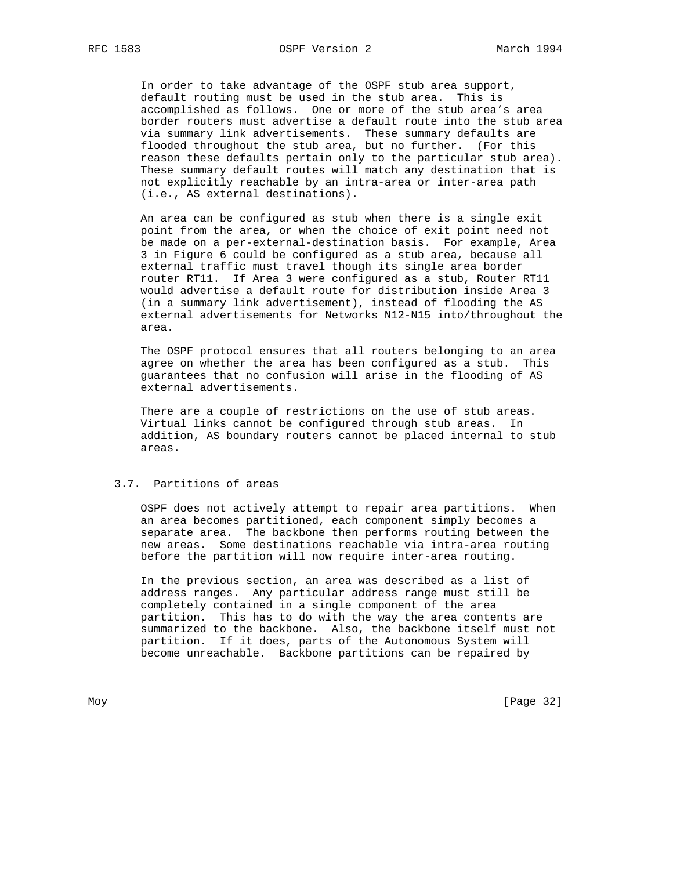In order to take advantage of the OSPF stub area support, default routing must be used in the stub area. This is accomplished as follows. One or more of the stub area's area border routers must advertise a default route into the stub area via summary link advertisements. These summary defaults are flooded throughout the stub area, but no further. (For this reason these defaults pertain only to the particular stub area). These summary default routes will match any destination that is not explicitly reachable by an intra-area or inter-area path (i.e., AS external destinations).

> An area can be configured as stub when there is a single exit point from the area, or when the choice of exit point need not be made on a per-external-destination basis. For example, Area 3 in Figure 6 could be configured as a stub area, because all external traffic must travel though its single area border router RT11. If Area 3 were configured as a stub, Router RT11 would advertise a default route for distribution inside Area 3 (in a summary link advertisement), instead of flooding the AS external advertisements for Networks N12-N15 into/throughout the area.

 The OSPF protocol ensures that all routers belonging to an area agree on whether the area has been configured as a stub. This guarantees that no confusion will arise in the flooding of AS external advertisements.

 There are a couple of restrictions on the use of stub areas. Virtual links cannot be configured through stub areas. In addition, AS boundary routers cannot be placed internal to stub areas.

## 3.7. Partitions of areas

 OSPF does not actively attempt to repair area partitions. When an area becomes partitioned, each component simply becomes a separate area. The backbone then performs routing between the new areas. Some destinations reachable via intra-area routing before the partition will now require inter-area routing.

 In the previous section, an area was described as a list of address ranges. Any particular address range must still be completely contained in a single component of the area partition. This has to do with the way the area contents are summarized to the backbone. Also, the backbone itself must not partition. If it does, parts of the Autonomous System will become unreachable. Backbone partitions can be repaired by

Moy [Page 32]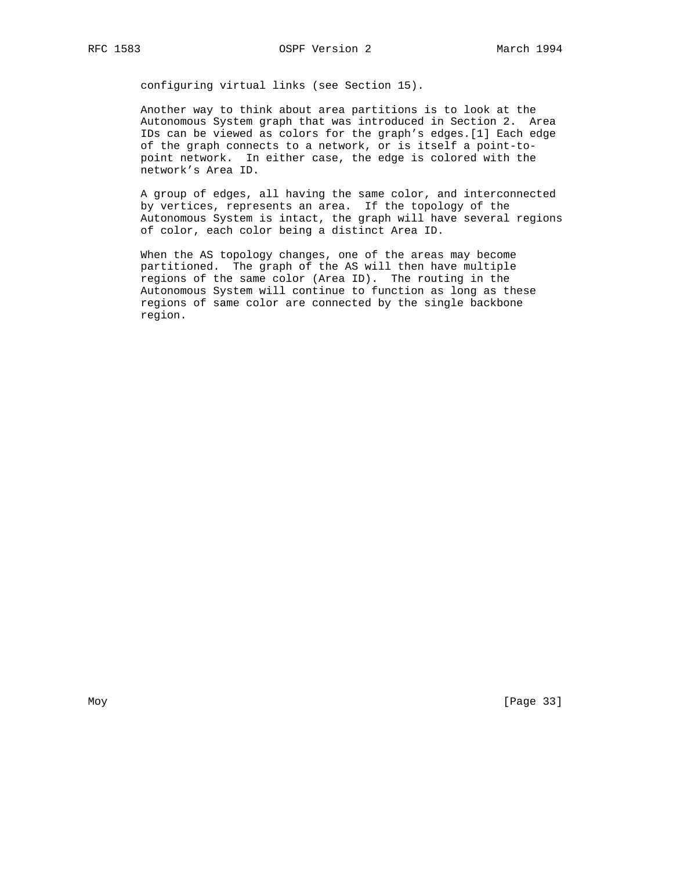configuring virtual links (see Section 15).

 Another way to think about area partitions is to look at the Autonomous System graph that was introduced in Section 2. Area IDs can be viewed as colors for the graph's edges.[1] Each edge of the graph connects to a network, or is itself a point-to point network. In either case, the edge is colored with the network's Area ID.

 A group of edges, all having the same color, and interconnected by vertices, represents an area. If the topology of the Autonomous System is intact, the graph will have several regions of color, each color being a distinct Area ID.

 When the AS topology changes, one of the areas may become partitioned. The graph of the AS will then have multiple regions of the same color (Area ID). The routing in the Autonomous System will continue to function as long as these regions of same color are connected by the single backbone region.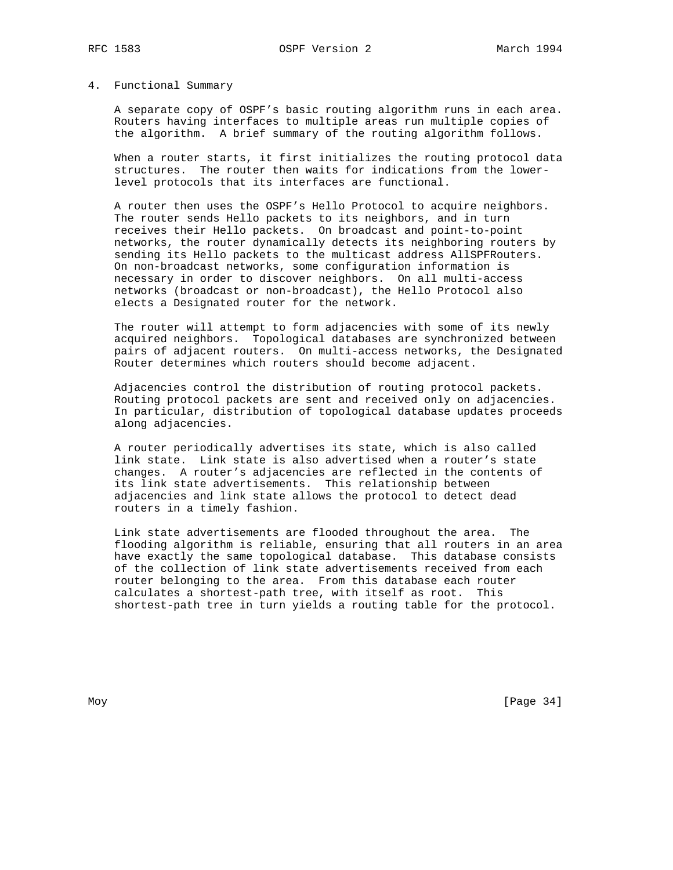## 4. Functional Summary

 A separate copy of OSPF's basic routing algorithm runs in each area. Routers having interfaces to multiple areas run multiple copies of the algorithm. A brief summary of the routing algorithm follows.

 When a router starts, it first initializes the routing protocol data structures. The router then waits for indications from the lower level protocols that its interfaces are functional.

 A router then uses the OSPF's Hello Protocol to acquire neighbors. The router sends Hello packets to its neighbors, and in turn receives their Hello packets. On broadcast and point-to-point networks, the router dynamically detects its neighboring routers by sending its Hello packets to the multicast address AllSPFRouters. On non-broadcast networks, some configuration information is necessary in order to discover neighbors. On all multi-access networks (broadcast or non-broadcast), the Hello Protocol also elects a Designated router for the network.

 The router will attempt to form adjacencies with some of its newly acquired neighbors. Topological databases are synchronized between pairs of adjacent routers. On multi-access networks, the Designated Router determines which routers should become adjacent.

 Adjacencies control the distribution of routing protocol packets. Routing protocol packets are sent and received only on adjacencies. In particular, distribution of topological database updates proceeds along adjacencies.

 A router periodically advertises its state, which is also called link state. Link state is also advertised when a router's state changes. A router's adjacencies are reflected in the contents of its link state advertisements. This relationship between adjacencies and link state allows the protocol to detect dead routers in a timely fashion.

 Link state advertisements are flooded throughout the area. The flooding algorithm is reliable, ensuring that all routers in an area have exactly the same topological database. This database consists of the collection of link state advertisements received from each router belonging to the area. From this database each router calculates a shortest-path tree, with itself as root. This shortest-path tree in turn yields a routing table for the protocol.

Moy [Page 34]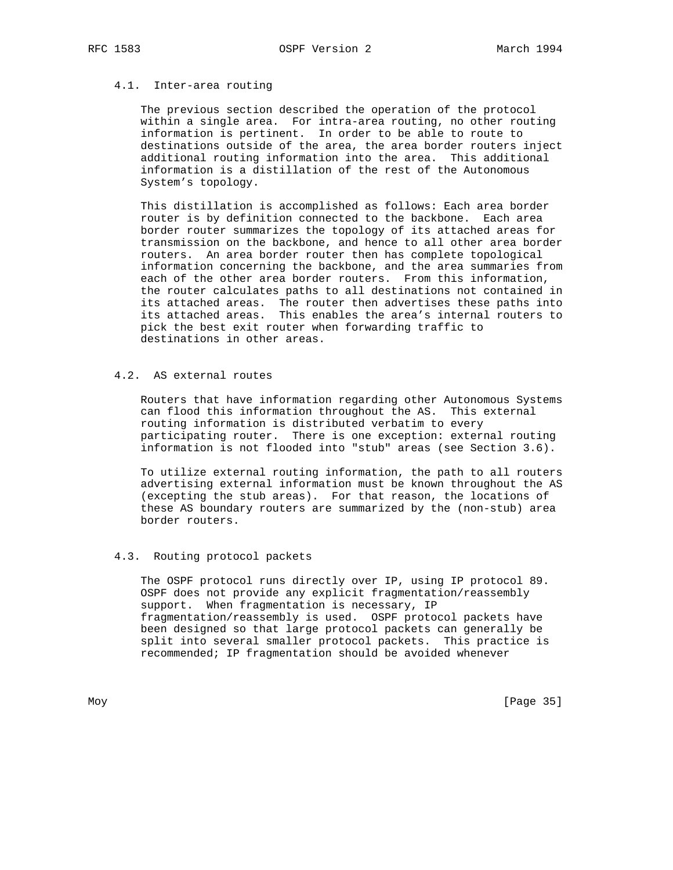## 4.1. Inter-area routing

 The previous section described the operation of the protocol within a single area. For intra-area routing, no other routing information is pertinent. In order to be able to route to destinations outside of the area, the area border routers inject additional routing information into the area. This additional information is a distillation of the rest of the Autonomous System's topology.

 This distillation is accomplished as follows: Each area border router is by definition connected to the backbone. Each area border router summarizes the topology of its attached areas for transmission on the backbone, and hence to all other area border routers. An area border router then has complete topological information concerning the backbone, and the area summaries from each of the other area border routers. From this information, the router calculates paths to all destinations not contained in its attached areas. The router then advertises these paths into its attached areas. This enables the area's internal routers to pick the best exit router when forwarding traffic to destinations in other areas.

# 4.2. AS external routes

 Routers that have information regarding other Autonomous Systems can flood this information throughout the AS. This external routing information is distributed verbatim to every participating router. There is one exception: external routing information is not flooded into "stub" areas (see Section 3.6).

 To utilize external routing information, the path to all routers advertising external information must be known throughout the AS (excepting the stub areas). For that reason, the locations of these AS boundary routers are summarized by the (non-stub) area border routers.

## 4.3. Routing protocol packets

 The OSPF protocol runs directly over IP, using IP protocol 89. OSPF does not provide any explicit fragmentation/reassembly support. When fragmentation is necessary, IP fragmentation/reassembly is used. OSPF protocol packets have been designed so that large protocol packets can generally be split into several smaller protocol packets. This practice is recommended; IP fragmentation should be avoided whenever

Moy [Page 35]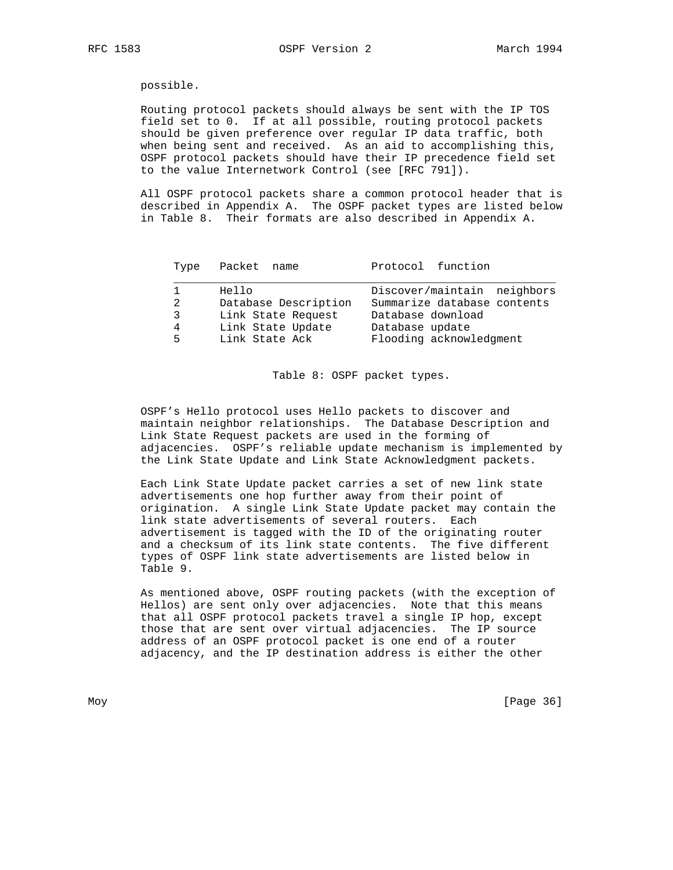possible.

 Routing protocol packets should always be sent with the IP TOS field set to 0. If at all possible, routing protocol packets should be given preference over regular IP data traffic, both when being sent and received. As an aid to accomplishing this, OSPF protocol packets should have their IP precedence field set to the value Internetwork Control (see [RFC 791]).

 All OSPF protocol packets share a common protocol header that is described in Appendix A. The OSPF packet types are listed below in Table 8. Their formats are also described in Appendix A.

| Type             | Packet name                                                                                | Protocol function                                                                                                             |
|------------------|--------------------------------------------------------------------------------------------|-------------------------------------------------------------------------------------------------------------------------------|
| 2<br>3<br>4<br>5 | Hello<br>Database Description<br>Link State Request<br>Link State Update<br>Link State Ack | Discover/maintain neighbors<br>Summarize database contents<br>Database download<br>Database update<br>Flooding acknowledgment |
|                  |                                                                                            |                                                                                                                               |
|                  |                                                                                            |                                                                                                                               |

Table 8: OSPF packet types.

 OSPF's Hello protocol uses Hello packets to discover and maintain neighbor relationships. The Database Description and Link State Request packets are used in the forming of adjacencies. OSPF's reliable update mechanism is implemented by the Link State Update and Link State Acknowledgment packets.

 Each Link State Update packet carries a set of new link state advertisements one hop further away from their point of origination. A single Link State Update packet may contain the link state advertisements of several routers. Each advertisement is tagged with the ID of the originating router and a checksum of its link state contents. The five different types of OSPF link state advertisements are listed below in Table 9.

 As mentioned above, OSPF routing packets (with the exception of Hellos) are sent only over adjacencies. Note that this means that all OSPF protocol packets travel a single IP hop, except those that are sent over virtual adjacencies. The IP source address of an OSPF protocol packet is one end of a router adjacency, and the IP destination address is either the other

Moy [Page 36]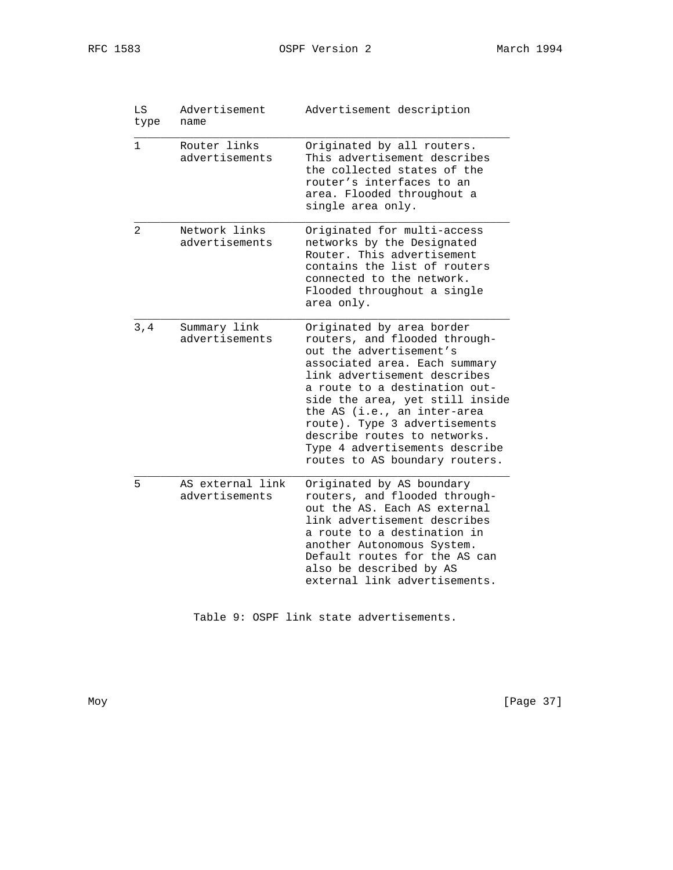| RFC | . പ8 - |
|-----|--------|
|-----|--------|

| LS<br>type   | Advertisement<br>name              | Advertisement description                                                                                                                                                                                                                                                                                                                                                                      |
|--------------|------------------------------------|------------------------------------------------------------------------------------------------------------------------------------------------------------------------------------------------------------------------------------------------------------------------------------------------------------------------------------------------------------------------------------------------|
| $\mathbf{1}$ | Router links<br>advertisements     | Originated by all routers.<br>This advertisement describes<br>the collected states of the<br>router's interfaces to an<br>area. Flooded throughout a<br>single area only.                                                                                                                                                                                                                      |
| 2            | Network links<br>advertisements    | Originated for multi-access<br>networks by the Designated<br>Router. This advertisement<br>contains the list of routers<br>connected to the network.<br>Flooded throughout a single<br>area only.                                                                                                                                                                                              |
| 3, 4         | Summary link<br>advertisements     | Originated by area border<br>routers, and flooded through-<br>out the advertisement's<br>associated area. Each summary<br>link advertisement describes<br>a route to a destination out-<br>side the area, yet still inside<br>the AS (i.e., an inter-area<br>route). Type 3 advertisements<br>describe routes to networks.<br>Type 4 advertisements describe<br>routes to AS boundary routers. |
| 5            | AS external link<br>advertisements | Originated by AS boundary<br>routers, and flooded through-<br>out the AS. Each AS external<br>link advertisement describes<br>a route to a destination in<br>another Autonomous System.<br>Default routes for the AS can<br>also be described by AS<br>external link advertisements.                                                                                                           |

Table 9: OSPF link state advertisements.

Moy [Page 37]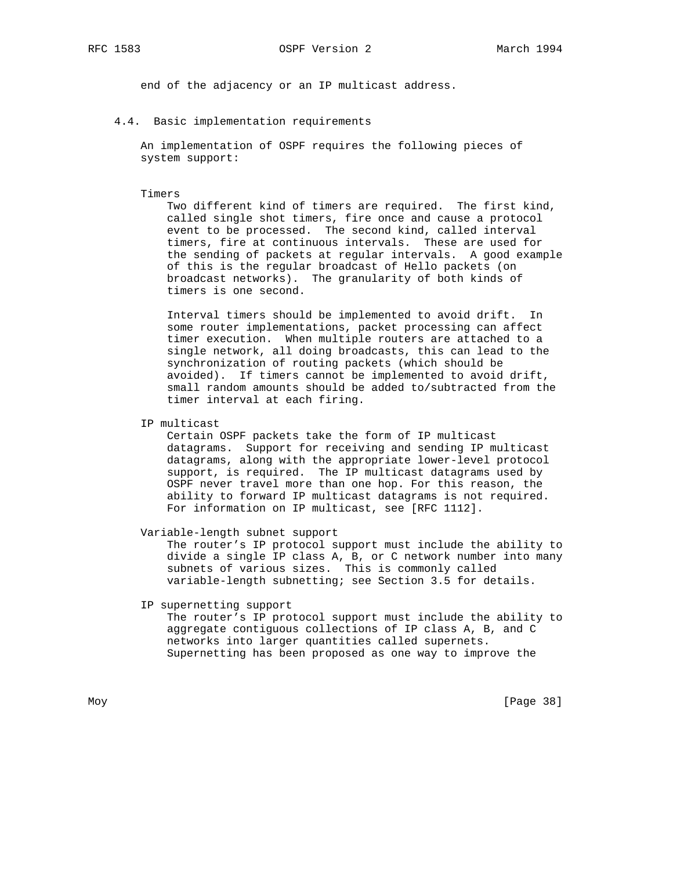end of the adjacency or an IP multicast address.

4.4. Basic implementation requirements

 An implementation of OSPF requires the following pieces of system support:

#### Timers

 Two different kind of timers are required. The first kind, called single shot timers, fire once and cause a protocol event to be processed. The second kind, called interval timers, fire at continuous intervals. These are used for the sending of packets at regular intervals. A good example of this is the regular broadcast of Hello packets (on broadcast networks). The granularity of both kinds of timers is one second.

 Interval timers should be implemented to avoid drift. In some router implementations, packet processing can affect timer execution. When multiple routers are attached to a single network, all doing broadcasts, this can lead to the synchronization of routing packets (which should be avoided). If timers cannot be implemented to avoid drift, small random amounts should be added to/subtracted from the timer interval at each firing.

IP multicast

 Certain OSPF packets take the form of IP multicast datagrams. Support for receiving and sending IP multicast datagrams, along with the appropriate lower-level protocol support, is required. The IP multicast datagrams used by OSPF never travel more than one hop. For this reason, the ability to forward IP multicast datagrams is not required. For information on IP multicast, see [RFC 1112].

Variable-length subnet support

 The router's IP protocol support must include the ability to divide a single IP class A, B, or C network number into many subnets of various sizes. This is commonly called variable-length subnetting; see Section 3.5 for details.

IP supernetting support

 The router's IP protocol support must include the ability to aggregate contiguous collections of IP class A, B, and C networks into larger quantities called supernets. Supernetting has been proposed as one way to improve the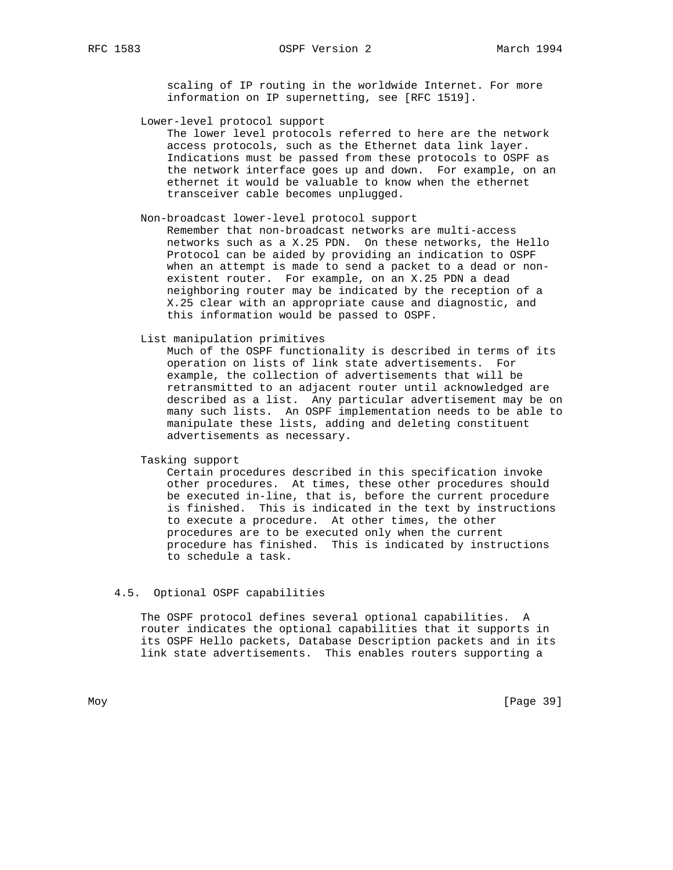scaling of IP routing in the worldwide Internet. For more information on IP supernetting, see [RFC 1519].

Lower-level protocol support

 The lower level protocols referred to here are the network access protocols, such as the Ethernet data link layer. Indications must be passed from these protocols to OSPF as the network interface goes up and down. For example, on an ethernet it would be valuable to know when the ethernet transceiver cable becomes unplugged.

#### Non-broadcast lower-level protocol support

 Remember that non-broadcast networks are multi-access networks such as a X.25 PDN. On these networks, the Hello Protocol can be aided by providing an indication to OSPF when an attempt is made to send a packet to a dead or non existent router. For example, on an X.25 PDN a dead neighboring router may be indicated by the reception of a X.25 clear with an appropriate cause and diagnostic, and this information would be passed to OSPF.

List manipulation primitives

 Much of the OSPF functionality is described in terms of its operation on lists of link state advertisements. For example, the collection of advertisements that will be retransmitted to an adjacent router until acknowledged are described as a list. Any particular advertisement may be on many such lists. An OSPF implementation needs to be able to manipulate these lists, adding and deleting constituent advertisements as necessary.

Tasking support

 Certain procedures described in this specification invoke other procedures. At times, these other procedures should be executed in-line, that is, before the current procedure is finished. This is indicated in the text by instructions to execute a procedure. At other times, the other procedures are to be executed only when the current procedure has finished. This is indicated by instructions to schedule a task.

## 4.5. Optional OSPF capabilities

 The OSPF protocol defines several optional capabilities. A router indicates the optional capabilities that it supports in its OSPF Hello packets, Database Description packets and in its link state advertisements. This enables routers supporting a

Moy [Page 39]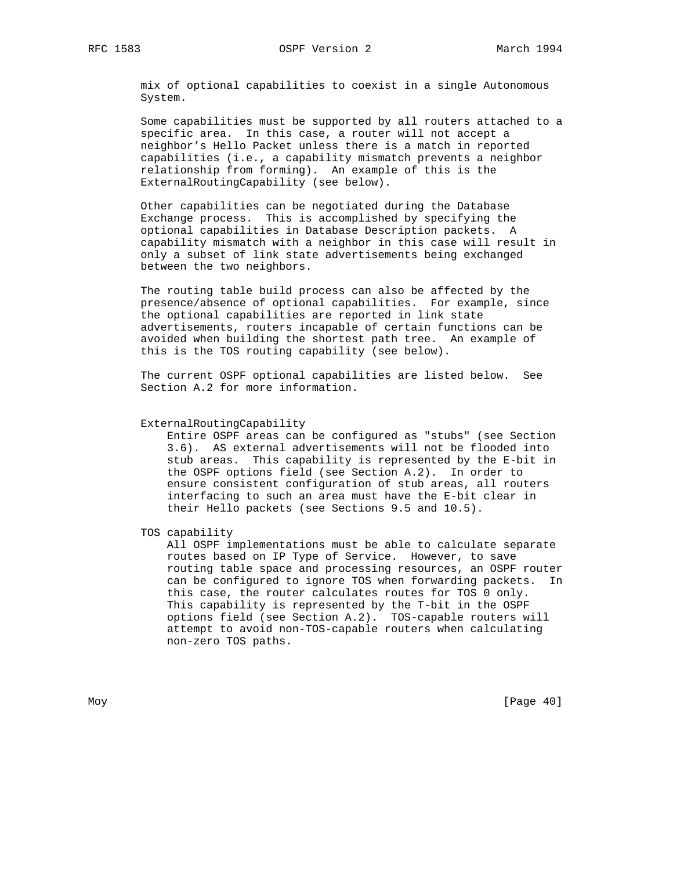mix of optional capabilities to coexist in a single Autonomous System.

 Some capabilities must be supported by all routers attached to a specific area. In this case, a router will not accept a neighbor's Hello Packet unless there is a match in reported capabilities (i.e., a capability mismatch prevents a neighbor relationship from forming). An example of this is the ExternalRoutingCapability (see below).

 Other capabilities can be negotiated during the Database Exchange process. This is accomplished by specifying the optional capabilities in Database Description packets. A capability mismatch with a neighbor in this case will result in only a subset of link state advertisements being exchanged between the two neighbors.

 The routing table build process can also be affected by the presence/absence of optional capabilities. For example, since the optional capabilities are reported in link state advertisements, routers incapable of certain functions can be avoided when building the shortest path tree. An example of this is the TOS routing capability (see below).

 The current OSPF optional capabilities are listed below. See Section A.2 for more information.

#### ExternalRoutingCapability

 Entire OSPF areas can be configured as "stubs" (see Section 3.6). AS external advertisements will not be flooded into stub areas. This capability is represented by the E-bit in the OSPF options field (see Section A.2). In order to ensure consistent configuration of stub areas, all routers interfacing to such an area must have the E-bit clear in their Hello packets (see Sections 9.5 and 10.5).

TOS capability

 All OSPF implementations must be able to calculate separate routes based on IP Type of Service. However, to save routing table space and processing resources, an OSPF router can be configured to ignore TOS when forwarding packets. In this case, the router calculates routes for TOS 0 only. This capability is represented by the T-bit in the OSPF options field (see Section A.2). TOS-capable routers will attempt to avoid non-TOS-capable routers when calculating non-zero TOS paths.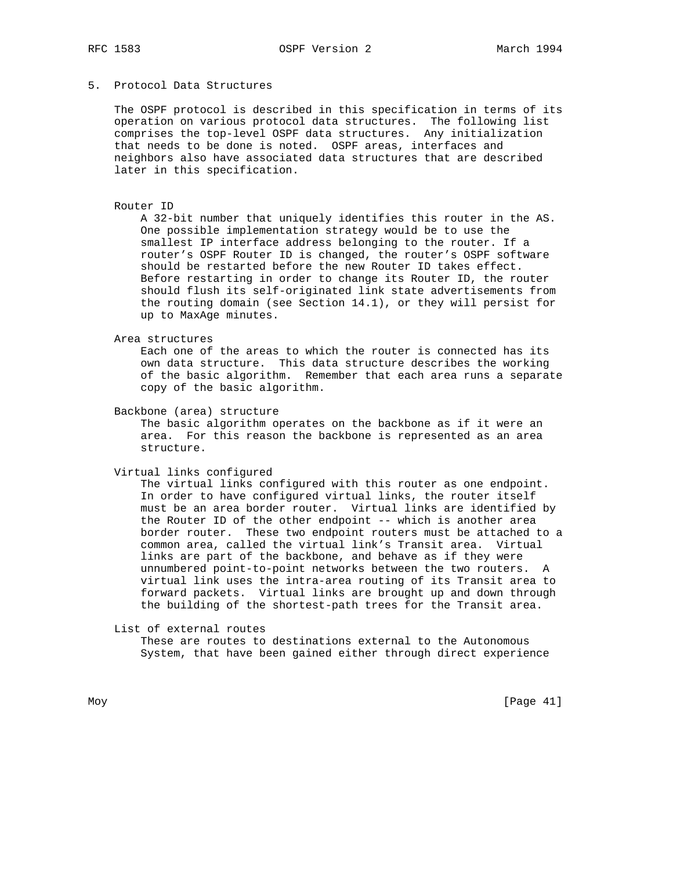# 5. Protocol Data Structures

 The OSPF protocol is described in this specification in terms of its operation on various protocol data structures. The following list comprises the top-level OSPF data structures. Any initialization that needs to be done is noted. OSPF areas, interfaces and neighbors also have associated data structures that are described later in this specification.

#### Router ID

 A 32-bit number that uniquely identifies this router in the AS. One possible implementation strategy would be to use the smallest IP interface address belonging to the router. If a router's OSPF Router ID is changed, the router's OSPF software should be restarted before the new Router ID takes effect. Before restarting in order to change its Router ID, the router should flush its self-originated link state advertisements from the routing domain (see Section 14.1), or they will persist for up to MaxAge minutes.

Area structures

 Each one of the areas to which the router is connected has its own data structure. This data structure describes the working of the basic algorithm. Remember that each area runs a separate copy of the basic algorithm.

Backbone (area) structure

 The basic algorithm operates on the backbone as if it were an area. For this reason the backbone is represented as an area structure.

Virtual links configured

 The virtual links configured with this router as one endpoint. In order to have configured virtual links, the router itself must be an area border router. Virtual links are identified by the Router ID of the other endpoint -- which is another area border router. These two endpoint routers must be attached to a common area, called the virtual link's Transit area. Virtual links are part of the backbone, and behave as if they were unnumbered point-to-point networks between the two routers. A virtual link uses the intra-area routing of its Transit area to forward packets. Virtual links are brought up and down through the building of the shortest-path trees for the Transit area.

List of external routes

 These are routes to destinations external to the Autonomous System, that have been gained either through direct experience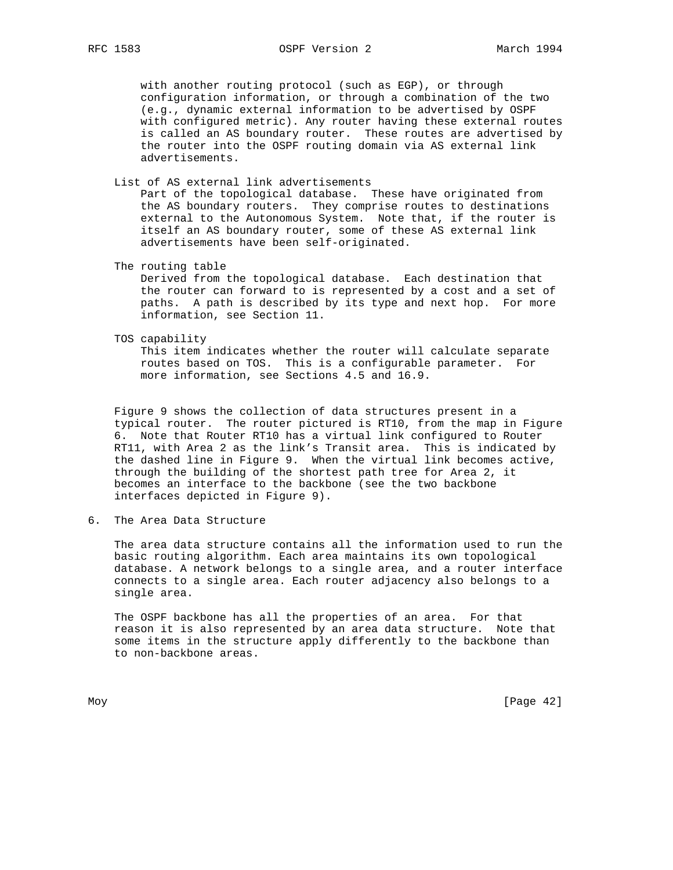with another routing protocol (such as EGP), or through configuration information, or through a combination of the two (e.g., dynamic external information to be advertised by OSPF with configured metric). Any router having these external routes is called an AS boundary router. These routes are advertised by the router into the OSPF routing domain via AS external link advertisements.

List of AS external link advertisements

 Part of the topological database. These have originated from the AS boundary routers. They comprise routes to destinations external to the Autonomous System. Note that, if the router is itself an AS boundary router, some of these AS external link advertisements have been self-originated.

The routing table

 Derived from the topological database. Each destination that the router can forward to is represented by a cost and a set of paths. A path is described by its type and next hop. For more information, see Section 11.

TOS capability

 This item indicates whether the router will calculate separate routes based on TOS. This is a configurable parameter. For more information, see Sections 4.5 and 16.9.

 Figure 9 shows the collection of data structures present in a typical router. The router pictured is RT10, from the map in Figure 6. Note that Router RT10 has a virtual link configured to Router RT11, with Area 2 as the link's Transit area. This is indicated by the dashed line in Figure 9. When the virtual link becomes active, through the building of the shortest path tree for Area 2, it becomes an interface to the backbone (see the two backbone interfaces depicted in Figure 9).

6. The Area Data Structure

 The area data structure contains all the information used to run the basic routing algorithm. Each area maintains its own topological database. A network belongs to a single area, and a router interface connects to a single area. Each router adjacency also belongs to a single area.

 The OSPF backbone has all the properties of an area. For that reason it is also represented by an area data structure. Note that some items in the structure apply differently to the backbone than to non-backbone areas.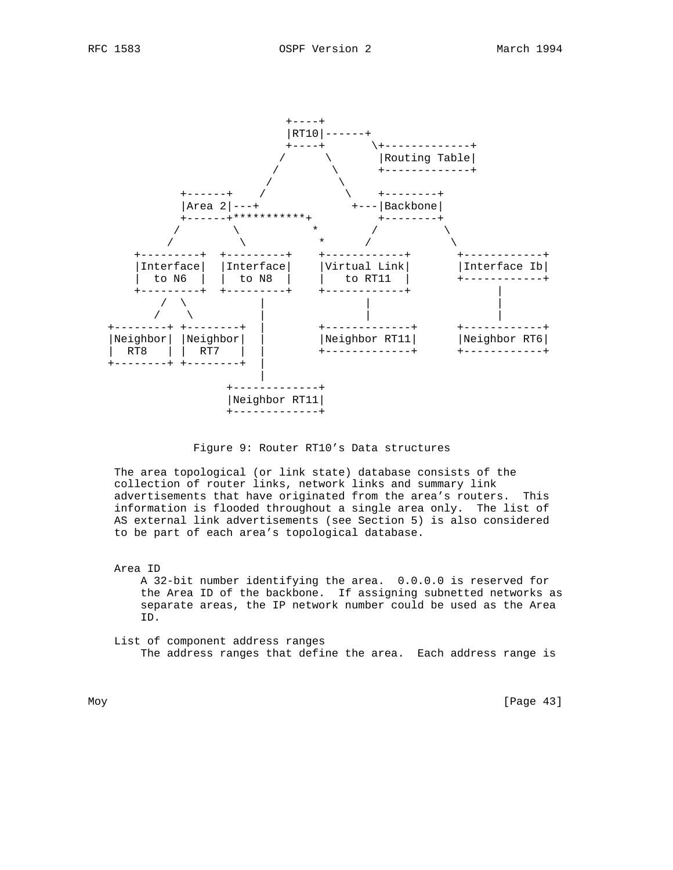

### Figure 9: Router RT10's Data structures

 The area topological (or link state) database consists of the collection of router links, network links and summary link advertisements that have originated from the area's routers. This information is flooded throughout a single area only. The list of AS external link advertisements (see Section 5) is also considered to be part of each area's topological database.

 Area ID A 32-bit number identifying the area. 0.0.0.0 is reserved for the Area ID of the backbone. If assigning subnetted networks as separate areas, the IP network number could be used as the Area ID.

 List of component address ranges The address ranges that define the area. Each address range is

Moy [Page 43]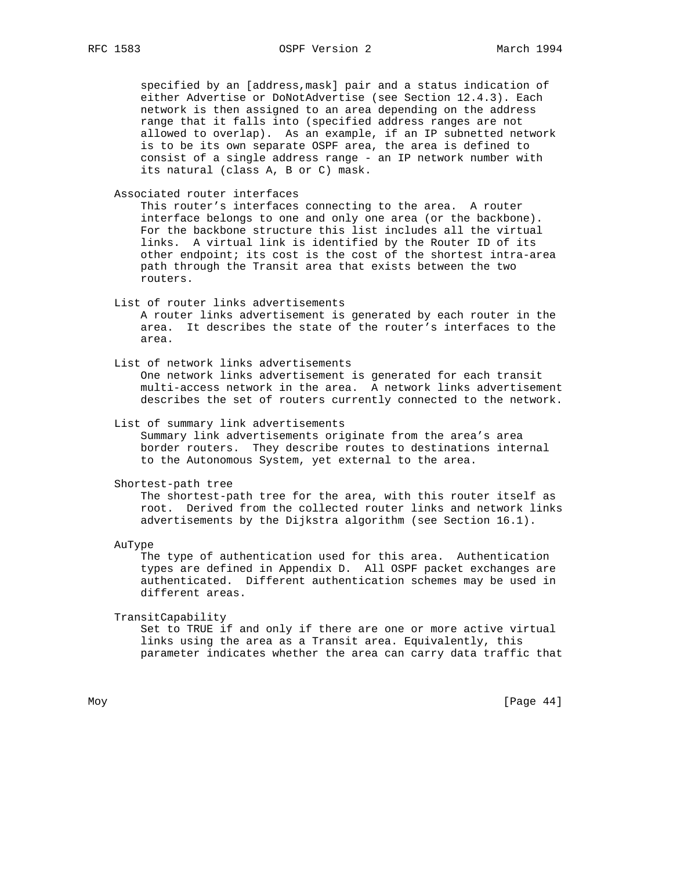specified by an [address,mask] pair and a status indication of either Advertise or DoNotAdvertise (see Section 12.4.3). Each network is then assigned to an area depending on the address range that it falls into (specified address ranges are not allowed to overlap). As an example, if an IP subnetted network is to be its own separate OSPF area, the area is defined to consist of a single address range - an IP network number with its natural (class A, B or C) mask.

Associated router interfaces

 This router's interfaces connecting to the area. A router interface belongs to one and only one area (or the backbone). For the backbone structure this list includes all the virtual links. A virtual link is identified by the Router ID of its other endpoint; its cost is the cost of the shortest intra-area path through the Transit area that exists between the two routers.

List of router links advertisements

 A router links advertisement is generated by each router in the area. It describes the state of the router's interfaces to the area.

 List of network links advertisements One network links advertisement is generated for each transit multi-access network in the area. A network links advertisement describes the set of routers currently connected to the network.

List of summary link advertisements

 Summary link advertisements originate from the area's area border routers. They describe routes to destinations internal to the Autonomous System, yet external to the area.

Shortest-path tree

 The shortest-path tree for the area, with this router itself as root. Derived from the collected router links and network links advertisements by the Dijkstra algorithm (see Section 16.1).

AuType

 The type of authentication used for this area. Authentication types are defined in Appendix D. All OSPF packet exchanges are authenticated. Different authentication schemes may be used in different areas.

TransitCapability

 Set to TRUE if and only if there are one or more active virtual links using the area as a Transit area. Equivalently, this parameter indicates whether the area can carry data traffic that

Moy [Page 44]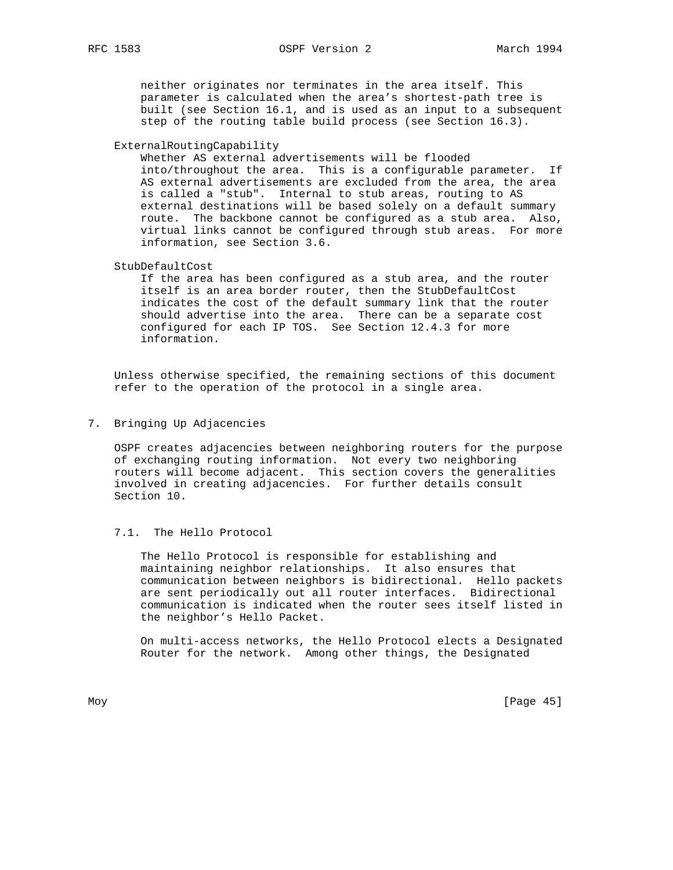neither originates nor terminates in the area itself. This parameter is calculated when the area's shortest-path tree is built (see Section 16.1, and is used as an input to a subsequent step of the routing table build process (see Section 16.3).

ExternalRoutingCapability

 Whether AS external advertisements will be flooded into/throughout the area. This is a configurable parameter. If AS external advertisements are excluded from the area, the area is called a "stub". Internal to stub areas, routing to AS external destinations will be based solely on a default summary route. The backbone cannot be configured as a stub area. Also, virtual links cannot be configured through stub areas. For more information, see Section 3.6.

StubDefaultCost

 If the area has been configured as a stub area, and the router itself is an area border router, then the StubDefaultCost indicates the cost of the default summary link that the router should advertise into the area. There can be a separate cost configured for each IP TOS. See Section 12.4.3 for more information.

 Unless otherwise specified, the remaining sections of this document refer to the operation of the protocol in a single area.

7. Bringing Up Adjacencies

 OSPF creates adjacencies between neighboring routers for the purpose of exchanging routing information. Not every two neighboring routers will become adjacent. This section covers the generalities involved in creating adjacencies. For further details consult Section 10.

#### 7.1. The Hello Protocol

 The Hello Protocol is responsible for establishing and maintaining neighbor relationships. It also ensures that communication between neighbors is bidirectional. Hello packets are sent periodically out all router interfaces. Bidirectional communication is indicated when the router sees itself listed in the neighbor's Hello Packet.

 On multi-access networks, the Hello Protocol elects a Designated Router for the network. Among other things, the Designated

Moy [Page 45]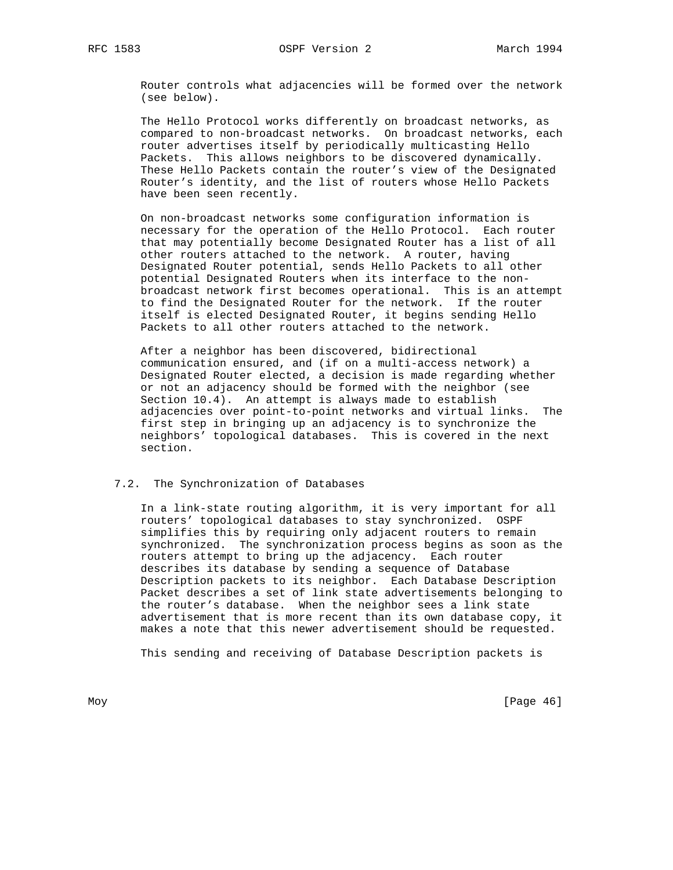Router controls what adjacencies will be formed over the network (see below).

 The Hello Protocol works differently on broadcast networks, as compared to non-broadcast networks. On broadcast networks, each router advertises itself by periodically multicasting Hello Packets. This allows neighbors to be discovered dynamically. These Hello Packets contain the router's view of the Designated Router's identity, and the list of routers whose Hello Packets have been seen recently.

 On non-broadcast networks some configuration information is necessary for the operation of the Hello Protocol. Each router that may potentially become Designated Router has a list of all other routers attached to the network. A router, having Designated Router potential, sends Hello Packets to all other potential Designated Routers when its interface to the non broadcast network first becomes operational. This is an attempt to find the Designated Router for the network. If the router itself is elected Designated Router, it begins sending Hello Packets to all other routers attached to the network.

 After a neighbor has been discovered, bidirectional communication ensured, and (if on a multi-access network) a Designated Router elected, a decision is made regarding whether or not an adjacency should be formed with the neighbor (see Section 10.4). An attempt is always made to establish adjacencies over point-to-point networks and virtual links. The first step in bringing up an adjacency is to synchronize the neighbors' topological databases. This is covered in the next section.

## 7.2. The Synchronization of Databases

 In a link-state routing algorithm, it is very important for all routers' topological databases to stay synchronized. OSPF simplifies this by requiring only adjacent routers to remain synchronized. The synchronization process begins as soon as the routers attempt to bring up the adjacency. Each router describes its database by sending a sequence of Database Description packets to its neighbor. Each Database Description Packet describes a set of link state advertisements belonging to the router's database. When the neighbor sees a link state advertisement that is more recent than its own database copy, it makes a note that this newer advertisement should be requested.

This sending and receiving of Database Description packets is

Moy [Page 46]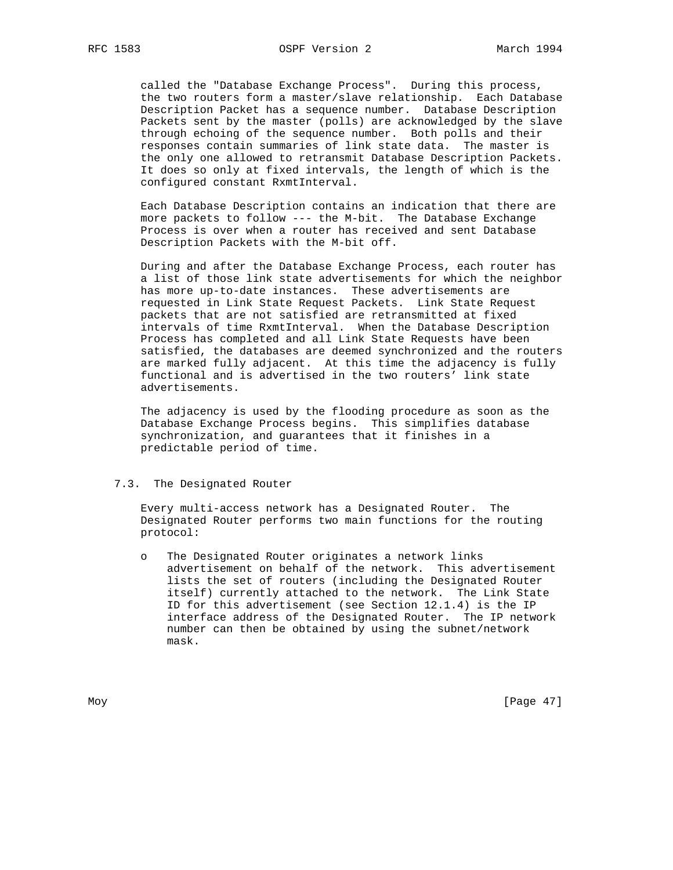called the "Database Exchange Process". During this process, the two routers form a master/slave relationship. Each Database Description Packet has a sequence number. Database Description Packets sent by the master (polls) are acknowledged by the slave through echoing of the sequence number. Both polls and their responses contain summaries of link state data. The master is the only one allowed to retransmit Database Description Packets. It does so only at fixed intervals, the length of which is the configured constant RxmtInterval.

 Each Database Description contains an indication that there are more packets to follow --- the M-bit. The Database Exchange Process is over when a router has received and sent Database Description Packets with the M-bit off.

 During and after the Database Exchange Process, each router has a list of those link state advertisements for which the neighbor has more up-to-date instances. These advertisements are requested in Link State Request Packets. Link State Request packets that are not satisfied are retransmitted at fixed intervals of time RxmtInterval. When the Database Description Process has completed and all Link State Requests have been satisfied, the databases are deemed synchronized and the routers are marked fully adjacent. At this time the adjacency is fully functional and is advertised in the two routers' link state advertisements.

 The adjacency is used by the flooding procedure as soon as the Database Exchange Process begins. This simplifies database synchronization, and guarantees that it finishes in a predictable period of time.

### 7.3. The Designated Router

 Every multi-access network has a Designated Router. The Designated Router performs two main functions for the routing protocol:

 o The Designated Router originates a network links advertisement on behalf of the network. This advertisement lists the set of routers (including the Designated Router itself) currently attached to the network. The Link State ID for this advertisement (see Section 12.1.4) is the IP interface address of the Designated Router. The IP network number can then be obtained by using the subnet/network mask.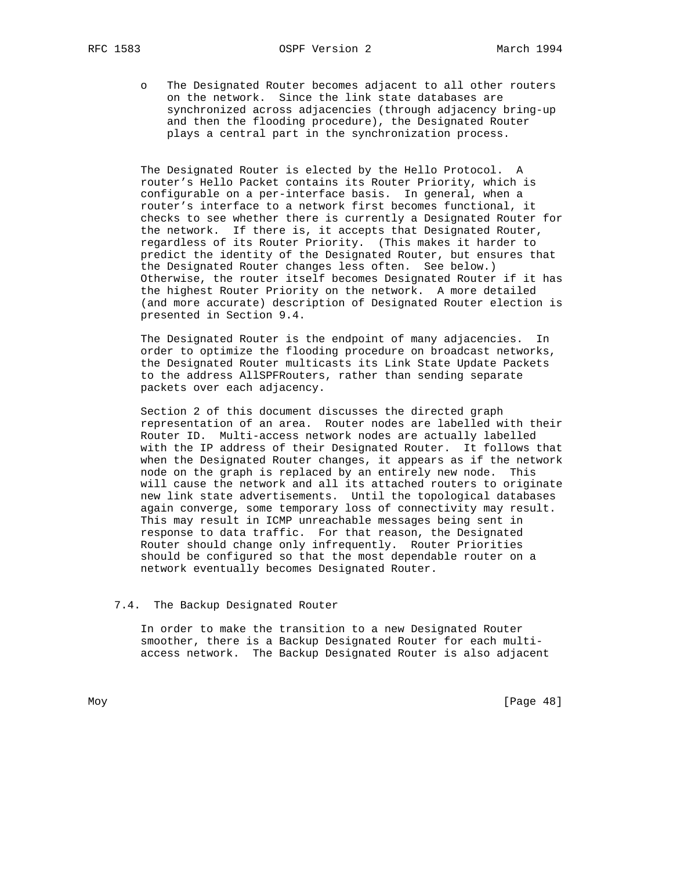o The Designated Router becomes adjacent to all other routers on the network. Since the link state databases are synchronized across adjacencies (through adjacency bring-up and then the flooding procedure), the Designated Router plays a central part in the synchronization process.

 The Designated Router is elected by the Hello Protocol. A router's Hello Packet contains its Router Priority, which is configurable on a per-interface basis. In general, when a router's interface to a network first becomes functional, it checks to see whether there is currently a Designated Router for the network. If there is, it accepts that Designated Router, regardless of its Router Priority. (This makes it harder to predict the identity of the Designated Router, but ensures that the Designated Router changes less often. See below.) Otherwise, the router itself becomes Designated Router if it has the highest Router Priority on the network. A more detailed (and more accurate) description of Designated Router election is presented in Section 9.4.

 The Designated Router is the endpoint of many adjacencies. In order to optimize the flooding procedure on broadcast networks, the Designated Router multicasts its Link State Update Packets to the address AllSPFRouters, rather than sending separate packets over each adjacency.

 Section 2 of this document discusses the directed graph representation of an area. Router nodes are labelled with their Router ID. Multi-access network nodes are actually labelled with the IP address of their Designated Router. It follows that when the Designated Router changes, it appears as if the network node on the graph is replaced by an entirely new node. This will cause the network and all its attached routers to originate new link state advertisements. Until the topological databases again converge, some temporary loss of connectivity may result. This may result in ICMP unreachable messages being sent in response to data traffic. For that reason, the Designated Router should change only infrequently. Router Priorities should be configured so that the most dependable router on a network eventually becomes Designated Router.

#### 7.4. The Backup Designated Router

 In order to make the transition to a new Designated Router smoother, there is a Backup Designated Router for each multi access network. The Backup Designated Router is also adjacent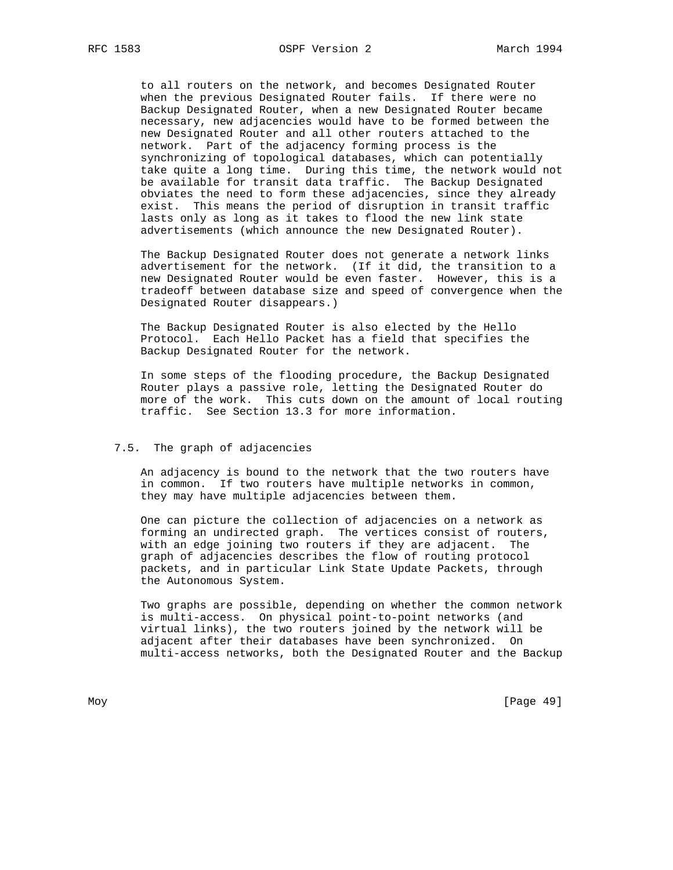to all routers on the network, and becomes Designated Router when the previous Designated Router fails. If there were no Backup Designated Router, when a new Designated Router became necessary, new adjacencies would have to be formed between the new Designated Router and all other routers attached to the network. Part of the adjacency forming process is the synchronizing of topological databases, which can potentially take quite a long time. During this time, the network would not be available for transit data traffic. The Backup Designated obviates the need to form these adjacencies, since they already exist. This means the period of disruption in transit traffic lasts only as long as it takes to flood the new link state advertisements (which announce the new Designated Router).

 The Backup Designated Router does not generate a network links advertisement for the network. (If it did, the transition to a new Designated Router would be even faster. However, this is a tradeoff between database size and speed of convergence when the Designated Router disappears.)

 The Backup Designated Router is also elected by the Hello Protocol. Each Hello Packet has a field that specifies the Backup Designated Router for the network.

 In some steps of the flooding procedure, the Backup Designated Router plays a passive role, letting the Designated Router do more of the work. This cuts down on the amount of local routing traffic. See Section 13.3 for more information.

### 7.5. The graph of adjacencies

 An adjacency is bound to the network that the two routers have in common. If two routers have multiple networks in common, they may have multiple adjacencies between them.

 One can picture the collection of adjacencies on a network as forming an undirected graph. The vertices consist of routers, with an edge joining two routers if they are adjacent. The graph of adjacencies describes the flow of routing protocol packets, and in particular Link State Update Packets, through the Autonomous System.

 Two graphs are possible, depending on whether the common network is multi-access. On physical point-to-point networks (and virtual links), the two routers joined by the network will be adjacent after their databases have been synchronized. On multi-access networks, both the Designated Router and the Backup

Moy [Page 49]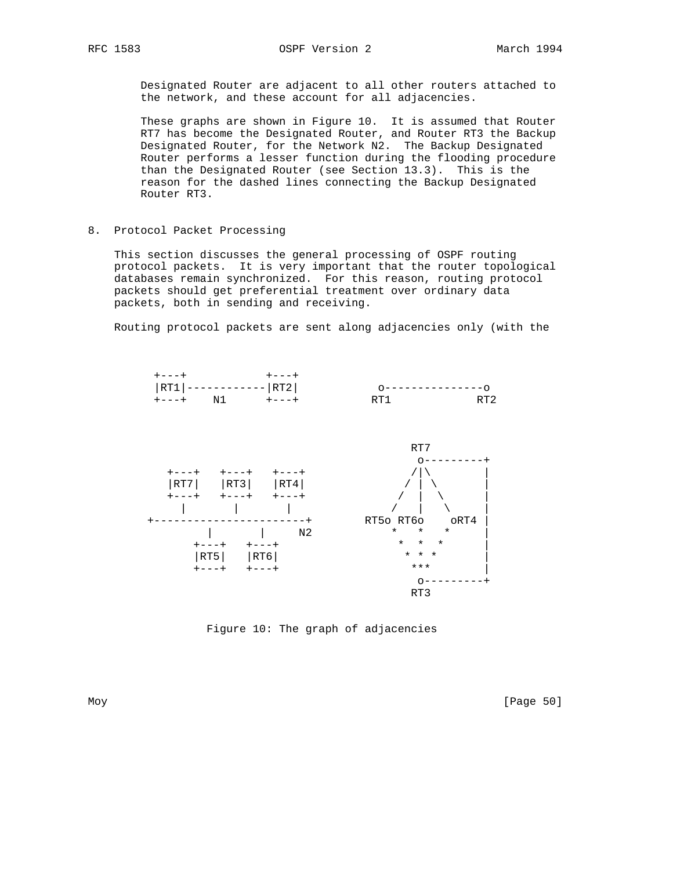Designated Router are adjacent to all other routers attached to the network, and these account for all adjacencies.

 These graphs are shown in Figure 10. It is assumed that Router RT7 has become the Designated Router, and Router RT3 the Backup Designated Router, for the Network N2. The Backup Designated Router performs a lesser function during the flooding procedure than the Designated Router (see Section 13.3). This is the reason for the dashed lines connecting the Backup Designated Router RT3.

8. Protocol Packet Processing

 This section discusses the general processing of OSPF routing protocol packets. It is very important that the router topological databases remain synchronized. For this reason, routing protocol packets should get preferential treatment over ordinary data packets, both in sending and receiving.

Routing protocol packets are sent along adjacencies only (with the



Figure 10: The graph of adjacencies

Moy [Page 50]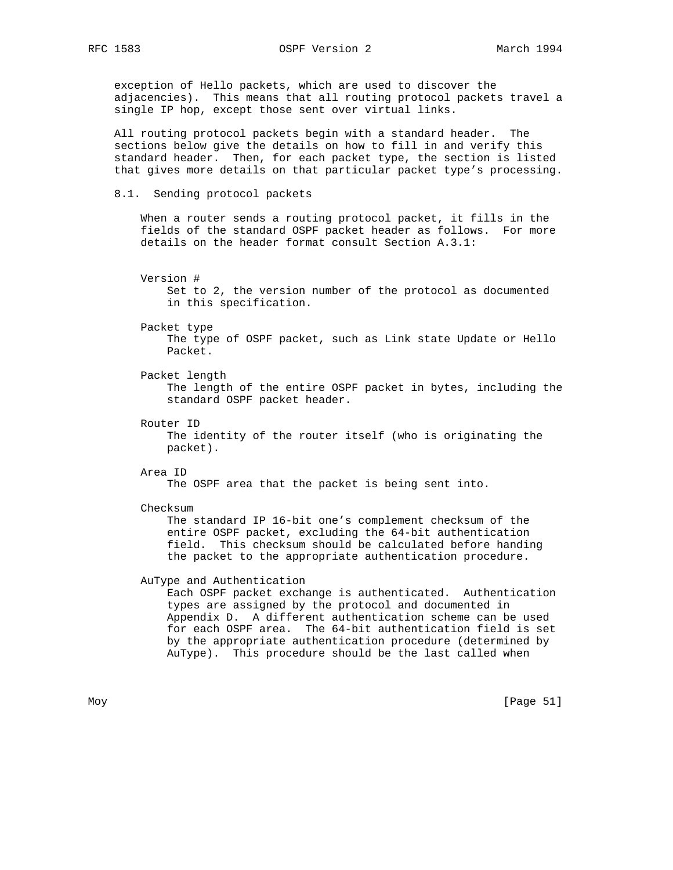exception of Hello packets, which are used to discover the adjacencies). This means that all routing protocol packets travel a single IP hop, except those sent over virtual links.

 All routing protocol packets begin with a standard header. The sections below give the details on how to fill in and verify this standard header. Then, for each packet type, the section is listed that gives more details on that particular packet type's processing.

8.1. Sending protocol packets

 When a router sends a routing protocol packet, it fills in the fields of the standard OSPF packet header as follows. For more details on the header format consult Section A.3.1:

 Version # Set to 2, the version number of the protocol as documented in this specification.

 Packet type The type of OSPF packet, such as Link state Update or Hello Packet.

Packet length

 The length of the entire OSPF packet in bytes, including the standard OSPF packet header.

Router ID

 The identity of the router itself (who is originating the packet).

Area ID

The OSPF area that the packet is being sent into.

Checksum

 The standard IP 16-bit one's complement checksum of the entire OSPF packet, excluding the 64-bit authentication field. This checksum should be calculated before handing the packet to the appropriate authentication procedure.

# AuType and Authentication

 Each OSPF packet exchange is authenticated. Authentication types are assigned by the protocol and documented in Appendix D. A different authentication scheme can be used for each OSPF area. The 64-bit authentication field is set by the appropriate authentication procedure (determined by AuType). This procedure should be the last called when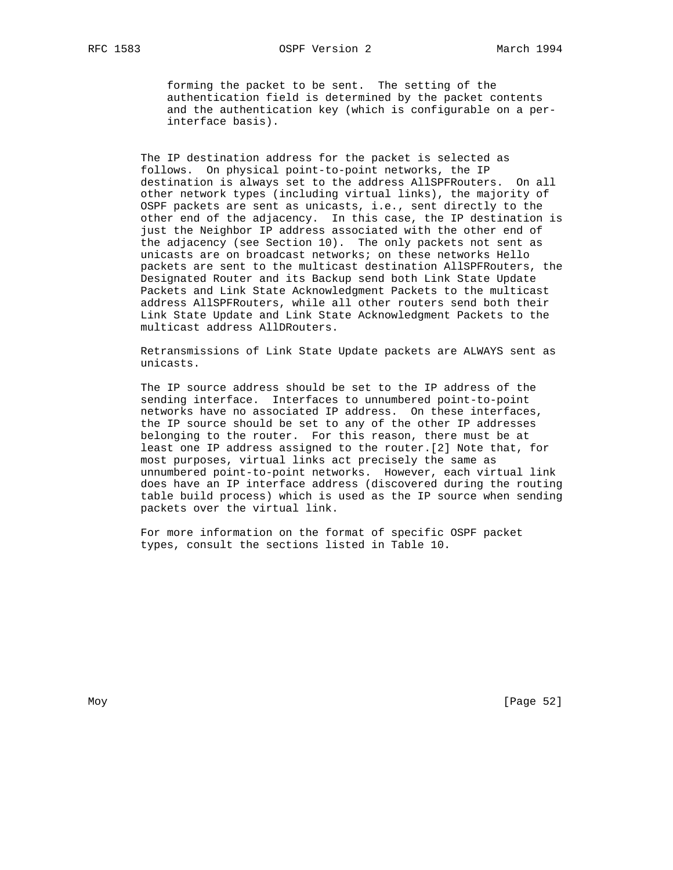forming the packet to be sent. The setting of the authentication field is determined by the packet contents and the authentication key (which is configurable on a per interface basis).

 The IP destination address for the packet is selected as follows. On physical point-to-point networks, the IP destination is always set to the address AllSPFRouters. On all other network types (including virtual links), the majority of OSPF packets are sent as unicasts, i.e., sent directly to the other end of the adjacency. In this case, the IP destination is just the Neighbor IP address associated with the other end of the adjacency (see Section 10). The only packets not sent as unicasts are on broadcast networks; on these networks Hello packets are sent to the multicast destination AllSPFRouters, the Designated Router and its Backup send both Link State Update Packets and Link State Acknowledgment Packets to the multicast address AllSPFRouters, while all other routers send both their Link State Update and Link State Acknowledgment Packets to the multicast address AllDRouters.

 Retransmissions of Link State Update packets are ALWAYS sent as unicasts.

 The IP source address should be set to the IP address of the sending interface. Interfaces to unnumbered point-to-point networks have no associated IP address. On these interfaces, the IP source should be set to any of the other IP addresses belonging to the router. For this reason, there must be at least one IP address assigned to the router.[2] Note that, for most purposes, virtual links act precisely the same as unnumbered point-to-point networks. However, each virtual link does have an IP interface address (discovered during the routing table build process) which is used as the IP source when sending packets over the virtual link.

 For more information on the format of specific OSPF packet types, consult the sections listed in Table 10.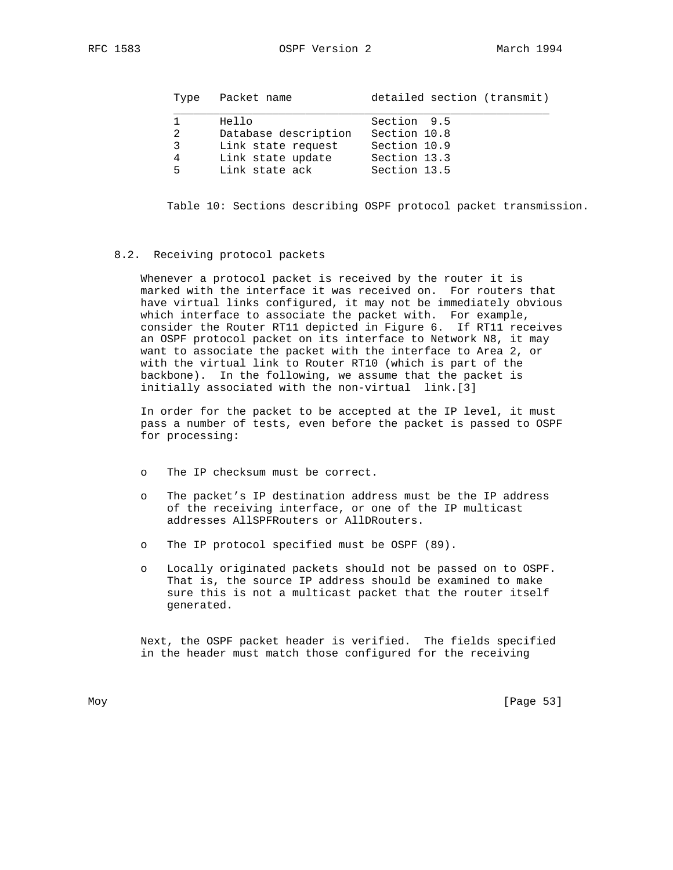| Type              | Packet name                                                                                | detailed section (transmit)                                                 |
|-------------------|--------------------------------------------------------------------------------------------|-----------------------------------------------------------------------------|
| 2<br>3<br>4<br>5. | Hello<br>Database description<br>Link state request<br>Link state update<br>Link state ack | Section 9.5<br>Section 10.8<br>Section 10.9<br>Section 13.3<br>Section 13.5 |

Table 10: Sections describing OSPF protocol packet transmission.

#### 8.2. Receiving protocol packets

 Whenever a protocol packet is received by the router it is marked with the interface it was received on. For routers that have virtual links configured, it may not be immediately obvious which interface to associate the packet with. For example, consider the Router RT11 depicted in Figure 6. If RT11 receives an OSPF protocol packet on its interface to Network N8, it may want to associate the packet with the interface to Area 2, or with the virtual link to Router RT10 (which is part of the backbone). In the following, we assume that the packet is initially associated with the non-virtual link.[3]

 In order for the packet to be accepted at the IP level, it must pass a number of tests, even before the packet is passed to OSPF for processing:

- o The IP checksum must be correct.
- o The packet's IP destination address must be the IP address of the receiving interface, or one of the IP multicast addresses AllSPFRouters or AllDRouters.
- o The IP protocol specified must be OSPF (89).
- o Locally originated packets should not be passed on to OSPF. That is, the source IP address should be examined to make sure this is not a multicast packet that the router itself generated.

 Next, the OSPF packet header is verified. The fields specified in the header must match those configured for the receiving

Moy [Page 53]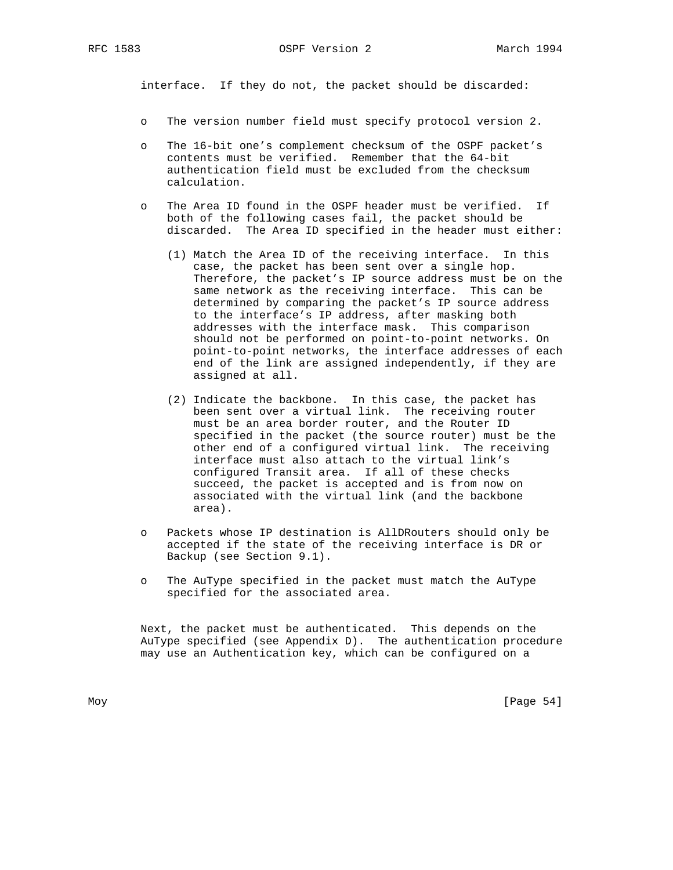interface. If they do not, the packet should be discarded:

- o The version number field must specify protocol version 2.
- o The 16-bit one's complement checksum of the OSPF packet's contents must be verified. Remember that the 64-bit authentication field must be excluded from the checksum calculation.
- o The Area ID found in the OSPF header must be verified. If both of the following cases fail, the packet should be discarded. The Area ID specified in the header must either:
	- (1) Match the Area ID of the receiving interface. In this case, the packet has been sent over a single hop. Therefore, the packet's IP source address must be on the same network as the receiving interface. This can be determined by comparing the packet's IP source address to the interface's IP address, after masking both addresses with the interface mask. This comparison should not be performed on point-to-point networks. On point-to-point networks, the interface addresses of each end of the link are assigned independently, if they are assigned at all.
	- (2) Indicate the backbone. In this case, the packet has been sent over a virtual link. The receiving router must be an area border router, and the Router ID specified in the packet (the source router) must be the other end of a configured virtual link. The receiving interface must also attach to the virtual link's configured Transit area. If all of these checks succeed, the packet is accepted and is from now on associated with the virtual link (and the backbone area).
- o Packets whose IP destination is AllDRouters should only be accepted if the state of the receiving interface is DR or Backup (see Section 9.1).
- o The AuType specified in the packet must match the AuType specified for the associated area.

 Next, the packet must be authenticated. This depends on the AuType specified (see Appendix D). The authentication procedure may use an Authentication key, which can be configured on a

Moy [Page 54]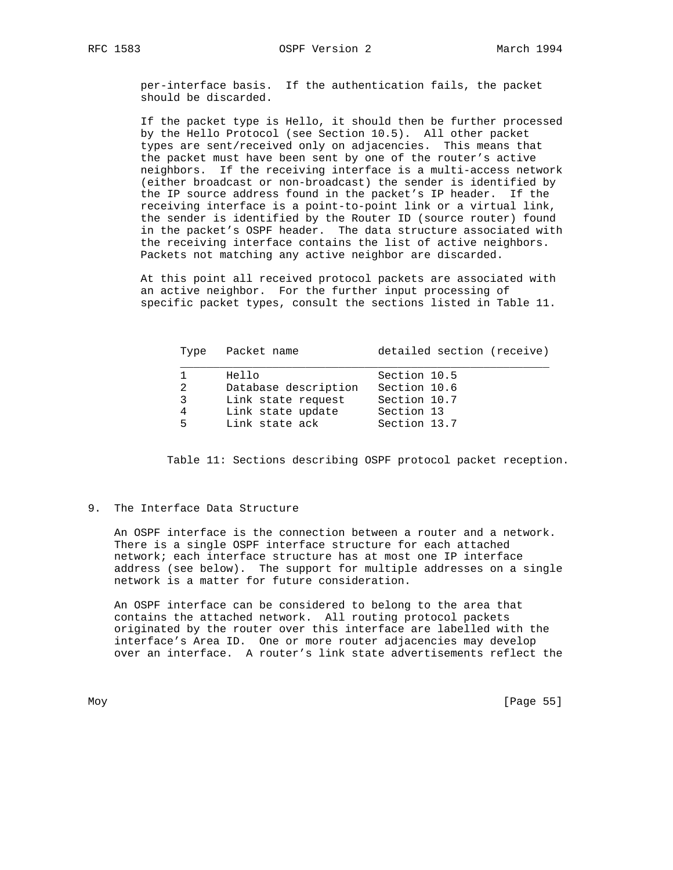per-interface basis. If the authentication fails, the packet should be discarded.

 If the packet type is Hello, it should then be further processed by the Hello Protocol (see Section 10.5). All other packet types are sent/received only on adjacencies. This means that the packet must have been sent by one of the router's active neighbors. If the receiving interface is a multi-access network (either broadcast or non-broadcast) the sender is identified by the IP source address found in the packet's IP header. If the receiving interface is a point-to-point link or a virtual link, the sender is identified by the Router ID (source router) found in the packet's OSPF header. The data structure associated with the receiving interface contains the list of active neighbors. Packets not matching any active neighbor are discarded.

 At this point all received protocol packets are associated with an active neighbor. For the further input processing of specific packet types, consult the sections listed in Table 11.

|              | Type Packet name     | detailed section (receive) |
|--------------|----------------------|----------------------------|
|              | Hello                | Section 10.5               |
| $\mathbf{2}$ | Database description | Section 10.6               |
| $\mathbf{3}$ | Link state request   | Section 10.7               |
| 4            | Link state update    | Section 13                 |
| $5 -$        | Link state ack       | Section 13.7               |

Table 11: Sections describing OSPF protocol packet reception.

### 9. The Interface Data Structure

 An OSPF interface is the connection between a router and a network. There is a single OSPF interface structure for each attached network; each interface structure has at most one IP interface address (see below). The support for multiple addresses on a single network is a matter for future consideration.

 An OSPF interface can be considered to belong to the area that contains the attached network. All routing protocol packets originated by the router over this interface are labelled with the interface's Area ID. One or more router adjacencies may develop over an interface. A router's link state advertisements reflect the

Moy [Page 55]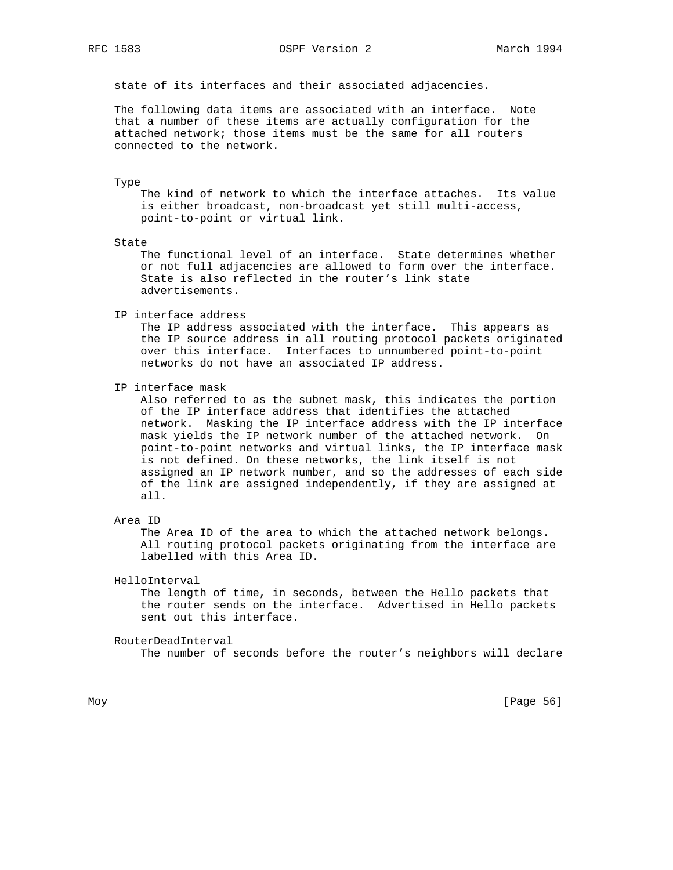### RFC 1583 OSPF Version 2 March 1994

state of its interfaces and their associated adjacencies.

 The following data items are associated with an interface. Note that a number of these items are actually configuration for the attached network; those items must be the same for all routers connected to the network.

#### Type

 The kind of network to which the interface attaches. Its value is either broadcast, non-broadcast yet still multi-access, point-to-point or virtual link.

#### State

 The functional level of an interface. State determines whether or not full adjacencies are allowed to form over the interface. State is also reflected in the router's link state advertisements.

IP interface address

 The IP address associated with the interface. This appears as the IP source address in all routing protocol packets originated over this interface. Interfaces to unnumbered point-to-point networks do not have an associated IP address.

IP interface mask

 Also referred to as the subnet mask, this indicates the portion of the IP interface address that identifies the attached network. Masking the IP interface address with the IP interface mask yields the IP network number of the attached network. On point-to-point networks and virtual links, the IP interface mask is not defined. On these networks, the link itself is not assigned an IP network number, and so the addresses of each side of the link are assigned independently, if they are assigned at all.

#### Area ID

 The Area ID of the area to which the attached network belongs. All routing protocol packets originating from the interface are labelled with this Area ID.

HelloInterval

 The length of time, in seconds, between the Hello packets that the router sends on the interface. Advertised in Hello packets sent out this interface.

#### RouterDeadInterval

The number of seconds before the router's neighbors will declare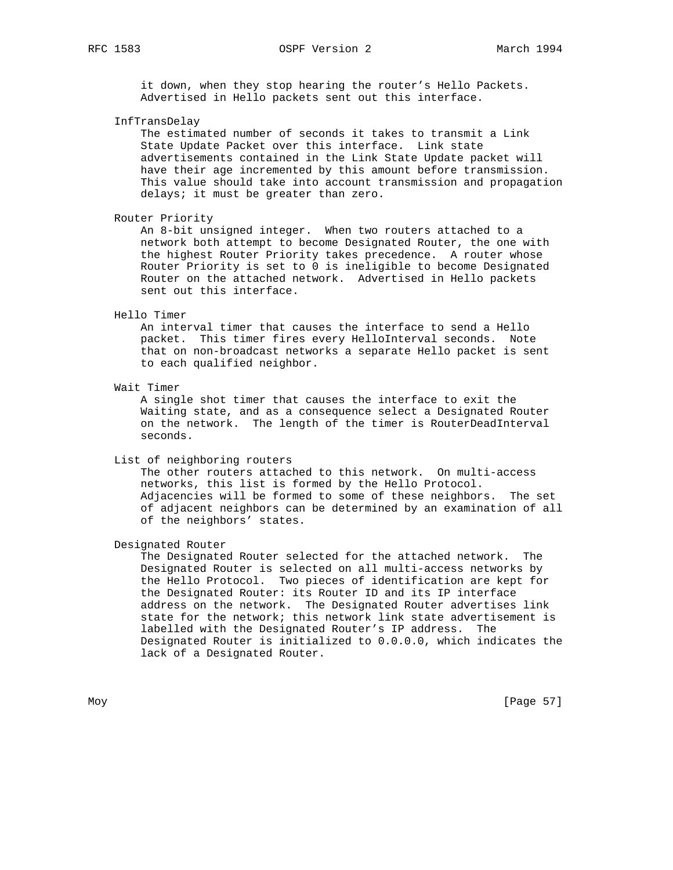RFC 1583 OSPF Version 2 March 1994

 it down, when they stop hearing the router's Hello Packets. Advertised in Hello packets sent out this interface.

InfTransDelay

 The estimated number of seconds it takes to transmit a Link State Update Packet over this interface. Link state advertisements contained in the Link State Update packet will have their age incremented by this amount before transmission. This value should take into account transmission and propagation delays; it must be greater than zero.

Router Priority

 An 8-bit unsigned integer. When two routers attached to a network both attempt to become Designated Router, the one with the highest Router Priority takes precedence. A router whose Router Priority is set to 0 is ineligible to become Designated Router on the attached network. Advertised in Hello packets sent out this interface.

#### Hello Timer

 An interval timer that causes the interface to send a Hello packet. This timer fires every HelloInterval seconds. Note that on non-broadcast networks a separate Hello packet is sent to each qualified neighbor.

Wait Timer

 A single shot timer that causes the interface to exit the Waiting state, and as a consequence select a Designated Router on the network. The length of the timer is RouterDeadInterval seconds.

List of neighboring routers

 The other routers attached to this network. On multi-access networks, this list is formed by the Hello Protocol. Adjacencies will be formed to some of these neighbors. The set of adjacent neighbors can be determined by an examination of all of the neighbors' states.

Designated Router

 The Designated Router selected for the attached network. The Designated Router is selected on all multi-access networks by the Hello Protocol. Two pieces of identification are kept for the Designated Router: its Router ID and its IP interface address on the network. The Designated Router advertises link state for the network; this network link state advertisement is labelled with the Designated Router's IP address. The Designated Router is initialized to 0.0.0.0, which indicates the lack of a Designated Router.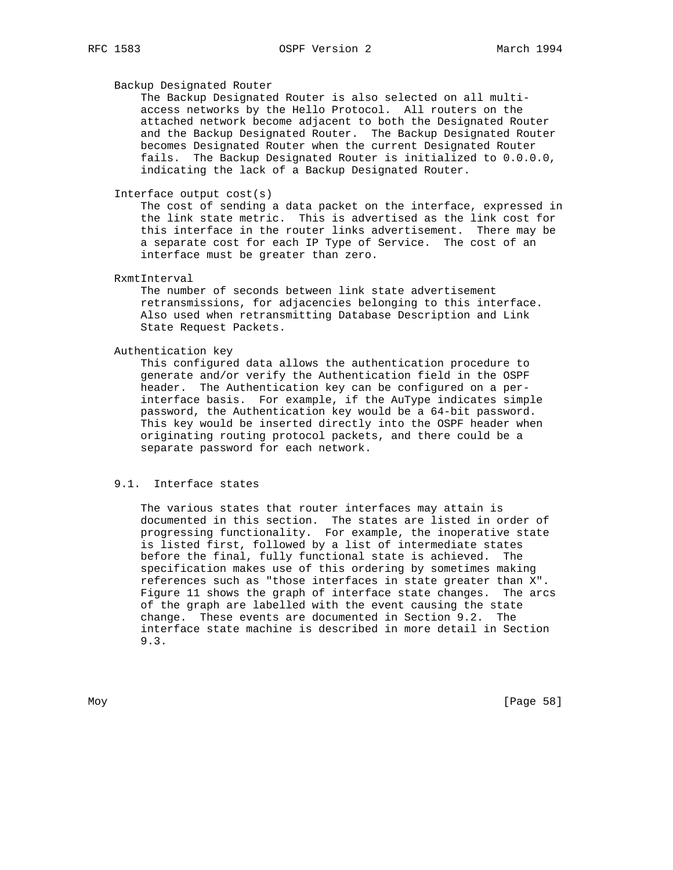## Backup Designated Router

 The Backup Designated Router is also selected on all multi access networks by the Hello Protocol. All routers on the attached network become adjacent to both the Designated Router and the Backup Designated Router. The Backup Designated Router becomes Designated Router when the current Designated Router fails. The Backup Designated Router is initialized to 0.0.0.0, indicating the lack of a Backup Designated Router.

# Interface output cost(s)

 The cost of sending a data packet on the interface, expressed in the link state metric. This is advertised as the link cost for this interface in the router links advertisement. There may be a separate cost for each IP Type of Service. The cost of an interface must be greater than zero.

#### RxmtInterval

 The number of seconds between link state advertisement retransmissions, for adjacencies belonging to this interface. Also used when retransmitting Database Description and Link State Request Packets.

### Authentication key

 This configured data allows the authentication procedure to generate and/or verify the Authentication field in the OSPF header. The Authentication key can be configured on a per interface basis. For example, if the AuType indicates simple password, the Authentication key would be a 64-bit password. This key would be inserted directly into the OSPF header when originating routing protocol packets, and there could be a separate password for each network.

## 9.1. Interface states

 The various states that router interfaces may attain is documented in this section. The states are listed in order of progressing functionality. For example, the inoperative state is listed first, followed by a list of intermediate states before the final, fully functional state is achieved. The specification makes use of this ordering by sometimes making references such as "those interfaces in state greater than X". Figure 11 shows the graph of interface state changes. The arcs of the graph are labelled with the event causing the state change. These events are documented in Section 9.2. The interface state machine is described in more detail in Section 9.3.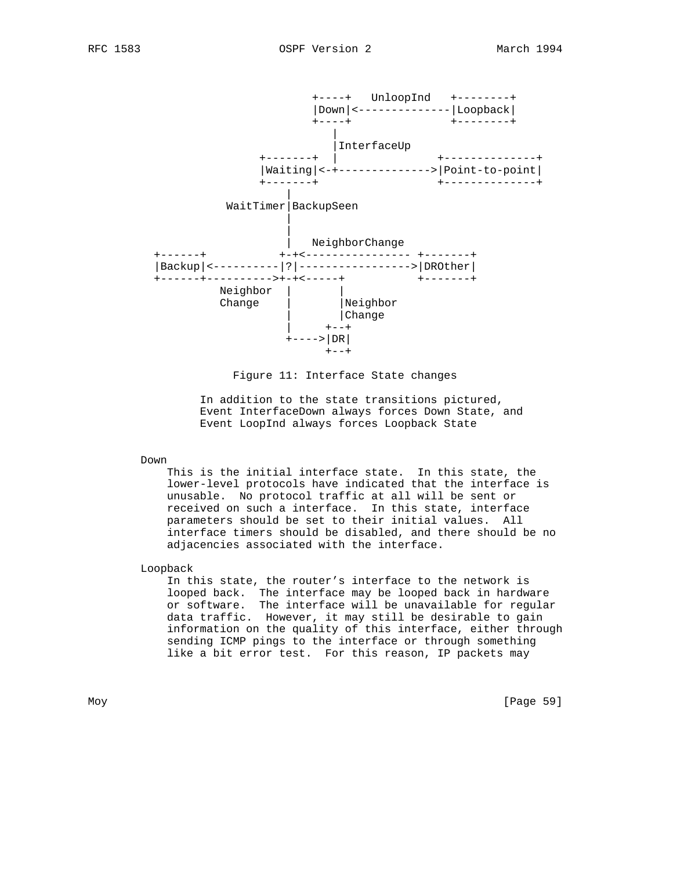

Figure 11: Interface State changes

 In addition to the state transitions pictured, Event InterfaceDown always forces Down State, and Event LoopInd always forces Loopback State

### Down

 This is the initial interface state. In this state, the lower-level protocols have indicated that the interface is unusable. No protocol traffic at all will be sent or received on such a interface. In this state, interface parameters should be set to their initial values. All interface timers should be disabled, and there should be no adjacencies associated with the interface.

Loopback

 In this state, the router's interface to the network is looped back. The interface may be looped back in hardware or software. The interface will be unavailable for regular data traffic. However, it may still be desirable to gain information on the quality of this interface, either through sending ICMP pings to the interface or through something like a bit error test. For this reason, IP packets may

Moy [Page 59]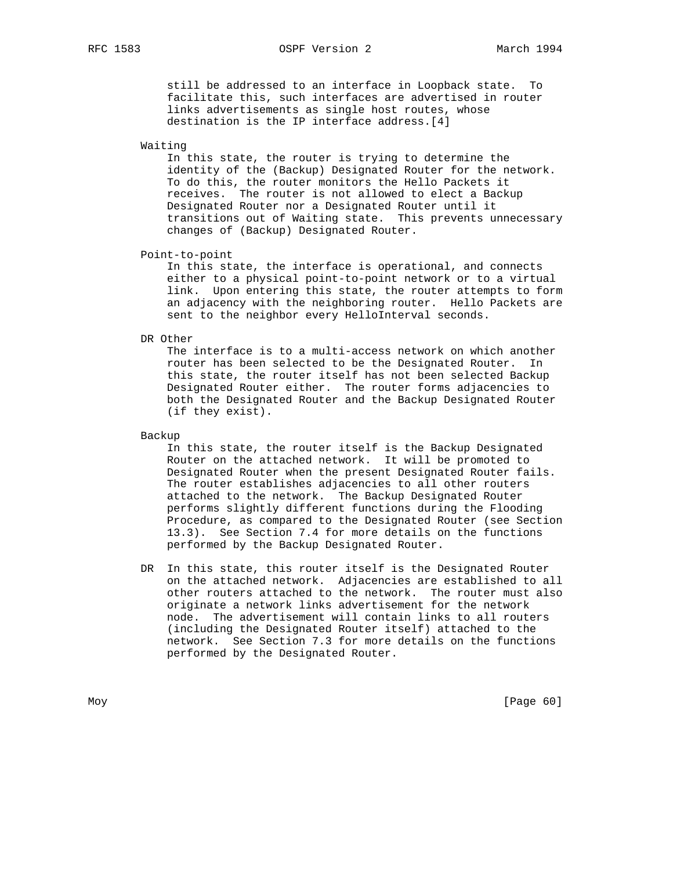### RFC 1583 OSPF Version 2 March 1994

 still be addressed to an interface in Loopback state. To facilitate this, such interfaces are advertised in router links advertisements as single host routes, whose destination is the IP interface address.[4]

Waiting

 In this state, the router is trying to determine the identity of the (Backup) Designated Router for the network. To do this, the router monitors the Hello Packets it receives. The router is not allowed to elect a Backup Designated Router nor a Designated Router until it transitions out of Waiting state. This prevents unnecessary changes of (Backup) Designated Router.

Point-to-point

 In this state, the interface is operational, and connects either to a physical point-to-point network or to a virtual link. Upon entering this state, the router attempts to form an adjacency with the neighboring router. Hello Packets are sent to the neighbor every HelloInterval seconds.

#### DR Other

 The interface is to a multi-access network on which another router has been selected to be the Designated Router. In this state, the router itself has not been selected Backup Designated Router either. The router forms adjacencies to both the Designated Router and the Backup Designated Router (if they exist).

Backup

 In this state, the router itself is the Backup Designated Router on the attached network. It will be promoted to Designated Router when the present Designated Router fails. The router establishes adjacencies to all other routers attached to the network. The Backup Designated Router performs slightly different functions during the Flooding Procedure, as compared to the Designated Router (see Section 13.3). See Section 7.4 for more details on the functions performed by the Backup Designated Router.

 DR In this state, this router itself is the Designated Router on the attached network. Adjacencies are established to all other routers attached to the network. The router must also originate a network links advertisement for the network node. The advertisement will contain links to all routers (including the Designated Router itself) attached to the network. See Section 7.3 for more details on the functions performed by the Designated Router.

Moy [Page 60]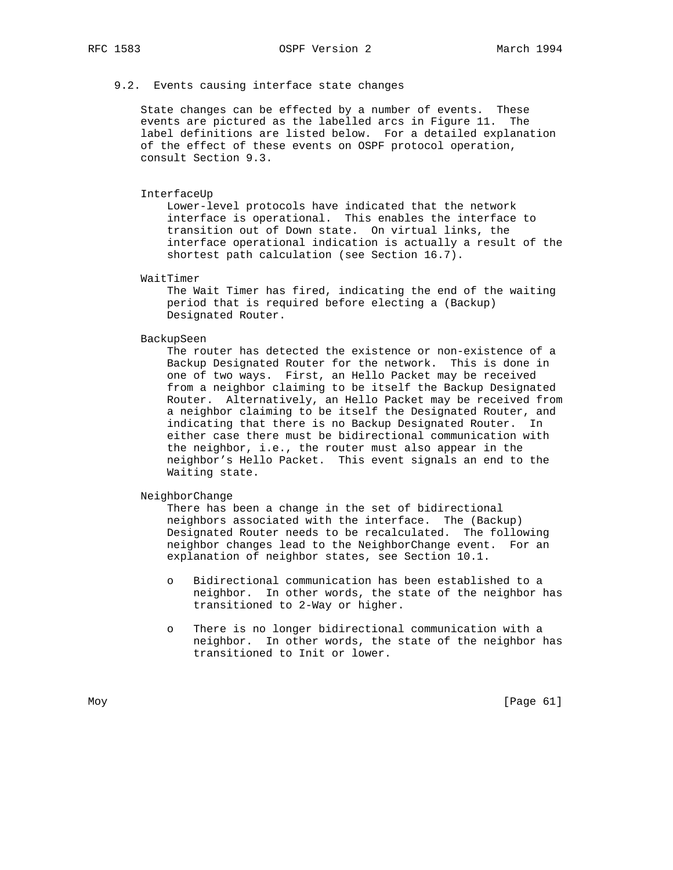### 9.2. Events causing interface state changes

 State changes can be effected by a number of events. These events are pictured as the labelled arcs in Figure 11. The label definitions are listed below. For a detailed explanation of the effect of these events on OSPF protocol operation, consult Section 9.3.

#### InterfaceUp

 Lower-level protocols have indicated that the network interface is operational. This enables the interface to transition out of Down state. On virtual links, the interface operational indication is actually a result of the shortest path calculation (see Section 16.7).

WaitTimer

 The Wait Timer has fired, indicating the end of the waiting period that is required before electing a (Backup) Designated Router.

BackupSeen

 The router has detected the existence or non-existence of a Backup Designated Router for the network. This is done in one of two ways. First, an Hello Packet may be received from a neighbor claiming to be itself the Backup Designated Router. Alternatively, an Hello Packet may be received from a neighbor claiming to be itself the Designated Router, and indicating that there is no Backup Designated Router. In either case there must be bidirectional communication with the neighbor, i.e., the router must also appear in the neighbor's Hello Packet. This event signals an end to the Waiting state.

### NeighborChange

 There has been a change in the set of bidirectional neighbors associated with the interface. The (Backup) Designated Router needs to be recalculated. The following neighbor changes lead to the NeighborChange event. For an explanation of neighbor states, see Section 10.1.

- o Bidirectional communication has been established to a neighbor. In other words, the state of the neighbor has transitioned to 2-Way or higher.
- o There is no longer bidirectional communication with a neighbor. In other words, the state of the neighbor has transitioned to Init or lower.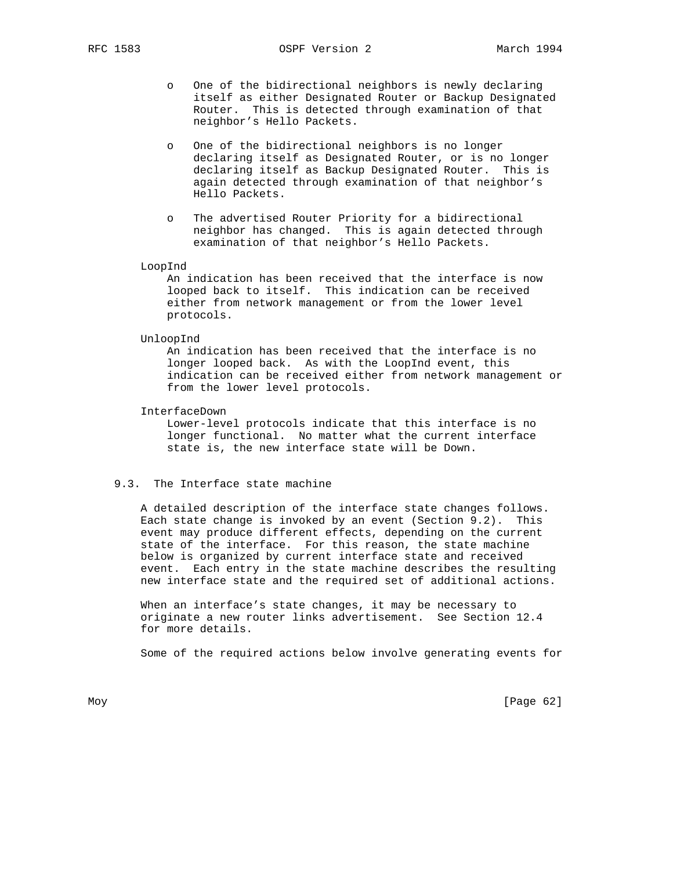- o One of the bidirectional neighbors is newly declaring itself as either Designated Router or Backup Designated Router. This is detected through examination of that neighbor's Hello Packets.
- o One of the bidirectional neighbors is no longer declaring itself as Designated Router, or is no longer declaring itself as Backup Designated Router. This is again detected through examination of that neighbor's Hello Packets.
- o The advertised Router Priority for a bidirectional neighbor has changed. This is again detected through examination of that neighbor's Hello Packets.

LoopInd

 An indication has been received that the interface is now looped back to itself. This indication can be received either from network management or from the lower level protocols.

UnloopInd

 An indication has been received that the interface is no longer looped back. As with the LoopInd event, this indication can be received either from network management or from the lower level protocols.

InterfaceDown

 Lower-level protocols indicate that this interface is no longer functional. No matter what the current interface state is, the new interface state will be Down.

### 9.3. The Interface state machine

 A detailed description of the interface state changes follows. Each state change is invoked by an event (Section 9.2). This event may produce different effects, depending on the current state of the interface. For this reason, the state machine below is organized by current interface state and received event. Each entry in the state machine describes the resulting new interface state and the required set of additional actions.

 When an interface's state changes, it may be necessary to originate a new router links advertisement. See Section 12.4 for more details.

Some of the required actions below involve generating events for

Moy [Page 62]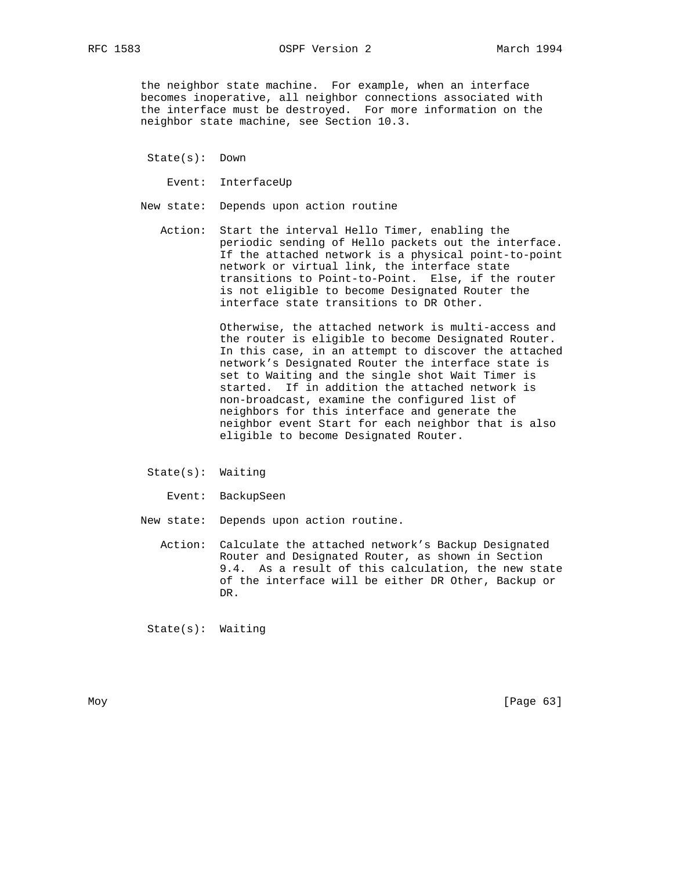the neighbor state machine. For example, when an interface becomes inoperative, all neighbor connections associated with the interface must be destroyed. For more information on the neighbor state machine, see Section 10.3.

State(s): Down

Event: InterfaceUp

- New state: Depends upon action routine
	- Action: Start the interval Hello Timer, enabling the periodic sending of Hello packets out the interface. If the attached network is a physical point-to-point network or virtual link, the interface state transitions to Point-to-Point. Else, if the router is not eligible to become Designated Router the interface state transitions to DR Other.

 Otherwise, the attached network is multi-access and the router is eligible to become Designated Router. In this case, in an attempt to discover the attached network's Designated Router the interface state is set to Waiting and the single shot Wait Timer is started. If in addition the attached network is non-broadcast, examine the configured list of neighbors for this interface and generate the neighbor event Start for each neighbor that is also eligible to become Designated Router.

- State(s): Waiting
	- Event: BackupSeen

New state: Depends upon action routine.

 Action: Calculate the attached network's Backup Designated Router and Designated Router, as shown in Section 9.4. As a result of this calculation, the new state of the interface will be either DR Other, Backup or DR.

State(s): Waiting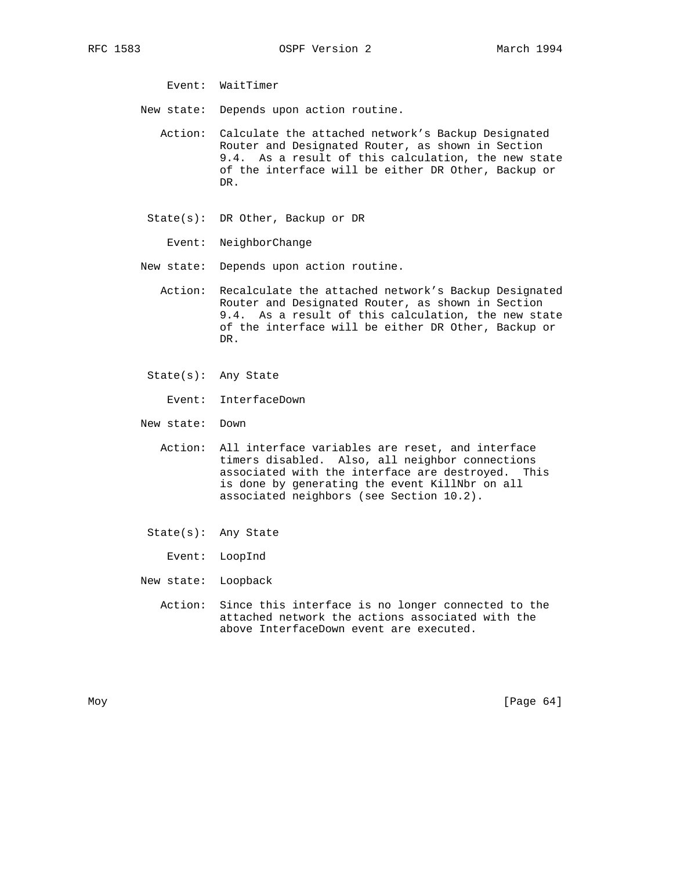Event: WaitTimer

- New state: Depends upon action routine.
	- Action: Calculate the attached network's Backup Designated Router and Designated Router, as shown in Section 9.4. As a result of this calculation, the new state of the interface will be either DR Other, Backup or DR.
	- State(s): DR Other, Backup or DR
		- Event: NeighborChange
- New state: Depends upon action routine.
	- Action: Recalculate the attached network's Backup Designated Router and Designated Router, as shown in Section 9.4. As a result of this calculation, the new state of the interface will be either DR Other, Backup or DR.
	- State(s): Any State
		- Event: InterfaceDown
- New state: Down
	- Action: All interface variables are reset, and interface timers disabled. Also, all neighbor connections associated with the interface are destroyed. This is done by generating the event KillNbr on all associated neighbors (see Section 10.2).
	- State(s): Any State
		- Event: LoopInd
- New state: Loopback
	- Action: Since this interface is no longer connected to the attached network the actions associated with the above InterfaceDown event are executed.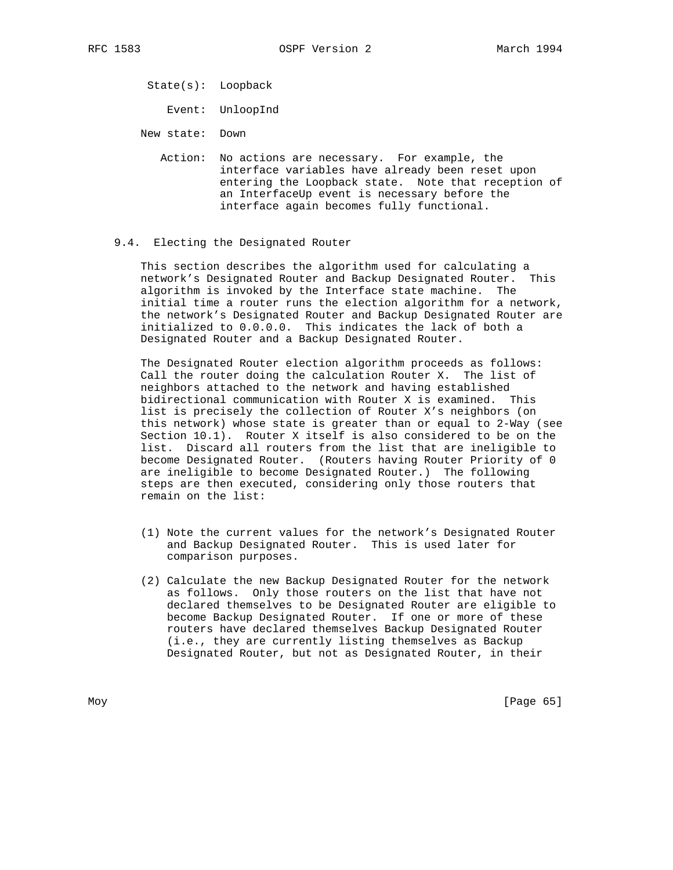State(s): Loopback

Event: UnloopInd

New state: Down

 Action: No actions are necessary. For example, the interface variables have already been reset upon entering the Loopback state. Note that reception of an InterfaceUp event is necessary before the interface again becomes fully functional.

#### 9.4. Electing the Designated Router

 This section describes the algorithm used for calculating a network's Designated Router and Backup Designated Router. This algorithm is invoked by the Interface state machine. The initial time a router runs the election algorithm for a network, the network's Designated Router and Backup Designated Router are initialized to 0.0.0.0. This indicates the lack of both a Designated Router and a Backup Designated Router.

 The Designated Router election algorithm proceeds as follows: Call the router doing the calculation Router X. The list of neighbors attached to the network and having established bidirectional communication with Router X is examined. This list is precisely the collection of Router X's neighbors (on this network) whose state is greater than or equal to 2-Way (see Section 10.1). Router X itself is also considered to be on the list. Discard all routers from the list that are ineligible to become Designated Router. (Routers having Router Priority of 0 are ineligible to become Designated Router.) The following steps are then executed, considering only those routers that remain on the list:

- (1) Note the current values for the network's Designated Router and Backup Designated Router. This is used later for comparison purposes.
- (2) Calculate the new Backup Designated Router for the network as follows. Only those routers on the list that have not declared themselves to be Designated Router are eligible to become Backup Designated Router. If one or more of these routers have declared themselves Backup Designated Router (i.e., they are currently listing themselves as Backup Designated Router, but not as Designated Router, in their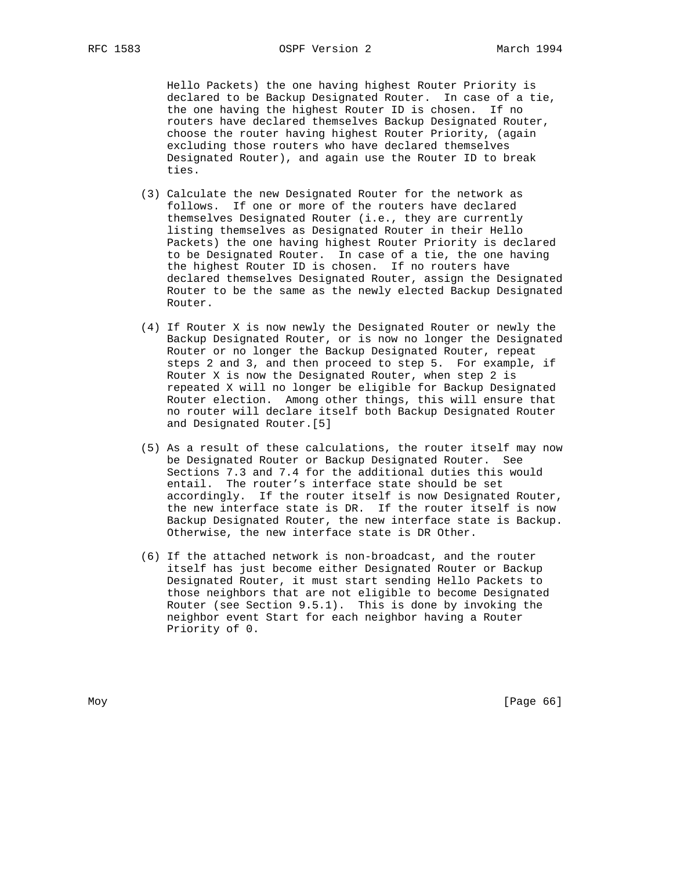Hello Packets) the one having highest Router Priority is declared to be Backup Designated Router. In case of a tie, the one having the highest Router ID is chosen. If no routers have declared themselves Backup Designated Router, choose the router having highest Router Priority, (again excluding those routers who have declared themselves Designated Router), and again use the Router ID to break ties.

- (3) Calculate the new Designated Router for the network as follows. If one or more of the routers have declared themselves Designated Router (i.e., they are currently listing themselves as Designated Router in their Hello Packets) the one having highest Router Priority is declared to be Designated Router. In case of a tie, the one having the highest Router ID is chosen. If no routers have declared themselves Designated Router, assign the Designated Router to be the same as the newly elected Backup Designated Router.
- (4) If Router X is now newly the Designated Router or newly the Backup Designated Router, or is now no longer the Designated Router or no longer the Backup Designated Router, repeat steps 2 and 3, and then proceed to step 5. For example, if Router X is now the Designated Router, when step 2 is repeated X will no longer be eligible for Backup Designated Router election. Among other things, this will ensure that no router will declare itself both Backup Designated Router and Designated Router.[5]
- (5) As a result of these calculations, the router itself may now be Designated Router or Backup Designated Router. See Sections 7.3 and 7.4 for the additional duties this would entail. The router's interface state should be set accordingly. If the router itself is now Designated Router, the new interface state is DR. If the router itself is now Backup Designated Router, the new interface state is Backup. Otherwise, the new interface state is DR Other.
- (6) If the attached network is non-broadcast, and the router itself has just become either Designated Router or Backup Designated Router, it must start sending Hello Packets to those neighbors that are not eligible to become Designated Router (see Section 9.5.1). This is done by invoking the neighbor event Start for each neighbor having a Router Priority of 0.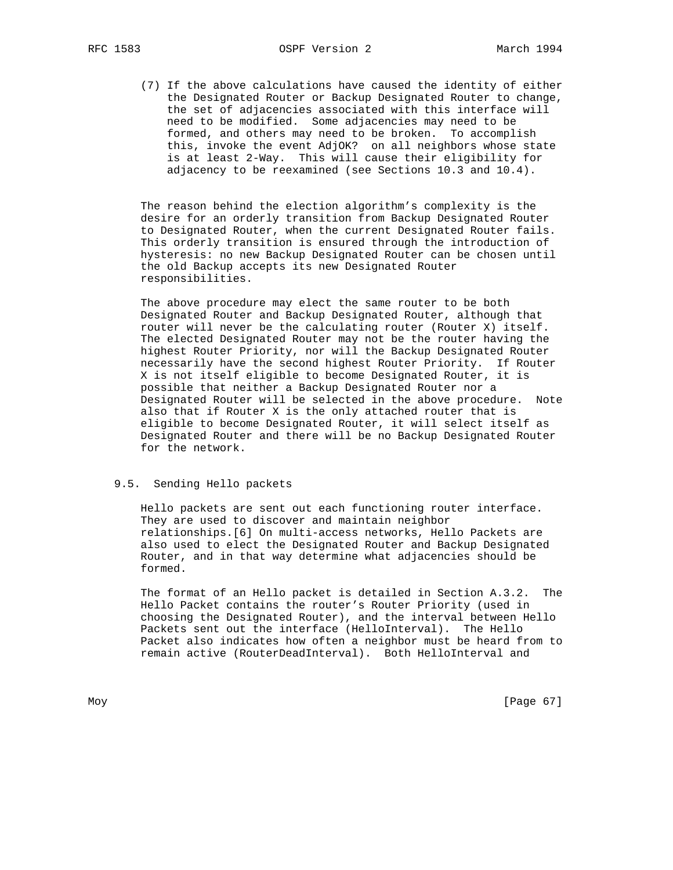(7) If the above calculations have caused the identity of either the Designated Router or Backup Designated Router to change, the set of adjacencies associated with this interface will need to be modified. Some adjacencies may need to be formed, and others may need to be broken. To accomplish this, invoke the event AdjOK? on all neighbors whose state is at least 2-Way. This will cause their eligibility for adjacency to be reexamined (see Sections 10.3 and 10.4).

 The reason behind the election algorithm's complexity is the desire for an orderly transition from Backup Designated Router to Designated Router, when the current Designated Router fails. This orderly transition is ensured through the introduction of hysteresis: no new Backup Designated Router can be chosen until the old Backup accepts its new Designated Router responsibilities.

 The above procedure may elect the same router to be both Designated Router and Backup Designated Router, although that router will never be the calculating router (Router X) itself. The elected Designated Router may not be the router having the highest Router Priority, nor will the Backup Designated Router necessarily have the second highest Router Priority. If Router X is not itself eligible to become Designated Router, it is possible that neither a Backup Designated Router nor a Designated Router will be selected in the above procedure. Note also that if Router X is the only attached router that is eligible to become Designated Router, it will select itself as Designated Router and there will be no Backup Designated Router for the network.

### 9.5. Sending Hello packets

 Hello packets are sent out each functioning router interface. They are used to discover and maintain neighbor relationships.[6] On multi-access networks, Hello Packets are also used to elect the Designated Router and Backup Designated Router, and in that way determine what adjacencies should be formed.

 The format of an Hello packet is detailed in Section A.3.2. The Hello Packet contains the router's Router Priority (used in choosing the Designated Router), and the interval between Hello Packets sent out the interface (HelloInterval). The Hello Packet also indicates how often a neighbor must be heard from to remain active (RouterDeadInterval). Both HelloInterval and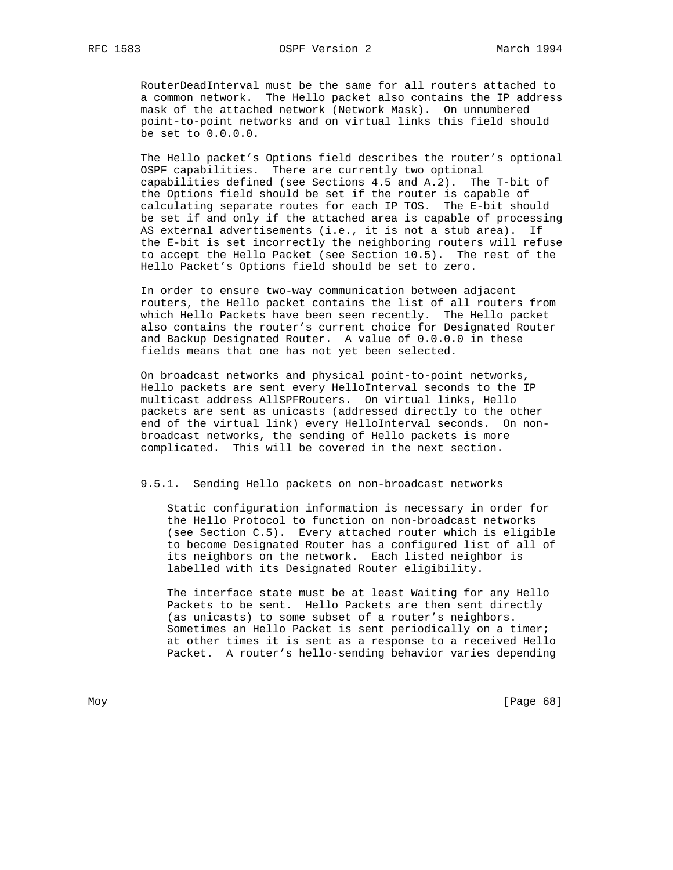RouterDeadInterval must be the same for all routers attached to a common network. The Hello packet also contains the IP address mask of the attached network (Network Mask). On unnumbered point-to-point networks and on virtual links this field should be set to 0.0.0.0.

 The Hello packet's Options field describes the router's optional OSPF capabilities. There are currently two optional capabilities defined (see Sections 4.5 and A.2). The T-bit of the Options field should be set if the router is capable of calculating separate routes for each IP TOS. The E-bit should be set if and only if the attached area is capable of processing AS external advertisements (i.e., it is not a stub area). If the E-bit is set incorrectly the neighboring routers will refuse to accept the Hello Packet (see Section 10.5). The rest of the Hello Packet's Options field should be set to zero.

 In order to ensure two-way communication between adjacent routers, the Hello packet contains the list of all routers from which Hello Packets have been seen recently. The Hello packet also contains the router's current choice for Designated Router and Backup Designated Router. A value of 0.0.0.0 in these fields means that one has not yet been selected.

 On broadcast networks and physical point-to-point networks, Hello packets are sent every HelloInterval seconds to the IP multicast address AllSPFRouters. On virtual links, Hello packets are sent as unicasts (addressed directly to the other end of the virtual link) every HelloInterval seconds. On non broadcast networks, the sending of Hello packets is more complicated. This will be covered in the next section.

### 9.5.1. Sending Hello packets on non-broadcast networks

 Static configuration information is necessary in order for the Hello Protocol to function on non-broadcast networks (see Section C.5). Every attached router which is eligible to become Designated Router has a configured list of all of its neighbors on the network. Each listed neighbor is labelled with its Designated Router eligibility.

 The interface state must be at least Waiting for any Hello Packets to be sent. Hello Packets are then sent directly (as unicasts) to some subset of a router's neighbors. Sometimes an Hello Packet is sent periodically on a timer; at other times it is sent as a response to a received Hello Packet. A router's hello-sending behavior varies depending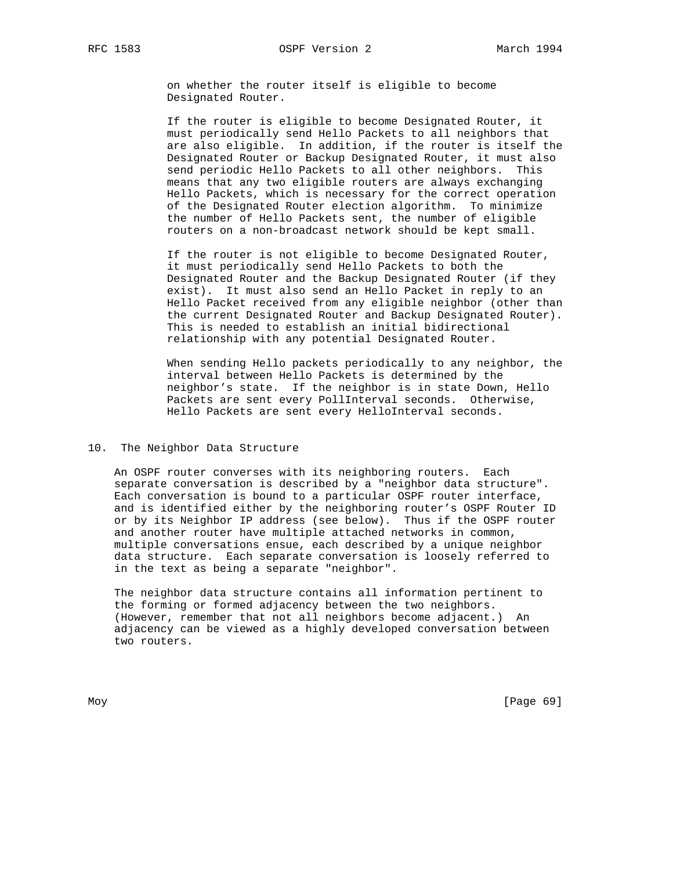on whether the router itself is eligible to become Designated Router.

 If the router is eligible to become Designated Router, it must periodically send Hello Packets to all neighbors that are also eligible. In addition, if the router is itself the Designated Router or Backup Designated Router, it must also send periodic Hello Packets to all other neighbors. This means that any two eligible routers are always exchanging Hello Packets, which is necessary for the correct operation of the Designated Router election algorithm. To minimize the number of Hello Packets sent, the number of eligible routers on a non-broadcast network should be kept small.

 If the router is not eligible to become Designated Router, it must periodically send Hello Packets to both the Designated Router and the Backup Designated Router (if they exist). It must also send an Hello Packet in reply to an Hello Packet received from any eligible neighbor (other than the current Designated Router and Backup Designated Router). This is needed to establish an initial bidirectional relationship with any potential Designated Router.

 When sending Hello packets periodically to any neighbor, the interval between Hello Packets is determined by the neighbor's state. If the neighbor is in state Down, Hello Packets are sent every PollInterval seconds. Otherwise, Hello Packets are sent every HelloInterval seconds.

## 10. The Neighbor Data Structure

 An OSPF router converses with its neighboring routers. Each separate conversation is described by a "neighbor data structure". Each conversation is bound to a particular OSPF router interface, and is identified either by the neighboring router's OSPF Router ID or by its Neighbor IP address (see below). Thus if the OSPF router and another router have multiple attached networks in common, multiple conversations ensue, each described by a unique neighbor data structure. Each separate conversation is loosely referred to in the text as being a separate "neighbor".

 The neighbor data structure contains all information pertinent to the forming or formed adjacency between the two neighbors. (However, remember that not all neighbors become adjacent.) An adjacency can be viewed as a highly developed conversation between two routers.

Moy [Page 69]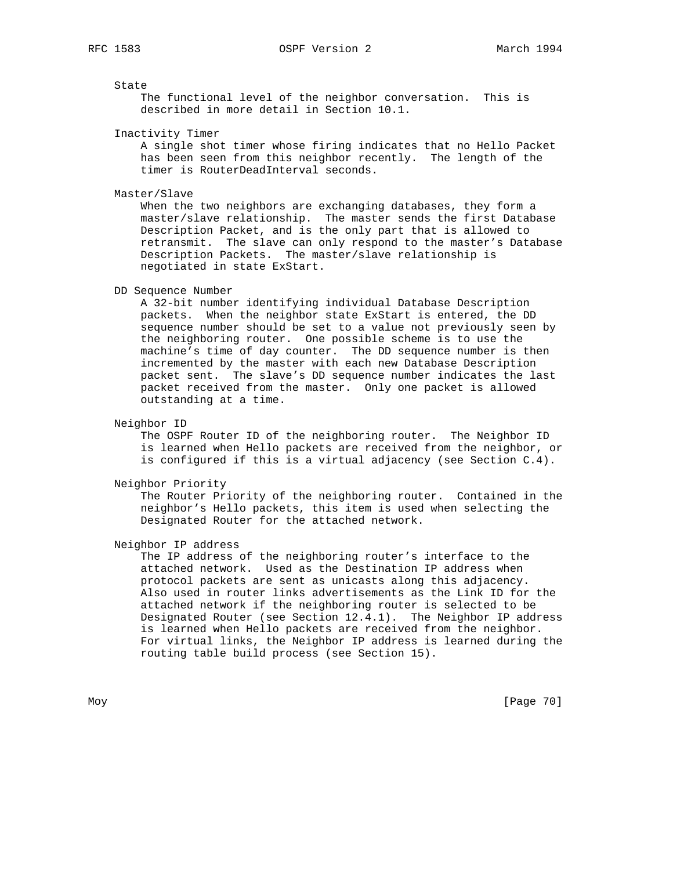State

 The functional level of the neighbor conversation. This is described in more detail in Section 10.1.

Inactivity Timer

 A single shot timer whose firing indicates that no Hello Packet has been seen from this neighbor recently. The length of the timer is RouterDeadInterval seconds.

Master/Slave

 When the two neighbors are exchanging databases, they form a master/slave relationship. The master sends the first Database Description Packet, and is the only part that is allowed to retransmit. The slave can only respond to the master's Database Description Packets. The master/slave relationship is negotiated in state ExStart.

DD Sequence Number

 A 32-bit number identifying individual Database Description packets. When the neighbor state ExStart is entered, the DD sequence number should be set to a value not previously seen by the neighboring router. One possible scheme is to use the machine's time of day counter. The DD sequence number is then incremented by the master with each new Database Description packet sent. The slave's DD sequence number indicates the last packet received from the master. Only one packet is allowed outstanding at a time.

### Neighbor ID

 The OSPF Router ID of the neighboring router. The Neighbor ID is learned when Hello packets are received from the neighbor, or is configured if this is a virtual adjacency (see Section C.4).

#### Neighbor Priority

 The Router Priority of the neighboring router. Contained in the neighbor's Hello packets, this item is used when selecting the Designated Router for the attached network.

### Neighbor IP address

 The IP address of the neighboring router's interface to the attached network. Used as the Destination IP address when protocol packets are sent as unicasts along this adjacency. Also used in router links advertisements as the Link ID for the attached network if the neighboring router is selected to be Designated Router (see Section 12.4.1). The Neighbor IP address is learned when Hello packets are received from the neighbor. For virtual links, the Neighbor IP address is learned during the routing table build process (see Section 15).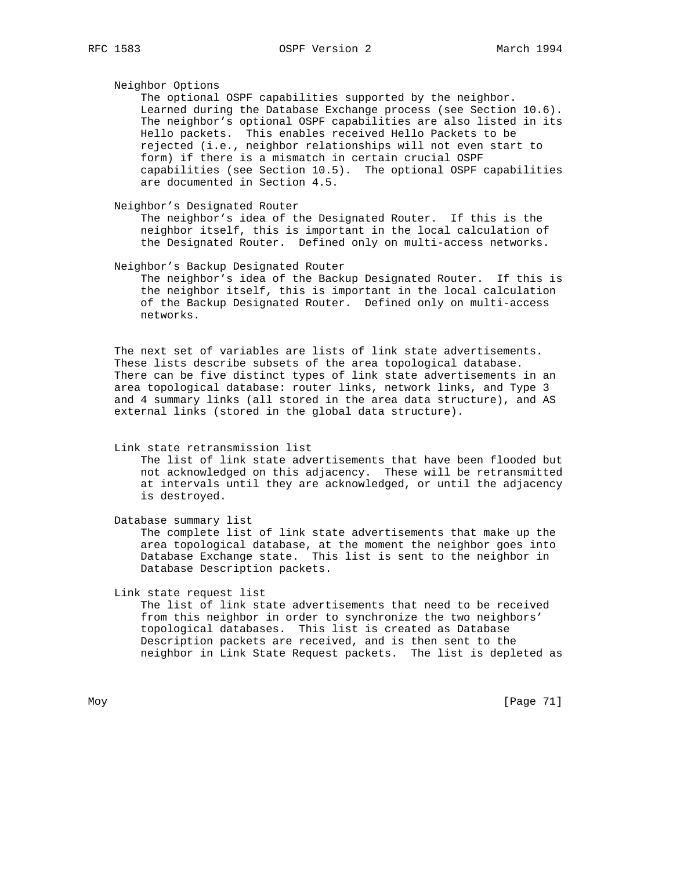Neighbor Options The optional OSPF capabilities supported by the neighbor. Learned during the Database Exchange process (see Section 10.6). The neighbor's optional OSPF capabilities are also listed in its Hello packets. This enables received Hello Packets to be rejected (i.e., neighbor relationships will not even start to form) if there is a mismatch in certain crucial OSPF capabilities (see Section 10.5). The optional OSPF capabilities are documented in Section 4.5.

 Neighbor's Designated Router The neighbor's idea of the Designated Router. If this is the neighbor itself, this is important in the local calculation of the Designated Router. Defined only on multi-access networks.

Neighbor's Backup Designated Router

 The neighbor's idea of the Backup Designated Router. If this is the neighbor itself, this is important in the local calculation of the Backup Designated Router. Defined only on multi-access networks.

 The next set of variables are lists of link state advertisements. These lists describe subsets of the area topological database. There can be five distinct types of link state advertisements in an area topological database: router links, network links, and Type 3 and 4 summary links (all stored in the area data structure), and AS external links (stored in the global data structure).

#### Link state retransmission list

 The list of link state advertisements that have been flooded but not acknowledged on this adjacency. These will be retransmitted at intervals until they are acknowledged, or until the adjacency is destroyed.

Database summary list

 The complete list of link state advertisements that make up the area topological database, at the moment the neighbor goes into Database Exchange state. This list is sent to the neighbor in Database Description packets.

Link state request list

 The list of link state advertisements that need to be received from this neighbor in order to synchronize the two neighbors' topological databases. This list is created as Database Description packets are received, and is then sent to the neighbor in Link State Request packets. The list is depleted as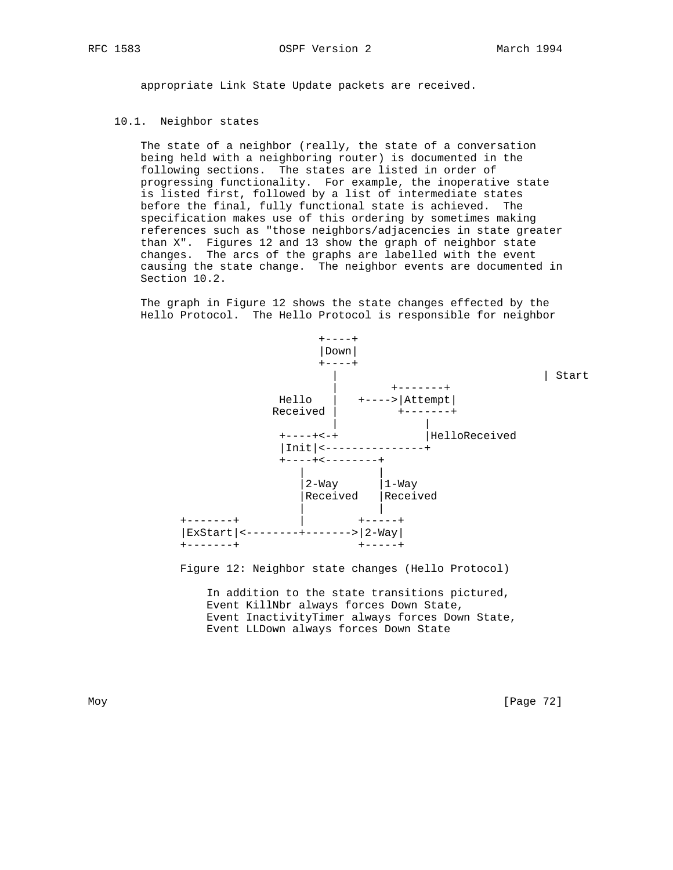appropriate Link State Update packets are received.

# 10.1. Neighbor states

 The state of a neighbor (really, the state of a conversation being held with a neighboring router) is documented in the following sections. The states are listed in order of progressing functionality. For example, the inoperative state is listed first, followed by a list of intermediate states before the final, fully functional state is achieved. The specification makes use of this ordering by sometimes making references such as "those neighbors/adjacencies in state greater than X". Figures 12 and 13 show the graph of neighbor state changes. The arcs of the graphs are labelled with the event causing the state change. The neighbor events are documented in Section 10.2.

 The graph in Figure 12 shows the state changes effected by the Hello Protocol. The Hello Protocol is responsible for neighbor



Figure 12: Neighbor state changes (Hello Protocol)

 In addition to the state transitions pictured, Event KillNbr always forces Down State, Event InactivityTimer always forces Down State, Event LLDown always forces Down State

Moy [Page 72]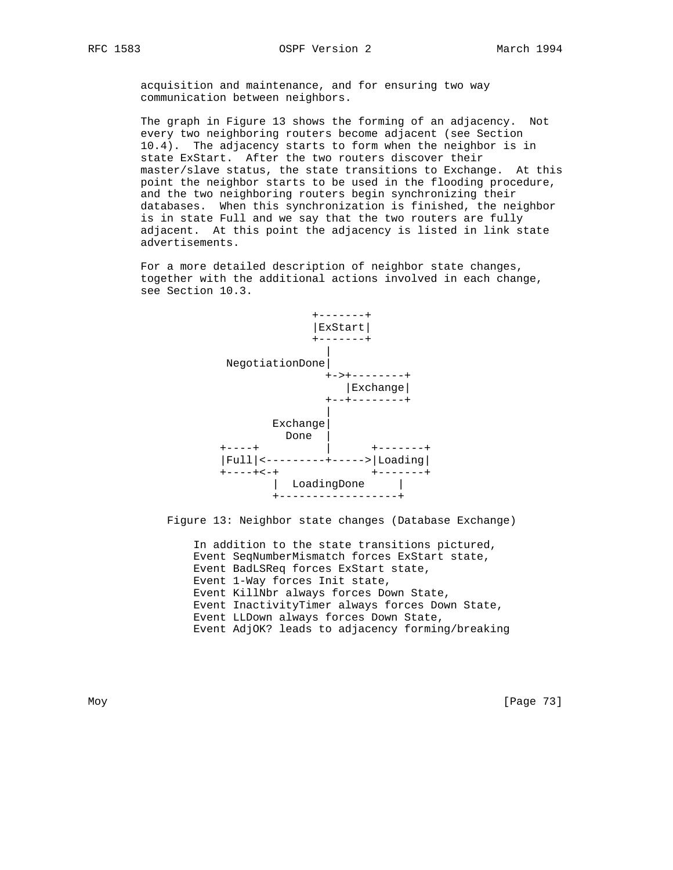acquisition and maintenance, and for ensuring two way communication between neighbors.

 The graph in Figure 13 shows the forming of an adjacency. Not every two neighboring routers become adjacent (see Section 10.4). The adjacency starts to form when the neighbor is in state ExStart. After the two routers discover their master/slave status, the state transitions to Exchange. At this point the neighbor starts to be used in the flooding procedure, and the two neighboring routers begin synchronizing their databases. When this synchronization is finished, the neighbor is in state Full and we say that the two routers are fully adjacent. At this point the adjacency is listed in link state advertisements.

 For a more detailed description of neighbor state changes, together with the additional actions involved in each change, see Section 10.3.



Figure 13: Neighbor state changes (Database Exchange)

 In addition to the state transitions pictured, Event SeqNumberMismatch forces ExStart state, Event BadLSReq forces ExStart state, Event 1-Way forces Init state, Event KillNbr always forces Down State, Event InactivityTimer always forces Down State, Event LLDown always forces Down State, Event AdjOK? leads to adjacency forming/breaking

Moy [Page 73]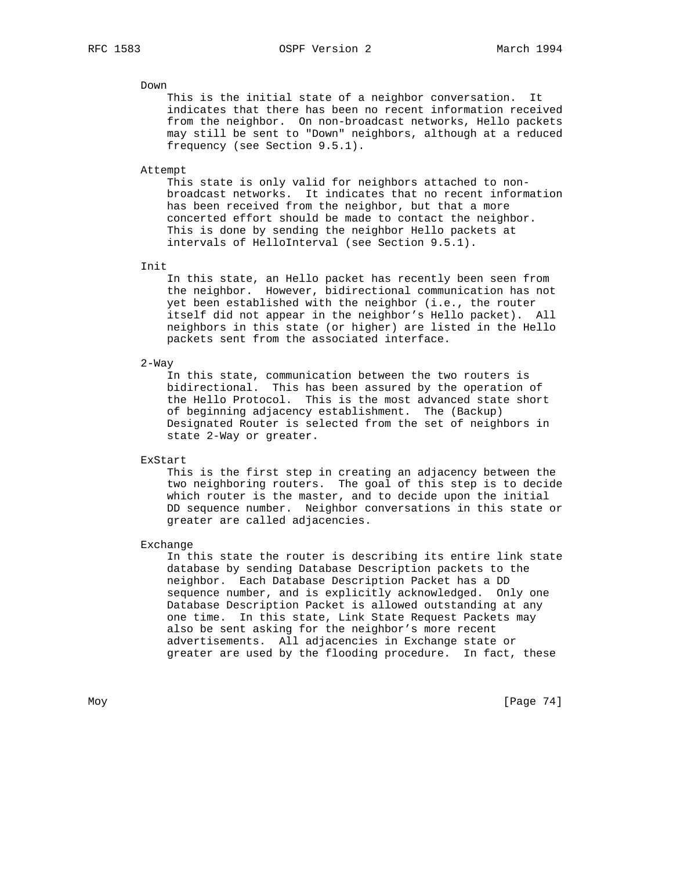# RFC 1583 OSPF Version 2 March 1994

### Down

 This is the initial state of a neighbor conversation. It indicates that there has been no recent information received from the neighbor. On non-broadcast networks, Hello packets may still be sent to "Down" neighbors, although at a reduced frequency (see Section 9.5.1).

#### Attempt

 This state is only valid for neighbors attached to non broadcast networks. It indicates that no recent information has been received from the neighbor, but that a more concerted effort should be made to contact the neighbor. This is done by sending the neighbor Hello packets at intervals of HelloInterval (see Section 9.5.1).

### Init

 In this state, an Hello packet has recently been seen from the neighbor. However, bidirectional communication has not yet been established with the neighbor (i.e., the router itself did not appear in the neighbor's Hello packet). All neighbors in this state (or higher) are listed in the Hello packets sent from the associated interface.

### 2-Way

 In this state, communication between the two routers is bidirectional. This has been assured by the operation of the Hello Protocol. This is the most advanced state short of beginning adjacency establishment. The (Backup) Designated Router is selected from the set of neighbors in state 2-Way or greater.

### ExStart

 This is the first step in creating an adjacency between the two neighboring routers. The goal of this step is to decide which router is the master, and to decide upon the initial DD sequence number. Neighbor conversations in this state or greater are called adjacencies.

### Exchange

 In this state the router is describing its entire link state database by sending Database Description packets to the neighbor. Each Database Description Packet has a DD sequence number, and is explicitly acknowledged. Only one Database Description Packet is allowed outstanding at any one time. In this state, Link State Request Packets may also be sent asking for the neighbor's more recent advertisements. All adjacencies in Exchange state or greater are used by the flooding procedure. In fact, these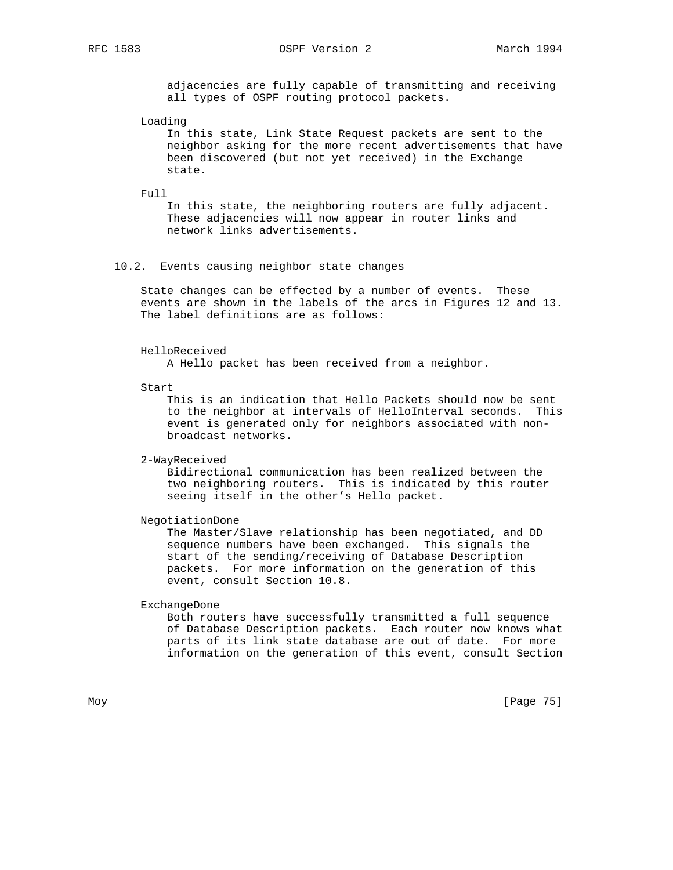RFC 1583 OSPF Version 2 March 1994

 adjacencies are fully capable of transmitting and receiving all types of OSPF routing protocol packets.

Loading

 In this state, Link State Request packets are sent to the neighbor asking for the more recent advertisements that have been discovered (but not yet received) in the Exchange state.

Full

 In this state, the neighboring routers are fully adjacent. These adjacencies will now appear in router links and network links advertisements.

## 10.2. Events causing neighbor state changes

 State changes can be effected by a number of events. These events are shown in the labels of the arcs in Figures 12 and 13. The label definitions are as follows:

### HelloReceived

A Hello packet has been received from a neighbor.

Start

 This is an indication that Hello Packets should now be sent to the neighbor at intervals of HelloInterval seconds. This event is generated only for neighbors associated with non broadcast networks.

2-WayReceived

 Bidirectional communication has been realized between the two neighboring routers. This is indicated by this router seeing itself in the other's Hello packet.

NegotiationDone

 The Master/Slave relationship has been negotiated, and DD sequence numbers have been exchanged. This signals the start of the sending/receiving of Database Description packets. For more information on the generation of this event, consult Section 10.8.

ExchangeDone

 Both routers have successfully transmitted a full sequence of Database Description packets. Each router now knows what parts of its link state database are out of date. For more information on the generation of this event, consult Section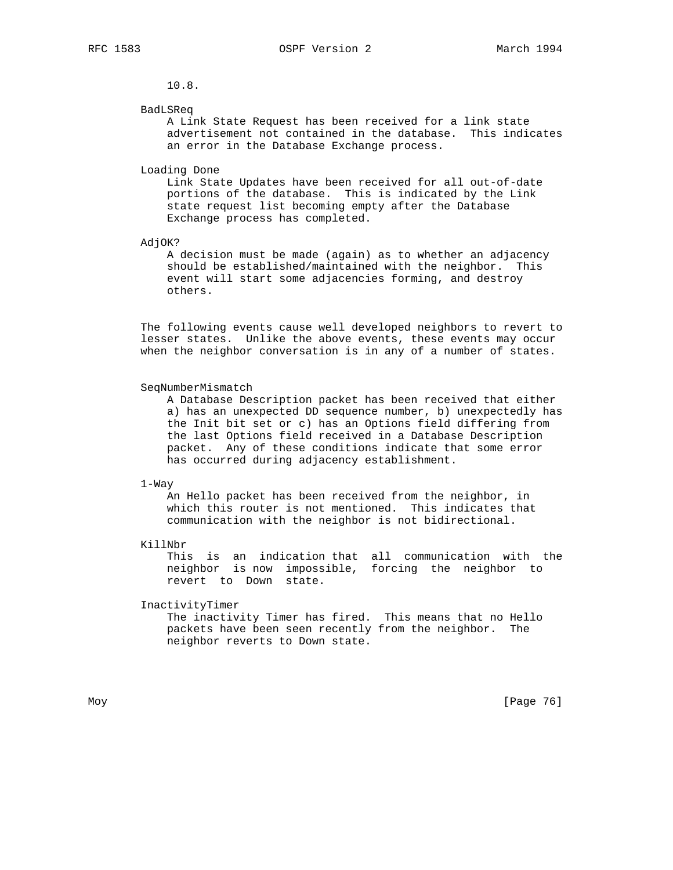10.8.

#### BadLSReq

 A Link State Request has been received for a link state advertisement not contained in the database. This indicates an error in the Database Exchange process.

#### Loading Done

 Link State Updates have been received for all out-of-date portions of the database. This is indicated by the Link state request list becoming empty after the Database Exchange process has completed.

#### AdjOK?

 A decision must be made (again) as to whether an adjacency should be established/maintained with the neighbor. This event will start some adjacencies forming, and destroy others.

 The following events cause well developed neighbors to revert to lesser states. Unlike the above events, these events may occur when the neighbor conversation is in any of a number of states.

### SeqNumberMismatch

 A Database Description packet has been received that either a) has an unexpected DD sequence number, b) unexpectedly has the Init bit set or c) has an Options field differing from the last Options field received in a Database Description packet. Any of these conditions indicate that some error has occurred during adjacency establishment.

#### 1-Way

 An Hello packet has been received from the neighbor, in which this router is not mentioned. This indicates that communication with the neighbor is not bidirectional.

#### KillNbr

 This is an indication that all communication with the neighbor is now impossible, forcing the neighbor to revert to Down state.

#### InactivityTimer

 The inactivity Timer has fired. This means that no Hello packets have been seen recently from the neighbor. The neighbor reverts to Down state.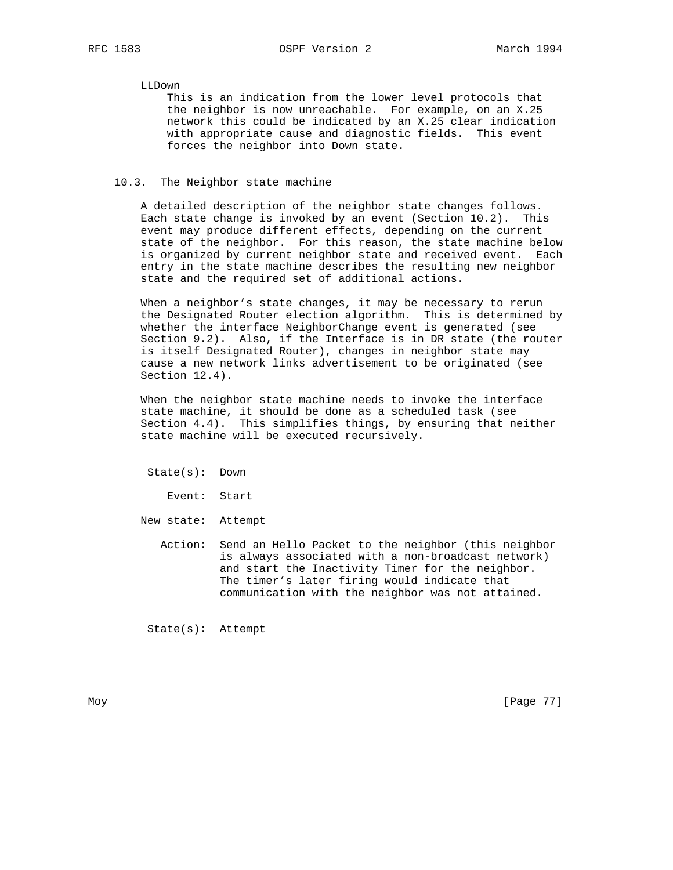### LLDown

 This is an indication from the lower level protocols that the neighbor is now unreachable. For example, on an X.25 network this could be indicated by an X.25 clear indication with appropriate cause and diagnostic fields. This event forces the neighbor into Down state.

## 10.3. The Neighbor state machine

 A detailed description of the neighbor state changes follows. Each state change is invoked by an event (Section 10.2). This event may produce different effects, depending on the current state of the neighbor. For this reason, the state machine below is organized by current neighbor state and received event. Each entry in the state machine describes the resulting new neighbor state and the required set of additional actions.

 When a neighbor's state changes, it may be necessary to rerun the Designated Router election algorithm. This is determined by whether the interface NeighborChange event is generated (see Section 9.2). Also, if the Interface is in DR state (the router is itself Designated Router), changes in neighbor state may cause a new network links advertisement to be originated (see Section 12.4).

 When the neighbor state machine needs to invoke the interface state machine, it should be done as a scheduled task (see Section 4.4). This simplifies things, by ensuring that neither state machine will be executed recursively.

State(s): Down

Event: Start

New state: Attempt

 Action: Send an Hello Packet to the neighbor (this neighbor is always associated with a non-broadcast network) and start the Inactivity Timer for the neighbor. The timer's later firing would indicate that communication with the neighbor was not attained.

State(s): Attempt

Moy [Page 77]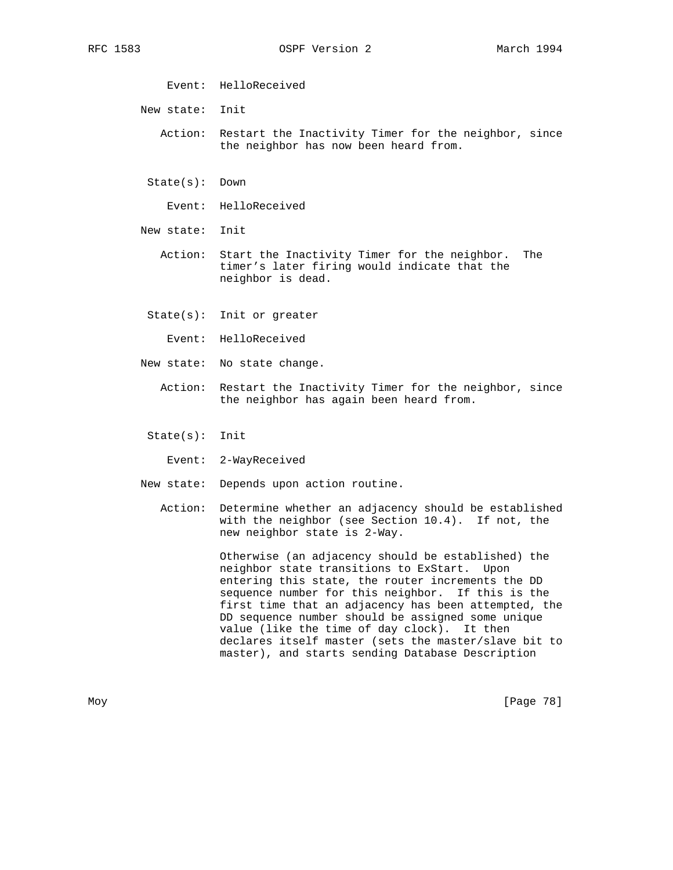Event: HelloReceived

New state: Init

 Action: Restart the Inactivity Timer for the neighbor, since the neighbor has now been heard from.

State(s): Down

Event: HelloReceived

New state: Init

 Action: Start the Inactivity Timer for the neighbor. The timer's later firing would indicate that the neighbor is dead.

- State(s): Init or greater
	- Event: HelloReceived
- New state: No state change.
	- Action: Restart the Inactivity Timer for the neighbor, since the neighbor has again been heard from.

State(s): Init

Event: 2-WayReceived

- New state: Depends upon action routine.
	- Action: Determine whether an adjacency should be established with the neighbor (see Section 10.4). If not, the new neighbor state is 2-Way.

 Otherwise (an adjacency should be established) the neighbor state transitions to ExStart. Upon entering this state, the router increments the DD sequence number for this neighbor. If this is the first time that an adjacency has been attempted, the DD sequence number should be assigned some unique value (like the time of day clock). It then declares itself master (sets the master/slave bit to master), and starts sending Database Description

Moy [Page 78]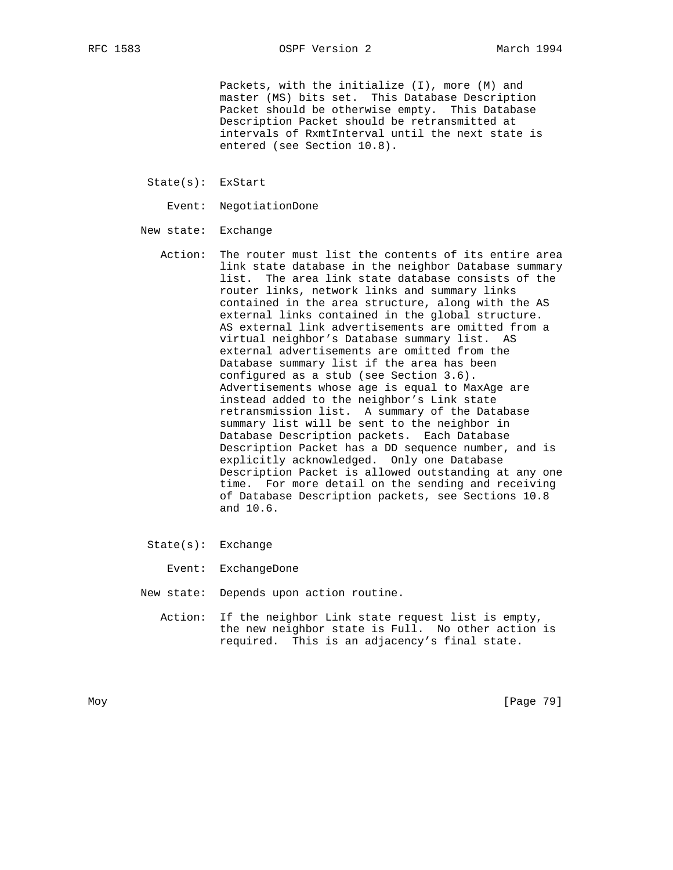Packets, with the initialize (I), more (M) and master (MS) bits set. This Database Description Packet should be otherwise empty. This Database Description Packet should be retransmitted at intervals of RxmtInterval until the next state is entered (see Section 10.8).

State(s): ExStart

Event: NegotiationDone

- New state: Exchange
	- Action: The router must list the contents of its entire area link state database in the neighbor Database summary list. The area link state database consists of the router links, network links and summary links contained in the area structure, along with the AS external links contained in the global structure. AS external link advertisements are omitted from a virtual neighbor's Database summary list. AS external advertisements are omitted from the Database summary list if the area has been configured as a stub (see Section 3.6). Advertisements whose age is equal to MaxAge are instead added to the neighbor's Link state retransmission list. A summary of the Database summary list will be sent to the neighbor in Database Description packets. Each Database Description Packet has a DD sequence number, and is explicitly acknowledged. Only one Database Description Packet is allowed outstanding at any one time. For more detail on the sending and receiving of Database Description packets, see Sections 10.8 and 10.6.
	- State(s): Exchange
		- Event: ExchangeDone
- New state: Depends upon action routine.
	- Action: If the neighbor Link state request list is empty, the new neighbor state is Full. No other action is required. This is an adjacency's final state.

Moy [Page 79]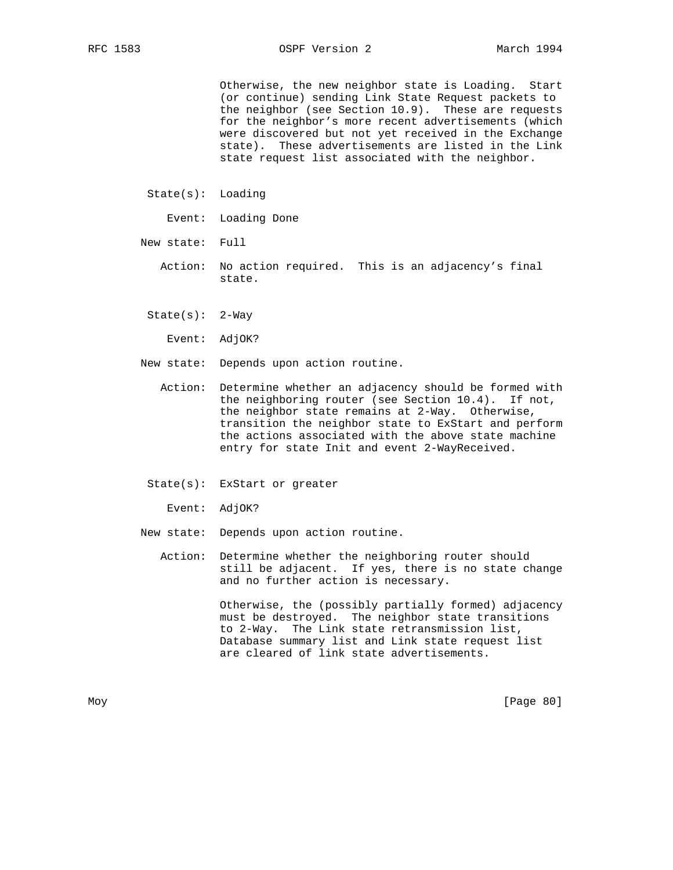RFC 1583 OSPF Version 2 March 1994

 Otherwise, the new neighbor state is Loading. Start (or continue) sending Link State Request packets to the neighbor (see Section 10.9). These are requests for the neighbor's more recent advertisements (which were discovered but not yet received in the Exchange state). These advertisements are listed in the Link state request list associated with the neighbor.

- State(s): Loading
	- Event: Loading Done
- New state: Full
	- Action: No action required. This is an adjacency's final state.
	- $State(s): 2-Way$

Event: AdjOK?

- New state: Depends upon action routine.
	- Action: Determine whether an adjacency should be formed with the neighboring router (see Section 10.4). If not, the neighbor state remains at 2-Way. Otherwise, transition the neighbor state to ExStart and perform the actions associated with the above state machine entry for state Init and event 2-WayReceived.
	- State(s): ExStart or greater

Event: AdjOK?

New state: Depends upon action routine.

 Action: Determine whether the neighboring router should still be adjacent. If yes, there is no state change and no further action is necessary.

> Otherwise, the (possibly partially formed) adjacency must be destroyed. The neighbor state transitions to 2-Way. The Link state retransmission list, Database summary list and Link state request list are cleared of link state advertisements.

Moy [Page 80]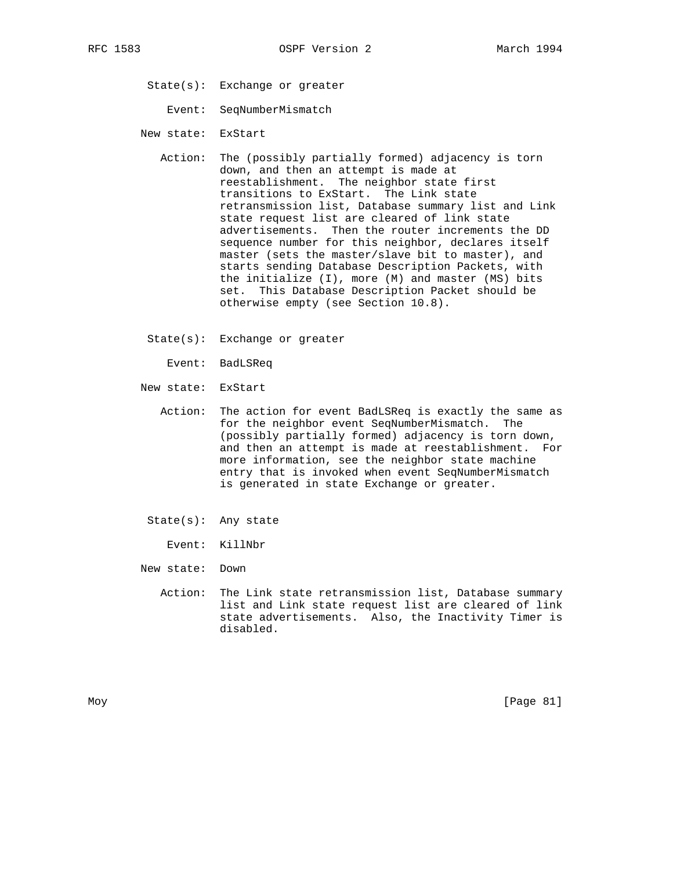- State(s): Exchange or greater
	- Event: SeqNumberMismatch
- New state: ExStart
	- Action: The (possibly partially formed) adjacency is torn down, and then an attempt is made at reestablishment. The neighbor state first transitions to ExStart. The Link state retransmission list, Database summary list and Link state request list are cleared of link state advertisements. Then the router increments the DD sequence number for this neighbor, declares itself master (sets the master/slave bit to master), and starts sending Database Description Packets, with the initialize (I), more (M) and master (MS) bits set. This Database Description Packet should be otherwise empty (see Section 10.8).
	- State(s): Exchange or greater
		- Event: BadLSReq
- New state: ExStart
	- Action: The action for event BadLSReq is exactly the same as for the neighbor event SeqNumberMismatch. The (possibly partially formed) adjacency is torn down, and then an attempt is made at reestablishment. For more information, see the neighbor state machine entry that is invoked when event SeqNumberMismatch is generated in state Exchange or greater.
- State(s): Any state

Event: KillNbr

- New state: Down
	- Action: The Link state retransmission list, Database summary list and Link state request list are cleared of link state advertisements. Also, the Inactivity Timer is disabled.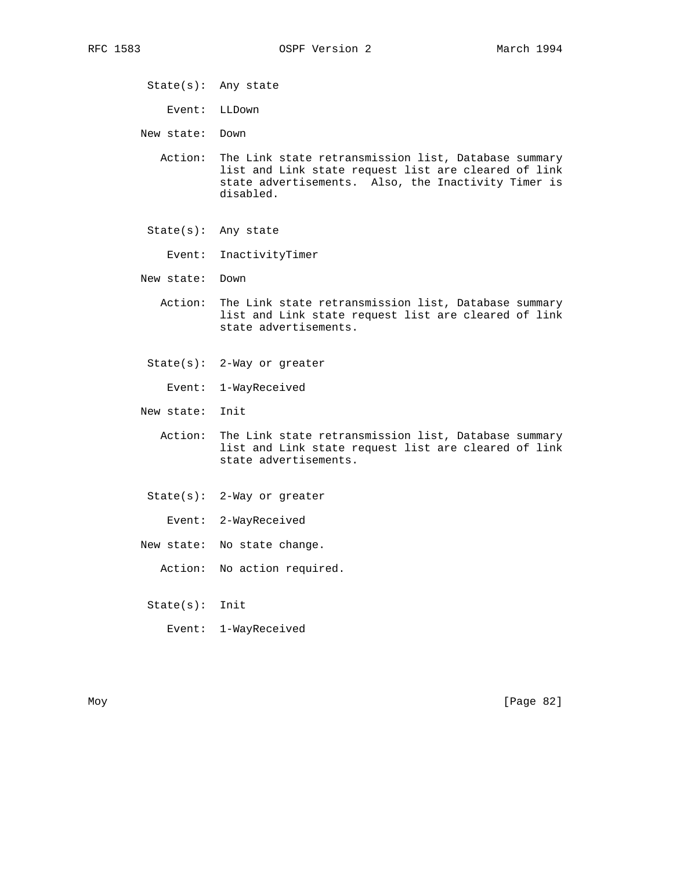State(s): Any state

Event: LLDown

New state: Down

- Action: The Link state retransmission list, Database summary list and Link state request list are cleared of link state advertisements. Also, the Inactivity Timer is disabled.
- State(s): Any state
	- Event: InactivityTimer
- New state: Down
	- Action: The Link state retransmission list, Database summary list and Link state request list are cleared of link state advertisements.
	- State(s): 2-Way or greater
		- Event: 1-WayReceived
- New state: Init
	- Action: The Link state retransmission list, Database summary list and Link state request list are cleared of link state advertisements.
	- State(s): 2-Way or greater
		- Event: 2-WayReceived
- New state: No state change.
	- Action: No action required.
	- State(s): Init
		- Event: 1-WayReceived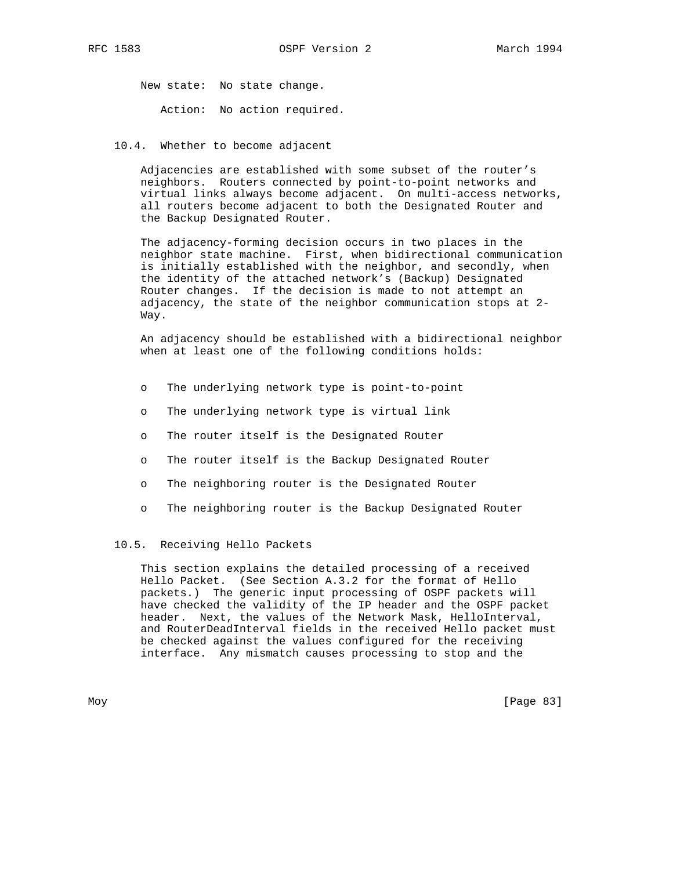New state: No state change.

Action: No action required.

10.4. Whether to become adjacent

 Adjacencies are established with some subset of the router's neighbors. Routers connected by point-to-point networks and virtual links always become adjacent. On multi-access networks, all routers become adjacent to both the Designated Router and the Backup Designated Router.

 The adjacency-forming decision occurs in two places in the neighbor state machine. First, when bidirectional communication is initially established with the neighbor, and secondly, when the identity of the attached network's (Backup) Designated Router changes. If the decision is made to not attempt an adjacency, the state of the neighbor communication stops at 2- Way.

 An adjacency should be established with a bidirectional neighbor when at least one of the following conditions holds:

- o The underlying network type is point-to-point
- o The underlying network type is virtual link
- o The router itself is the Designated Router
- o The router itself is the Backup Designated Router
- o The neighboring router is the Designated Router
- o The neighboring router is the Backup Designated Router

### 10.5. Receiving Hello Packets

 This section explains the detailed processing of a received Hello Packet. (See Section A.3.2 for the format of Hello packets.) The generic input processing of OSPF packets will have checked the validity of the IP header and the OSPF packet header. Next, the values of the Network Mask, HelloInterval, and RouterDeadInterval fields in the received Hello packet must be checked against the values configured for the receiving interface. Any mismatch causes processing to stop and the

Moy [Page 83]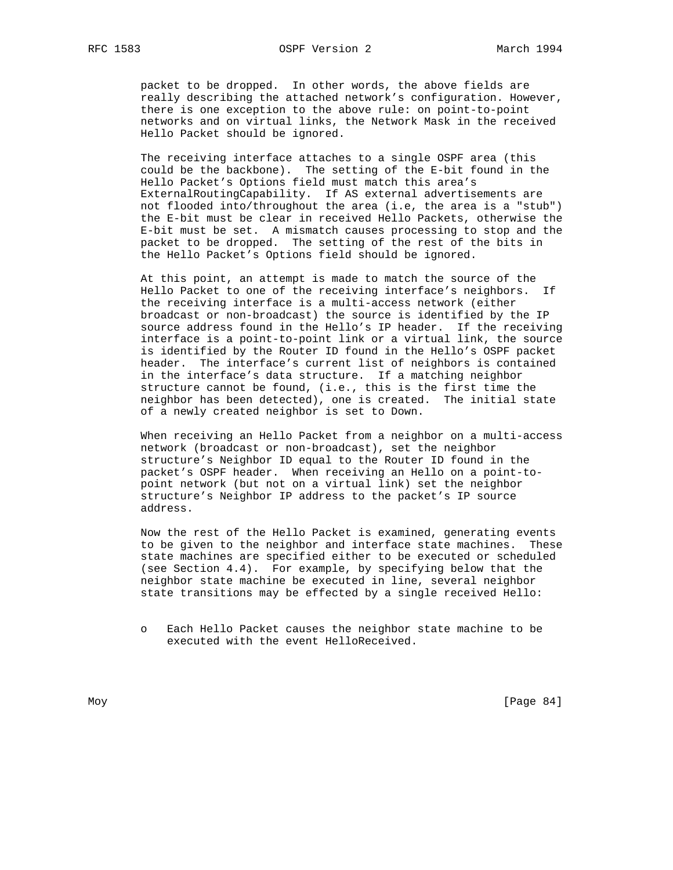packet to be dropped. In other words, the above fields are really describing the attached network's configuration. However, there is one exception to the above rule: on point-to-point networks and on virtual links, the Network Mask in the received Hello Packet should be ignored.

 The receiving interface attaches to a single OSPF area (this could be the backbone). The setting of the E-bit found in the Hello Packet's Options field must match this area's ExternalRoutingCapability. If AS external advertisements are not flooded into/throughout the area (i.e, the area is a "stub") the E-bit must be clear in received Hello Packets, otherwise the E-bit must be set. A mismatch causes processing to stop and the packet to be dropped. The setting of the rest of the bits in the Hello Packet's Options field should be ignored.

 At this point, an attempt is made to match the source of the Hello Packet to one of the receiving interface's neighbors. If the receiving interface is a multi-access network (either broadcast or non-broadcast) the source is identified by the IP source address found in the Hello's IP header. If the receiving interface is a point-to-point link or a virtual link, the source is identified by the Router ID found in the Hello's OSPF packet header. The interface's current list of neighbors is contained in the interface's data structure. If a matching neighbor structure cannot be found, (i.e., this is the first time the neighbor has been detected), one is created. The initial state of a newly created neighbor is set to Down.

 When receiving an Hello Packet from a neighbor on a multi-access network (broadcast or non-broadcast), set the neighbor structure's Neighbor ID equal to the Router ID found in the packet's OSPF header. When receiving an Hello on a point-to point network (but not on a virtual link) set the neighbor structure's Neighbor IP address to the packet's IP source address.

 Now the rest of the Hello Packet is examined, generating events to be given to the neighbor and interface state machines. These state machines are specified either to be executed or scheduled (see Section 4.4). For example, by specifying below that the neighbor state machine be executed in line, several neighbor state transitions may be effected by a single received Hello:

o Each Hello Packet causes the neighbor state machine to be executed with the event HelloReceived.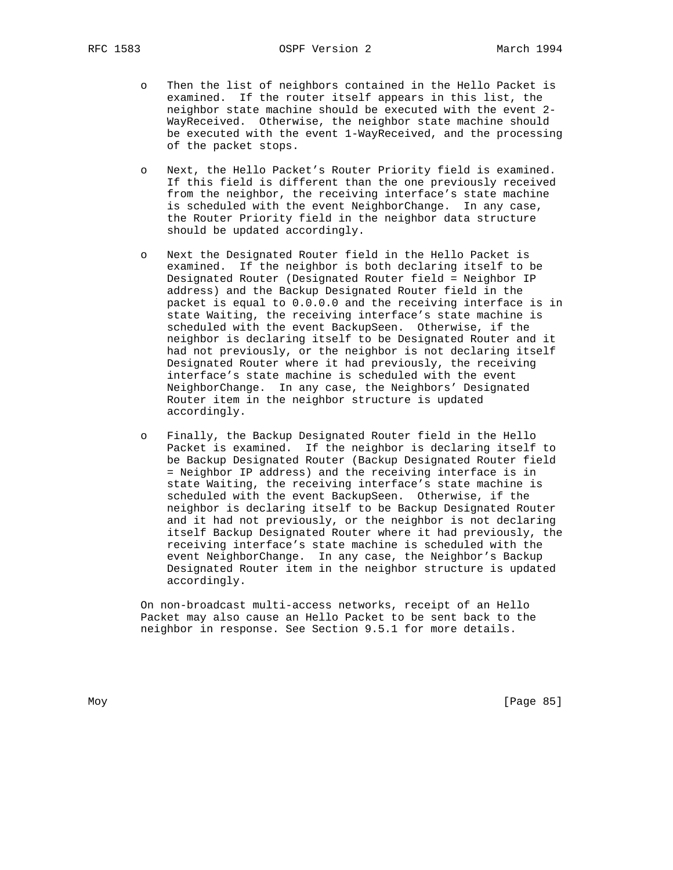- o Then the list of neighbors contained in the Hello Packet is examined. If the router itself appears in this list, the neighbor state machine should be executed with the event 2- WayReceived. Otherwise, the neighbor state machine should be executed with the event 1-WayReceived, and the processing of the packet stops.
- Next, the Hello Packet's Router Priority field is examined. If this field is different than the one previously received from the neighbor, the receiving interface's state machine is scheduled with the event NeighborChange. In any case, the Router Priority field in the neighbor data structure should be updated accordingly.
- o Next the Designated Router field in the Hello Packet is examined. If the neighbor is both declaring itself to be Designated Router (Designated Router field = Neighbor IP address) and the Backup Designated Router field in the packet is equal to 0.0.0.0 and the receiving interface is in state Waiting, the receiving interface's state machine is scheduled with the event BackupSeen. Otherwise, if the neighbor is declaring itself to be Designated Router and it had not previously, or the neighbor is not declaring itself Designated Router where it had previously, the receiving interface's state machine is scheduled with the event NeighborChange. In any case, the Neighbors' Designated Router item in the neighbor structure is updated accordingly.
- o Finally, the Backup Designated Router field in the Hello Packet is examined. If the neighbor is declaring itself to be Backup Designated Router (Backup Designated Router field = Neighbor IP address) and the receiving interface is in state Waiting, the receiving interface's state machine is scheduled with the event BackupSeen. Otherwise, if the neighbor is declaring itself to be Backup Designated Router and it had not previously, or the neighbor is not declaring itself Backup Designated Router where it had previously, the receiving interface's state machine is scheduled with the event NeighborChange. In any case, the Neighbor's Backup Designated Router item in the neighbor structure is updated accordingly.

 On non-broadcast multi-access networks, receipt of an Hello Packet may also cause an Hello Packet to be sent back to the neighbor in response. See Section 9.5.1 for more details.

Moy [Page 85]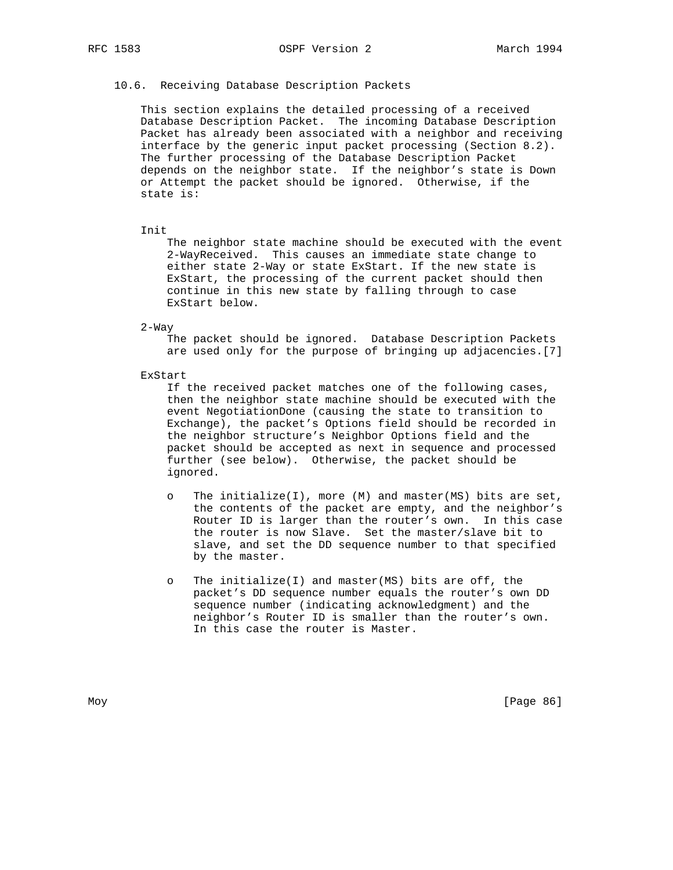# 10.6. Receiving Database Description Packets

 This section explains the detailed processing of a received Database Description Packet. The incoming Database Description Packet has already been associated with a neighbor and receiving interface by the generic input packet processing (Section 8.2). The further processing of the Database Description Packet depends on the neighbor state. If the neighbor's state is Down or Attempt the packet should be ignored. Otherwise, if the state is:

### Init

 The neighbor state machine should be executed with the event 2-WayReceived. This causes an immediate state change to either state 2-Way or state ExStart. If the new state is ExStart, the processing of the current packet should then continue in this new state by falling through to case ExStart below.

2-Way

 The packet should be ignored. Database Description Packets are used only for the purpose of bringing up adjacencies.[7]

#### ExStart

 If the received packet matches one of the following cases, then the neighbor state machine should be executed with the event NegotiationDone (causing the state to transition to Exchange), the packet's Options field should be recorded in the neighbor structure's Neighbor Options field and the packet should be accepted as next in sequence and processed further (see below). Otherwise, the packet should be ignored.

- o The initialize(I), more (M) and master(MS) bits are set, the contents of the packet are empty, and the neighbor's Router ID is larger than the router's own. In this case the router is now Slave. Set the master/slave bit to slave, and set the DD sequence number to that specified by the master.
- o The initialize(I) and master(MS) bits are off, the packet's DD sequence number equals the router's own DD sequence number (indicating acknowledgment) and the neighbor's Router ID is smaller than the router's own. In this case the router is Master.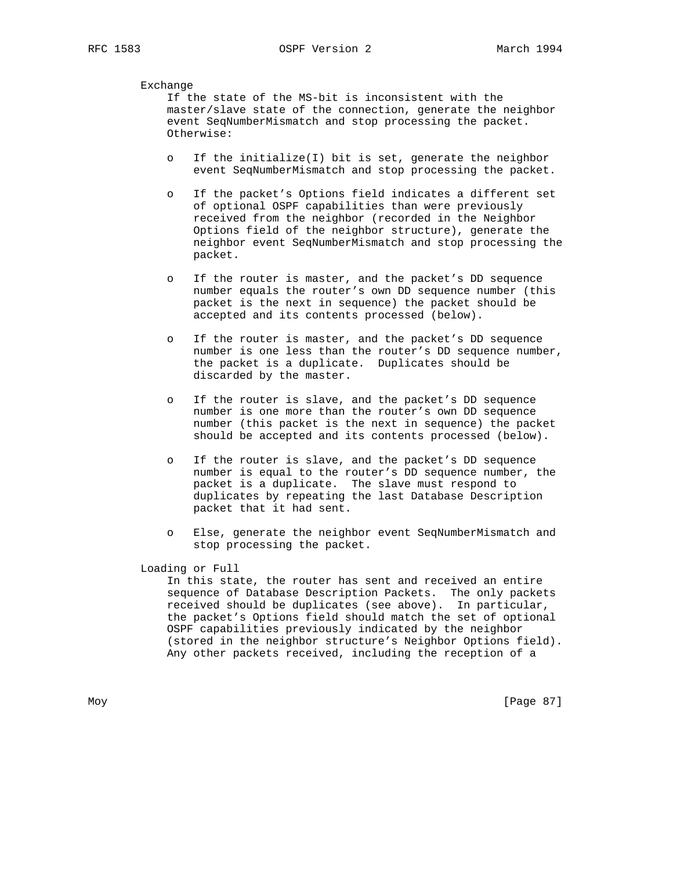Exchange

 If the state of the MS-bit is inconsistent with the master/slave state of the connection, generate the neighbor event SeqNumberMismatch and stop processing the packet. Otherwise:

- o If the initialize(I) bit is set, generate the neighbor event SeqNumberMismatch and stop processing the packet.
- o If the packet's Options field indicates a different set of optional OSPF capabilities than were previously received from the neighbor (recorded in the Neighbor Options field of the neighbor structure), generate the neighbor event SeqNumberMismatch and stop processing the packet.
- o If the router is master, and the packet's DD sequence number equals the router's own DD sequence number (this packet is the next in sequence) the packet should be accepted and its contents processed (below).
- o If the router is master, and the packet's DD sequence number is one less than the router's DD sequence number, the packet is a duplicate. Duplicates should be discarded by the master.
- If the router is slave, and the packet's DD sequence number is one more than the router's own DD sequence number (this packet is the next in sequence) the packet should be accepted and its contents processed (below).
- If the router is slave, and the packet's DD sequence number is equal to the router's DD sequence number, the packet is a duplicate. The slave must respond to duplicates by repeating the last Database Description packet that it had sent.
- o Else, generate the neighbor event SeqNumberMismatch and stop processing the packet.

Loading or Full

 In this state, the router has sent and received an entire sequence of Database Description Packets. The only packets received should be duplicates (see above). In particular, the packet's Options field should match the set of optional OSPF capabilities previously indicated by the neighbor (stored in the neighbor structure's Neighbor Options field). Any other packets received, including the reception of a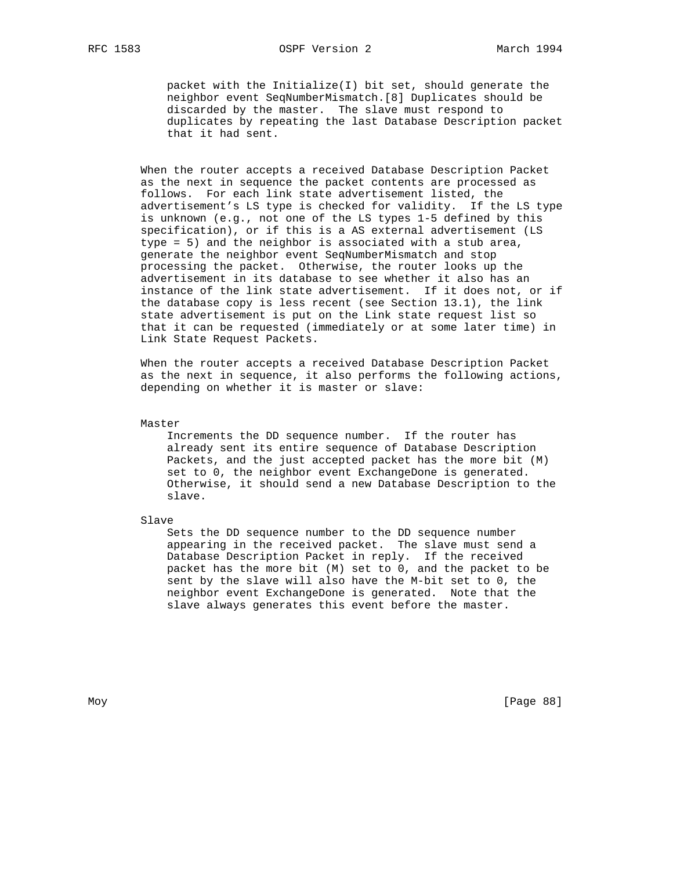packet with the Initialize(I) bit set, should generate the neighbor event SeqNumberMismatch.[8] Duplicates should be discarded by the master. The slave must respond to duplicates by repeating the last Database Description packet that it had sent.

 When the router accepts a received Database Description Packet as the next in sequence the packet contents are processed as follows. For each link state advertisement listed, the advertisement's LS type is checked for validity. If the LS type is unknown (e.g., not one of the LS types 1-5 defined by this specification), or if this is a AS external advertisement (LS type = 5) and the neighbor is associated with a stub area, generate the neighbor event SeqNumberMismatch and stop processing the packet. Otherwise, the router looks up the advertisement in its database to see whether it also has an instance of the link state advertisement. If it does not, or if the database copy is less recent (see Section 13.1), the link state advertisement is put on the Link state request list so that it can be requested (immediately or at some later time) in Link State Request Packets.

 When the router accepts a received Database Description Packet as the next in sequence, it also performs the following actions, depending on whether it is master or slave:

Master

 Increments the DD sequence number. If the router has already sent its entire sequence of Database Description Packets, and the just accepted packet has the more bit (M) set to 0, the neighbor event ExchangeDone is generated. Otherwise, it should send a new Database Description to the slave.

Slave

 Sets the DD sequence number to the DD sequence number appearing in the received packet. The slave must send a Database Description Packet in reply. If the received packet has the more bit (M) set to 0, and the packet to be sent by the slave will also have the M-bit set to 0, the neighbor event ExchangeDone is generated. Note that the slave always generates this event before the master.

Moy [Page 88]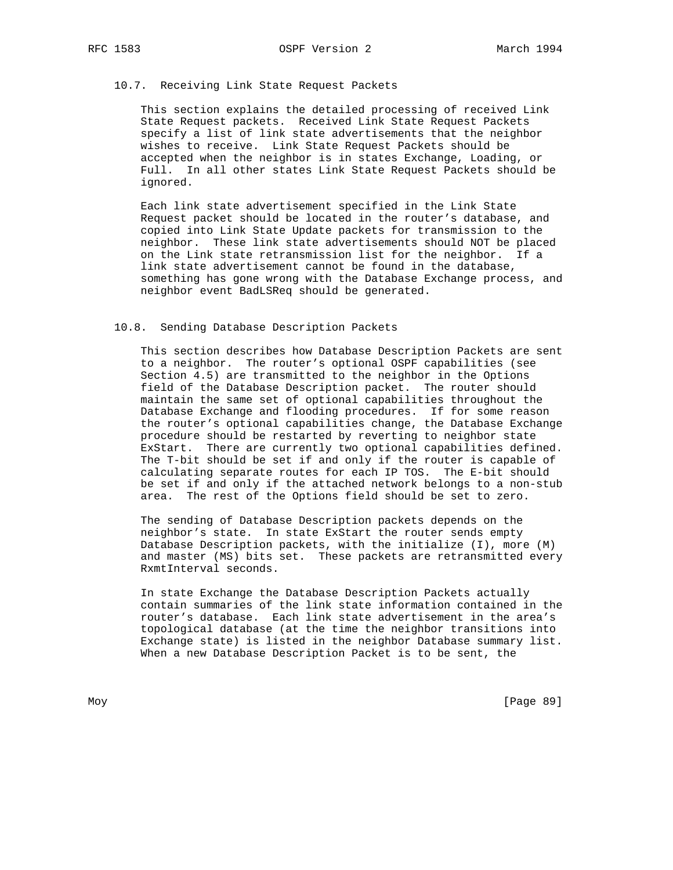## 10.7. Receiving Link State Request Packets

 This section explains the detailed processing of received Link State Request packets. Received Link State Request Packets specify a list of link state advertisements that the neighbor wishes to receive. Link State Request Packets should be accepted when the neighbor is in states Exchange, Loading, or Full. In all other states Link State Request Packets should be ignored.

 Each link state advertisement specified in the Link State Request packet should be located in the router's database, and copied into Link State Update packets for transmission to the neighbor. These link state advertisements should NOT be placed on the Link state retransmission list for the neighbor. If a link state advertisement cannot be found in the database, something has gone wrong with the Database Exchange process, and neighbor event BadLSReq should be generated.

### 10.8. Sending Database Description Packets

 This section describes how Database Description Packets are sent to a neighbor. The router's optional OSPF capabilities (see Section 4.5) are transmitted to the neighbor in the Options field of the Database Description packet. The router should maintain the same set of optional capabilities throughout the Database Exchange and flooding procedures. If for some reason the router's optional capabilities change, the Database Exchange procedure should be restarted by reverting to neighbor state ExStart. There are currently two optional capabilities defined. The T-bit should be set if and only if the router is capable of calculating separate routes for each IP TOS. The E-bit should be set if and only if the attached network belongs to a non-stub area. The rest of the Options field should be set to zero.

 The sending of Database Description packets depends on the neighbor's state. In state ExStart the router sends empty Database Description packets, with the initialize (I), more (M) and master (MS) bits set. These packets are retransmitted every RxmtInterval seconds.

 In state Exchange the Database Description Packets actually contain summaries of the link state information contained in the router's database. Each link state advertisement in the area's topological database (at the time the neighbor transitions into Exchange state) is listed in the neighbor Database summary list. When a new Database Description Packet is to be sent, the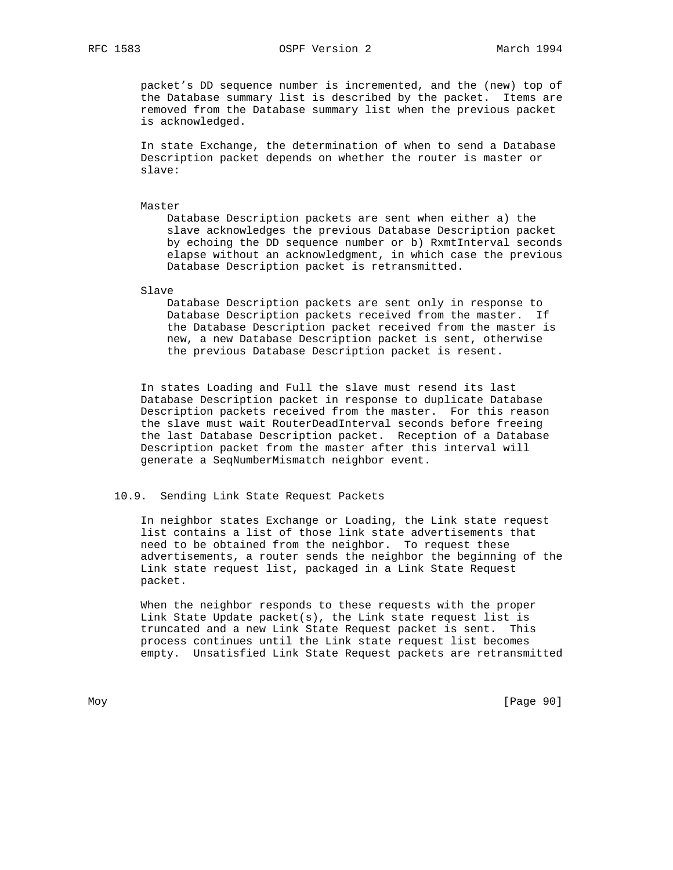### RFC 1583 OSPF Version 2 March 1994

 packet's DD sequence number is incremented, and the (new) top of the Database summary list is described by the packet. Items are removed from the Database summary list when the previous packet is acknowledged.

 In state Exchange, the determination of when to send a Database Description packet depends on whether the router is master or slave:

Master

 Database Description packets are sent when either a) the slave acknowledges the previous Database Description packet by echoing the DD sequence number or b) RxmtInterval seconds elapse without an acknowledgment, in which case the previous Database Description packet is retransmitted.

Slave

 Database Description packets are sent only in response to Database Description packets received from the master. If the Database Description packet received from the master is new, a new Database Description packet is sent, otherwise the previous Database Description packet is resent.

 In states Loading and Full the slave must resend its last Database Description packet in response to duplicate Database Description packets received from the master. For this reason the slave must wait RouterDeadInterval seconds before freeing the last Database Description packet. Reception of a Database Description packet from the master after this interval will generate a SeqNumberMismatch neighbor event.

## 10.9. Sending Link State Request Packets

 In neighbor states Exchange or Loading, the Link state request list contains a list of those link state advertisements that need to be obtained from the neighbor. To request these advertisements, a router sends the neighbor the beginning of the Link state request list, packaged in a Link State Request packet.

 When the neighbor responds to these requests with the proper Link State Update packet(s), the Link state request list is truncated and a new Link State Request packet is sent. This process continues until the Link state request list becomes empty. Unsatisfied Link State Request packets are retransmitted

Moy [Page 90]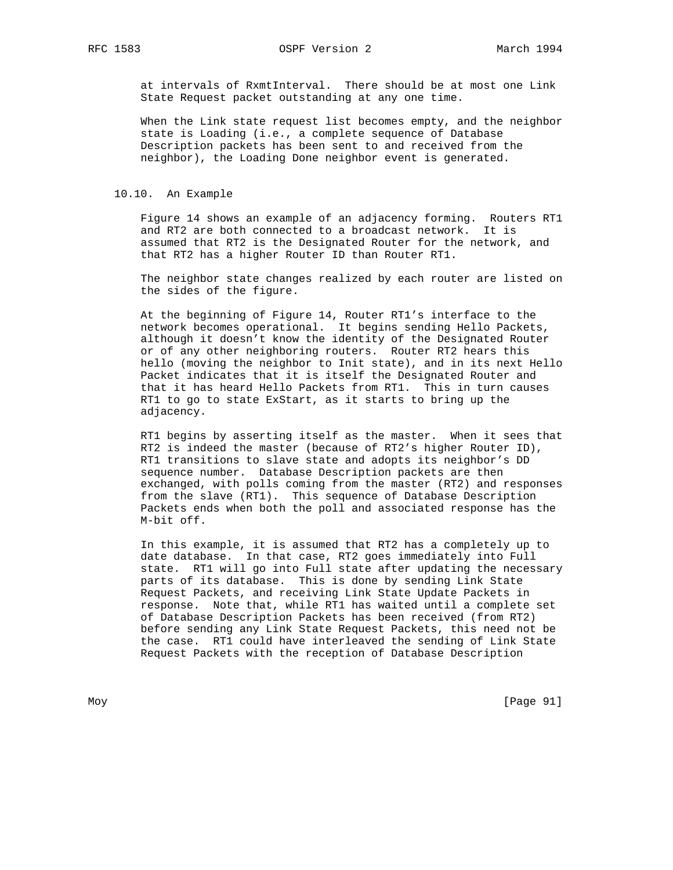RFC 1583 OSPF Version 2 March 1994

 at intervals of RxmtInterval. There should be at most one Link State Request packet outstanding at any one time.

 When the Link state request list becomes empty, and the neighbor state is Loading (i.e., a complete sequence of Database Description packets has been sent to and received from the neighbor), the Loading Done neighbor event is generated.

### 10.10. An Example

 Figure 14 shows an example of an adjacency forming. Routers RT1 and RT2 are both connected to a broadcast network. It is assumed that RT2 is the Designated Router for the network, and that RT2 has a higher Router ID than Router RT1.

 The neighbor state changes realized by each router are listed on the sides of the figure.

 At the beginning of Figure 14, Router RT1's interface to the network becomes operational. It begins sending Hello Packets, although it doesn't know the identity of the Designated Router or of any other neighboring routers. Router RT2 hears this hello (moving the neighbor to Init state), and in its next Hello Packet indicates that it is itself the Designated Router and that it has heard Hello Packets from RT1. This in turn causes RT1 to go to state ExStart, as it starts to bring up the adjacency.

 RT1 begins by asserting itself as the master. When it sees that RT2 is indeed the master (because of RT2's higher Router ID), RT1 transitions to slave state and adopts its neighbor's DD sequence number. Database Description packets are then exchanged, with polls coming from the master (RT2) and responses from the slave (RT1). This sequence of Database Description Packets ends when both the poll and associated response has the M-bit off.

 In this example, it is assumed that RT2 has a completely up to date database. In that case, RT2 goes immediately into Full state. RT1 will go into Full state after updating the necessary parts of its database. This is done by sending Link State Request Packets, and receiving Link State Update Packets in response. Note that, while RT1 has waited until a complete set of Database Description Packets has been received (from RT2) before sending any Link State Request Packets, this need not be the case. RT1 could have interleaved the sending of Link State Request Packets with the reception of Database Description

Moy [Page 91]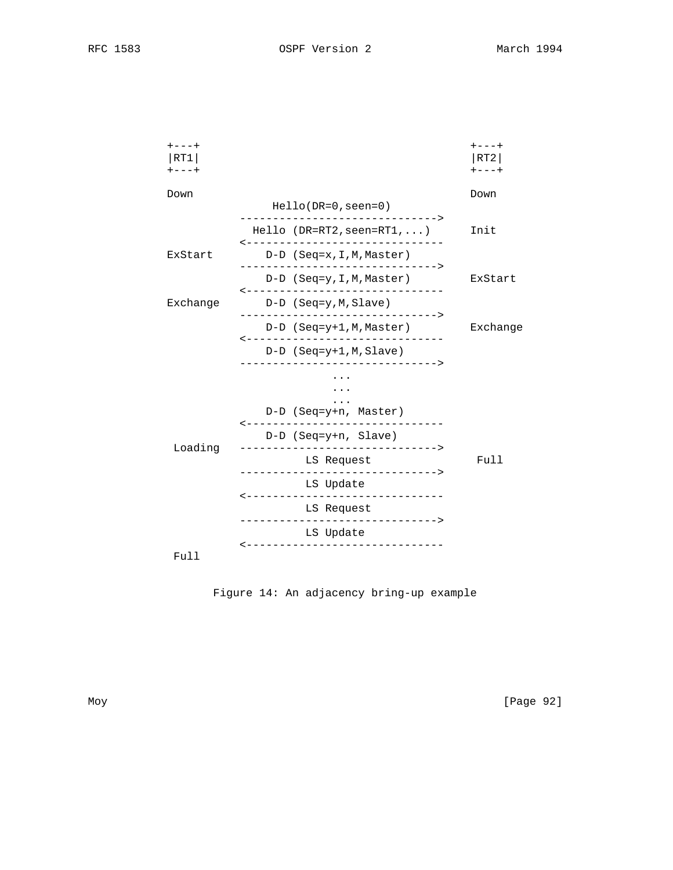| $+ - - - +$<br>RT1<br>$+ - - - +$ |          |                     |                         |                                                                                                 | $- - - +$<br>RT2<br>$+ - - - +$ |
|-----------------------------------|----------|---------------------|-------------------------|-------------------------------------------------------------------------------------------------|---------------------------------|
| Down                              |          |                     | $Hello(DR=0,seen=0)$    |                                                                                                 | Down                            |
|                                   |          |                     |                         | $Hello (DR=RT2,seen=RT1, )$<br>-------------------------------                                  | Init                            |
|                                   | ExStart  |                     |                         | D-D (Seq=x, I, M, Master)                                                                       |                                 |
|                                   |          |                     |                         | ------------------------------><br>D-D (Seq=y, I, M, Master)<br>------------------------------- | ExStart                         |
|                                   | Exchange |                     | $D-D$ (Seq=y, M, Slave) |                                                                                                 |                                 |
|                                   |          |                     |                         | D-D (Seq=y+1,M,Master)                                                                          | Exchange                        |
|                                   |          |                     |                         | -------------------------------<br>$D-D$ (Seq=y+1, M, Slave)                                    |                                 |
|                                   |          |                     |                         |                                                                                                 |                                 |
|                                   |          |                     |                         | D-D (Seq=y+n, Master)<br>-------------------------------                                        |                                 |
|                                   | Loading  |                     | D-D (Seq=y+n, Slave)    |                                                                                                 |                                 |
|                                   |          |                     | LS Request              | -------------------------------->                                                               | Full                            |
|                                   |          | $- - - - - - - - -$ | LS Update               | ----------------------                                                                          |                                 |
|                                   |          |                     | LS Request              | --------------------------------                                                                |                                 |
|                                   |          |                     | LS Update               | ------------------------                                                                        |                                 |
|                                   | Full     |                     |                         |                                                                                                 |                                 |

Figure 14: An adjacency bring-up example

Moy [Page 92]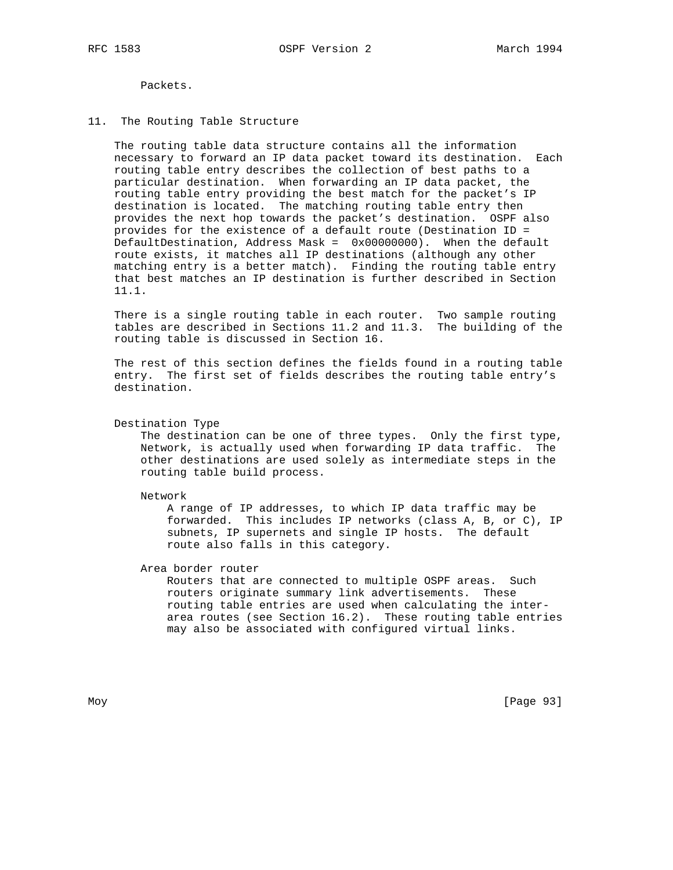Packets.

# 11. The Routing Table Structure

 The routing table data structure contains all the information necessary to forward an IP data packet toward its destination. Each routing table entry describes the collection of best paths to a particular destination. When forwarding an IP data packet, the routing table entry providing the best match for the packet's IP destination is located. The matching routing table entry then provides the next hop towards the packet's destination. OSPF also provides for the existence of a default route (Destination ID = DefaultDestination, Address Mask = 0x00000000). When the default route exists, it matches all IP destinations (although any other matching entry is a better match). Finding the routing table entry that best matches an IP destination is further described in Section 11.1.

 There is a single routing table in each router. Two sample routing tables are described in Sections 11.2 and 11.3. The building of the routing table is discussed in Section 16.

 The rest of this section defines the fields found in a routing table entry. The first set of fields describes the routing table entry's destination.

Destination Type

 The destination can be one of three types. Only the first type, Network, is actually used when forwarding IP data traffic. The other destinations are used solely as intermediate steps in the routing table build process.

Network

 A range of IP addresses, to which IP data traffic may be forwarded. This includes IP networks (class A, B, or C), IP subnets, IP supernets and single IP hosts. The default route also falls in this category.

Area border router

 Routers that are connected to multiple OSPF areas. Such routers originate summary link advertisements. These routing table entries are used when calculating the inter area routes (see Section 16.2). These routing table entries may also be associated with configured virtual links.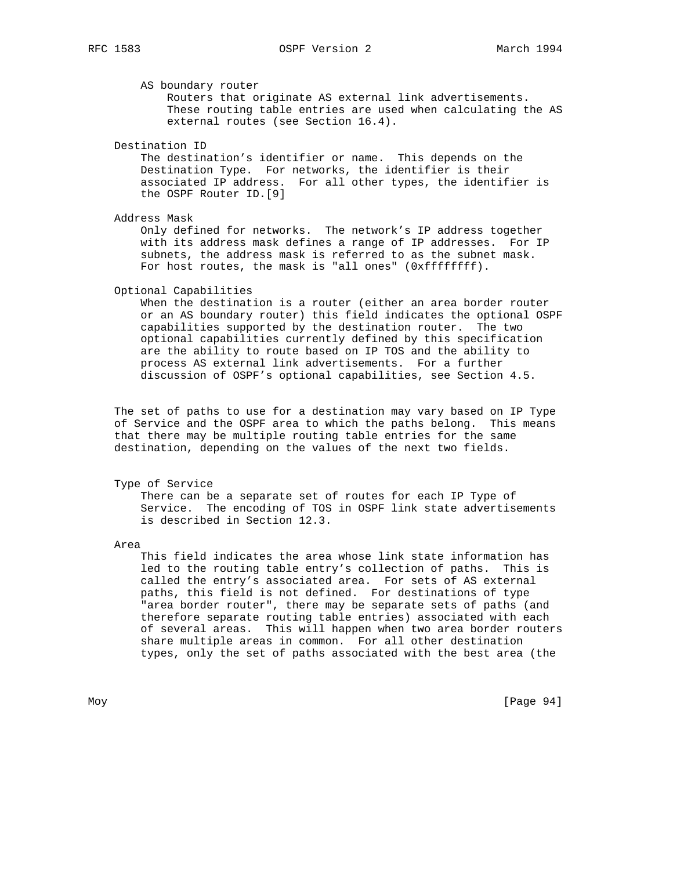AS boundary router

 Routers that originate AS external link advertisements. These routing table entries are used when calculating the AS external routes (see Section 16.4).

Destination ID

 The destination's identifier or name. This depends on the Destination Type. For networks, the identifier is their associated IP address. For all other types, the identifier is the OSPF Router ID.[9]

Address Mask

 Only defined for networks. The network's IP address together with its address mask defines a range of IP addresses. For IP subnets, the address mask is referred to as the subnet mask. For host routes, the mask is "all ones" (0xffffffff).

Optional Capabilities

 When the destination is a router (either an area border router or an AS boundary router) this field indicates the optional OSPF capabilities supported by the destination router. The two optional capabilities currently defined by this specification are the ability to route based on IP TOS and the ability to process AS external link advertisements. For a further discussion of OSPF's optional capabilities, see Section 4.5.

 The set of paths to use for a destination may vary based on IP Type of Service and the OSPF area to which the paths belong. This means that there may be multiple routing table entries for the same destination, depending on the values of the next two fields.

## Type of Service

 There can be a separate set of routes for each IP Type of Service. The encoding of TOS in OSPF link state advertisements is described in Section 12.3.

Area

 This field indicates the area whose link state information has led to the routing table entry's collection of paths. This is called the entry's associated area. For sets of AS external paths, this field is not defined. For destinations of type "area border router", there may be separate sets of paths (and therefore separate routing table entries) associated with each of several areas. This will happen when two area border routers share multiple areas in common. For all other destination types, only the set of paths associated with the best area (the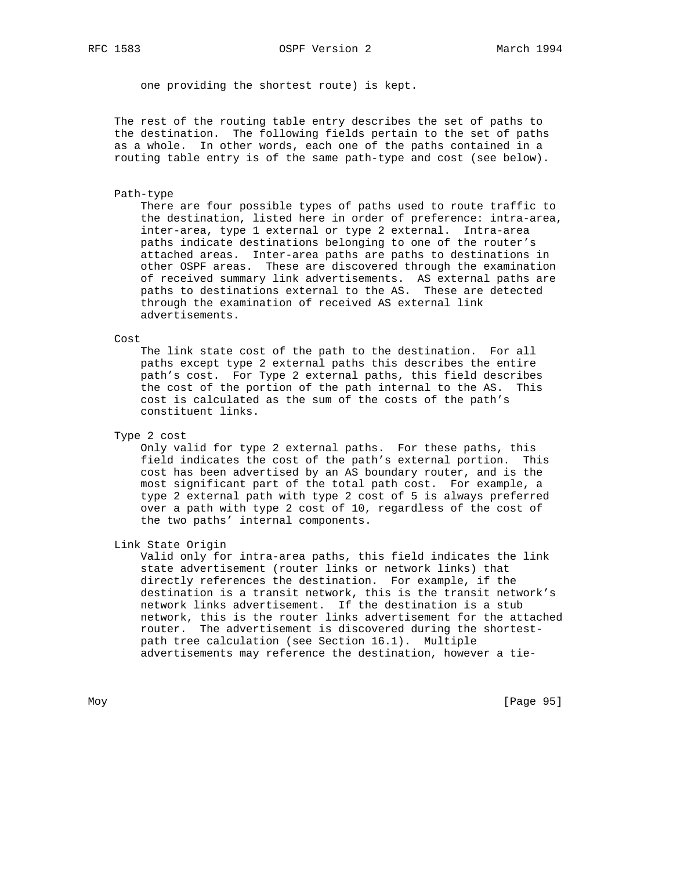one providing the shortest route) is kept.

 The rest of the routing table entry describes the set of paths to the destination. The following fields pertain to the set of paths as a whole. In other words, each one of the paths contained in a routing table entry is of the same path-type and cost (see below).

#### Path-type

 There are four possible types of paths used to route traffic to the destination, listed here in order of preference: intra-area, inter-area, type 1 external or type 2 external. Intra-area paths indicate destinations belonging to one of the router's attached areas. Inter-area paths are paths to destinations in other OSPF areas. These are discovered through the examination of received summary link advertisements. AS external paths are paths to destinations external to the AS. These are detected through the examination of received AS external link advertisements.

### Cost

 The link state cost of the path to the destination. For all paths except type 2 external paths this describes the entire path's cost. For Type 2 external paths, this field describes the cost of the portion of the path internal to the AS. This cost is calculated as the sum of the costs of the path's constituent links.

Type 2 cost

 Only valid for type 2 external paths. For these paths, this field indicates the cost of the path's external portion. This cost has been advertised by an AS boundary router, and is the most significant part of the total path cost. For example, a type 2 external path with type 2 cost of 5 is always preferred over a path with type 2 cost of 10, regardless of the cost of the two paths' internal components.

Link State Origin

 Valid only for intra-area paths, this field indicates the link state advertisement (router links or network links) that directly references the destination. For example, if the destination is a transit network, this is the transit network's network links advertisement. If the destination is a stub network, this is the router links advertisement for the attached router. The advertisement is discovered during the shortest path tree calculation (see Section 16.1). Multiple advertisements may reference the destination, however a tie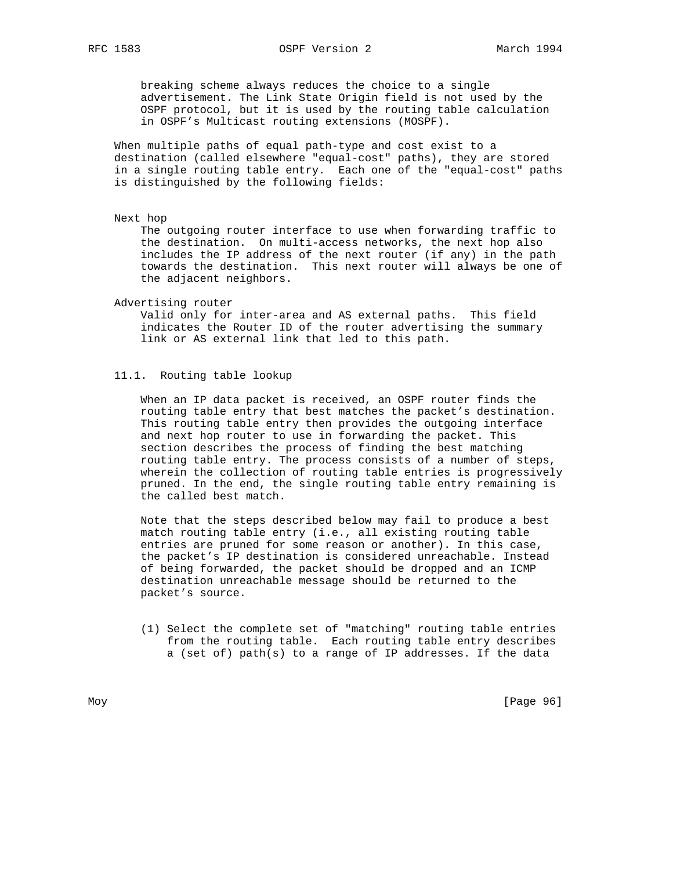breaking scheme always reduces the choice to a single advertisement. The Link State Origin field is not used by the OSPF protocol, but it is used by the routing table calculation in OSPF's Multicast routing extensions (MOSPF).

 When multiple paths of equal path-type and cost exist to a destination (called elsewhere "equal-cost" paths), they are stored in a single routing table entry. Each one of the "equal-cost" paths is distinguished by the following fields:

Next hop

 The outgoing router interface to use when forwarding traffic to the destination. On multi-access networks, the next hop also includes the IP address of the next router (if any) in the path towards the destination. This next router will always be one of the adjacent neighbors.

### Advertising router

 Valid only for inter-area and AS external paths. This field indicates the Router ID of the router advertising the summary link or AS external link that led to this path.

### 11.1. Routing table lookup

 When an IP data packet is received, an OSPF router finds the routing table entry that best matches the packet's destination. This routing table entry then provides the outgoing interface and next hop router to use in forwarding the packet. This section describes the process of finding the best matching routing table entry. The process consists of a number of steps, wherein the collection of routing table entries is progressively pruned. In the end, the single routing table entry remaining is the called best match.

 Note that the steps described below may fail to produce a best match routing table entry (i.e., all existing routing table entries are pruned for some reason or another). In this case, the packet's IP destination is considered unreachable. Instead of being forwarded, the packet should be dropped and an ICMP destination unreachable message should be returned to the packet's source.

 (1) Select the complete set of "matching" routing table entries from the routing table. Each routing table entry describes a (set of) path(s) to a range of IP addresses. If the data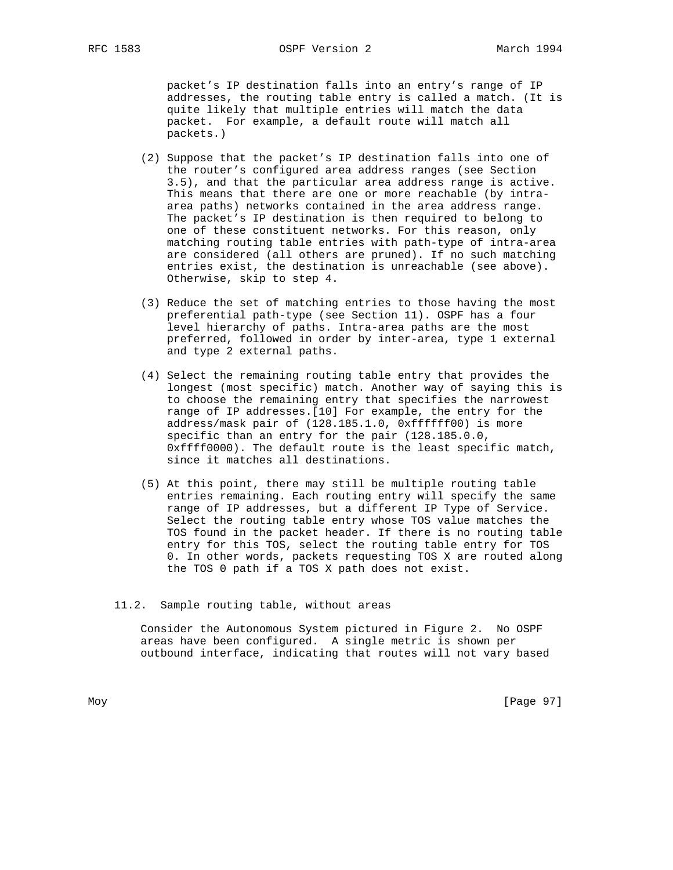packet's IP destination falls into an entry's range of IP addresses, the routing table entry is called a match. (It is quite likely that multiple entries will match the data packet. For example, a default route will match all packets.)

- (2) Suppose that the packet's IP destination falls into one of the router's configured area address ranges (see Section 3.5), and that the particular area address range is active. This means that there are one or more reachable (by intra area paths) networks contained in the area address range. The packet's IP destination is then required to belong to one of these constituent networks. For this reason, only matching routing table entries with path-type of intra-area are considered (all others are pruned). If no such matching entries exist, the destination is unreachable (see above). Otherwise, skip to step 4.
- (3) Reduce the set of matching entries to those having the most preferential path-type (see Section 11). OSPF has a four level hierarchy of paths. Intra-area paths are the most preferred, followed in order by inter-area, type 1 external and type 2 external paths.
- (4) Select the remaining routing table entry that provides the longest (most specific) match. Another way of saying this is to choose the remaining entry that specifies the narrowest range of IP addresses.[10] For example, the entry for the address/mask pair of (128.185.1.0, 0xffffff00) is more specific than an entry for the pair (128.185.0.0, 0xffff0000). The default route is the least specific match, since it matches all destinations.
- (5) At this point, there may still be multiple routing table entries remaining. Each routing entry will specify the same range of IP addresses, but a different IP Type of Service. Select the routing table entry whose TOS value matches the TOS found in the packet header. If there is no routing table entry for this TOS, select the routing table entry for TOS 0. In other words, packets requesting TOS X are routed along the TOS 0 path if a TOS X path does not exist.

### 11.2. Sample routing table, without areas

 Consider the Autonomous System pictured in Figure 2. No OSPF areas have been configured. A single metric is shown per outbound interface, indicating that routes will not vary based

Moy [Page 97]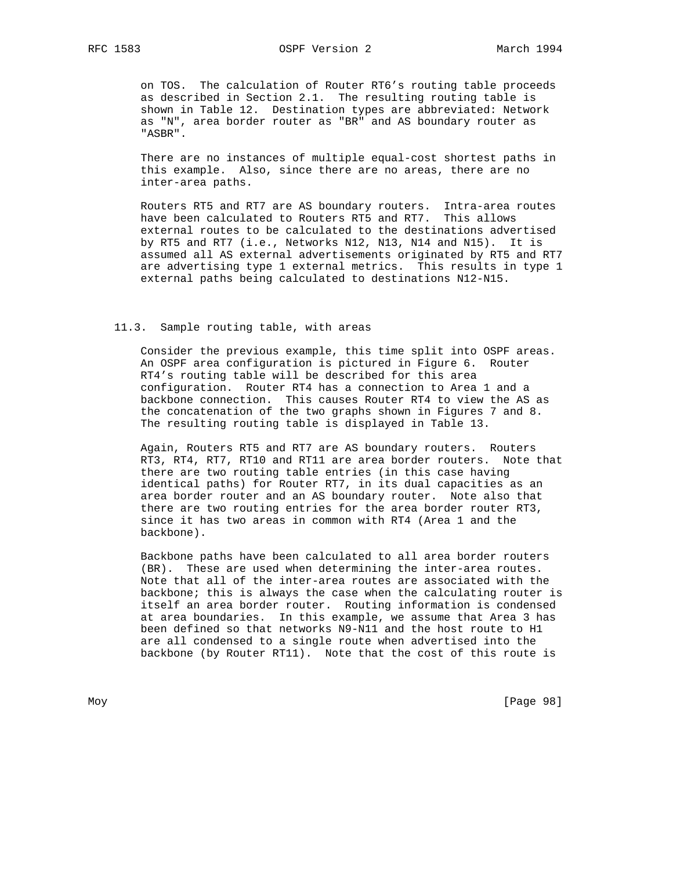on TOS. The calculation of Router RT6's routing table proceeds as described in Section 2.1. The resulting routing table is shown in Table 12. Destination types are abbreviated: Network as "N", area border router as "BR" and AS boundary router as "ASBR".

 There are no instances of multiple equal-cost shortest paths in this example. Also, since there are no areas, there are no inter-area paths.

 Routers RT5 and RT7 are AS boundary routers. Intra-area routes have been calculated to Routers RT5 and RT7. This allows external routes to be calculated to the destinations advertised by RT5 and RT7 (i.e., Networks N12, N13, N14 and N15). It is assumed all AS external advertisements originated by RT5 and RT7 are advertising type 1 external metrics. This results in type 1 external paths being calculated to destinations N12-N15.

## 11.3. Sample routing table, with areas

 Consider the previous example, this time split into OSPF areas. An OSPF area configuration is pictured in Figure 6. Router RT4's routing table will be described for this area configuration. Router RT4 has a connection to Area 1 and a backbone connection. This causes Router RT4 to view the AS as the concatenation of the two graphs shown in Figures 7 and 8. The resulting routing table is displayed in Table 13.

 Again, Routers RT5 and RT7 are AS boundary routers. Routers RT3, RT4, RT7, RT10 and RT11 are area border routers. Note that there are two routing table entries (in this case having identical paths) for Router RT7, in its dual capacities as an area border router and an AS boundary router. Note also that there are two routing entries for the area border router RT3, since it has two areas in common with RT4 (Area 1 and the backbone).

 Backbone paths have been calculated to all area border routers (BR). These are used when determining the inter-area routes. Note that all of the inter-area routes are associated with the backbone; this is always the case when the calculating router is itself an area border router. Routing information is condensed at area boundaries. In this example, we assume that Area 3 has been defined so that networks N9-N11 and the host route to H1 are all condensed to a single route when advertised into the backbone (by Router RT11). Note that the cost of this route is

Moy [Page 98]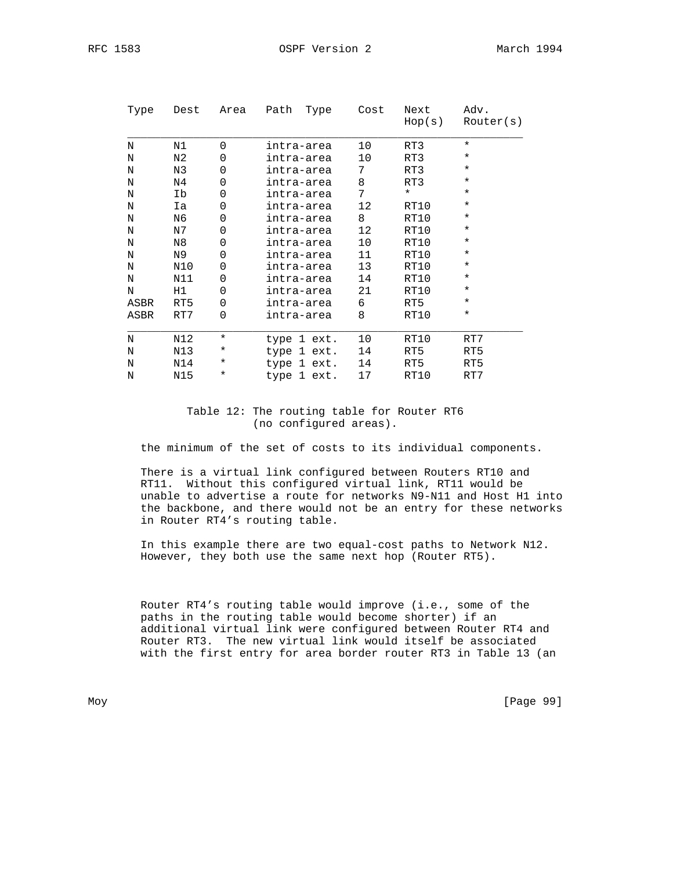| Type | Dest | Area        | Path<br>Type | Cost            | Next<br>Hop(s) | Adv.<br>Router(s) |
|------|------|-------------|--------------|-----------------|----------------|-------------------|
| N    | N1   | $\Omega$    | intra-area   | 10              | RT3            | $^\star$          |
| N    | N2   | $\Omega$    | intra-area   | 10              | RT3            | $^\star$          |
| N    | N3   | $\mathbf 0$ | intra-area   | 7               | RT3            | $^\star$          |
| N    | N4   | $\mathbf 0$ | intra-area   | 8               | RT3            | $^\star$          |
| N    | Ib   | $\mathbf 0$ | intra-area   | 7               | $^\star$       | $\star$           |
| Ν    | Ia   | 0           | intra-area   | 12 <sup>°</sup> | RT10           | $\star$           |
| N    | N6   | $\Omega$    | intra-area   | 8               | RT10           | $\star$           |
| N    | N7   | $\mathbf 0$ | intra-area   | 12 <sup>°</sup> | RT10           | $^\star$          |
| N    | N8   | 0           | intra-area   | 10              | RT10           | $^\star$          |
| N    | N9   | $\Omega$    | intra-area   | 11              | RT10           | $^\star$          |
| N    | N10  | 0           | intra-area   | 13              | RT10           | $\star$           |
| N    | N11  | $\Omega$    | intra-area   | 14              | RT10           | $^\star$          |
| N    | H1   | $\mathbf 0$ | intra-area   | 21              | RT10           | $^\star$          |
| ASBR | RT5  | $\Omega$    | intra-area   | 6               | RT5            | $^\star$          |
| ASBR | RT7  | $\Omega$    | intra-area   | 8               | RT10           | $\star$           |
| N    | N12  | $\star$     | type 1 ext.  | 10              | RT10           | RT7               |
| Ν    | N13  | $^\star$    | type 1 ext.  | 14              | RT5            | RT5               |
| N    | N14  | $^\star$    | type 1 ext.  | 14              | RT5            | RT5               |
| N    | N15  | $^\star$    | type 1 ext.  | 17              | RT10           | RT7               |

# Table 12: The routing table for Router RT6 (no configured areas).

the minimum of the set of costs to its individual components.

 There is a virtual link configured between Routers RT10 and RT11. Without this configured virtual link, RT11 would be unable to advertise a route for networks N9-N11 and Host H1 into the backbone, and there would not be an entry for these networks in Router RT4's routing table.

 In this example there are two equal-cost paths to Network N12. However, they both use the same next hop (Router RT5).

 Router RT4's routing table would improve (i.e., some of the paths in the routing table would become shorter) if an additional virtual link were configured between Router RT4 and Router RT3. The new virtual link would itself be associated with the first entry for area border router RT3 in Table 13 (an

Moy [Page 99]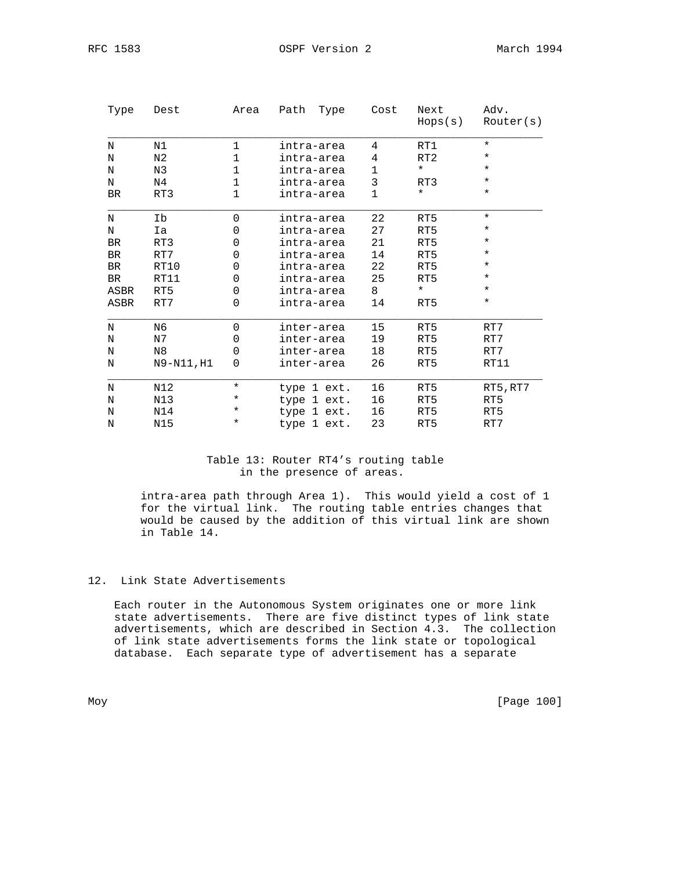RFC 1583 OSPF Version 2 March 1994

| Type      | Dest           | Area         | Path<br>Type | Cost         | Next<br>Hops(s) | Adv.<br>Router(s) |
|-----------|----------------|--------------|--------------|--------------|-----------------|-------------------|
| N         | N1             | $\mathbf 1$  | intra-area   | 4            | RT1             | $\star$           |
| N         | N2             | 1            | intra-area   | 4            | RT2             | $\star$           |
| N         | N3             | $\mathbf 1$  | intra-area   | 1            | $^\star$        | $\star$           |
| N         | N4             | 1            | intra-area   | 3            | RT3             | $\ast$            |
| <b>BR</b> | RT3            | $\mathbf{1}$ | intra-area   | $\mathbf{1}$ | $\star$         | $\star$           |
| N         | Ib             | 0            | intra-area   | 22           | RT5             | $\star$           |
| N         | Ia             | 0            | intra-area   | 27           | RT5             | $\star$           |
| <b>BR</b> | RT3            | 0            | intra-area   | 21           | RT5             | $\ast$            |
| <b>BR</b> | RT7            | 0            | intra-area   | 14           | RT5             | $^\star$          |
| BR        | RT10           | 0            | intra-area   | 22           | RT5             | $^\star$          |
| BR        | RT11           | 0            | intra-area   | 25           | RT5             | ¥                 |
| ASBR      | RT5            | 0            | intra-area   | 8            | $^\star$        | $\star$           |
| ASBR      | RT7            | 0            | intra-area   | 14           | RT5             | $\star$           |
| N         | N <sub>6</sub> | 0            | inter-area   | 15           | RT5             | RT7               |
| N         | N7             | 0            | inter-area   | 19           | RT5             | RT7               |
| N         | N <sub>8</sub> | 0            | inter-area   | 18           | RT5             | RT7               |
| N         | N9-N11, H1     | 0            | inter-area   | 26           | RT5             | RT11              |
| N         | N12            | $\star$      | type 1 ext.  | 16           | RT5             | RT5, RT7          |
| N         | N13            | *            | type 1 ext.  | 16           | RT5             | RT5               |
| N         | N14            | *            | type 1 ext.  | 16           | RT5             | RT5               |
| N         | N15            | $^\star$     | type 1 ext.  | 23           | RT5             | RT7               |

# Table 13: Router RT4's routing table in the presence of areas.

 intra-area path through Area 1). This would yield a cost of 1 for the virtual link. The routing table entries changes that would be caused by the addition of this virtual link are shown in Table 14.

# 12. Link State Advertisements

 Each router in the Autonomous System originates one or more link state advertisements. There are five distinct types of link state advertisements, which are described in Section 4.3. The collection of link state advertisements forms the link state or topological database. Each separate type of advertisement has a separate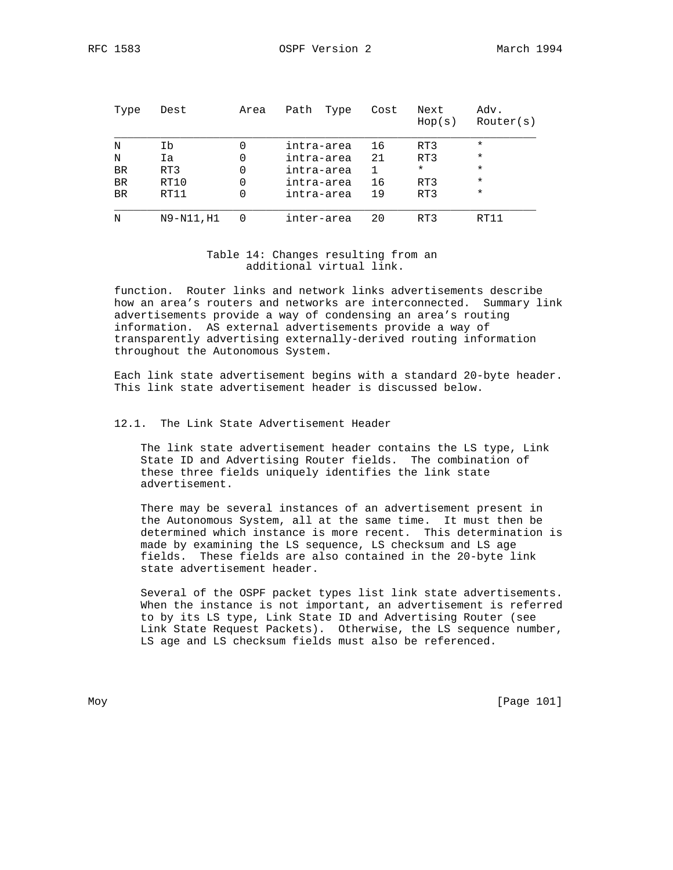| Type      | Dest       | Area | Path<br>Type | Cost | Next<br>Hop(s) | Adv.<br>Router(s) |
|-----------|------------|------|--------------|------|----------------|-------------------|
| N         | Ib         | 0    | intra-area   | 16   | RT3            | $\star$           |
| N         | Ia         |      | intra-area   | 21   | RT3            | $\star$           |
| <b>BR</b> | RT3        | 0    | intra-area   |      | $\star$        | $\star$           |
| BR        | RT10       | 0    | intra-area   | 16   | RT3            | $\star$           |
| BR        | RT11       | 0    | intra-area   | 19   | RT3            | $\star$           |
| N         | N9-N11, H1 |      | inter-area   | 20   | RT3            | RT11              |

# Table 14: Changes resulting from an additional virtual link.

 function. Router links and network links advertisements describe how an area's routers and networks are interconnected. Summary link advertisements provide a way of condensing an area's routing information. AS external advertisements provide a way of transparently advertising externally-derived routing information throughout the Autonomous System.

 Each link state advertisement begins with a standard 20-byte header. This link state advertisement header is discussed below.

## 12.1. The Link State Advertisement Header

 The link state advertisement header contains the LS type, Link State ID and Advertising Router fields. The combination of these three fields uniquely identifies the link state advertisement.

 There may be several instances of an advertisement present in the Autonomous System, all at the same time. It must then be determined which instance is more recent. This determination is made by examining the LS sequence, LS checksum and LS age fields. These fields are also contained in the 20-byte link state advertisement header.

 Several of the OSPF packet types list link state advertisements. When the instance is not important, an advertisement is referred to by its LS type, Link State ID and Advertising Router (see Link State Request Packets). Otherwise, the LS sequence number, LS age and LS checksum fields must also be referenced.

Moy [Page 101]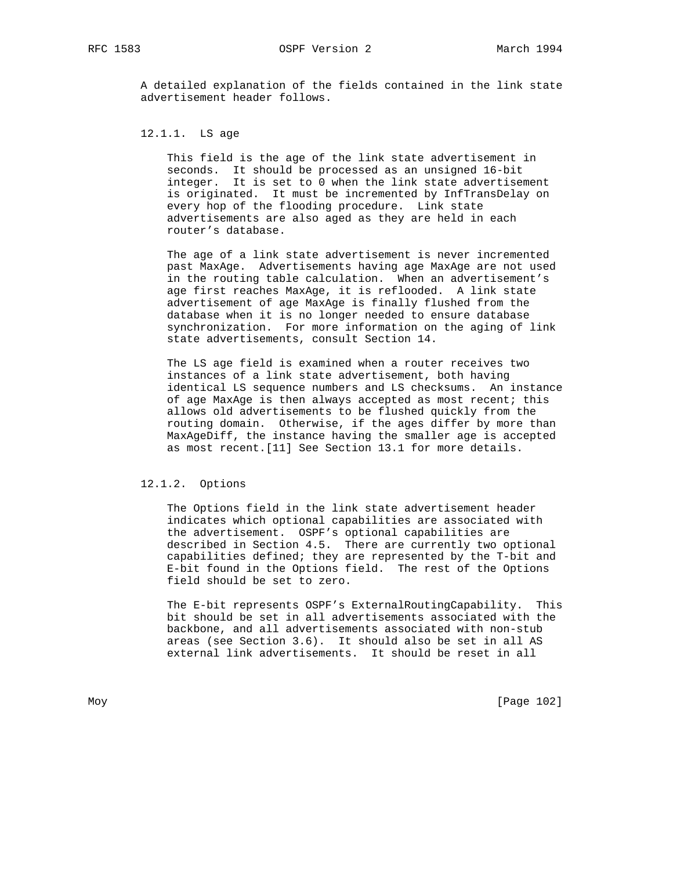A detailed explanation of the fields contained in the link state advertisement header follows.

## 12.1.1. LS age

 This field is the age of the link state advertisement in seconds. It should be processed as an unsigned 16-bit integer. It is set to 0 when the link state advertisement is originated. It must be incremented by InfTransDelay on every hop of the flooding procedure. Link state advertisements are also aged as they are held in each router's database.

 The age of a link state advertisement is never incremented past MaxAge. Advertisements having age MaxAge are not used in the routing table calculation. When an advertisement's age first reaches MaxAge, it is reflooded. A link state advertisement of age MaxAge is finally flushed from the database when it is no longer needed to ensure database synchronization. For more information on the aging of link state advertisements, consult Section 14.

 The LS age field is examined when a router receives two instances of a link state advertisement, both having identical LS sequence numbers and LS checksums. An instance of age MaxAge is then always accepted as most recent; this allows old advertisements to be flushed quickly from the routing domain. Otherwise, if the ages differ by more than MaxAgeDiff, the instance having the smaller age is accepted as most recent.[11] See Section 13.1 for more details.

## 12.1.2. Options

 The Options field in the link state advertisement header indicates which optional capabilities are associated with the advertisement. OSPF's optional capabilities are described in Section 4.5. There are currently two optional capabilities defined; they are represented by the T-bit and E-bit found in the Options field. The rest of the Options field should be set to zero.

 The E-bit represents OSPF's ExternalRoutingCapability. This bit should be set in all advertisements associated with the backbone, and all advertisements associated with non-stub areas (see Section 3.6). It should also be set in all AS external link advertisements. It should be reset in all

Moy [Page 102]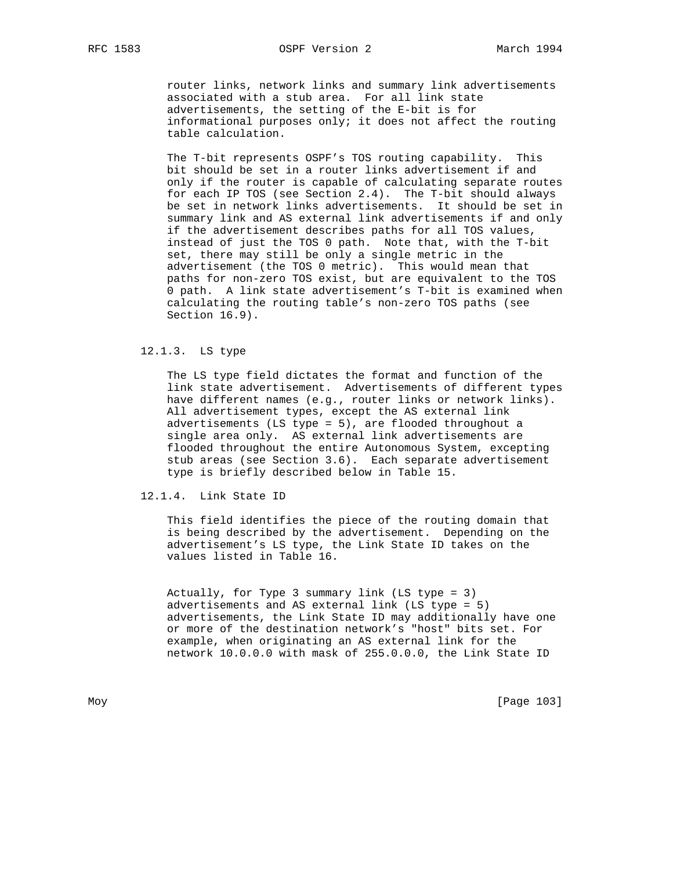router links, network links and summary link advertisements associated with a stub area. For all link state advertisements, the setting of the E-bit is for informational purposes only; it does not affect the routing table calculation.

 The T-bit represents OSPF's TOS routing capability. This bit should be set in a router links advertisement if and only if the router is capable of calculating separate routes for each IP TOS (see Section 2.4). The T-bit should always be set in network links advertisements. It should be set in summary link and AS external link advertisements if and only if the advertisement describes paths for all TOS values, instead of just the TOS 0 path. Note that, with the T-bit set, there may still be only a single metric in the advertisement (the TOS 0 metric). This would mean that paths for non-zero TOS exist, but are equivalent to the TOS 0 path. A link state advertisement's T-bit is examined when calculating the routing table's non-zero TOS paths (see Section 16.9).

## 12.1.3. LS type

 The LS type field dictates the format and function of the link state advertisement. Advertisements of different types have different names (e.g., router links or network links). All advertisement types, except the AS external link advertisements (LS type = 5), are flooded throughout a single area only. AS external link advertisements are flooded throughout the entire Autonomous System, excepting stub areas (see Section 3.6). Each separate advertisement type is briefly described below in Table 15.

## 12.1.4. Link State ID

 This field identifies the piece of the routing domain that is being described by the advertisement. Depending on the advertisement's LS type, the Link State ID takes on the values listed in Table 16.

 Actually, for Type 3 summary link (LS type = 3) advertisements and AS external link (LS type = 5) advertisements, the Link State ID may additionally have one or more of the destination network's "host" bits set. For example, when originating an AS external link for the network 10.0.0.0 with mask of 255.0.0.0, the Link State ID

Moy [Page 103]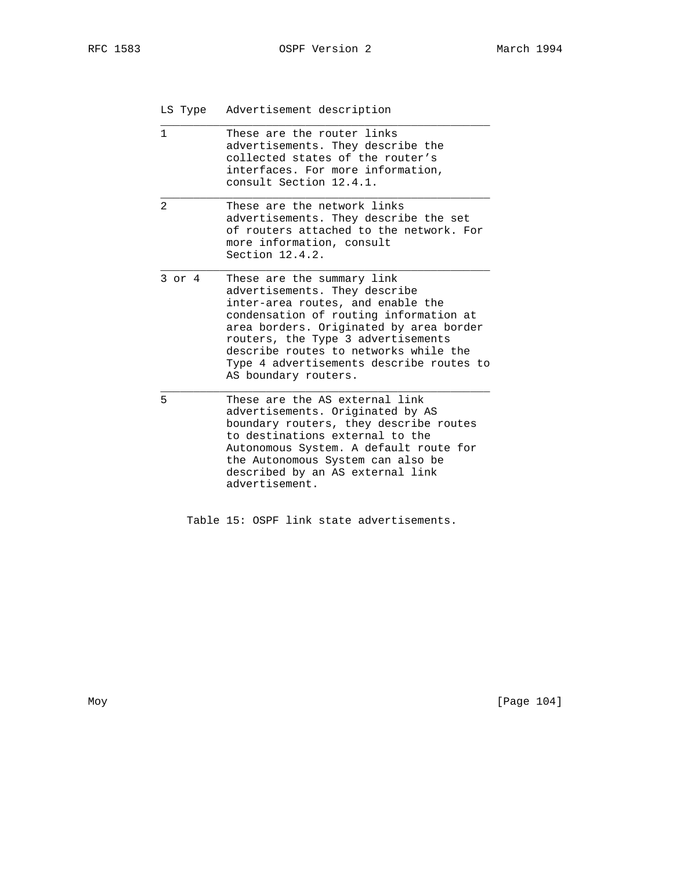LS Type Advertisement description

| These are the router links<br>1<br>advertisements. They describe the<br>collected states of the router's<br>interfaces. For more information,<br>consult Section 12.4.1.<br>$\mathfrak{D}$<br>These are the network links<br>advertisements. They describe the set<br>of routers attached to the network. For<br>more information, consult<br>Section 12.4.2.<br>$3$ or $4$<br>These are the summary link<br>advertisements. They describe<br>inter-area routes, and enable the<br>condensation of routing information at<br>area borders. Originated by area border<br>routers, the Type 3 advertisements<br>describe routes to networks while the<br>Type 4 advertisements describe routes to<br>AS boundary routers.<br>5<br>These are the AS external link<br>advertisements. Originated by AS<br>boundary routers, they describe routes<br>to destinations external to the<br>Autonomous System. A default route for<br>the Autonomous System can also be<br>described by an AS external link<br>advertisement. |  |
|----------------------------------------------------------------------------------------------------------------------------------------------------------------------------------------------------------------------------------------------------------------------------------------------------------------------------------------------------------------------------------------------------------------------------------------------------------------------------------------------------------------------------------------------------------------------------------------------------------------------------------------------------------------------------------------------------------------------------------------------------------------------------------------------------------------------------------------------------------------------------------------------------------------------------------------------------------------------------------------------------------------------|--|
|                                                                                                                                                                                                                                                                                                                                                                                                                                                                                                                                                                                                                                                                                                                                                                                                                                                                                                                                                                                                                      |  |
|                                                                                                                                                                                                                                                                                                                                                                                                                                                                                                                                                                                                                                                                                                                                                                                                                                                                                                                                                                                                                      |  |
|                                                                                                                                                                                                                                                                                                                                                                                                                                                                                                                                                                                                                                                                                                                                                                                                                                                                                                                                                                                                                      |  |
|                                                                                                                                                                                                                                                                                                                                                                                                                                                                                                                                                                                                                                                                                                                                                                                                                                                                                                                                                                                                                      |  |

Table 15: OSPF link state advertisements.

Moy [Page 104]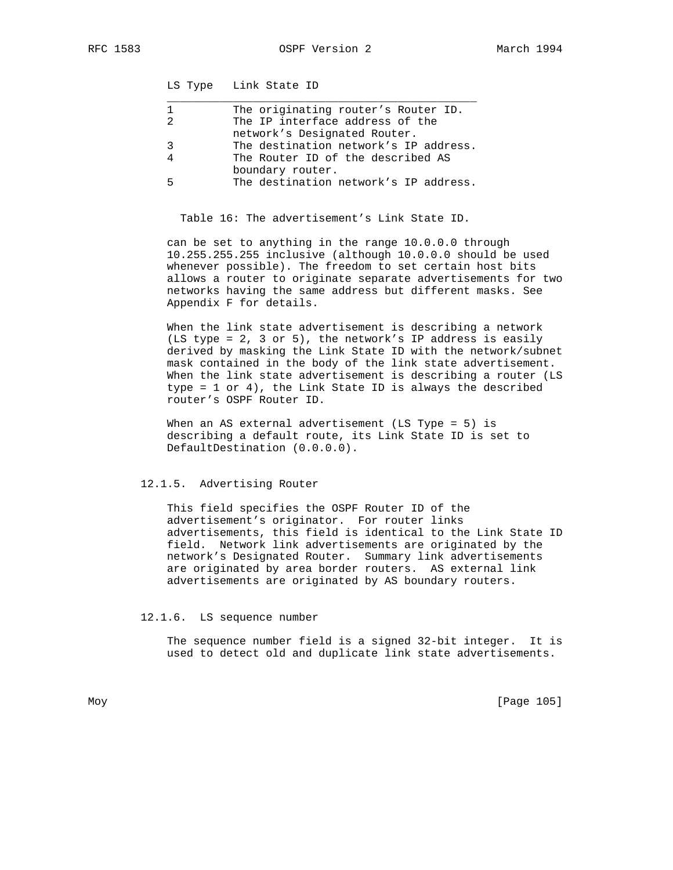RFC 1583 OSPF Version 2 March 1994

LS Type Link State ID

| The originating router's Router ID.   |
|---------------------------------------|
| The IP interface address of the       |
| network's Designated Router.          |
| The destination network's IP address. |
| The Router ID of the described AS     |
| boundary router.                      |
| The destination network's IP address. |
|                                       |

Table 16: The advertisement's Link State ID.

 can be set to anything in the range 10.0.0.0 through 10.255.255.255 inclusive (although 10.0.0.0 should be used whenever possible). The freedom to set certain host bits allows a router to originate separate advertisements for two networks having the same address but different masks. See Appendix F for details.

 When the link state advertisement is describing a network (LS type = 2, 3 or 5), the network's IP address is easily derived by masking the Link State ID with the network/subnet mask contained in the body of the link state advertisement. When the link state advertisement is describing a router (LS type = 1 or 4), the Link State ID is always the described router's OSPF Router ID.

When an AS external advertisement (LS Type = 5) is describing a default route, its Link State ID is set to DefaultDestination (0.0.0.0).

## 12.1.5. Advertising Router

 This field specifies the OSPF Router ID of the advertisement's originator. For router links advertisements, this field is identical to the Link State ID field. Network link advertisements are originated by the network's Designated Router. Summary link advertisements are originated by area border routers. AS external link advertisements are originated by AS boundary routers.

#### 12.1.6. LS sequence number

 The sequence number field is a signed 32-bit integer. It is used to detect old and duplicate link state advertisements.

Moy [Page 105]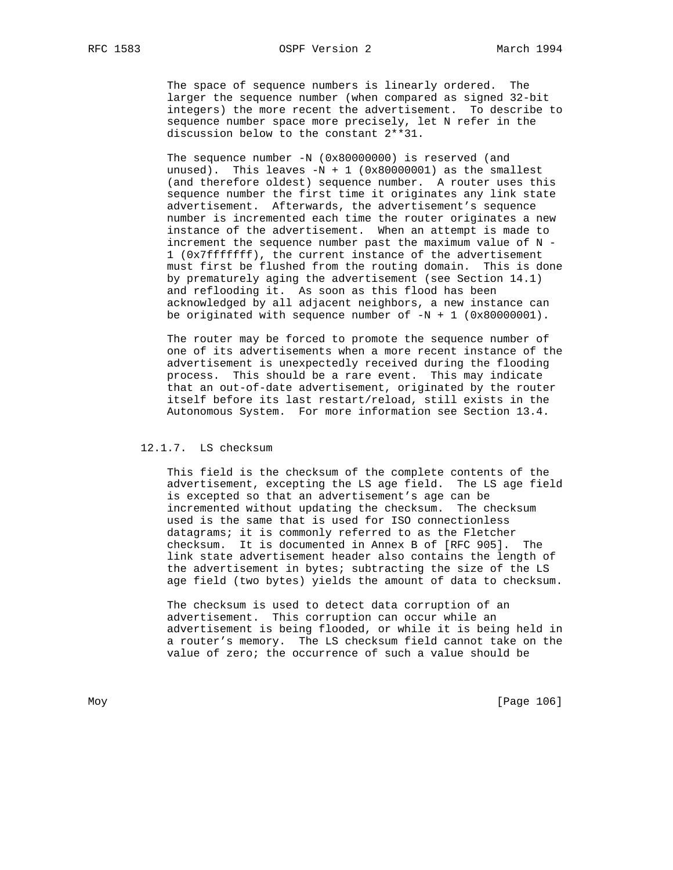The space of sequence numbers is linearly ordered. The larger the sequence number (when compared as signed 32-bit integers) the more recent the advertisement. To describe to sequence number space more precisely, let N refer in the discussion below to the constant 2\*\*31.

The sequence number -N (0x80000000) is reserved (and unused). This leaves  $-N + 1$  (0x80000001) as the smallest (and therefore oldest) sequence number. A router uses this sequence number the first time it originates any link state advertisement. Afterwards, the advertisement's sequence number is incremented each time the router originates a new instance of the advertisement. When an attempt is made to increment the sequence number past the maximum value of N - 1 (0x7fffffff), the current instance of the advertisement must first be flushed from the routing domain. This is done by prematurely aging the advertisement (see Section 14.1) and reflooding it. As soon as this flood has been acknowledged by all adjacent neighbors, a new instance can be originated with sequence number of  $-N + 1$  (0x80000001).

 The router may be forced to promote the sequence number of one of its advertisements when a more recent instance of the advertisement is unexpectedly received during the flooding process. This should be a rare event. This may indicate that an out-of-date advertisement, originated by the router itself before its last restart/reload, still exists in the Autonomous System. For more information see Section 13.4.

# 12.1.7. LS checksum

 This field is the checksum of the complete contents of the advertisement, excepting the LS age field. The LS age field is excepted so that an advertisement's age can be incremented without updating the checksum. The checksum used is the same that is used for ISO connectionless datagrams; it is commonly referred to as the Fletcher checksum. It is documented in Annex B of [RFC 905]. The link state advertisement header also contains the length of the advertisement in bytes; subtracting the size of the LS age field (two bytes) yields the amount of data to checksum.

 The checksum is used to detect data corruption of an advertisement. This corruption can occur while an advertisement is being flooded, or while it is being held in a router's memory. The LS checksum field cannot take on the value of zero; the occurrence of such a value should be

Moy [Page 106]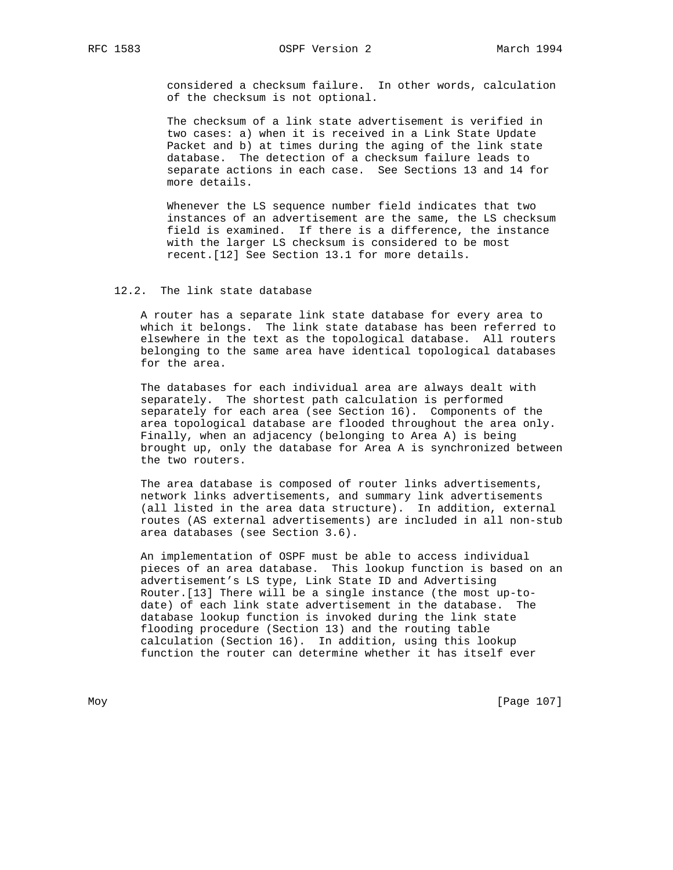considered a checksum failure. In other words, calculation of the checksum is not optional.

 The checksum of a link state advertisement is verified in two cases: a) when it is received in a Link State Update Packet and b) at times during the aging of the link state database. The detection of a checksum failure leads to separate actions in each case. See Sections 13 and 14 for more details.

 Whenever the LS sequence number field indicates that two instances of an advertisement are the same, the LS checksum field is examined. If there is a difference, the instance with the larger LS checksum is considered to be most recent.[12] See Section 13.1 for more details.

# 12.2. The link state database

 A router has a separate link state database for every area to which it belongs. The link state database has been referred to elsewhere in the text as the topological database. All routers belonging to the same area have identical topological databases for the area.

 The databases for each individual area are always dealt with separately. The shortest path calculation is performed separately for each area (see Section 16). Components of the area topological database are flooded throughout the area only. Finally, when an adjacency (belonging to Area A) is being brought up, only the database for Area A is synchronized between the two routers.

 The area database is composed of router links advertisements, network links advertisements, and summary link advertisements (all listed in the area data structure). In addition, external routes (AS external advertisements) are included in all non-stub area databases (see Section 3.6).

 An implementation of OSPF must be able to access individual pieces of an area database. This lookup function is based on an advertisement's LS type, Link State ID and Advertising Router.[13] There will be a single instance (the most up-to date) of each link state advertisement in the database. The database lookup function is invoked during the link state flooding procedure (Section 13) and the routing table calculation (Section 16). In addition, using this lookup function the router can determine whether it has itself ever

Moy [Page 107]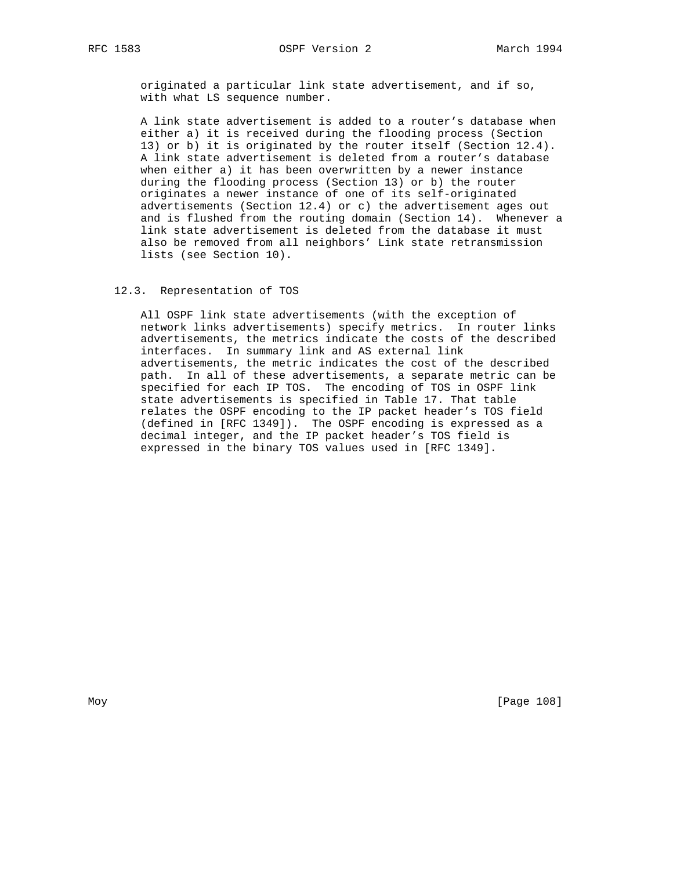originated a particular link state advertisement, and if so, with what LS sequence number.

 A link state advertisement is added to a router's database when either a) it is received during the flooding process (Section 13) or b) it is originated by the router itself (Section 12.4). A link state advertisement is deleted from a router's database when either a) it has been overwritten by a newer instance during the flooding process (Section 13) or b) the router originates a newer instance of one of its self-originated advertisements (Section 12.4) or c) the advertisement ages out and is flushed from the routing domain (Section 14). Whenever a link state advertisement is deleted from the database it must also be removed from all neighbors' Link state retransmission lists (see Section 10).

## 12.3. Representation of TOS

 All OSPF link state advertisements (with the exception of network links advertisements) specify metrics. In router links advertisements, the metrics indicate the costs of the described interfaces. In summary link and AS external link advertisements, the metric indicates the cost of the described path. In all of these advertisements, a separate metric can be specified for each IP TOS. The encoding of TOS in OSPF link state advertisements is specified in Table 17. That table relates the OSPF encoding to the IP packet header's TOS field (defined in [RFC 1349]). The OSPF encoding is expressed as a decimal integer, and the IP packet header's TOS field is expressed in the binary TOS values used in [RFC 1349].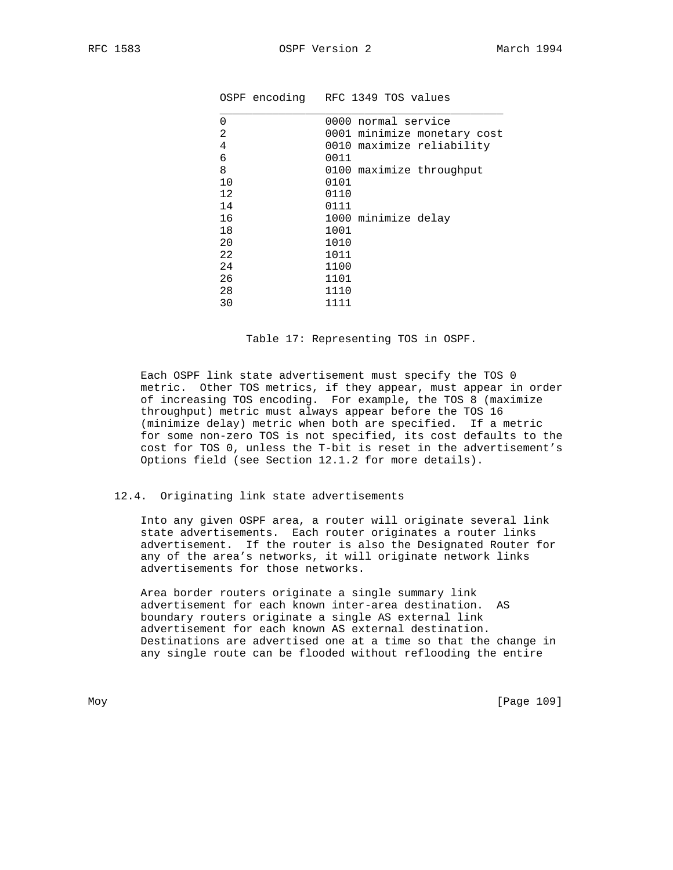|          | OSPF encoding RFC 1349 TOS values |
|----------|-----------------------------------|
| $\Omega$ | 0000 normal service               |
| 2        | 0001 minimize monetary cost       |
| 4        | 0010 maximize reliability         |
| 6        | 0011                              |
| 8        | 0100 maximize throughput          |
| 10       | 0101                              |
| 12       | 0110                              |
| 14       | 0111                              |
| 16       | 1000 minimize delay               |
| 18       | 1001                              |
| 20       | 1010                              |
| 22       | 1011                              |
| 24       | 1100                              |
| 26       | 1101                              |
| 28       | 1110                              |
| 30       | 1111                              |

Table 17: Representing TOS in OSPF.

 Each OSPF link state advertisement must specify the TOS 0 metric. Other TOS metrics, if they appear, must appear in order of increasing TOS encoding. For example, the TOS 8 (maximize throughput) metric must always appear before the TOS 16 (minimize delay) metric when both are specified. If a metric for some non-zero TOS is not specified, its cost defaults to the cost for TOS 0, unless the T-bit is reset in the advertisement's Options field (see Section 12.1.2 for more details).

### 12.4. Originating link state advertisements

 Into any given OSPF area, a router will originate several link state advertisements. Each router originates a router links advertisement. If the router is also the Designated Router for any of the area's networks, it will originate network links advertisements for those networks.

 Area border routers originate a single summary link advertisement for each known inter-area destination. AS boundary routers originate a single AS external link advertisement for each known AS external destination. Destinations are advertised one at a time so that the change in any single route can be flooded without reflooding the entire

Moy [Page 109]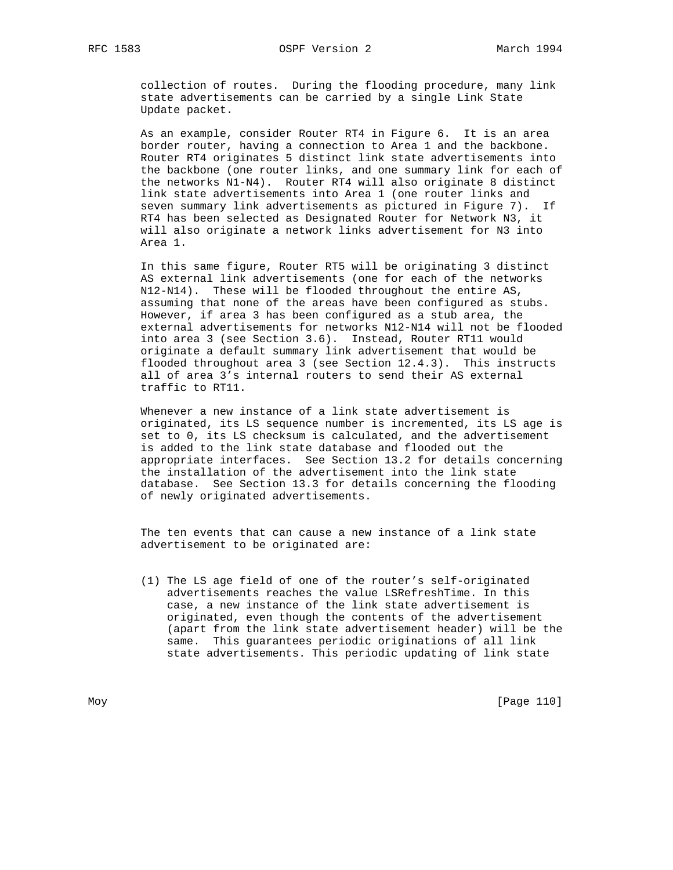collection of routes. During the flooding procedure, many link state advertisements can be carried by a single Link State Update packet.

 As an example, consider Router RT4 in Figure 6. It is an area border router, having a connection to Area 1 and the backbone. Router RT4 originates 5 distinct link state advertisements into the backbone (one router links, and one summary link for each of the networks N1-N4). Router RT4 will also originate 8 distinct link state advertisements into Area 1 (one router links and seven summary link advertisements as pictured in Figure 7). If RT4 has been selected as Designated Router for Network N3, it will also originate a network links advertisement for N3 into Area 1.

 In this same figure, Router RT5 will be originating 3 distinct AS external link advertisements (one for each of the networks N12-N14). These will be flooded throughout the entire AS, assuming that none of the areas have been configured as stubs. However, if area 3 has been configured as a stub area, the external advertisements for networks N12-N14 will not be flooded into area 3 (see Section 3.6). Instead, Router RT11 would originate a default summary link advertisement that would be flooded throughout area 3 (see Section 12.4.3). This instructs all of area 3's internal routers to send their AS external traffic to RT11.

 Whenever a new instance of a link state advertisement is originated, its LS sequence number is incremented, its LS age is set to 0, its LS checksum is calculated, and the advertisement is added to the link state database and flooded out the appropriate interfaces. See Section 13.2 for details concerning the installation of the advertisement into the link state database. See Section 13.3 for details concerning the flooding of newly originated advertisements.

 The ten events that can cause a new instance of a link state advertisement to be originated are:

 (1) The LS age field of one of the router's self-originated advertisements reaches the value LSRefreshTime. In this case, a new instance of the link state advertisement is originated, even though the contents of the advertisement (apart from the link state advertisement header) will be the same. This guarantees periodic originations of all link state advertisements. This periodic updating of link state

Moy [Page 110]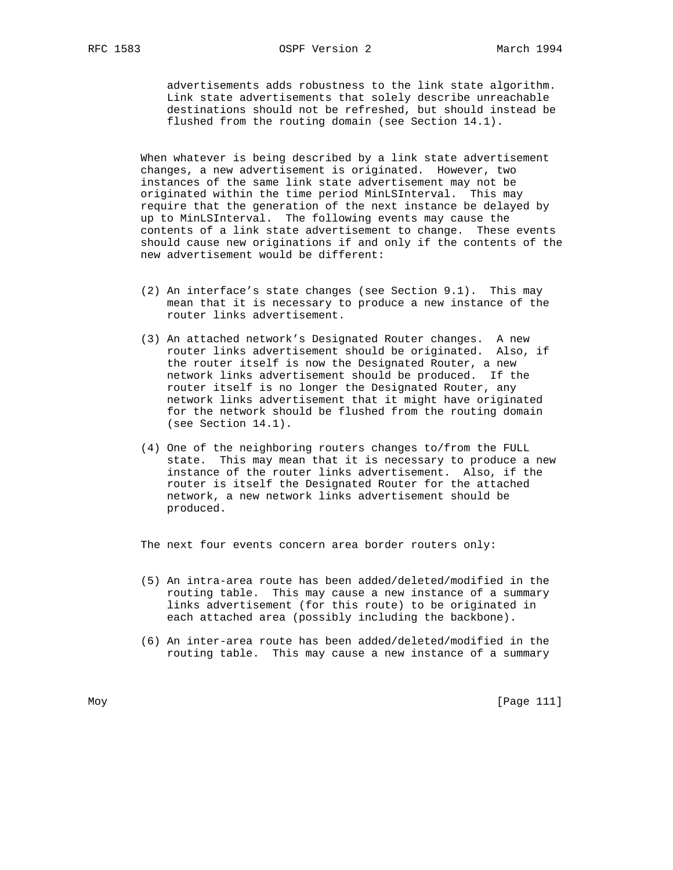advertisements adds robustness to the link state algorithm. Link state advertisements that solely describe unreachable destinations should not be refreshed, but should instead be flushed from the routing domain (see Section 14.1).

 When whatever is being described by a link state advertisement changes, a new advertisement is originated. However, two instances of the same link state advertisement may not be originated within the time period MinLSInterval. This may require that the generation of the next instance be delayed by up to MinLSInterval. The following events may cause the contents of a link state advertisement to change. These events should cause new originations if and only if the contents of the new advertisement would be different:

- (2) An interface's state changes (see Section 9.1). This may mean that it is necessary to produce a new instance of the router links advertisement.
- (3) An attached network's Designated Router changes. A new router links advertisement should be originated. Also, if the router itself is now the Designated Router, a new network links advertisement should be produced. If the router itself is no longer the Designated Router, any network links advertisement that it might have originated for the network should be flushed from the routing domain (see Section 14.1).
- (4) One of the neighboring routers changes to/from the FULL state. This may mean that it is necessary to produce a new instance of the router links advertisement. Also, if the router is itself the Designated Router for the attached network, a new network links advertisement should be produced.

The next four events concern area border routers only:

- (5) An intra-area route has been added/deleted/modified in the routing table. This may cause a new instance of a summary links advertisement (for this route) to be originated in each attached area (possibly including the backbone).
- (6) An inter-area route has been added/deleted/modified in the routing table. This may cause a new instance of a summary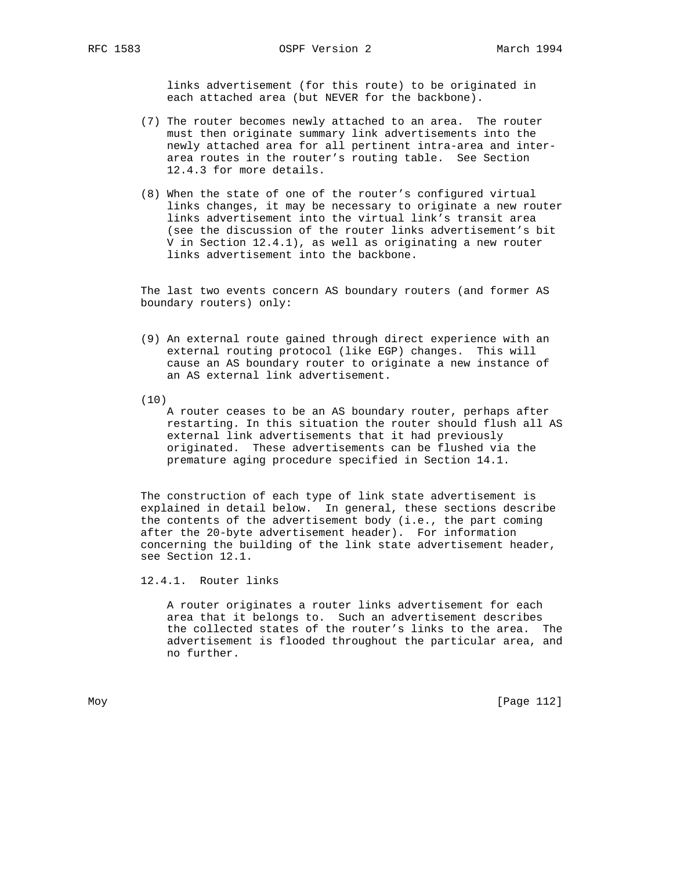links advertisement (for this route) to be originated in each attached area (but NEVER for the backbone).

- (7) The router becomes newly attached to an area. The router must then originate summary link advertisements into the newly attached area for all pertinent intra-area and inter area routes in the router's routing table. See Section 12.4.3 for more details.
- (8) When the state of one of the router's configured virtual links changes, it may be necessary to originate a new router links advertisement into the virtual link's transit area (see the discussion of the router links advertisement's bit V in Section 12.4.1), as well as originating a new router links advertisement into the backbone.

 The last two events concern AS boundary routers (and former AS boundary routers) only:

- (9) An external route gained through direct experience with an external routing protocol (like EGP) changes. This will cause an AS boundary router to originate a new instance of an AS external link advertisement.
- (10)

 A router ceases to be an AS boundary router, perhaps after restarting. In this situation the router should flush all AS external link advertisements that it had previously originated. These advertisements can be flushed via the premature aging procedure specified in Section 14.1.

 The construction of each type of link state advertisement is explained in detail below. In general, these sections describe the contents of the advertisement body (i.e., the part coming after the 20-byte advertisement header). For information concerning the building of the link state advertisement header, see Section 12.1.

12.4.1. Router links

 A router originates a router links advertisement for each area that it belongs to. Such an advertisement describes the collected states of the router's links to the area. The advertisement is flooded throughout the particular area, and no further.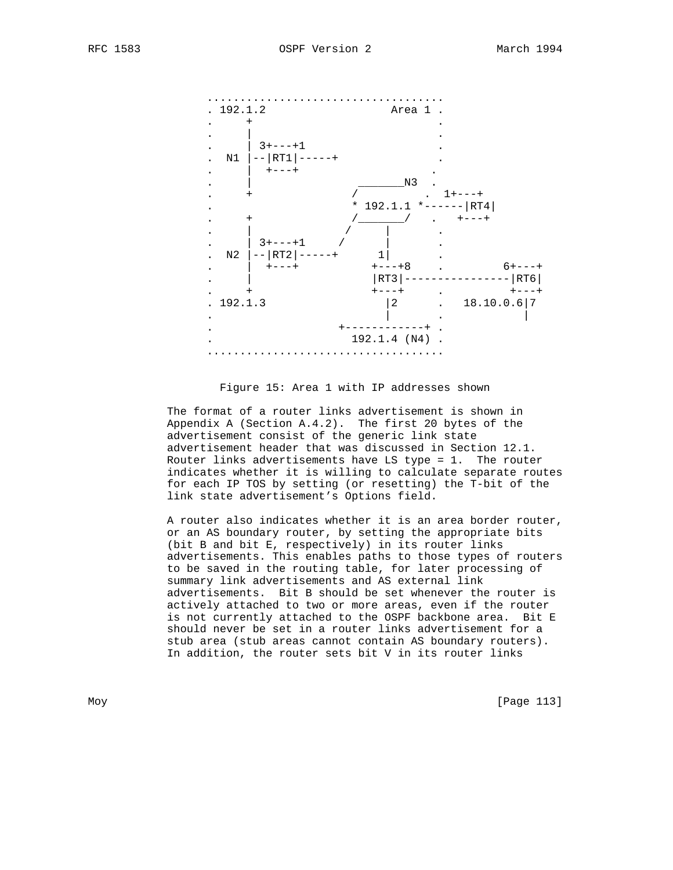

Figure 15: Area 1 with IP addresses shown

 The format of a router links advertisement is shown in Appendix A (Section A.4.2). The first 20 bytes of the advertisement consist of the generic link state advertisement header that was discussed in Section 12.1. Router links advertisements have LS type = 1. The router indicates whether it is willing to calculate separate routes for each IP TOS by setting (or resetting) the T-bit of the link state advertisement's Options field.

 A router also indicates whether it is an area border router, or an AS boundary router, by setting the appropriate bits (bit B and bit E, respectively) in its router links advertisements. This enables paths to those types of routers to be saved in the routing table, for later processing of summary link advertisements and AS external link advertisements. Bit B should be set whenever the router is actively attached to two or more areas, even if the router is not currently attached to the OSPF backbone area. Bit E should never be set in a router links advertisement for a stub area (stub areas cannot contain AS boundary routers). In addition, the router sets bit V in its router links

Moy [Page 113]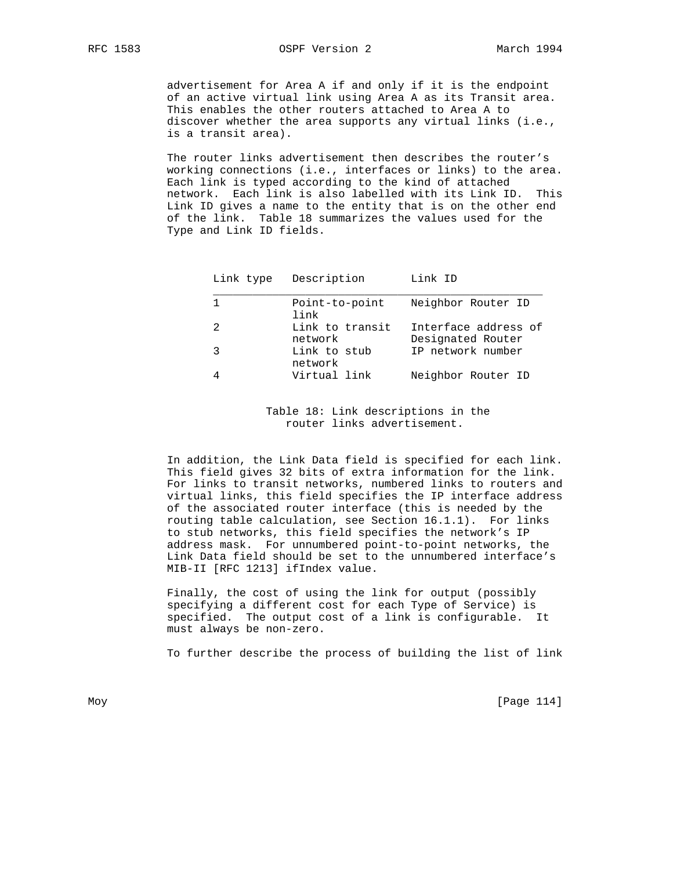advertisement for Area A if and only if it is the endpoint of an active virtual link using Area A as its Transit area. This enables the other routers attached to Area A to discover whether the area supports any virtual links (i.e., is a transit area).

 The router links advertisement then describes the router's working connections (i.e., interfaces or links) to the area. Each link is typed according to the kind of attached network. Each link is also labelled with its Link ID. This Link ID gives a name to the entity that is on the other end of the link. Table 18 summarizes the values used for the Type and Link ID fields.

|               | Link type Description      | Link ID                                   |
|---------------|----------------------------|-------------------------------------------|
|               | Point-to-point<br>link     | Neighbor Router ID                        |
| $\mathcal{L}$ | Link to transit<br>network | Interface address of<br>Designated Router |
| 3             | Link to stub<br>network    | IP network number                         |
| 4             | Virtual link               | Neighbor Router ID                        |

 Table 18: Link descriptions in the router links advertisement.

 In addition, the Link Data field is specified for each link. This field gives 32 bits of extra information for the link. For links to transit networks, numbered links to routers and virtual links, this field specifies the IP interface address of the associated router interface (this is needed by the routing table calculation, see Section 16.1.1). For links to stub networks, this field specifies the network's IP address mask. For unnumbered point-to-point networks, the Link Data field should be set to the unnumbered interface's MIB-II [RFC 1213] ifIndex value.

 Finally, the cost of using the link for output (possibly specifying a different cost for each Type of Service) is specified. The output cost of a link is configurable. It must always be non-zero.

To further describe the process of building the list of link

Moy [Page 114]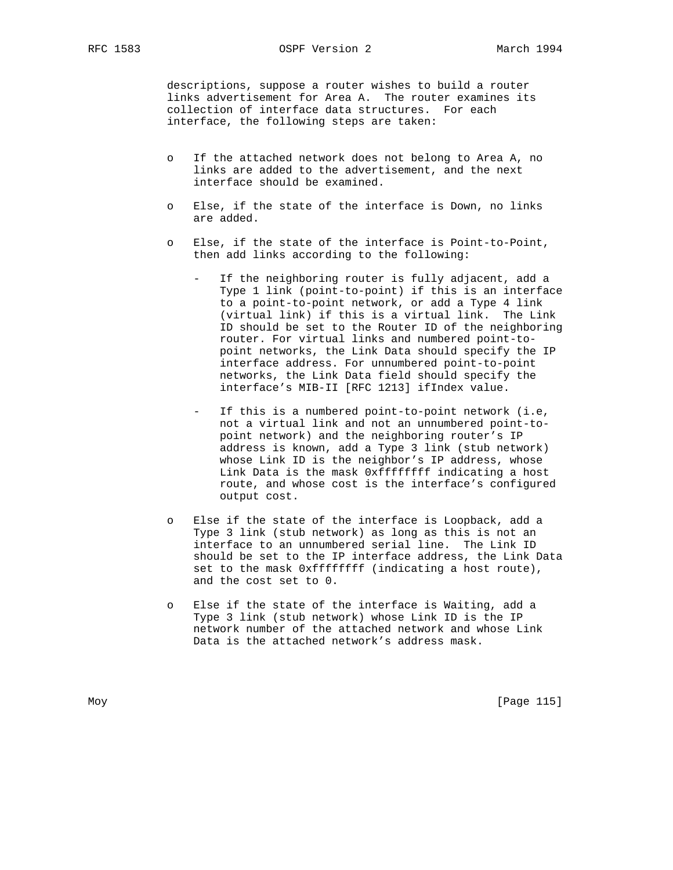RFC 1583 OSPF Version 2 March 1994

 descriptions, suppose a router wishes to build a router links advertisement for Area A. The router examines its collection of interface data structures. For each interface, the following steps are taken:

- o If the attached network does not belong to Area A, no links are added to the advertisement, and the next interface should be examined.
- o Else, if the state of the interface is Down, no links are added.
- Else, if the state of the interface is Point-to-Point, then add links according to the following:
	- If the neighboring router is fully adjacent, add a Type 1 link (point-to-point) if this is an interface to a point-to-point network, or add a Type 4 link (virtual link) if this is a virtual link. The Link ID should be set to the Router ID of the neighboring router. For virtual links and numbered point-to point networks, the Link Data should specify the IP interface address. For unnumbered point-to-point networks, the Link Data field should specify the interface's MIB-II [RFC 1213] ifIndex value.
	- If this is a numbered point-to-point network (i.e, not a virtual link and not an unnumbered point-to point network) and the neighboring router's IP address is known, add a Type 3 link (stub network) whose Link ID is the neighbor's IP address, whose Link Data is the mask 0xffffffff indicating a host route, and whose cost is the interface's configured output cost.
- o Else if the state of the interface is Loopback, add a Type 3 link (stub network) as long as this is not an interface to an unnumbered serial line. The Link ID should be set to the IP interface address, the Link Data set to the mask 0xffffffff (indicating a host route), and the cost set to 0.
- Else if the state of the interface is Waiting, add a Type 3 link (stub network) whose Link ID is the IP network number of the attached network and whose Link Data is the attached network's address mask.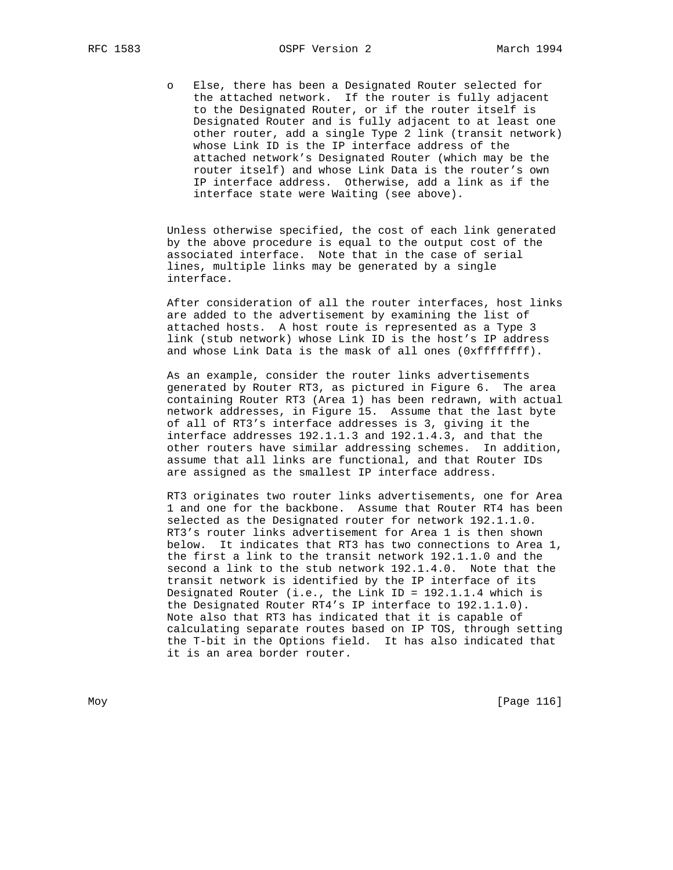o Else, there has been a Designated Router selected for the attached network. If the router is fully adjacent to the Designated Router, or if the router itself is Designated Router and is fully adjacent to at least one other router, add a single Type 2 link (transit network) whose Link ID is the IP interface address of the attached network's Designated Router (which may be the router itself) and whose Link Data is the router's own IP interface address. Otherwise, add a link as if the interface state were Waiting (see above).

 Unless otherwise specified, the cost of each link generated by the above procedure is equal to the output cost of the associated interface. Note that in the case of serial lines, multiple links may be generated by a single interface.

 After consideration of all the router interfaces, host links are added to the advertisement by examining the list of attached hosts. A host route is represented as a Type 3 link (stub network) whose Link ID is the host's IP address and whose Link Data is the mask of all ones (0xffffffff).

 As an example, consider the router links advertisements generated by Router RT3, as pictured in Figure 6. The area containing Router RT3 (Area 1) has been redrawn, with actual network addresses, in Figure 15. Assume that the last byte of all of RT3's interface addresses is 3, giving it the interface addresses 192.1.1.3 and 192.1.4.3, and that the other routers have similar addressing schemes. In addition, assume that all links are functional, and that Router IDs are assigned as the smallest IP interface address.

 RT3 originates two router links advertisements, one for Area 1 and one for the backbone. Assume that Router RT4 has been selected as the Designated router for network 192.1.1.0. RT3's router links advertisement for Area 1 is then shown below. It indicates that RT3 has two connections to Area 1, the first a link to the transit network 192.1.1.0 and the second a link to the stub network 192.1.4.0. Note that the transit network is identified by the IP interface of its Designated Router (i.e., the Link ID = 192.1.1.4 which is the Designated Router RT4's IP interface to 192.1.1.0). Note also that RT3 has indicated that it is capable of calculating separate routes based on IP TOS, through setting the T-bit in the Options field. It has also indicated that it is an area border router.

Moy [Page 116]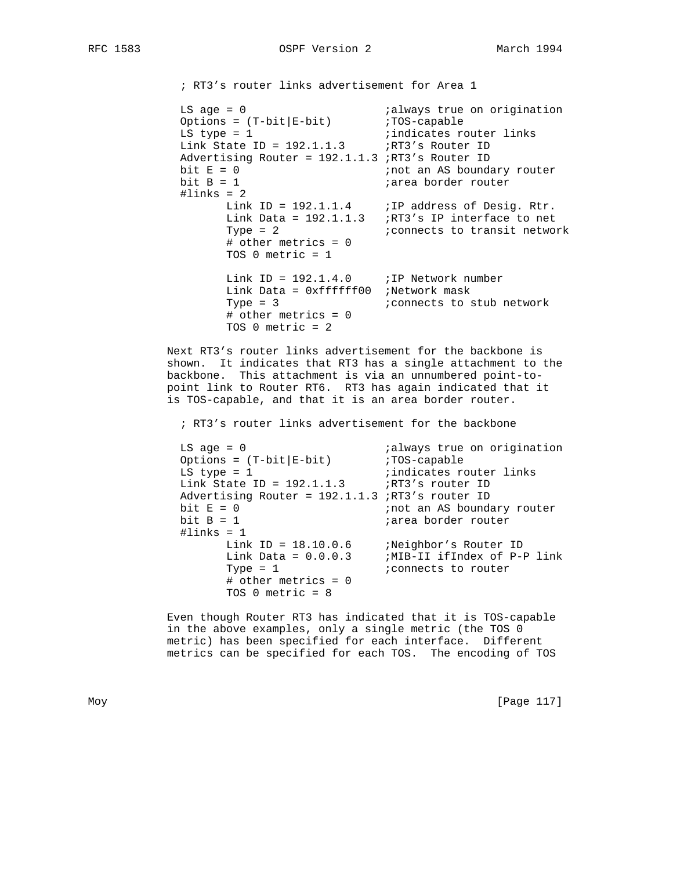; RT3's router links advertisement for Area 1

```
LS age = 0 \hspace{1.5cm} ;always true on origination
Options = (T-bit|E-bit)               ;TOS-capable
LS type = 1 \qquad \qquad ; indicates router links
Link State ID = 192.1.1.3 ;RT3's Router ID
            Advertising Router = 192.1.1.3 ; RT3's Router ID<br>bit E = 0 :not an AS bounda
            bit E = 0<br>bit B = 1<br>bit B = 1<br>iarea border router
                                         ;area border router
            \text{\#links} = 2Link ID = 192.1.1.4 ; IP address of Desig. Rtr.
                   Link Data = 192.1.1.3 ;RT3's IP interface to net
                   Type = 2 i connects to transit network
                    # other metrics = 0
                    TOS 0 metric = 1
                   Link ID = 192.1.4.0 ; IP Network number
                    Link Data = 0xffffff00 ;Network mask
                                        ; connects to stub network
                    # other metrics = 0
                    TOS 0 metric = 2
```
 Next RT3's router links advertisement for the backbone is shown. It indicates that RT3 has a single attachment to the backbone. This attachment is via an unnumbered point-to point link to Router RT6. RT3 has again indicated that it is TOS-capable, and that it is an area border router.

; RT3's router links advertisement for the backbone

LS age = 0  $\frac{1}{5}$  ialways true on origination<br>Options = (T-bit|E-bit)  $\frac{1}{5}$  iTOS-capable Options =  $(T-bit|E-bit)$ LS type = 1  $\qquad \qquad$  ; indicates router links  $Link$  State ID = 192.1.1.3 ;RT3's router ID Advertising Router = 192.1.1.3 ;RT3's router ID bit  $E = 0$ <br>bit  $B = 1$ <br>bit  $B = 1$ <br>iarea border router iarea border router #links = 1 Link ID = 18.10.0.6 ;Neighbor's Router ID Link Data = 0.0.0.3 ;MIB-II ifIndex of P-P link Type = 1  $\blacksquare$  ; connects to router # other metrics = 0 TOS 0 metric = 8

> Even though Router RT3 has indicated that it is TOS-capable in the above examples, only a single metric (the TOS 0 metric) has been specified for each interface. Different metrics can be specified for each TOS. The encoding of TOS

Moy [Page 117]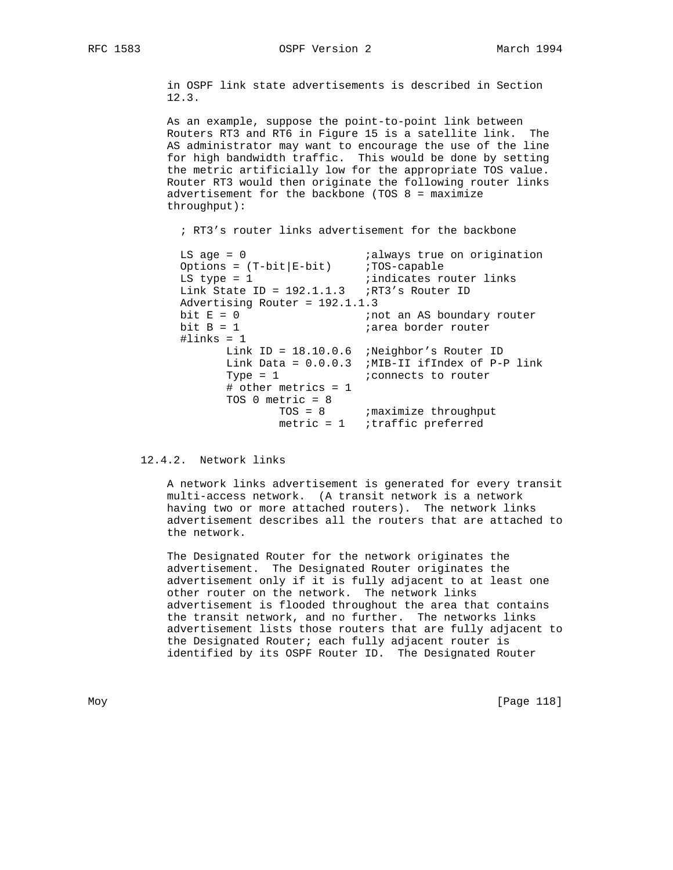in OSPF link state advertisements is described in Section 12.3.

 As an example, suppose the point-to-point link between Routers RT3 and RT6 in Figure 15 is a satellite link. The AS administrator may want to encourage the use of the line for high bandwidth traffic. This would be done by setting the metric artificially low for the appropriate TOS value. Router RT3 would then originate the following router links advertisement for the backbone (TOS 8 = maximize throughput):

; RT3's router links advertisement for the backbone

LS age = 0  $i$ always true on origination Options =  $(T-bit|E-bit)$  ;  $TOS-capable$ LS type = 1  $\qquad \qquad$  ; indicates router links Link State ID =  $192.1.1.3$  ;RT3's Router ID Advertising Router = 192.1.1.3 bit E = 0  $\qquad \qquad$  ; not an AS boundary router  $bit B = 1$  ; area border router  $\sharp$ links = 1 Link ID = 18.10.0.6 ;Neighbor's Router ID Link Data = 0.0.0.3 ;MIB-II ifIndex of P-P link Type = 1  $\blacksquare$  ; connects to router # other metrics = 1 TOS 0 metric = 8 TOS = 8  $\blacksquare$  ; maximize throughput metric = 1 ;traffic preferred

12.4.2. Network links

 A network links advertisement is generated for every transit multi-access network. (A transit network is a network having two or more attached routers). The network links advertisement describes all the routers that are attached to the network.

 The Designated Router for the network originates the advertisement. The Designated Router originates the advertisement only if it is fully adjacent to at least one other router on the network. The network links advertisement is flooded throughout the area that contains the transit network, and no further. The networks links advertisement lists those routers that are fully adjacent to the Designated Router; each fully adjacent router is identified by its OSPF Router ID. The Designated Router

Moy [Page 118]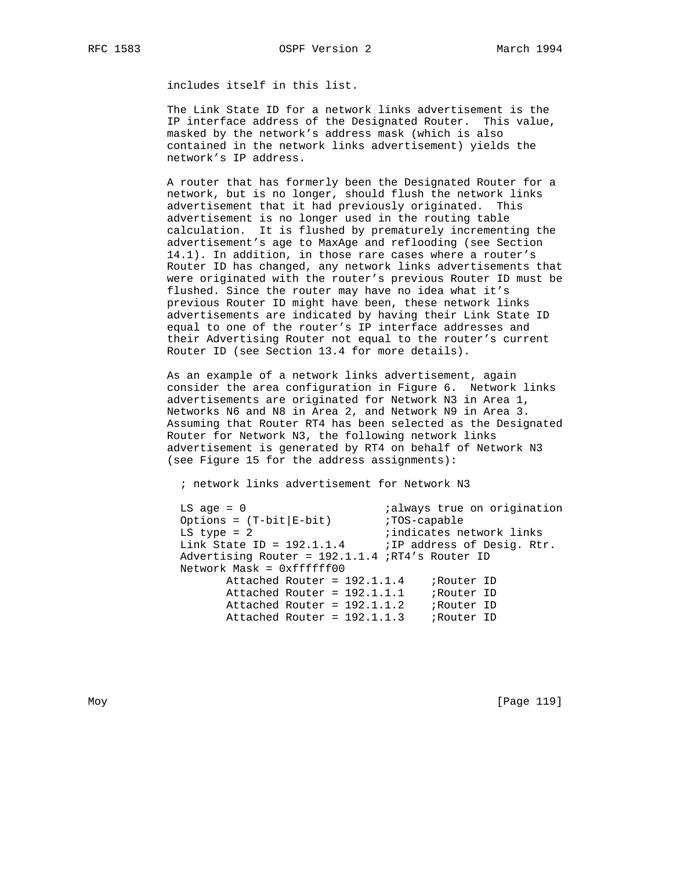includes itself in this list.

 The Link State ID for a network links advertisement is the IP interface address of the Designated Router. This value, masked by the network's address mask (which is also contained in the network links advertisement) yields the network's IP address.

 A router that has formerly been the Designated Router for a network, but is no longer, should flush the network links advertisement that it had previously originated. This advertisement is no longer used in the routing table calculation. It is flushed by prematurely incrementing the advertisement's age to MaxAge and reflooding (see Section 14.1). In addition, in those rare cases where a router's Router ID has changed, any network links advertisements that were originated with the router's previous Router ID must be flushed. Since the router may have no idea what it's previous Router ID might have been, these network links advertisements are indicated by having their Link State ID equal to one of the router's IP interface addresses and their Advertising Router not equal to the router's current Router ID (see Section 13.4 for more details).

 As an example of a network links advertisement, again consider the area configuration in Figure 6. Network links advertisements are originated for Network N3 in Area 1, Networks N6 and N8 in Area 2, and Network N9 in Area 3. Assuming that Router RT4 has been selected as the Designated Router for Network N3, the following network links advertisement is generated by RT4 on behalf of Network N3 (see Figure 15 for the address assignments):

; network links advertisement for Network N3

| $LS$ age = $0$                                          | <i>ialways</i> true on origination |
|---------------------------------------------------------|------------------------------------|
| Options = $(T-bit   E-bit)$                             | :TOS-capable                       |
| $LS$ type = 2                                           | ; indicates network links          |
| Link State ID = $192.1.1.4$ ; IP address of Desig. Rtr. |                                    |
| Advertising Router = 192.1.1.4 ;RT4's Router ID         |                                    |
| Network Mask = 0xffffff00                               |                                    |
| Attached Router = $192.1.1.4$                           | ;Router ID                         |
| $Attached$ Router = $192.1.1.1$                         | ;Router ID                         |
| Attached Router = $192.1.1.2$                           | ;Router ID                         |
| Attached Router = $192.1.1.3$                           | ;Router ID                         |

Moy [Page 119]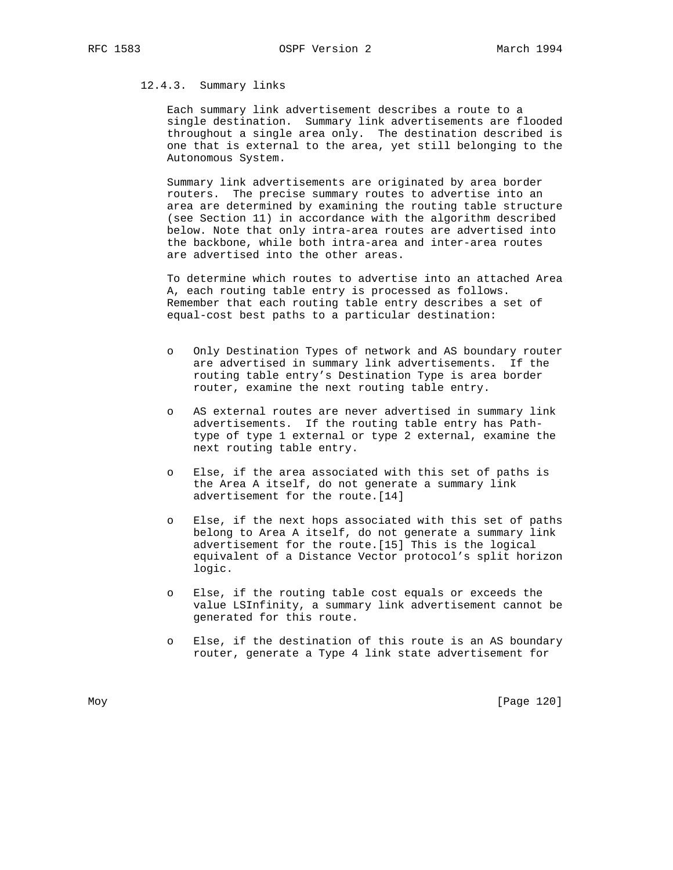# 12.4.3. Summary links

 Each summary link advertisement describes a route to a single destination. Summary link advertisements are flooded throughout a single area only. The destination described is one that is external to the area, yet still belonging to the Autonomous System.

 Summary link advertisements are originated by area border routers. The precise summary routes to advertise into an area are determined by examining the routing table structure (see Section 11) in accordance with the algorithm described below. Note that only intra-area routes are advertised into the backbone, while both intra-area and inter-area routes are advertised into the other areas.

 To determine which routes to advertise into an attached Area A, each routing table entry is processed as follows. Remember that each routing table entry describes a set of equal-cost best paths to a particular destination:

- o Only Destination Types of network and AS boundary router are advertised in summary link advertisements. If the routing table entry's Destination Type is area border router, examine the next routing table entry.
- o AS external routes are never advertised in summary link advertisements. If the routing table entry has Path type of type 1 external or type 2 external, examine the next routing table entry.
- Else, if the area associated with this set of paths is the Area A itself, do not generate a summary link advertisement for the route.[14]
- o Else, if the next hops associated with this set of paths belong to Area A itself, do not generate a summary link advertisement for the route.[15] This is the logical equivalent of a Distance Vector protocol's split horizon logic.
- o Else, if the routing table cost equals or exceeds the value LSInfinity, a summary link advertisement cannot be generated for this route.
- o Else, if the destination of this route is an AS boundary router, generate a Type 4 link state advertisement for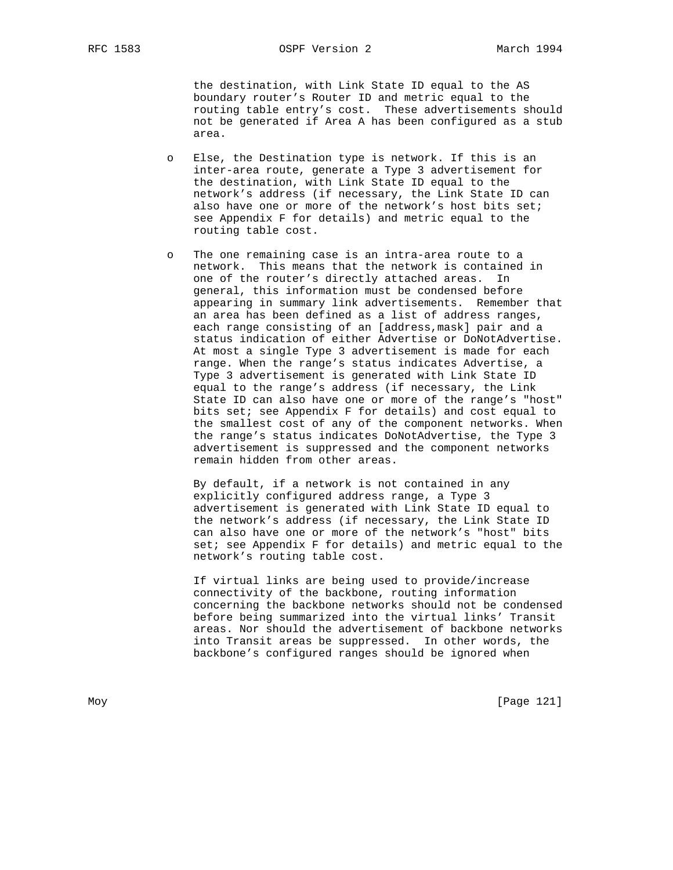the destination, with Link State ID equal to the AS boundary router's Router ID and metric equal to the routing table entry's cost. These advertisements should not be generated if Area A has been configured as a stub area.

- o Else, the Destination type is network. If this is an inter-area route, generate a Type 3 advertisement for the destination, with Link State ID equal to the network's address (if necessary, the Link State ID can also have one or more of the network's host bits set; see Appendix F for details) and metric equal to the routing table cost.
- o The one remaining case is an intra-area route to a network. This means that the network is contained in one of the router's directly attached areas. In general, this information must be condensed before appearing in summary link advertisements. Remember that an area has been defined as a list of address ranges, each range consisting of an [address,mask] pair and a status indication of either Advertise or DoNotAdvertise. At most a single Type 3 advertisement is made for each range. When the range's status indicates Advertise, a Type 3 advertisement is generated with Link State ID equal to the range's address (if necessary, the Link State ID can also have one or more of the range's "host" bits set; see Appendix F for details) and cost equal to the smallest cost of any of the component networks. When the range's status indicates DoNotAdvertise, the Type 3 advertisement is suppressed and the component networks remain hidden from other areas.

 By default, if a network is not contained in any explicitly configured address range, a Type 3 advertisement is generated with Link State ID equal to the network's address (if necessary, the Link State ID can also have one or more of the network's "host" bits set; see Appendix F for details) and metric equal to the network's routing table cost.

 If virtual links are being used to provide/increase connectivity of the backbone, routing information concerning the backbone networks should not be condensed before being summarized into the virtual links' Transit areas. Nor should the advertisement of backbone networks into Transit areas be suppressed. In other words, the backbone's configured ranges should be ignored when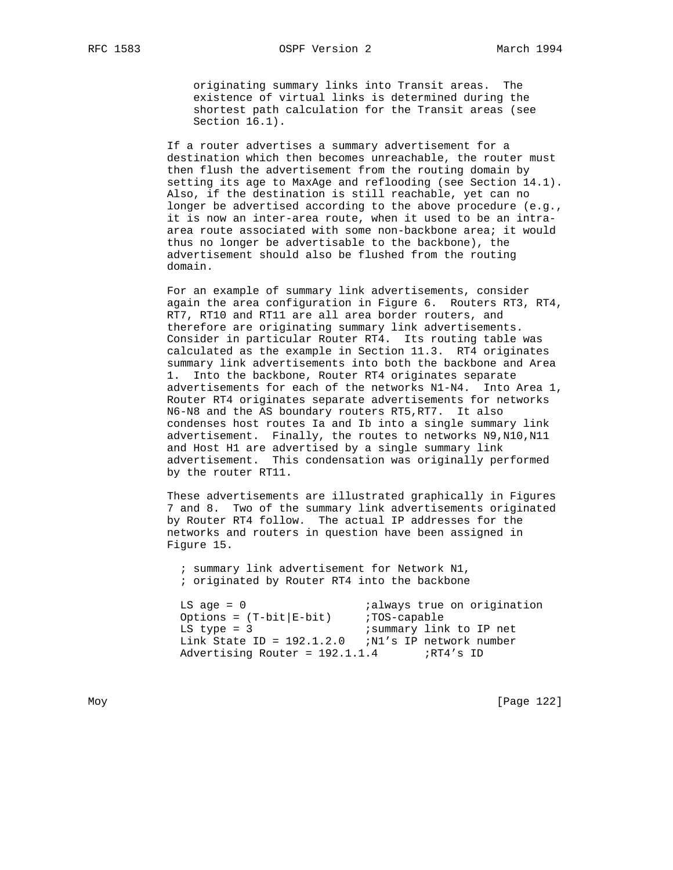originating summary links into Transit areas. The existence of virtual links is determined during the shortest path calculation for the Transit areas (see Section 16.1).

 If a router advertises a summary advertisement for a destination which then becomes unreachable, the router must then flush the advertisement from the routing domain by setting its age to MaxAge and reflooding (see Section 14.1). Also, if the destination is still reachable, yet can no longer be advertised according to the above procedure (e.g., it is now an inter-area route, when it used to be an intra area route associated with some non-backbone area; it would thus no longer be advertisable to the backbone), the advertisement should also be flushed from the routing domain.

 For an example of summary link advertisements, consider again the area configuration in Figure 6. Routers RT3, RT4, RT7, RT10 and RT11 are all area border routers, and therefore are originating summary link advertisements. Consider in particular Router RT4. Its routing table was calculated as the example in Section 11.3. RT4 originates summary link advertisements into both the backbone and Area 1. Into the backbone, Router RT4 originates separate advertisements for each of the networks N1-N4. Into Area 1, Router RT4 originates separate advertisements for networks N6-N8 and the AS boundary routers RT5,RT7. It also condenses host routes Ia and Ib into a single summary link advertisement. Finally, the routes to networks N9,N10,N11 and Host H1 are advertised by a single summary link advertisement. This condensation was originally performed by the router RT11.

 These advertisements are illustrated graphically in Figures 7 and 8. Two of the summary link advertisements originated by Router RT4 follow. The actual IP addresses for the networks and routers in question have been assigned in Figure 15.

 ; summary link advertisement for Network N1, ; originated by Router RT4 into the backbone

LS age = 0  $i$ always true on origination Options =  $(T-bit|E-bit)$  ;TOS-capable LS type =  $3$  ; summary link to IP net Link State ID =  $192.1.2.0$  ;N1's IP network number Advertising Router =  $192.1.1.4$  ;RT4's ID

Moy [Page 122]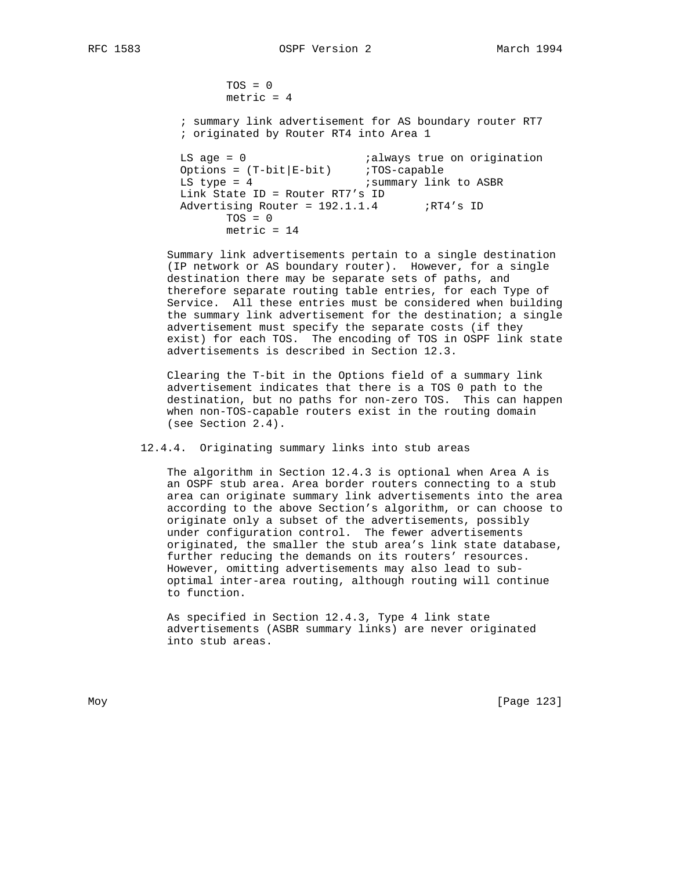$TOS = 0$ metric  $= 4$ 

 ; summary link advertisement for AS boundary router RT7 ; originated by Router RT4 into Area 1

```
LS age = 0 ialways true on origination
 Options = (T-bit|E-bit) ;TOS-capable
LS type = 4 \qquad \qquad ; summary link to ASBR
 Link State ID = Router RT7's ID
Advertising Router = 192.1.1.4 ;RT4's ID
     TOS = 0 metric = 14
```
 Summary link advertisements pertain to a single destination (IP network or AS boundary router). However, for a single destination there may be separate sets of paths, and therefore separate routing table entries, for each Type of Service. All these entries must be considered when building the summary link advertisement for the destination; a single advertisement must specify the separate costs (if they exist) for each TOS. The encoding of TOS in OSPF link state advertisements is described in Section 12.3.

 Clearing the T-bit in the Options field of a summary link advertisement indicates that there is a TOS 0 path to the destination, but no paths for non-zero TOS. This can happen when non-TOS-capable routers exist in the routing domain (see Section 2.4).

12.4.4. Originating summary links into stub areas

 The algorithm in Section 12.4.3 is optional when Area A is an OSPF stub area. Area border routers connecting to a stub area can originate summary link advertisements into the area according to the above Section's algorithm, or can choose to originate only a subset of the advertisements, possibly under configuration control. The fewer advertisements originated, the smaller the stub area's link state database, further reducing the demands on its routers' resources. However, omitting advertisements may also lead to sub optimal inter-area routing, although routing will continue to function.

 As specified in Section 12.4.3, Type 4 link state advertisements (ASBR summary links) are never originated into stub areas.

Moy [Page 123]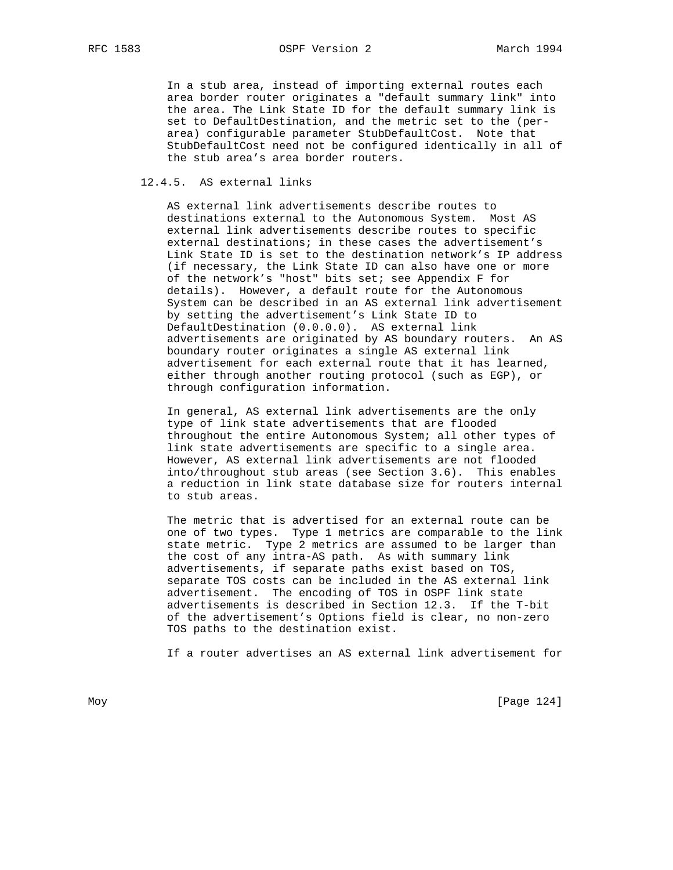In a stub area, instead of importing external routes each area border router originates a "default summary link" into the area. The Link State ID for the default summary link is set to DefaultDestination, and the metric set to the (per area) configurable parameter StubDefaultCost. Note that StubDefaultCost need not be configured identically in all of the stub area's area border routers.

# 12.4.5. AS external links

 AS external link advertisements describe routes to destinations external to the Autonomous System. Most AS external link advertisements describe routes to specific external destinations; in these cases the advertisement's Link State ID is set to the destination network's IP address (if necessary, the Link State ID can also have one or more of the network's "host" bits set; see Appendix F for details). However, a default route for the Autonomous System can be described in an AS external link advertisement by setting the advertisement's Link State ID to DefaultDestination (0.0.0.0). AS external link advertisements are originated by AS boundary routers. An AS boundary router originates a single AS external link advertisement for each external route that it has learned, either through another routing protocol (such as EGP), or through configuration information.

 In general, AS external link advertisements are the only type of link state advertisements that are flooded throughout the entire Autonomous System; all other types of link state advertisements are specific to a single area. However, AS external link advertisements are not flooded into/throughout stub areas (see Section 3.6). This enables a reduction in link state database size for routers internal to stub areas.

 The metric that is advertised for an external route can be one of two types. Type 1 metrics are comparable to the link state metric. Type 2 metrics are assumed to be larger than the cost of any intra-AS path. As with summary link advertisements, if separate paths exist based on TOS, separate TOS costs can be included in the AS external link advertisement. The encoding of TOS in OSPF link state advertisements is described in Section 12.3. If the T-bit of the advertisement's Options field is clear, no non-zero TOS paths to the destination exist.

If a router advertises an AS external link advertisement for

Moy [Page 124]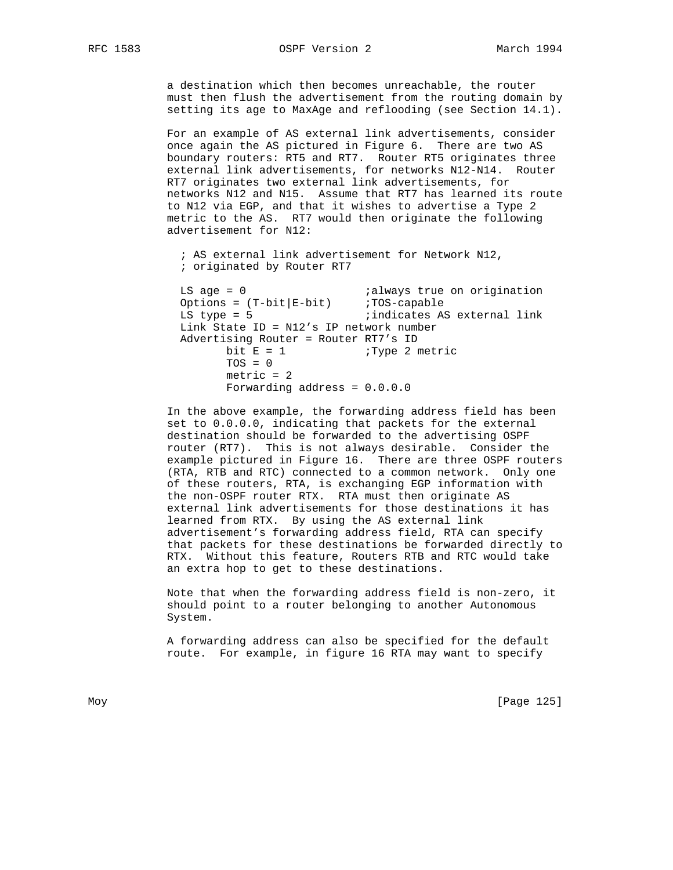a destination which then becomes unreachable, the router must then flush the advertisement from the routing domain by setting its age to MaxAge and reflooding (see Section 14.1).

 For an example of AS external link advertisements, consider once again the AS pictured in Figure 6. There are two AS boundary routers: RT5 and RT7. Router RT5 originates three external link advertisements, for networks N12-N14. Router RT7 originates two external link advertisements, for networks N12 and N15. Assume that RT7 has learned its route to N12 via EGP, and that it wishes to advertise a Type 2 metric to the AS. RT7 would then originate the following advertisement for N12:

 ; AS external link advertisement for Network N12, ; originated by Router RT7

LS age = 0  $\qquad \qquad$  ; always true on origination Options =  $(T-bit|E-bit)$  ;  $TOS-capable$ LS type = 5  $\qquad \qquad \text{indicates AS external link}$  Link State ID = N12's IP network number Advertising Router = Router RT7's ID bit  $E = 1$  ; Type 2 metric  $TOS = 0$  metric = 2 Forwarding address = 0.0.0.0

 In the above example, the forwarding address field has been set to 0.0.0.0, indicating that packets for the external destination should be forwarded to the advertising OSPF router (RT7). This is not always desirable. Consider the example pictured in Figure 16. There are three OSPF routers (RTA, RTB and RTC) connected to a common network. Only one of these routers, RTA, is exchanging EGP information with the non-OSPF router RTX. RTA must then originate AS external link advertisements for those destinations it has learned from RTX. By using the AS external link advertisement's forwarding address field, RTA can specify that packets for these destinations be forwarded directly to RTX. Without this feature, Routers RTB and RTC would take an extra hop to get to these destinations.

 Note that when the forwarding address field is non-zero, it should point to a router belonging to another Autonomous System.

 A forwarding address can also be specified for the default route. For example, in figure 16 RTA may want to specify

Moy [Page 125]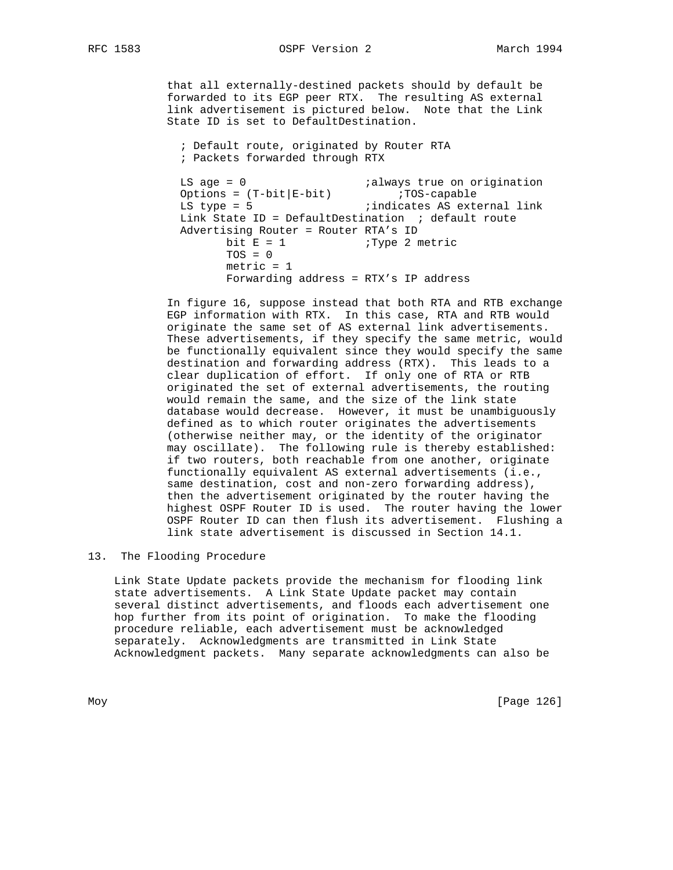that all externally-destined packets should by default be forwarded to its EGP peer RTX. The resulting AS external link advertisement is pictured below. Note that the Link State ID is set to DefaultDestination.

 ; Default route, originated by Router RTA ; Packets forwarded through RTX

LS age = 0  $\qquad \qquad$  ; always true on origination Options = (T-bit|E-bit) ;TOS-capable LS type = 5  $\qquad \qquad$  ; indicates AS external link Link State ID = DefaultDestination  $\cdot$  default route Advertising Router = Router RTA's ID bit  $E = 1$  ; Type 2 metric  $TOS = 0$  $metric = 1$ Forwarding address = RTX's IP address

> In figure 16, suppose instead that both RTA and RTB exchange EGP information with RTX. In this case, RTA and RTB would originate the same set of AS external link advertisements. These advertisements, if they specify the same metric, would be functionally equivalent since they would specify the same destination and forwarding address (RTX). This leads to a clear duplication of effort. If only one of RTA or RTB originated the set of external advertisements, the routing would remain the same, and the size of the link state database would decrease. However, it must be unambiguously defined as to which router originates the advertisements (otherwise neither may, or the identity of the originator may oscillate). The following rule is thereby established: if two routers, both reachable from one another, originate functionally equivalent AS external advertisements (i.e., same destination, cost and non-zero forwarding address), then the advertisement originated by the router having the highest OSPF Router ID is used. The router having the lower OSPF Router ID can then flush its advertisement. Flushing a link state advertisement is discussed in Section 14.1.

13. The Flooding Procedure

 Link State Update packets provide the mechanism for flooding link state advertisements. A Link State Update packet may contain several distinct advertisements, and floods each advertisement one hop further from its point of origination. To make the flooding procedure reliable, each advertisement must be acknowledged separately. Acknowledgments are transmitted in Link State Acknowledgment packets. Many separate acknowledgments can also be

Moy [Page 126]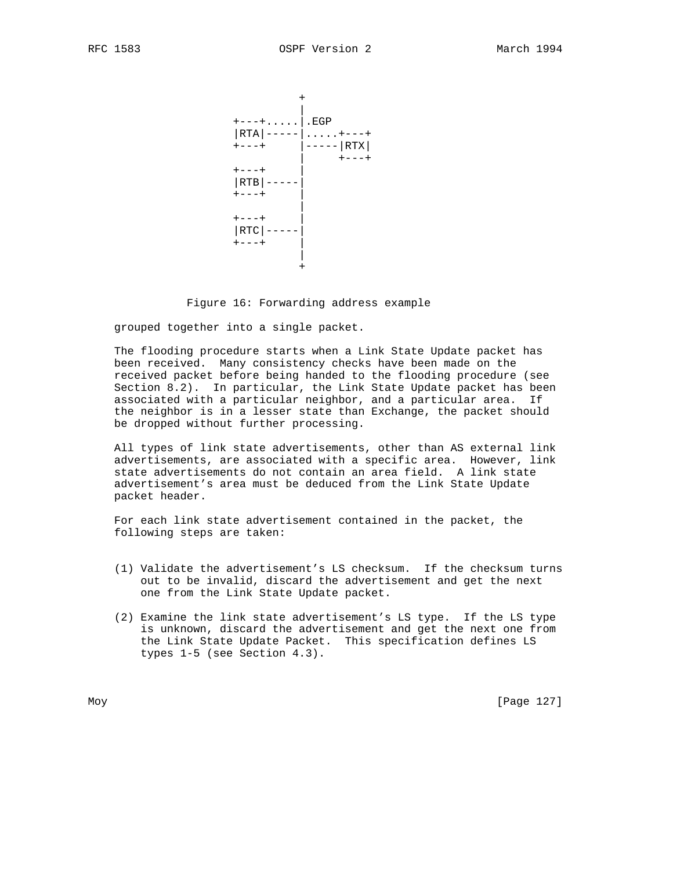

Figure 16: Forwarding address example

grouped together into a single packet.

 The flooding procedure starts when a Link State Update packet has been received. Many consistency checks have been made on the received packet before being handed to the flooding procedure (see Section 8.2). In particular, the Link State Update packet has been associated with a particular neighbor, and a particular area. If the neighbor is in a lesser state than Exchange, the packet should be dropped without further processing.

 All types of link state advertisements, other than AS external link advertisements, are associated with a specific area. However, link state advertisements do not contain an area field. A link state advertisement's area must be deduced from the Link State Update packet header.

 For each link state advertisement contained in the packet, the following steps are taken:

- (1) Validate the advertisement's LS checksum. If the checksum turns out to be invalid, discard the advertisement and get the next one from the Link State Update packet.
- (2) Examine the link state advertisement's LS type. If the LS type is unknown, discard the advertisement and get the next one from the Link State Update Packet. This specification defines LS types 1-5 (see Section 4.3).

Moy [Page 127]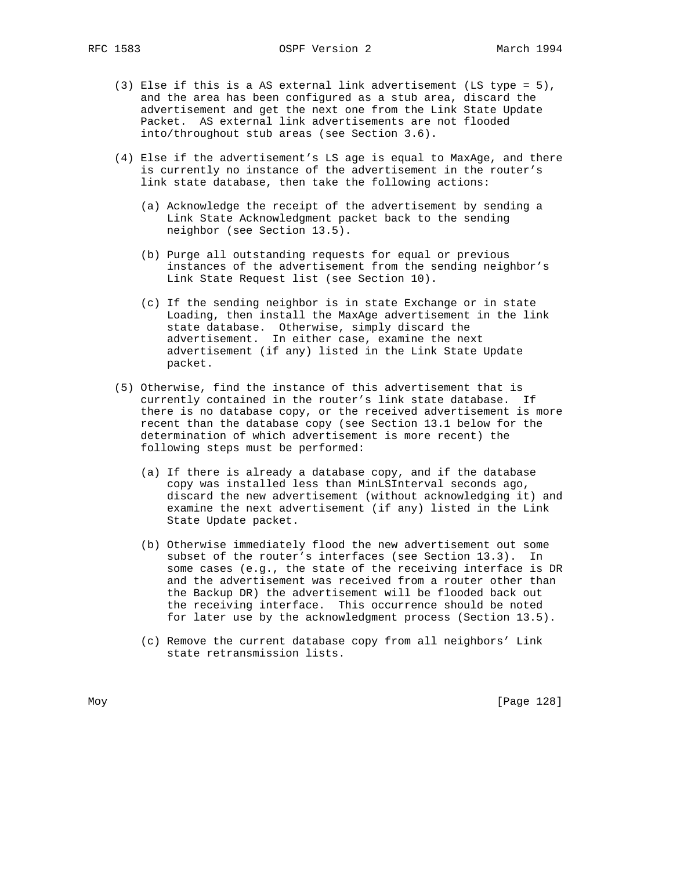RFC 1583 OSPF Version 2 March 1994

- (3) Else if this is a AS external link advertisement (LS type = 5), and the area has been configured as a stub area, discard the advertisement and get the next one from the Link State Update Packet. AS external link advertisements are not flooded into/throughout stub areas (see Section 3.6).
- (4) Else if the advertisement's LS age is equal to MaxAge, and there is currently no instance of the advertisement in the router's link state database, then take the following actions:
	- (a) Acknowledge the receipt of the advertisement by sending a Link State Acknowledgment packet back to the sending neighbor (see Section 13.5).
	- (b) Purge all outstanding requests for equal or previous instances of the advertisement from the sending neighbor's Link State Request list (see Section 10).
	- (c) If the sending neighbor is in state Exchange or in state Loading, then install the MaxAge advertisement in the link state database. Otherwise, simply discard the advertisement. In either case, examine the next advertisement (if any) listed in the Link State Update packet.
- (5) Otherwise, find the instance of this advertisement that is currently contained in the router's link state database. If there is no database copy, or the received advertisement is more recent than the database copy (see Section 13.1 below for the determination of which advertisement is more recent) the following steps must be performed:
	- (a) If there is already a database copy, and if the database copy was installed less than MinLSInterval seconds ago, discard the new advertisement (without acknowledging it) and examine the next advertisement (if any) listed in the Link State Update packet.
	- (b) Otherwise immediately flood the new advertisement out some subset of the router's interfaces (see Section 13.3). In some cases (e.g., the state of the receiving interface is DR and the advertisement was received from a router other than the Backup DR) the advertisement will be flooded back out the receiving interface. This occurrence should be noted for later use by the acknowledgment process (Section 13.5).
	- (c) Remove the current database copy from all neighbors' Link state retransmission lists.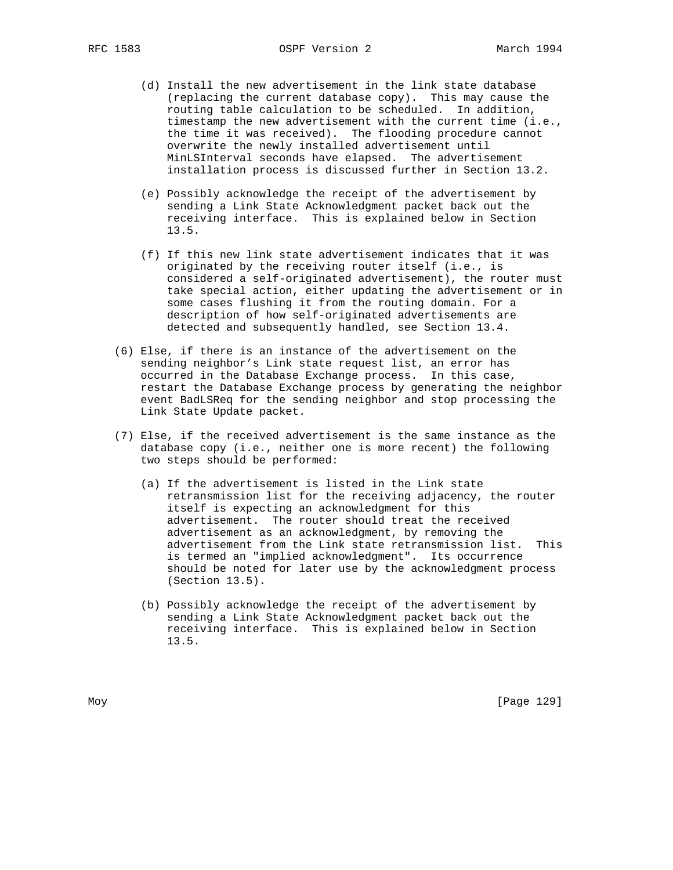- (d) Install the new advertisement in the link state database (replacing the current database copy). This may cause the routing table calculation to be scheduled. In addition, timestamp the new advertisement with the current time (i.e., the time it was received). The flooding procedure cannot overwrite the newly installed advertisement until MinLSInterval seconds have elapsed. The advertisement installation process is discussed further in Section 13.2.
- (e) Possibly acknowledge the receipt of the advertisement by sending a Link State Acknowledgment packet back out the receiving interface. This is explained below in Section 13.5.
- (f) If this new link state advertisement indicates that it was originated by the receiving router itself (i.e., is considered a self-originated advertisement), the router must take special action, either updating the advertisement or in some cases flushing it from the routing domain. For a description of how self-originated advertisements are detected and subsequently handled, see Section 13.4.
- (6) Else, if there is an instance of the advertisement on the sending neighbor's Link state request list, an error has occurred in the Database Exchange process. In this case, restart the Database Exchange process by generating the neighbor event BadLSReq for the sending neighbor and stop processing the Link State Update packet.
- (7) Else, if the received advertisement is the same instance as the database copy (i.e., neither one is more recent) the following two steps should be performed:
	- (a) If the advertisement is listed in the Link state retransmission list for the receiving adjacency, the router itself is expecting an acknowledgment for this advertisement. The router should treat the received advertisement as an acknowledgment, by removing the advertisement from the Link state retransmission list. This is termed an "implied acknowledgment". Its occurrence should be noted for later use by the acknowledgment process (Section 13.5).
	- (b) Possibly acknowledge the receipt of the advertisement by sending a Link State Acknowledgment packet back out the receiving interface. This is explained below in Section 13.5.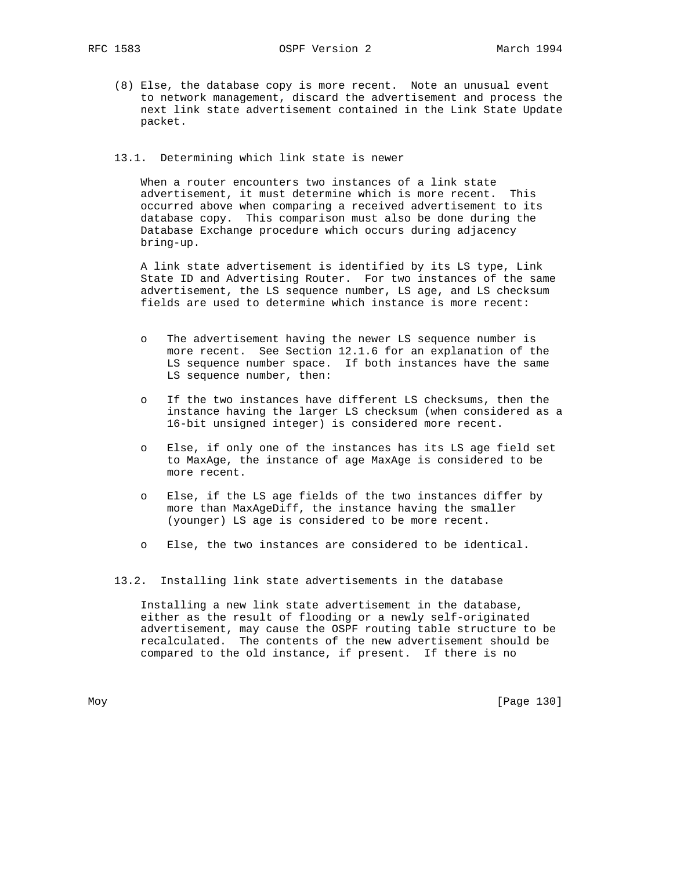(8) Else, the database copy is more recent. Note an unusual event to network management, discard the advertisement and process the next link state advertisement contained in the Link State Update packet.

# 13.1. Determining which link state is newer

 When a router encounters two instances of a link state advertisement, it must determine which is more recent. This occurred above when comparing a received advertisement to its database copy. This comparison must also be done during the Database Exchange procedure which occurs during adjacency bring-up.

 A link state advertisement is identified by its LS type, Link State ID and Advertising Router. For two instances of the same advertisement, the LS sequence number, LS age, and LS checksum fields are used to determine which instance is more recent:

- o The advertisement having the newer LS sequence number is more recent. See Section 12.1.6 for an explanation of the LS sequence number space. If both instances have the same LS sequence number, then:
- o If the two instances have different LS checksums, then the instance having the larger LS checksum (when considered as a 16-bit unsigned integer) is considered more recent.
- o Else, if only one of the instances has its LS age field set to MaxAge, the instance of age MaxAge is considered to be more recent.
- o Else, if the LS age fields of the two instances differ by more than MaxAgeDiff, the instance having the smaller (younger) LS age is considered to be more recent.
- o Else, the two instances are considered to be identical.

13.2. Installing link state advertisements in the database

 Installing a new link state advertisement in the database, either as the result of flooding or a newly self-originated advertisement, may cause the OSPF routing table structure to be recalculated. The contents of the new advertisement should be compared to the old instance, if present. If there is no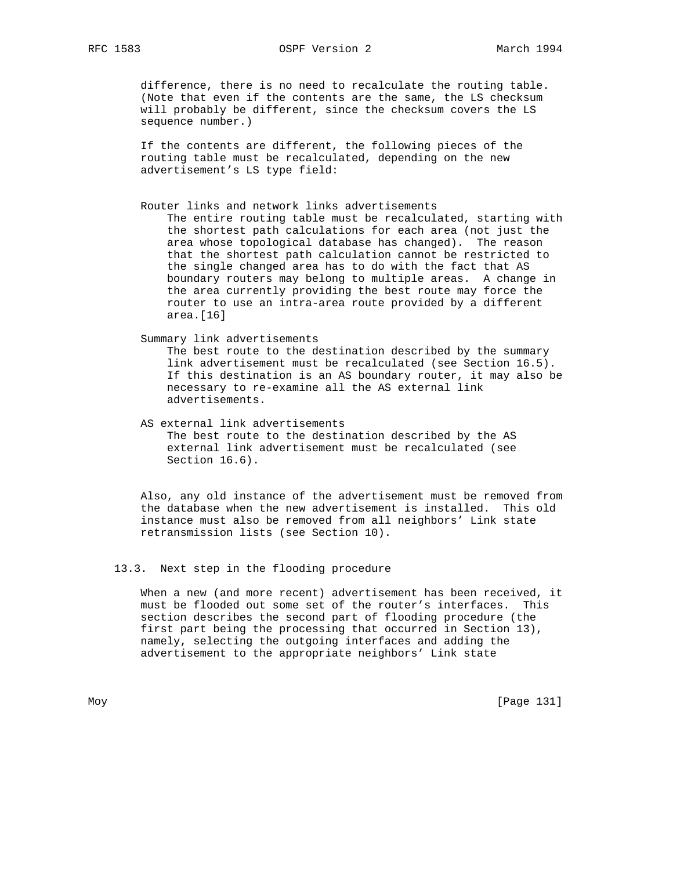difference, there is no need to recalculate the routing table. (Note that even if the contents are the same, the LS checksum will probably be different, since the checksum covers the LS sequence number.)

 If the contents are different, the following pieces of the routing table must be recalculated, depending on the new advertisement's LS type field:

Router links and network links advertisements

 The entire routing table must be recalculated, starting with the shortest path calculations for each area (not just the area whose topological database has changed). The reason that the shortest path calculation cannot be restricted to the single changed area has to do with the fact that AS boundary routers may belong to multiple areas. A change in the area currently providing the best route may force the router to use an intra-area route provided by a different area.[16]

Summary link advertisements

 The best route to the destination described by the summary link advertisement must be recalculated (see Section 16.5). If this destination is an AS boundary router, it may also be necessary to re-examine all the AS external link advertisements.

 AS external link advertisements The best route to the destination described by the AS external link advertisement must be recalculated (see Section 16.6).

 Also, any old instance of the advertisement must be removed from the database when the new advertisement is installed. This old instance must also be removed from all neighbors' Link state retransmission lists (see Section 10).

# 13.3. Next step in the flooding procedure

 When a new (and more recent) advertisement has been received, it must be flooded out some set of the router's interfaces. This section describes the second part of flooding procedure (the first part being the processing that occurred in Section 13), namely, selecting the outgoing interfaces and adding the advertisement to the appropriate neighbors' Link state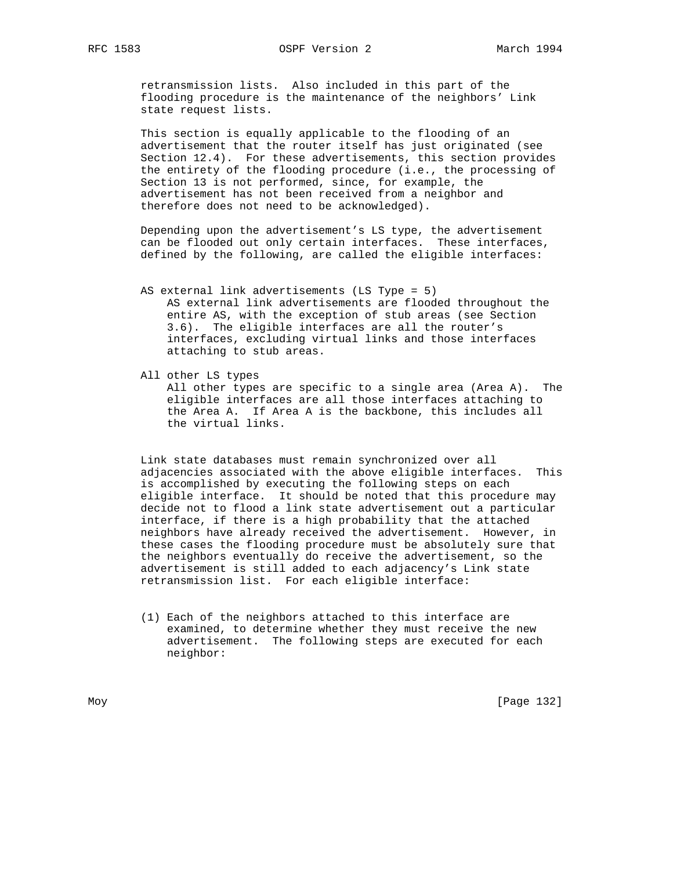retransmission lists. Also included in this part of the flooding procedure is the maintenance of the neighbors' Link state request lists.

 This section is equally applicable to the flooding of an advertisement that the router itself has just originated (see Section 12.4). For these advertisements, this section provides the entirety of the flooding procedure (i.e., the processing of Section 13 is not performed, since, for example, the advertisement has not been received from a neighbor and therefore does not need to be acknowledged).

 Depending upon the advertisement's LS type, the advertisement can be flooded out only certain interfaces. These interfaces, defined by the following, are called the eligible interfaces:

- AS external link advertisements (LS Type = 5) AS external link advertisements are flooded throughout the entire AS, with the exception of stub areas (see Section 3.6). The eligible interfaces are all the router's interfaces, excluding virtual links and those interfaces attaching to stub areas.
- All other LS types

 All other types are specific to a single area (Area A). The eligible interfaces are all those interfaces attaching to the Area A. If Area A is the backbone, this includes all the virtual links.

 Link state databases must remain synchronized over all adjacencies associated with the above eligible interfaces. This is accomplished by executing the following steps on each eligible interface. It should be noted that this procedure may decide not to flood a link state advertisement out a particular interface, if there is a high probability that the attached neighbors have already received the advertisement. However, in these cases the flooding procedure must be absolutely sure that the neighbors eventually do receive the advertisement, so the advertisement is still added to each adjacency's Link state retransmission list. For each eligible interface:

 (1) Each of the neighbors attached to this interface are examined, to determine whether they must receive the new advertisement. The following steps are executed for each neighbor: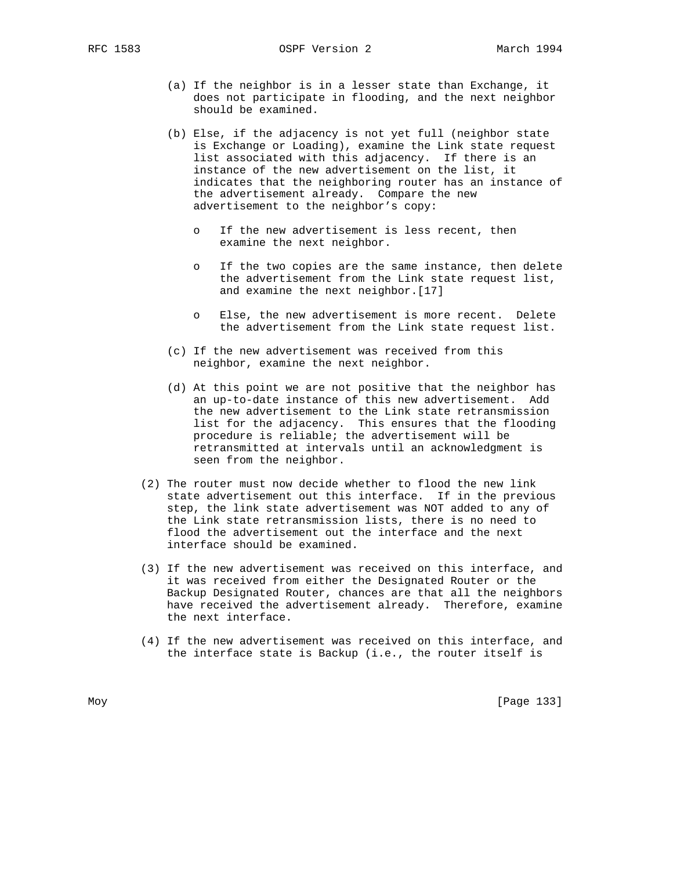- (a) If the neighbor is in a lesser state than Exchange, it does not participate in flooding, and the next neighbor should be examined.
- (b) Else, if the adjacency is not yet full (neighbor state is Exchange or Loading), examine the Link state request list associated with this adjacency. If there is an instance of the new advertisement on the list, it indicates that the neighboring router has an instance of the advertisement already. Compare the new advertisement to the neighbor's copy:
	- o If the new advertisement is less recent, then examine the next neighbor.
	- o If the two copies are the same instance, then delete the advertisement from the Link state request list, and examine the next neighbor.[17]
	- o Else, the new advertisement is more recent. Delete the advertisement from the Link state request list.
- (c) If the new advertisement was received from this neighbor, examine the next neighbor.
- (d) At this point we are not positive that the neighbor has an up-to-date instance of this new advertisement. Add the new advertisement to the Link state retransmission list for the adjacency. This ensures that the flooding procedure is reliable; the advertisement will be retransmitted at intervals until an acknowledgment is seen from the neighbor.
	- (2) The router must now decide whether to flood the new link state advertisement out this interface. If in the previous step, the link state advertisement was NOT added to any of the Link state retransmission lists, there is no need to flood the advertisement out the interface and the next interface should be examined.
	- (3) If the new advertisement was received on this interface, and it was received from either the Designated Router or the Backup Designated Router, chances are that all the neighbors have received the advertisement already. Therefore, examine the next interface.
	- (4) If the new advertisement was received on this interface, and the interface state is Backup (i.e., the router itself is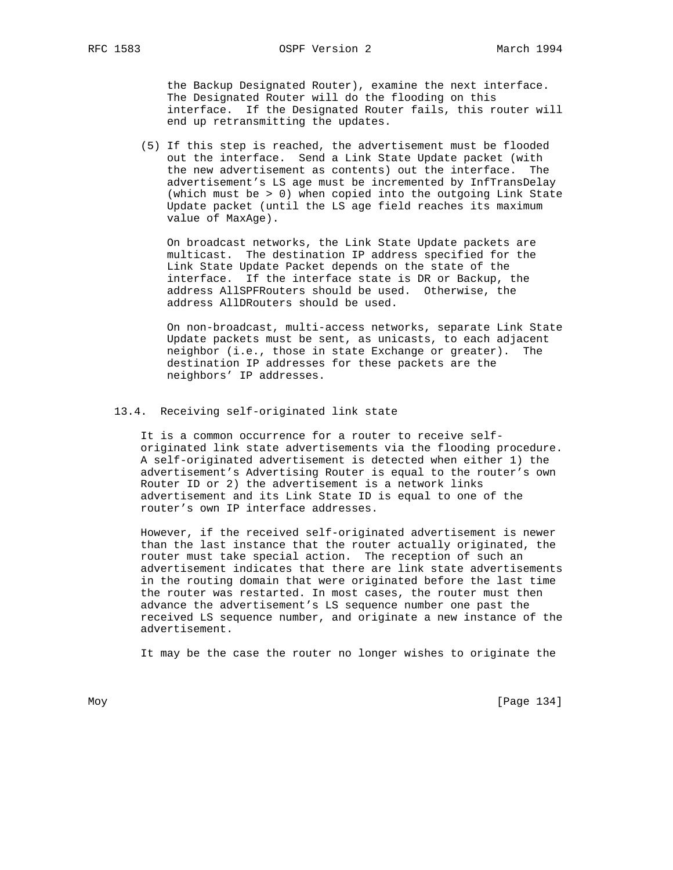the Backup Designated Router), examine the next interface. The Designated Router will do the flooding on this interface. If the Designated Router fails, this router will end up retransmitting the updates.

 (5) If this step is reached, the advertisement must be flooded out the interface. Send a Link State Update packet (with the new advertisement as contents) out the interface. The advertisement's LS age must be incremented by InfTransDelay (which must be > 0) when copied into the outgoing Link State Update packet (until the LS age field reaches its maximum value of MaxAge).

 On broadcast networks, the Link State Update packets are multicast. The destination IP address specified for the Link State Update Packet depends on the state of the interface. If the interface state is DR or Backup, the address AllSPFRouters should be used. Otherwise, the address AllDRouters should be used.

 On non-broadcast, multi-access networks, separate Link State Update packets must be sent, as unicasts, to each adjacent neighbor (i.e., those in state Exchange or greater). The destination IP addresses for these packets are the neighbors' IP addresses.

#### 13.4. Receiving self-originated link state

 It is a common occurrence for a router to receive self originated link state advertisements via the flooding procedure. A self-originated advertisement is detected when either 1) the advertisement's Advertising Router is equal to the router's own Router ID or 2) the advertisement is a network links advertisement and its Link State ID is equal to one of the router's own IP interface addresses.

 However, if the received self-originated advertisement is newer than the last instance that the router actually originated, the router must take special action. The reception of such an advertisement indicates that there are link state advertisements in the routing domain that were originated before the last time the router was restarted. In most cases, the router must then advance the advertisement's LS sequence number one past the received LS sequence number, and originate a new instance of the advertisement.

It may be the case the router no longer wishes to originate the

Moy [Page 134]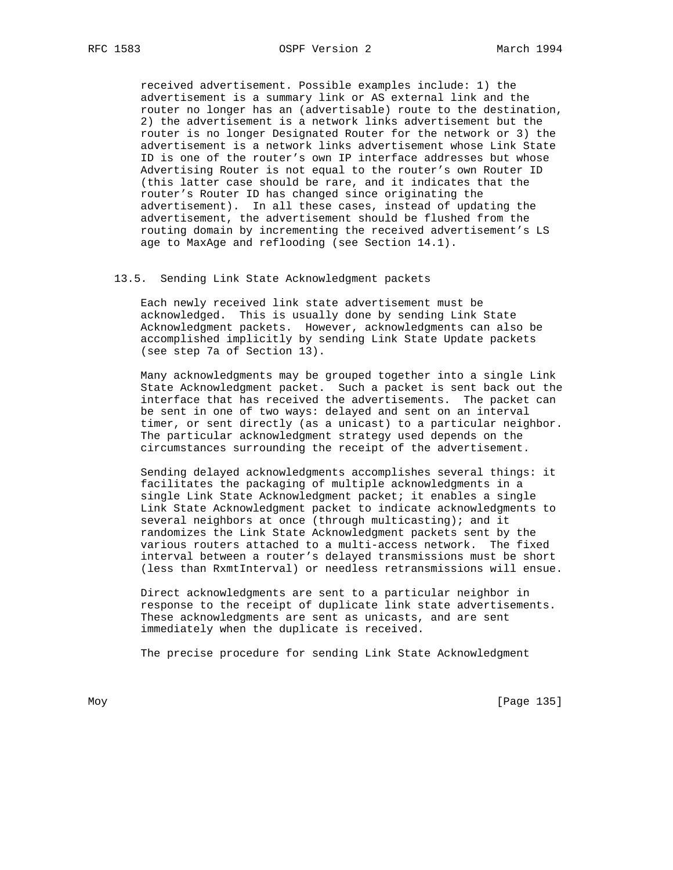received advertisement. Possible examples include: 1) the advertisement is a summary link or AS external link and the router no longer has an (advertisable) route to the destination, 2) the advertisement is a network links advertisement but the router is no longer Designated Router for the network or 3) the advertisement is a network links advertisement whose Link State ID is one of the router's own IP interface addresses but whose Advertising Router is not equal to the router's own Router ID (this latter case should be rare, and it indicates that the router's Router ID has changed since originating the advertisement). In all these cases, instead of updating the advertisement, the advertisement should be flushed from the routing domain by incrementing the received advertisement's LS age to MaxAge and reflooding (see Section 14.1).

13.5. Sending Link State Acknowledgment packets

 Each newly received link state advertisement must be acknowledged. This is usually done by sending Link State Acknowledgment packets. However, acknowledgments can also be accomplished implicitly by sending Link State Update packets (see step 7a of Section 13).

 Many acknowledgments may be grouped together into a single Link State Acknowledgment packet. Such a packet is sent back out the interface that has received the advertisements. The packet can be sent in one of two ways: delayed and sent on an interval timer, or sent directly (as a unicast) to a particular neighbor. The particular acknowledgment strategy used depends on the circumstances surrounding the receipt of the advertisement.

 Sending delayed acknowledgments accomplishes several things: it facilitates the packaging of multiple acknowledgments in a single Link State Acknowledgment packet; it enables a single Link State Acknowledgment packet to indicate acknowledgments to several neighbors at once (through multicasting); and it randomizes the Link State Acknowledgment packets sent by the various routers attached to a multi-access network. The fixed interval between a router's delayed transmissions must be short (less than RxmtInterval) or needless retransmissions will ensue.

 Direct acknowledgments are sent to a particular neighbor in response to the receipt of duplicate link state advertisements. These acknowledgments are sent as unicasts, and are sent immediately when the duplicate is received.

The precise procedure for sending Link State Acknowledgment

Moy [Page 135]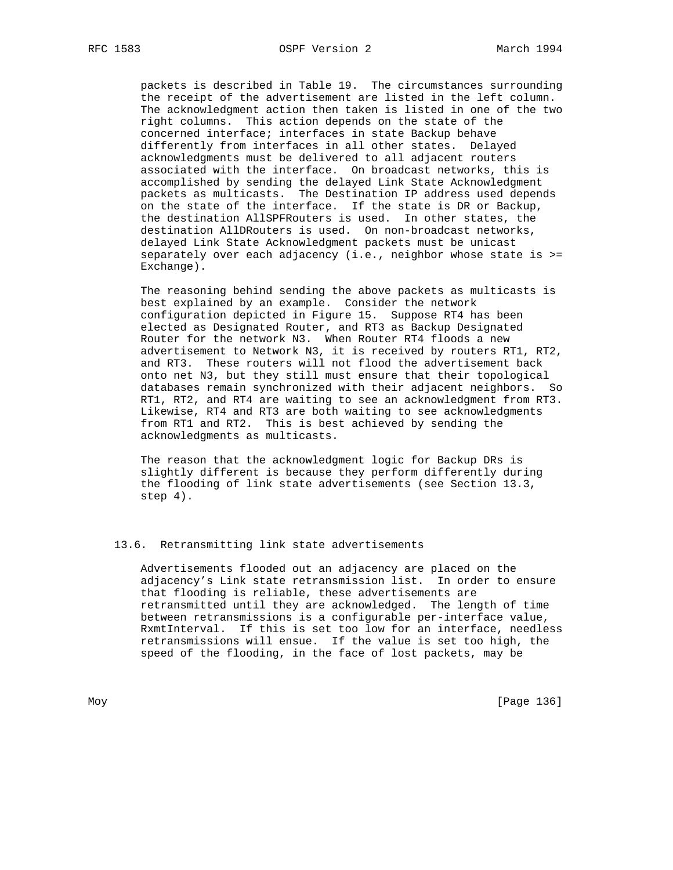packets is described in Table 19. The circumstances surrounding the receipt of the advertisement are listed in the left column. The acknowledgment action then taken is listed in one of the two right columns. This action depends on the state of the concerned interface; interfaces in state Backup behave differently from interfaces in all other states. Delayed acknowledgments must be delivered to all adjacent routers associated with the interface. On broadcast networks, this is accomplished by sending the delayed Link State Acknowledgment packets as multicasts. The Destination IP address used depends on the state of the interface. If the state is DR or Backup, the destination AllSPFRouters is used. In other states, the destination AllDRouters is used. On non-broadcast networks, delayed Link State Acknowledgment packets must be unicast separately over each adjacency  $(i.e.,$  neighbor whose state is  $>=$ Exchange).

 The reasoning behind sending the above packets as multicasts is best explained by an example. Consider the network configuration depicted in Figure 15. Suppose RT4 has been elected as Designated Router, and RT3 as Backup Designated Router for the network N3. When Router RT4 floods a new advertisement to Network N3, it is received by routers RT1, RT2, and RT3. These routers will not flood the advertisement back onto net N3, but they still must ensure that their topological databases remain synchronized with their adjacent neighbors. So RT1, RT2, and RT4 are waiting to see an acknowledgment from RT3. Likewise, RT4 and RT3 are both waiting to see acknowledgments from RT1 and RT2. This is best achieved by sending the acknowledgments as multicasts.

 The reason that the acknowledgment logic for Backup DRs is slightly different is because they perform differently during the flooding of link state advertisements (see Section 13.3, step 4).

### 13.6. Retransmitting link state advertisements

 Advertisements flooded out an adjacency are placed on the adjacency's Link state retransmission list. In order to ensure that flooding is reliable, these advertisements are retransmitted until they are acknowledged. The length of time between retransmissions is a configurable per-interface value, RxmtInterval. If this is set too low for an interface, needless retransmissions will ensue. If the value is set too high, the speed of the flooding, in the face of lost packets, may be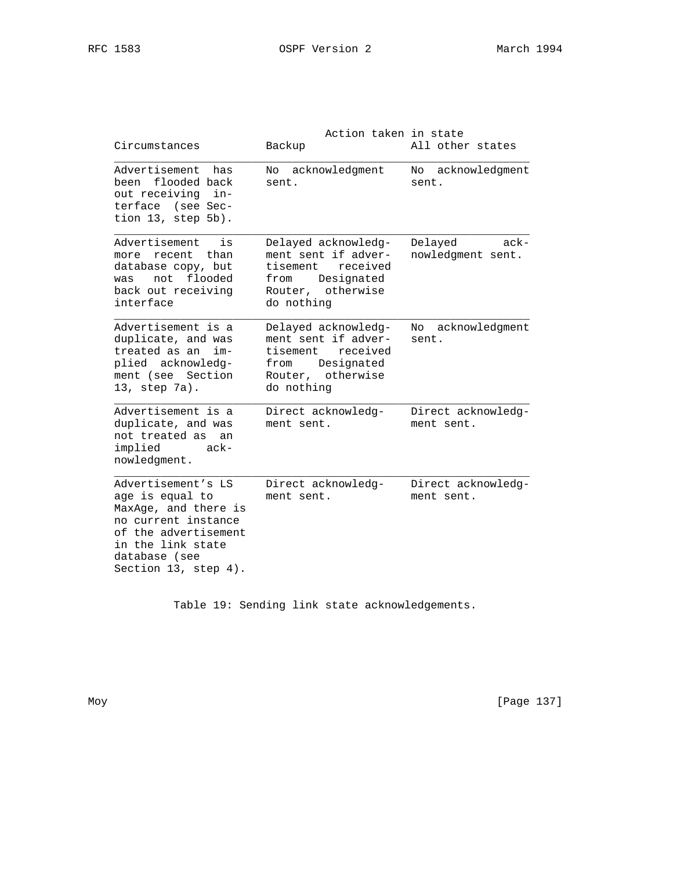| Circumstances                                                                                                                                                              | Action taken in state<br>Backup                                                                                          | All other states                        |
|----------------------------------------------------------------------------------------------------------------------------------------------------------------------------|--------------------------------------------------------------------------------------------------------------------------|-----------------------------------------|
| Advertisement has<br>been flooded back<br>out receiving in-<br>terface (see Sec-<br>tion 13, step 5b).                                                                     | No acknowledgment<br>sent.                                                                                               | No acknowledgment<br>sent.              |
| Advertisement<br>is<br>more recent than<br>database copy, but<br>not flooded<br>was<br>back out receiving<br>interface                                                     | Delayed acknowledg-<br>ment sent if adver-<br>tisement received<br>Designated<br>from<br>Router, otherwise<br>do nothing | Delayed<br>$ack -$<br>nowledgment sent. |
| Advertisement is a<br>duplicate, and was<br>treated as an<br>$im-$<br>plied acknowledg-<br>ment (see Section<br>13, step 7a).                                              | Delayed acknowledg-<br>ment sent if adver-<br>tisement received<br>Designated<br>from<br>Router, otherwise<br>do nothing | No acknowledgment<br>sent.              |
| Advertisement is a<br>duplicate, and was<br>not treated as an<br>implied<br>ack-<br>nowledgment.                                                                           | Direct acknowledg-<br>ment sent.                                                                                         | Direct acknowledg-<br>ment sent.        |
| Advertisement's LS<br>age is equal to<br>MaxAge, and there is<br>no current instance<br>of the advertisement<br>in the link state<br>database (see<br>Section 13, step 4). | Direct acknowledg-<br>ment sent.                                                                                         | Direct acknowledg-<br>ment sent.        |

Table 19: Sending link state acknowledgements.

Moy [Page 137]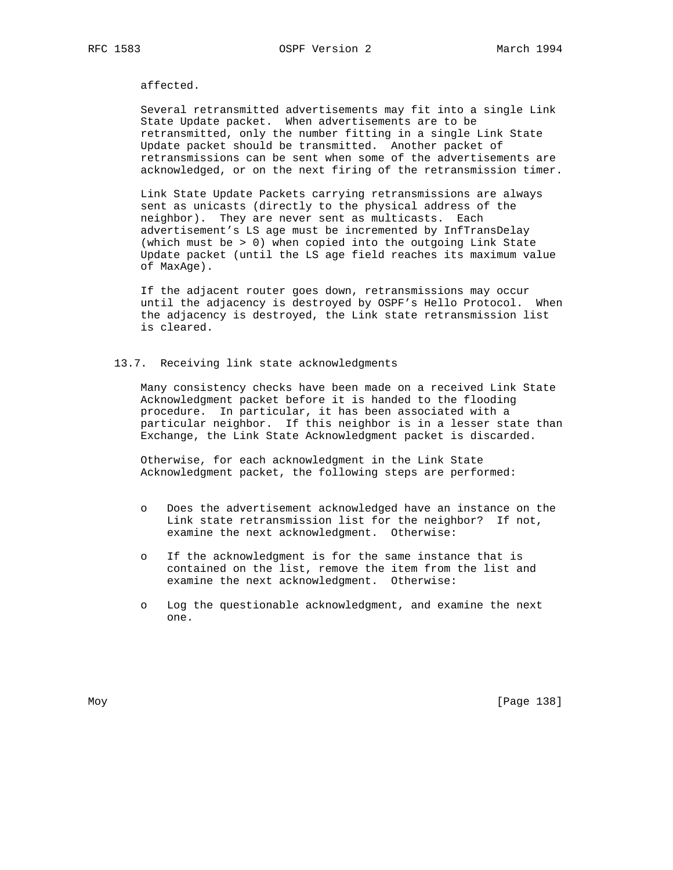affected.

 Several retransmitted advertisements may fit into a single Link State Update packet. When advertisements are to be retransmitted, only the number fitting in a single Link State Update packet should be transmitted. Another packet of retransmissions can be sent when some of the advertisements are acknowledged, or on the next firing of the retransmission timer.

 Link State Update Packets carrying retransmissions are always sent as unicasts (directly to the physical address of the neighbor). They are never sent as multicasts. Each advertisement's LS age must be incremented by InfTransDelay (which must be > 0) when copied into the outgoing Link State Update packet (until the LS age field reaches its maximum value of MaxAge).

 If the adjacent router goes down, retransmissions may occur until the adjacency is destroyed by OSPF's Hello Protocol. When the adjacency is destroyed, the Link state retransmission list is cleared.

### 13.7. Receiving link state acknowledgments

 Many consistency checks have been made on a received Link State Acknowledgment packet before it is handed to the flooding procedure. In particular, it has been associated with a particular neighbor. If this neighbor is in a lesser state than Exchange, the Link State Acknowledgment packet is discarded.

 Otherwise, for each acknowledgment in the Link State Acknowledgment packet, the following steps are performed:

- o Does the advertisement acknowledged have an instance on the Link state retransmission list for the neighbor? If not, examine the next acknowledgment. Otherwise:
- o If the acknowledgment is for the same instance that is contained on the list, remove the item from the list and examine the next acknowledgment. Otherwise:
- o Log the questionable acknowledgment, and examine the next one.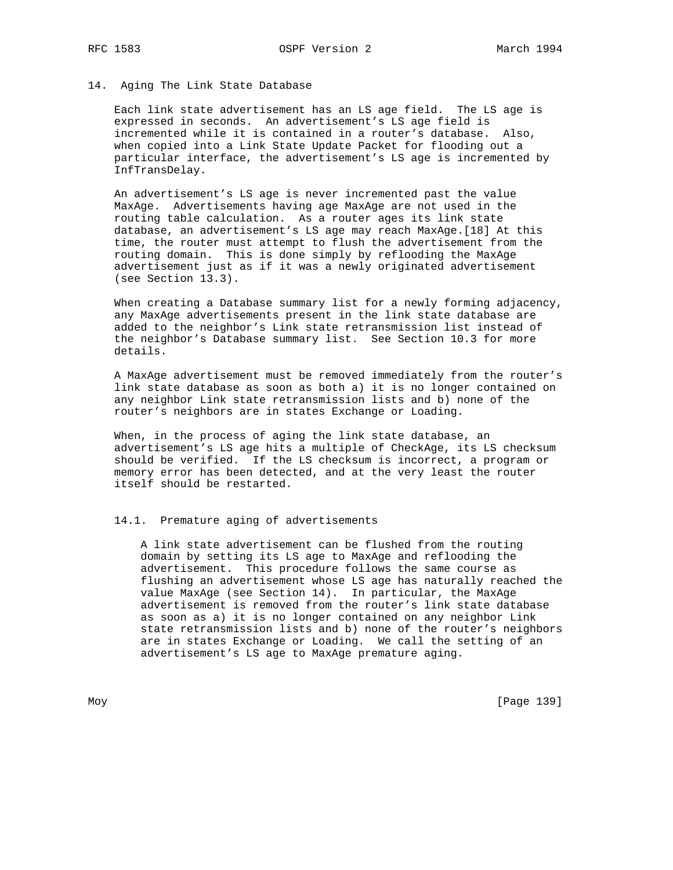# 14. Aging The Link State Database

 Each link state advertisement has an LS age field. The LS age is expressed in seconds. An advertisement's LS age field is incremented while it is contained in a router's database. Also, when copied into a Link State Update Packet for flooding out a particular interface, the advertisement's LS age is incremented by InfTransDelay.

 An advertisement's LS age is never incremented past the value MaxAge. Advertisements having age MaxAge are not used in the routing table calculation. As a router ages its link state database, an advertisement's LS age may reach MaxAge.[18] At this time, the router must attempt to flush the advertisement from the routing domain. This is done simply by reflooding the MaxAge advertisement just as if it was a newly originated advertisement (see Section 13.3).

 When creating a Database summary list for a newly forming adjacency, any MaxAge advertisements present in the link state database are added to the neighbor's Link state retransmission list instead of the neighbor's Database summary list. See Section 10.3 for more details.

 A MaxAge advertisement must be removed immediately from the router's link state database as soon as both a) it is no longer contained on any neighbor Link state retransmission lists and b) none of the router's neighbors are in states Exchange or Loading.

When, in the process of aging the link state database, an advertisement's LS age hits a multiple of CheckAge, its LS checksum should be verified. If the LS checksum is incorrect, a program or memory error has been detected, and at the very least the router itself should be restarted.

14.1. Premature aging of advertisements

 A link state advertisement can be flushed from the routing domain by setting its LS age to MaxAge and reflooding the advertisement. This procedure follows the same course as flushing an advertisement whose LS age has naturally reached the value MaxAge (see Section 14). In particular, the MaxAge advertisement is removed from the router's link state database as soon as a) it is no longer contained on any neighbor Link state retransmission lists and b) none of the router's neighbors are in states Exchange or Loading. We call the setting of an advertisement's LS age to MaxAge premature aging.

Moy [Page 139]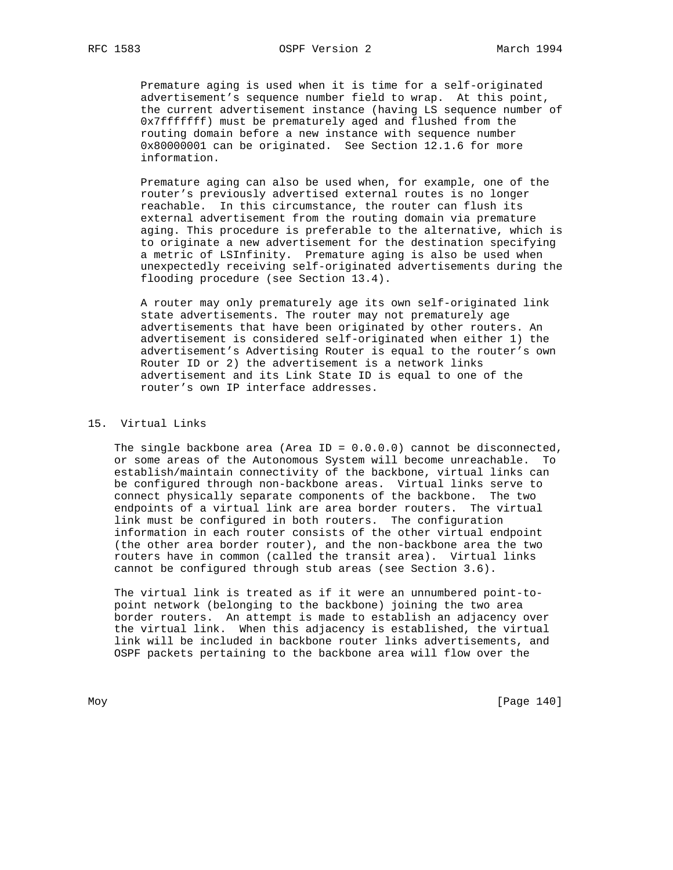Premature aging is used when it is time for a self-originated advertisement's sequence number field to wrap. At this point, the current advertisement instance (having LS sequence number of 0x7fffffff) must be prematurely aged and flushed from the routing domain before a new instance with sequence number 0x80000001 can be originated. See Section 12.1.6 for more information.

 Premature aging can also be used when, for example, one of the router's previously advertised external routes is no longer reachable. In this circumstance, the router can flush its external advertisement from the routing domain via premature aging. This procedure is preferable to the alternative, which is to originate a new advertisement for the destination specifying a metric of LSInfinity. Premature aging is also be used when unexpectedly receiving self-originated advertisements during the flooding procedure (see Section 13.4).

 A router may only prematurely age its own self-originated link state advertisements. The router may not prematurely age advertisements that have been originated by other routers. An advertisement is considered self-originated when either 1) the advertisement's Advertising Router is equal to the router's own Router ID or 2) the advertisement is a network links advertisement and its Link State ID is equal to one of the router's own IP interface addresses.

### 15. Virtual Links

The single backbone area (Area ID =  $0.0.0.0$ ) cannot be disconnected, or some areas of the Autonomous System will become unreachable. To establish/maintain connectivity of the backbone, virtual links can be configured through non-backbone areas. Virtual links serve to connect physically separate components of the backbone. The two endpoints of a virtual link are area border routers. The virtual link must be configured in both routers. The configuration information in each router consists of the other virtual endpoint (the other area border router), and the non-backbone area the two routers have in common (called the transit area). Virtual links cannot be configured through stub areas (see Section 3.6).

 The virtual link is treated as if it were an unnumbered point-to point network (belonging to the backbone) joining the two area border routers. An attempt is made to establish an adjacency over the virtual link. When this adjacency is established, the virtual link will be included in backbone router links advertisements, and OSPF packets pertaining to the backbone area will flow over the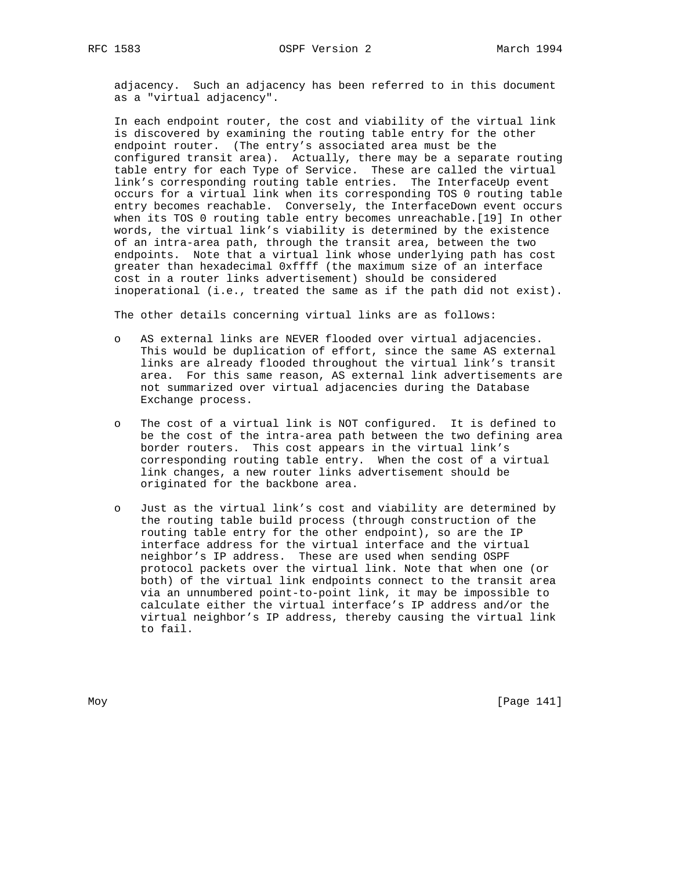adjacency. Such an adjacency has been referred to in this document as a "virtual adjacency".

 In each endpoint router, the cost and viability of the virtual link is discovered by examining the routing table entry for the other endpoint router. (The entry's associated area must be the configured transit area). Actually, there may be a separate routing table entry for each Type of Service. These are called the virtual link's corresponding routing table entries. The InterfaceUp event occurs for a virtual link when its corresponding TOS 0 routing table entry becomes reachable. Conversely, the InterfaceDown event occurs when its TOS 0 routing table entry becomes unreachable.[19] In other words, the virtual link's viability is determined by the existence of an intra-area path, through the transit area, between the two endpoints. Note that a virtual link whose underlying path has cost greater than hexadecimal 0xffff (the maximum size of an interface cost in a router links advertisement) should be considered inoperational (i.e., treated the same as if the path did not exist).

The other details concerning virtual links are as follows:

- o AS external links are NEVER flooded over virtual adjacencies. This would be duplication of effort, since the same AS external links are already flooded throughout the virtual link's transit area. For this same reason, AS external link advertisements are not summarized over virtual adjacencies during the Database Exchange process.
- o The cost of a virtual link is NOT configured. It is defined to be the cost of the intra-area path between the two defining area border routers. This cost appears in the virtual link's corresponding routing table entry. When the cost of a virtual link changes, a new router links advertisement should be originated for the backbone area.
- o Just as the virtual link's cost and viability are determined by the routing table build process (through construction of the routing table entry for the other endpoint), so are the IP interface address for the virtual interface and the virtual neighbor's IP address. These are used when sending OSPF protocol packets over the virtual link. Note that when one (or both) of the virtual link endpoints connect to the transit area via an unnumbered point-to-point link, it may be impossible to calculate either the virtual interface's IP address and/or the virtual neighbor's IP address, thereby causing the virtual link to fail.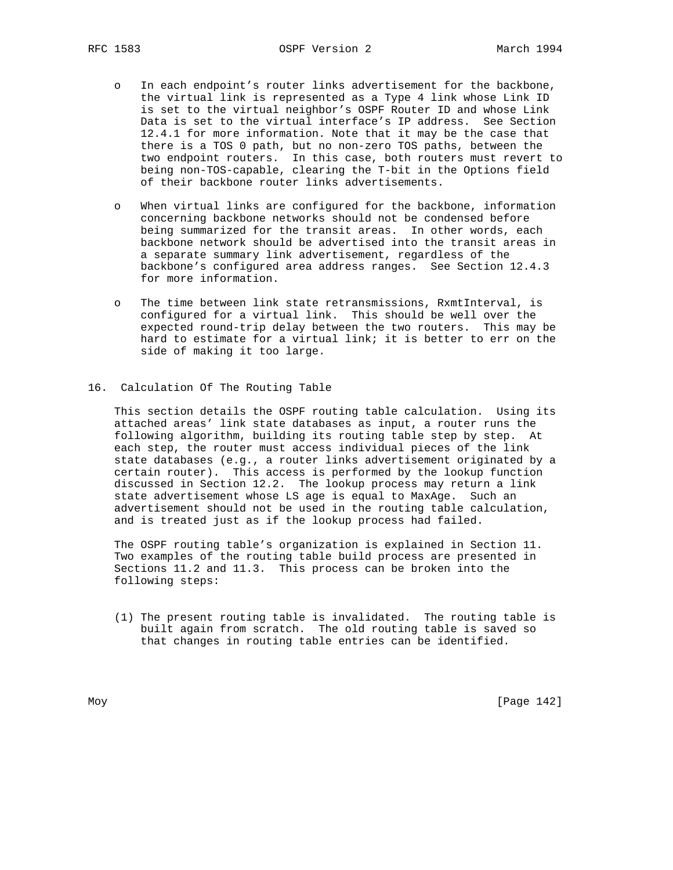- o In each endpoint's router links advertisement for the backbone, the virtual link is represented as a Type 4 link whose Link ID is set to the virtual neighbor's OSPF Router ID and whose Link Data is set to the virtual interface's IP address. See Section 12.4.1 for more information. Note that it may be the case that there is a TOS 0 path, but no non-zero TOS paths, between the two endpoint routers. In this case, both routers must revert to being non-TOS-capable, clearing the T-bit in the Options field of their backbone router links advertisements.
- o When virtual links are configured for the backbone, information concerning backbone networks should not be condensed before being summarized for the transit areas. In other words, each backbone network should be advertised into the transit areas in a separate summary link advertisement, regardless of the backbone's configured area address ranges. See Section 12.4.3 for more information.
- o The time between link state retransmissions, RxmtInterval, is configured for a virtual link. This should be well over the expected round-trip delay between the two routers. This may be hard to estimate for a virtual link; it is better to err on the side of making it too large.
- 16. Calculation Of The Routing Table

 This section details the OSPF routing table calculation. Using its attached areas' link state databases as input, a router runs the following algorithm, building its routing table step by step. At each step, the router must access individual pieces of the link state databases (e.g., a router links advertisement originated by a certain router). This access is performed by the lookup function discussed in Section 12.2. The lookup process may return a link state advertisement whose LS age is equal to MaxAge. Such an advertisement should not be used in the routing table calculation, and is treated just as if the lookup process had failed.

 The OSPF routing table's organization is explained in Section 11. Two examples of the routing table build process are presented in Sections 11.2 and 11.3. This process can be broken into the following steps:

 (1) The present routing table is invalidated. The routing table is built again from scratch. The old routing table is saved so that changes in routing table entries can be identified.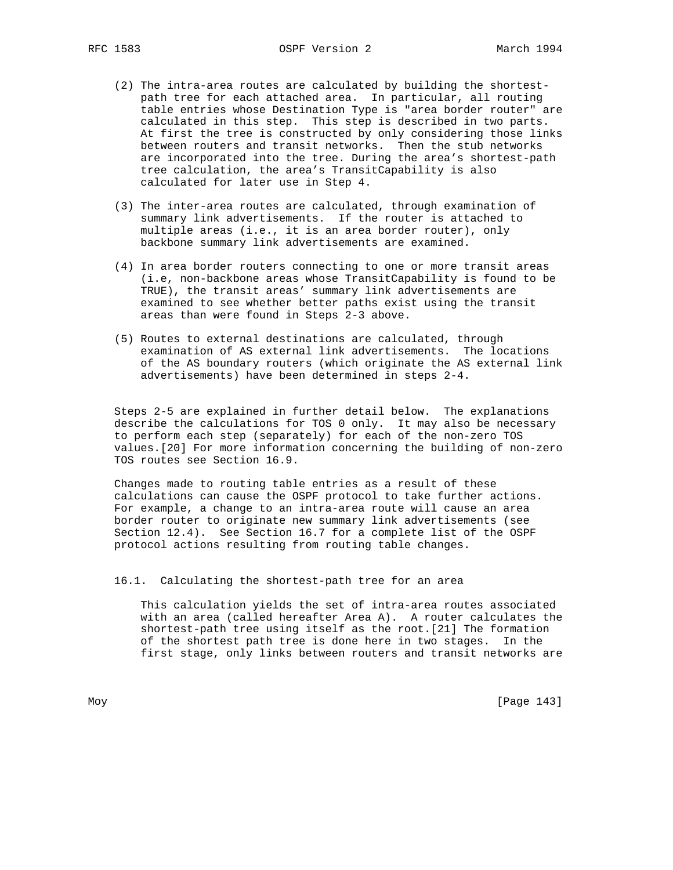- (2) The intra-area routes are calculated by building the shortest path tree for each attached area. In particular, all routing table entries whose Destination Type is "area border router" are calculated in this step. This step is described in two parts. At first the tree is constructed by only considering those links between routers and transit networks. Then the stub networks are incorporated into the tree. During the area's shortest-path tree calculation, the area's TransitCapability is also calculated for later use in Step 4.
- (3) The inter-area routes are calculated, through examination of summary link advertisements. If the router is attached to multiple areas (i.e., it is an area border router), only backbone summary link advertisements are examined.
- (4) In area border routers connecting to one or more transit areas (i.e, non-backbone areas whose TransitCapability is found to be TRUE), the transit areas' summary link advertisements are examined to see whether better paths exist using the transit areas than were found in Steps 2-3 above.
- (5) Routes to external destinations are calculated, through examination of AS external link advertisements. The locations of the AS boundary routers (which originate the AS external link advertisements) have been determined in steps 2-4.

 Steps 2-5 are explained in further detail below. The explanations describe the calculations for TOS 0 only. It may also be necessary to perform each step (separately) for each of the non-zero TOS values.[20] For more information concerning the building of non-zero TOS routes see Section 16.9.

 Changes made to routing table entries as a result of these calculations can cause the OSPF protocol to take further actions. For example, a change to an intra-area route will cause an area border router to originate new summary link advertisements (see Section 12.4). See Section 16.7 for a complete list of the OSPF protocol actions resulting from routing table changes.

16.1. Calculating the shortest-path tree for an area

 This calculation yields the set of intra-area routes associated with an area (called hereafter Area A). A router calculates the shortest-path tree using itself as the root.[21] The formation of the shortest path tree is done here in two stages. In the first stage, only links between routers and transit networks are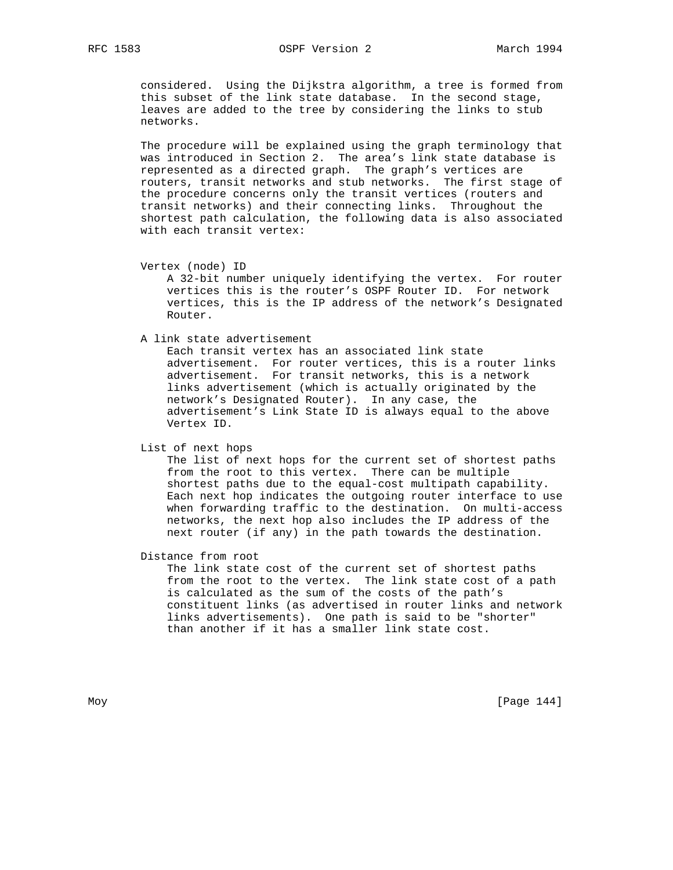considered. Using the Dijkstra algorithm, a tree is formed from this subset of the link state database. In the second stage, leaves are added to the tree by considering the links to stub networks.

 The procedure will be explained using the graph terminology that was introduced in Section 2. The area's link state database is represented as a directed graph. The graph's vertices are routers, transit networks and stub networks. The first stage of the procedure concerns only the transit vertices (routers and transit networks) and their connecting links. Throughout the shortest path calculation, the following data is also associated with each transit vertex:

```
 Vertex (node) ID
```
 A 32-bit number uniquely identifying the vertex. For router vertices this is the router's OSPF Router ID. For network vertices, this is the IP address of the network's Designated Router.

A link state advertisement

 Each transit vertex has an associated link state advertisement. For router vertices, this is a router links advertisement. For transit networks, this is a network links advertisement (which is actually originated by the network's Designated Router). In any case, the advertisement's Link State ID is always equal to the above Vertex ID.

List of next hops

 The list of next hops for the current set of shortest paths from the root to this vertex. There can be multiple shortest paths due to the equal-cost multipath capability. Each next hop indicates the outgoing router interface to use when forwarding traffic to the destination. On multi-access networks, the next hop also includes the IP address of the next router (if any) in the path towards the destination.

Distance from root

 The link state cost of the current set of shortest paths from the root to the vertex. The link state cost of a path is calculated as the sum of the costs of the path's constituent links (as advertised in router links and network links advertisements). One path is said to be "shorter" than another if it has a smaller link state cost.

Moy [Page 144]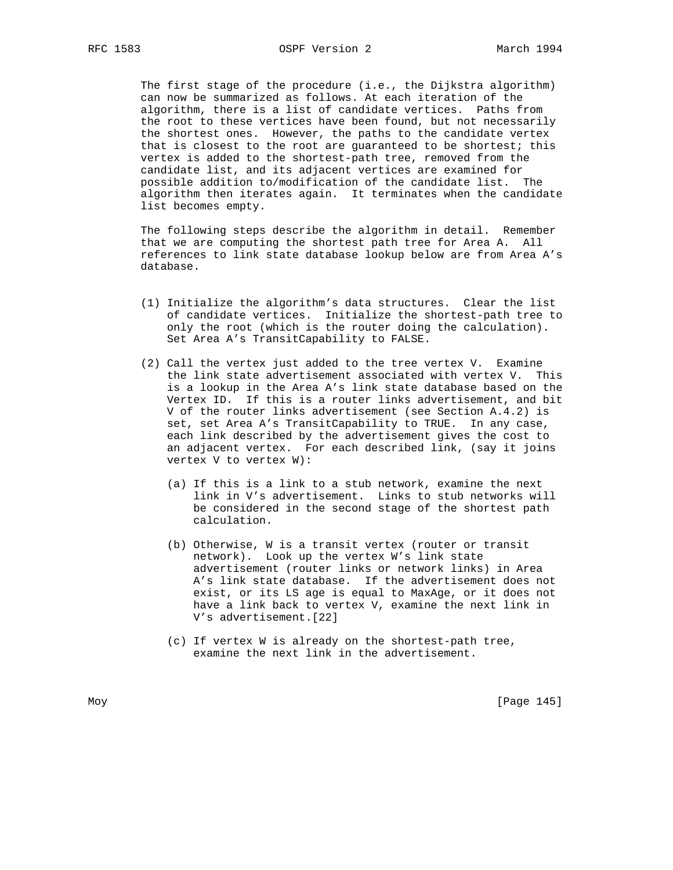The first stage of the procedure (i.e., the Dijkstra algorithm) can now be summarized as follows. At each iteration of the algorithm, there is a list of candidate vertices. Paths from the root to these vertices have been found, but not necessarily the shortest ones. However, the paths to the candidate vertex that is closest to the root are guaranteed to be shortest; this vertex is added to the shortest-path tree, removed from the candidate list, and its adjacent vertices are examined for possible addition to/modification of the candidate list. The algorithm then iterates again. It terminates when the candidate list becomes empty.

 The following steps describe the algorithm in detail. Remember that we are computing the shortest path tree for Area A. All references to link state database lookup below are from Area A's database.

- (1) Initialize the algorithm's data structures. Clear the list of candidate vertices. Initialize the shortest-path tree to only the root (which is the router doing the calculation). Set Area A's TransitCapability to FALSE.
- (2) Call the vertex just added to the tree vertex V. Examine the link state advertisement associated with vertex V. This is a lookup in the Area A's link state database based on the Vertex ID. If this is a router links advertisement, and bit V of the router links advertisement (see Section A.4.2) is set, set Area A's TransitCapability to TRUE. In any case, each link described by the advertisement gives the cost to an adjacent vertex. For each described link, (say it joins vertex V to vertex W):
	- (a) If this is a link to a stub network, examine the next link in V's advertisement. Links to stub networks will be considered in the second stage of the shortest path calculation.
	- (b) Otherwise, W is a transit vertex (router or transit network). Look up the vertex W's link state advertisement (router links or network links) in Area A's link state database. If the advertisement does not exist, or its LS age is equal to MaxAge, or it does not have a link back to vertex V, examine the next link in V's advertisement.[22]
	- (c) If vertex W is already on the shortest-path tree, examine the next link in the advertisement.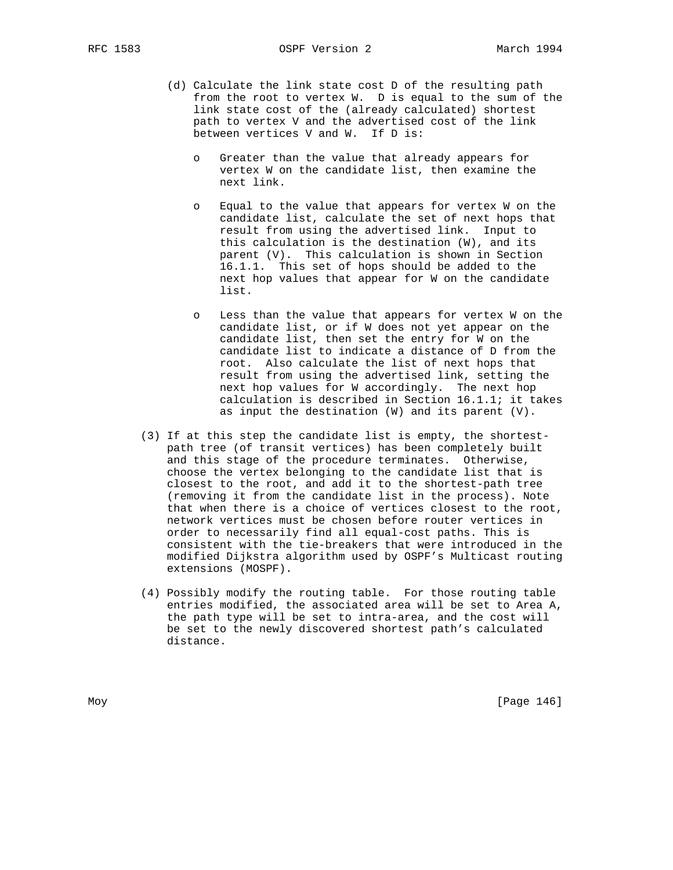RFC 1583 OSPF Version 2 March 1994

- (d) Calculate the link state cost D of the resulting path from the root to vertex W. D is equal to the sum of the link state cost of the (already calculated) shortest path to vertex V and the advertised cost of the link between vertices V and W. If D is:
	- o Greater than the value that already appears for vertex W on the candidate list, then examine the next link.
	- o Equal to the value that appears for vertex W on the candidate list, calculate the set of next hops that result from using the advertised link. Input to this calculation is the destination (W), and its parent (V). This calculation is shown in Section 16.1.1. This set of hops should be added to the next hop values that appear for W on the candidate list.
	- Less than the value that appears for vertex W on the candidate list, or if W does not yet appear on the candidate list, then set the entry for W on the candidate list to indicate a distance of D from the root. Also calculate the list of next hops that result from using the advertised link, setting the next hop values for W accordingly. The next hop calculation is described in Section 16.1.1; it takes as input the destination (W) and its parent (V).
- (3) If at this step the candidate list is empty, the shortest path tree (of transit vertices) has been completely built and this stage of the procedure terminates. Otherwise, choose the vertex belonging to the candidate list that is closest to the root, and add it to the shortest-path tree (removing it from the candidate list in the process). Note that when there is a choice of vertices closest to the root, network vertices must be chosen before router vertices in order to necessarily find all equal-cost paths. This is consistent with the tie-breakers that were introduced in the modified Dijkstra algorithm used by OSPF's Multicast routing extensions (MOSPF).
- (4) Possibly modify the routing table. For those routing table entries modified, the associated area will be set to Area A, the path type will be set to intra-area, and the cost will be set to the newly discovered shortest path's calculated distance.

Moy [Page 146]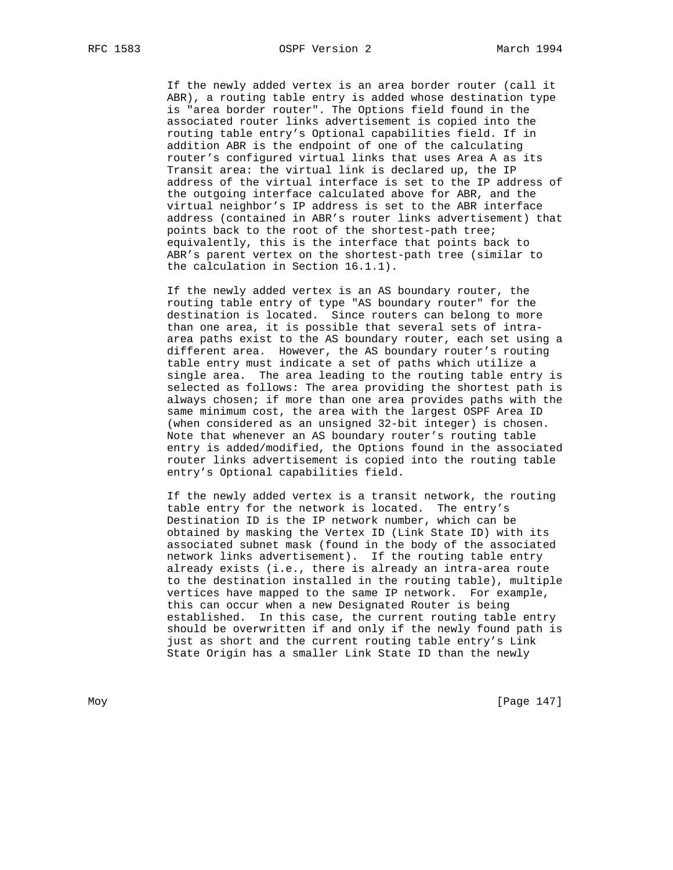If the newly added vertex is an area border router (call it ABR), a routing table entry is added whose destination type is "area border router". The Options field found in the associated router links advertisement is copied into the routing table entry's Optional capabilities field. If in addition ABR is the endpoint of one of the calculating router's configured virtual links that uses Area A as its Transit area: the virtual link is declared up, the IP address of the virtual interface is set to the IP address of the outgoing interface calculated above for ABR, and the virtual neighbor's IP address is set to the ABR interface address (contained in ABR's router links advertisement) that points back to the root of the shortest-path tree; equivalently, this is the interface that points back to ABR's parent vertex on the shortest-path tree (similar to the calculation in Section 16.1.1).

 If the newly added vertex is an AS boundary router, the routing table entry of type "AS boundary router" for the destination is located. Since routers can belong to more than one area, it is possible that several sets of intra area paths exist to the AS boundary router, each set using a different area. However, the AS boundary router's routing table entry must indicate a set of paths which utilize a single area. The area leading to the routing table entry is selected as follows: The area providing the shortest path is always chosen; if more than one area provides paths with the same minimum cost, the area with the largest OSPF Area ID (when considered as an unsigned 32-bit integer) is chosen. Note that whenever an AS boundary router's routing table entry is added/modified, the Options found in the associated router links advertisement is copied into the routing table entry's Optional capabilities field.

 If the newly added vertex is a transit network, the routing table entry for the network is located. The entry's Destination ID is the IP network number, which can be obtained by masking the Vertex ID (Link State ID) with its associated subnet mask (found in the body of the associated network links advertisement). If the routing table entry already exists (i.e., there is already an intra-area route to the destination installed in the routing table), multiple vertices have mapped to the same IP network. For example, this can occur when a new Designated Router is being established. In this case, the current routing table entry should be overwritten if and only if the newly found path is just as short and the current routing table entry's Link State Origin has a smaller Link State ID than the newly

Moy [Page 147]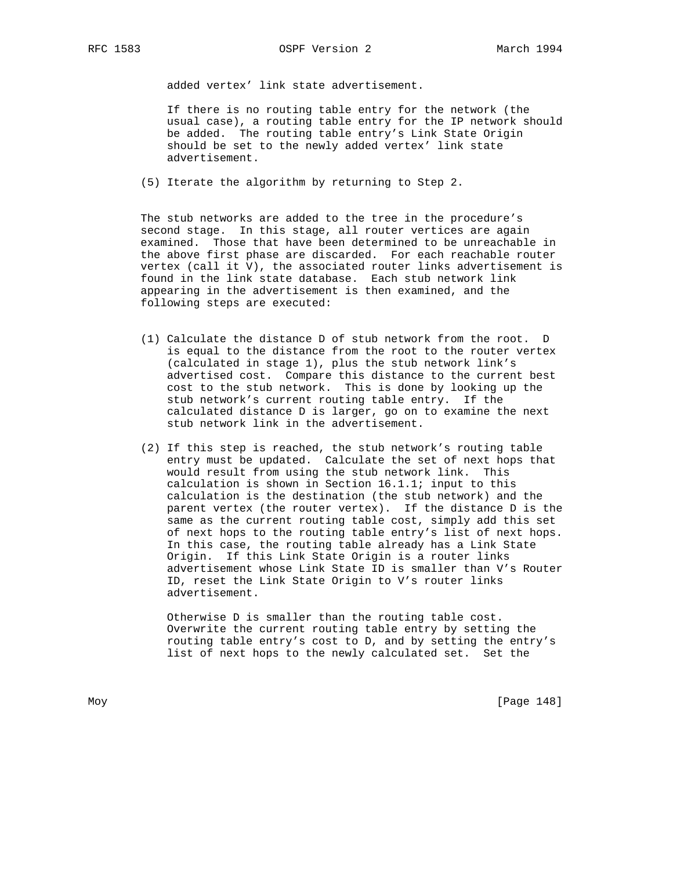RFC 1583 OSPF Version 2 March 1994

added vertex' link state advertisement.

 If there is no routing table entry for the network (the usual case), a routing table entry for the IP network should be added. The routing table entry's Link State Origin should be set to the newly added vertex' link state advertisement.

(5) Iterate the algorithm by returning to Step 2.

 The stub networks are added to the tree in the procedure's second stage. In this stage, all router vertices are again examined. Those that have been determined to be unreachable in the above first phase are discarded. For each reachable router vertex (call it V), the associated router links advertisement is found in the link state database. Each stub network link appearing in the advertisement is then examined, and the following steps are executed:

- (1) Calculate the distance D of stub network from the root. D is equal to the distance from the root to the router vertex (calculated in stage 1), plus the stub network link's advertised cost. Compare this distance to the current best cost to the stub network. This is done by looking up the stub network's current routing table entry. If the calculated distance D is larger, go on to examine the next stub network link in the advertisement.
- (2) If this step is reached, the stub network's routing table entry must be updated. Calculate the set of next hops that would result from using the stub network link. This calculation is shown in Section 16.1.1; input to this calculation is the destination (the stub network) and the parent vertex (the router vertex). If the distance D is the same as the current routing table cost, simply add this set of next hops to the routing table entry's list of next hops. In this case, the routing table already has a Link State Origin. If this Link State Origin is a router links advertisement whose Link State ID is smaller than V's Router ID, reset the Link State Origin to V's router links advertisement.

 Otherwise D is smaller than the routing table cost. Overwrite the current routing table entry by setting the routing table entry's cost to D, and by setting the entry's list of next hops to the newly calculated set. Set the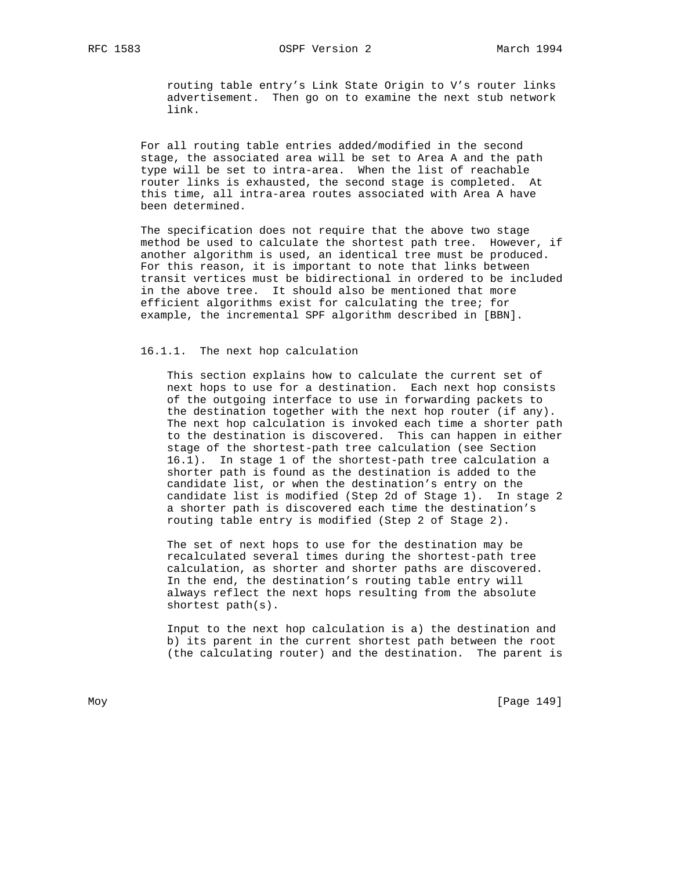routing table entry's Link State Origin to V's router links advertisement. Then go on to examine the next stub network link.

 For all routing table entries added/modified in the second stage, the associated area will be set to Area A and the path type will be set to intra-area. When the list of reachable router links is exhausted, the second stage is completed. At this time, all intra-area routes associated with Area A have been determined.

 The specification does not require that the above two stage method be used to calculate the shortest path tree. However, if another algorithm is used, an identical tree must be produced. For this reason, it is important to note that links between transit vertices must be bidirectional in ordered to be included in the above tree. It should also be mentioned that more efficient algorithms exist for calculating the tree; for example, the incremental SPF algorithm described in [BBN].

## 16.1.1. The next hop calculation

 This section explains how to calculate the current set of next hops to use for a destination. Each next hop consists of the outgoing interface to use in forwarding packets to the destination together with the next hop router (if any). The next hop calculation is invoked each time a shorter path to the destination is discovered. This can happen in either stage of the shortest-path tree calculation (see Section 16.1). In stage 1 of the shortest-path tree calculation a shorter path is found as the destination is added to the candidate list, or when the destination's entry on the candidate list is modified (Step 2d of Stage 1). In stage 2 a shorter path is discovered each time the destination's routing table entry is modified (Step 2 of Stage 2).

 The set of next hops to use for the destination may be recalculated several times during the shortest-path tree calculation, as shorter and shorter paths are discovered. In the end, the destination's routing table entry will always reflect the next hops resulting from the absolute shortest path(s).

 Input to the next hop calculation is a) the destination and b) its parent in the current shortest path between the root (the calculating router) and the destination. The parent is

Moy [Page 149]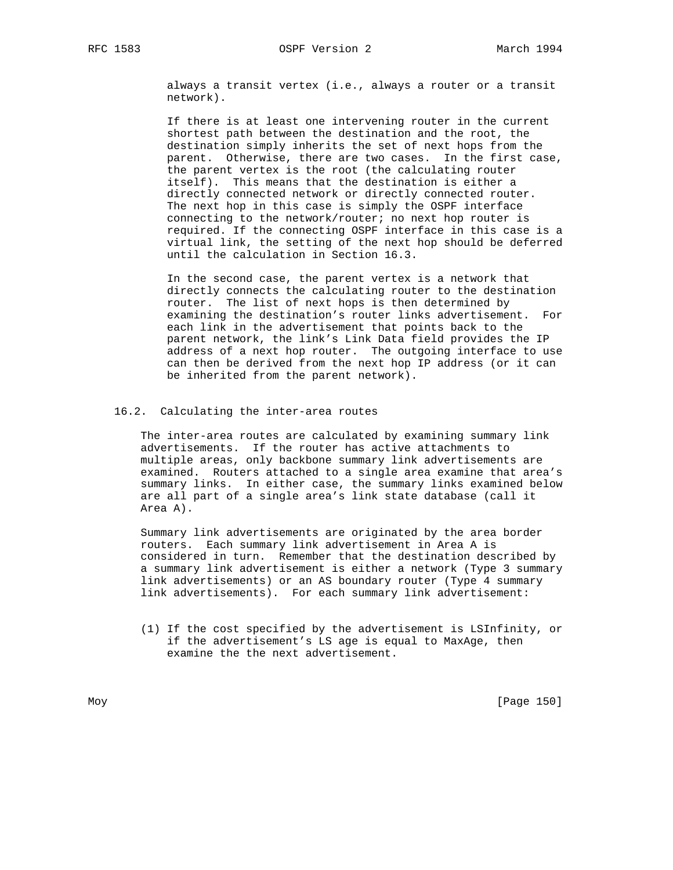always a transit vertex (i.e., always a router or a transit network).

 If there is at least one intervening router in the current shortest path between the destination and the root, the destination simply inherits the set of next hops from the parent. Otherwise, there are two cases. In the first case, the parent vertex is the root (the calculating router itself). This means that the destination is either a directly connected network or directly connected router. The next hop in this case is simply the OSPF interface connecting to the network/router; no next hop router is required. If the connecting OSPF interface in this case is a virtual link, the setting of the next hop should be deferred until the calculation in Section 16.3.

 In the second case, the parent vertex is a network that directly connects the calculating router to the destination router. The list of next hops is then determined by examining the destination's router links advertisement. For each link in the advertisement that points back to the parent network, the link's Link Data field provides the IP address of a next hop router. The outgoing interface to use can then be derived from the next hop IP address (or it can be inherited from the parent network).

## 16.2. Calculating the inter-area routes

 The inter-area routes are calculated by examining summary link advertisements. If the router has active attachments to multiple areas, only backbone summary link advertisements are examined. Routers attached to a single area examine that area's summary links. In either case, the summary links examined below are all part of a single area's link state database (call it Area A).

 Summary link advertisements are originated by the area border routers. Each summary link advertisement in Area A is considered in turn. Remember that the destination described by a summary link advertisement is either a network (Type 3 summary link advertisements) or an AS boundary router (Type 4 summary link advertisements). For each summary link advertisement:

 (1) If the cost specified by the advertisement is LSInfinity, or if the advertisement's LS age is equal to MaxAge, then examine the the next advertisement.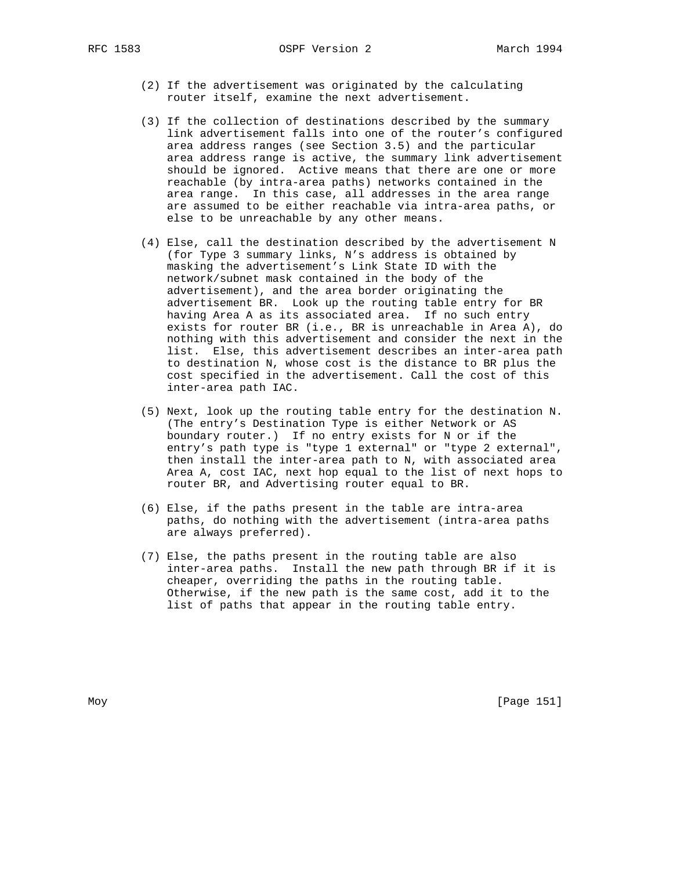- (2) If the advertisement was originated by the calculating router itself, examine the next advertisement.
- (3) If the collection of destinations described by the summary link advertisement falls into one of the router's configured area address ranges (see Section 3.5) and the particular area address range is active, the summary link advertisement should be ignored. Active means that there are one or more reachable (by intra-area paths) networks contained in the area range. In this case, all addresses in the area range are assumed to be either reachable via intra-area paths, or else to be unreachable by any other means.
- (4) Else, call the destination described by the advertisement N (for Type 3 summary links, N's address is obtained by masking the advertisement's Link State ID with the network/subnet mask contained in the body of the advertisement), and the area border originating the advertisement BR. Look up the routing table entry for BR having Area A as its associated area. If no such entry exists for router BR (i.e., BR is unreachable in Area A), do nothing with this advertisement and consider the next in the list. Else, this advertisement describes an inter-area path to destination N, whose cost is the distance to BR plus the cost specified in the advertisement. Call the cost of this inter-area path IAC.
- (5) Next, look up the routing table entry for the destination N. (The entry's Destination Type is either Network or AS boundary router.) If no entry exists for N or if the entry's path type is "type 1 external" or "type 2 external", then install the inter-area path to N, with associated area Area A, cost IAC, next hop equal to the list of next hops to router BR, and Advertising router equal to BR.
- (6) Else, if the paths present in the table are intra-area paths, do nothing with the advertisement (intra-area paths are always preferred).
- (7) Else, the paths present in the routing table are also inter-area paths. Install the new path through BR if it is cheaper, overriding the paths in the routing table. Otherwise, if the new path is the same cost, add it to the list of paths that appear in the routing table entry.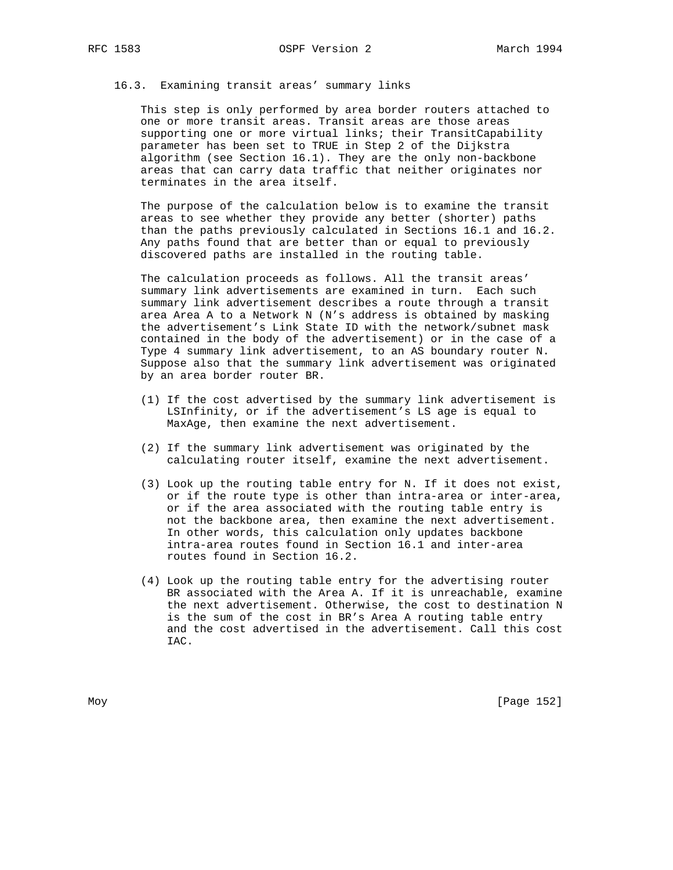#### 16.3. Examining transit areas' summary links

 This step is only performed by area border routers attached to one or more transit areas. Transit areas are those areas supporting one or more virtual links; their TransitCapability parameter has been set to TRUE in Step 2 of the Dijkstra algorithm (see Section 16.1). They are the only non-backbone areas that can carry data traffic that neither originates nor terminates in the area itself.

 The purpose of the calculation below is to examine the transit areas to see whether they provide any better (shorter) paths than the paths previously calculated in Sections 16.1 and 16.2. Any paths found that are better than or equal to previously discovered paths are installed in the routing table.

 The calculation proceeds as follows. All the transit areas' summary link advertisements are examined in turn. Each such summary link advertisement describes a route through a transit area Area A to a Network N (N's address is obtained by masking the advertisement's Link State ID with the network/subnet mask contained in the body of the advertisement) or in the case of a Type 4 summary link advertisement, to an AS boundary router N. Suppose also that the summary link advertisement was originated by an area border router BR.

- (1) If the cost advertised by the summary link advertisement is LSInfinity, or if the advertisement's LS age is equal to MaxAge, then examine the next advertisement.
- (2) If the summary link advertisement was originated by the calculating router itself, examine the next advertisement.
- (3) Look up the routing table entry for N. If it does not exist, or if the route type is other than intra-area or inter-area, or if the area associated with the routing table entry is not the backbone area, then examine the next advertisement. In other words, this calculation only updates backbone intra-area routes found in Section 16.1 and inter-area routes found in Section 16.2.
- (4) Look up the routing table entry for the advertising router BR associated with the Area A. If it is unreachable, examine the next advertisement. Otherwise, the cost to destination N is the sum of the cost in BR's Area A routing table entry and the cost advertised in the advertisement. Call this cost IAC.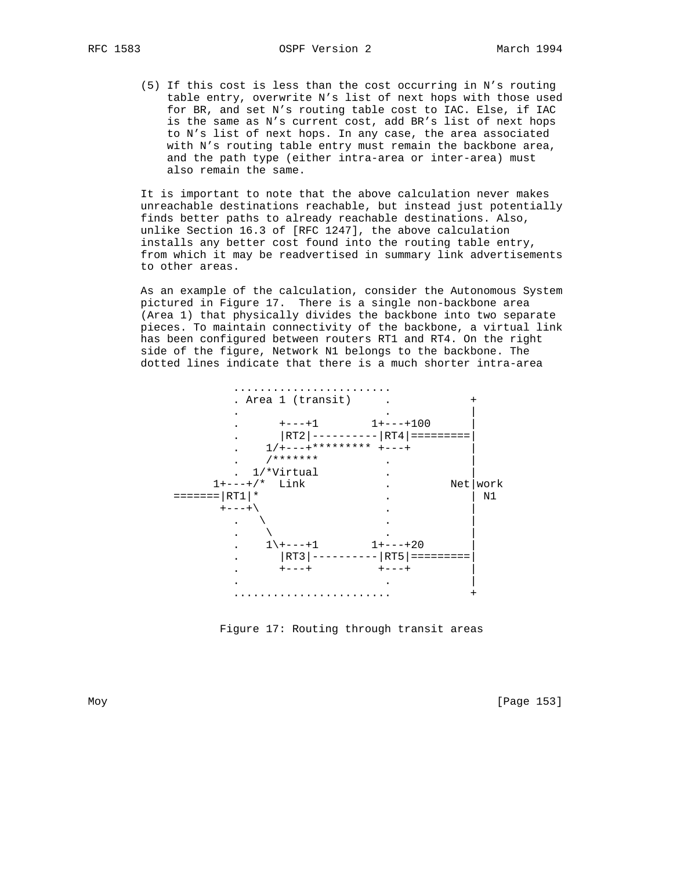(5) If this cost is less than the cost occurring in N's routing table entry, overwrite N's list of next hops with those used for BR, and set N's routing table cost to IAC. Else, if IAC is the same as N's current cost, add BR's list of next hops to N's list of next hops. In any case, the area associated with N's routing table entry must remain the backbone area, and the path type (either intra-area or inter-area) must also remain the same.

 It is important to note that the above calculation never makes unreachable destinations reachable, but instead just potentially finds better paths to already reachable destinations. Also, unlike Section 16.3 of [RFC 1247], the above calculation installs any better cost found into the routing table entry, from which it may be readvertised in summary link advertisements to other areas.

 As an example of the calculation, consider the Autonomous System pictured in Figure 17. There is a single non-backbone area (Area 1) that physically divides the backbone into two separate pieces. To maintain connectivity of the backbone, a virtual link has been configured between routers RT1 and RT4. On the right side of the figure, Network N1 belongs to the backbone. The dotted lines indicate that there is a much shorter intra-area



Figure 17: Routing through transit areas

Moy [Page 153]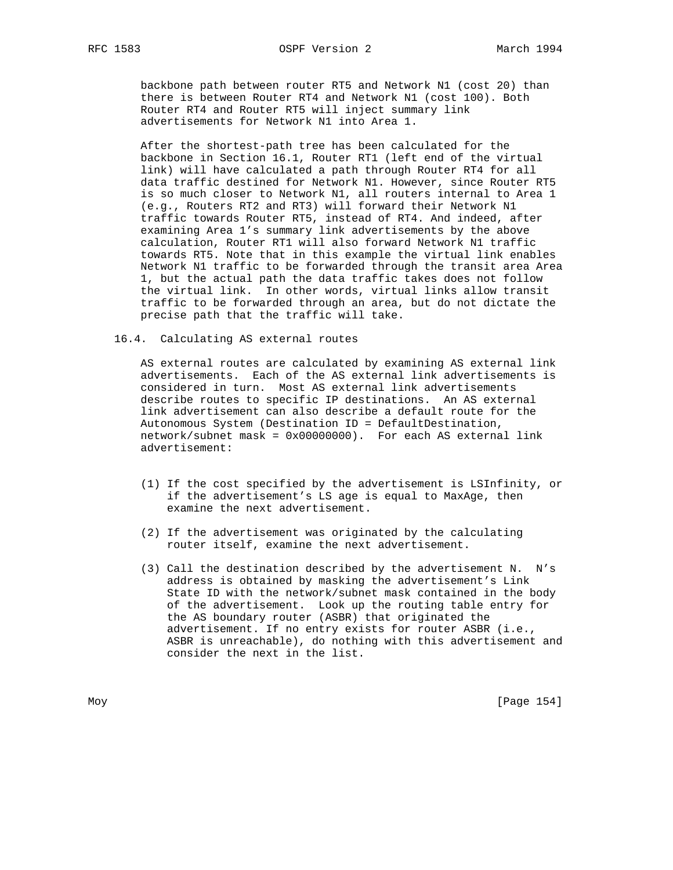backbone path between router RT5 and Network N1 (cost 20) than there is between Router RT4 and Network N1 (cost 100). Both Router RT4 and Router RT5 will inject summary link advertisements for Network N1 into Area 1.

 After the shortest-path tree has been calculated for the backbone in Section 16.1, Router RT1 (left end of the virtual link) will have calculated a path through Router RT4 for all data traffic destined for Network N1. However, since Router RT5 is so much closer to Network N1, all routers internal to Area 1 (e.g., Routers RT2 and RT3) will forward their Network N1 traffic towards Router RT5, instead of RT4. And indeed, after examining Area 1's summary link advertisements by the above calculation, Router RT1 will also forward Network N1 traffic towards RT5. Note that in this example the virtual link enables Network N1 traffic to be forwarded through the transit area Area 1, but the actual path the data traffic takes does not follow the virtual link. In other words, virtual links allow transit traffic to be forwarded through an area, but do not dictate the precise path that the traffic will take.

16.4. Calculating AS external routes

 AS external routes are calculated by examining AS external link advertisements. Each of the AS external link advertisements is considered in turn. Most AS external link advertisements describe routes to specific IP destinations. An AS external link advertisement can also describe a default route for the Autonomous System (Destination ID = DefaultDestination, network/subnet mask = 0x00000000). For each AS external link advertisement:

- (1) If the cost specified by the advertisement is LSInfinity, or if the advertisement's LS age is equal to MaxAge, then examine the next advertisement.
- (2) If the advertisement was originated by the calculating router itself, examine the next advertisement.
- (3) Call the destination described by the advertisement N. N's address is obtained by masking the advertisement's Link State ID with the network/subnet mask contained in the body of the advertisement. Look up the routing table entry for the AS boundary router (ASBR) that originated the advertisement. If no entry exists for router ASBR (i.e., ASBR is unreachable), do nothing with this advertisement and consider the next in the list.

Moy [Page 154]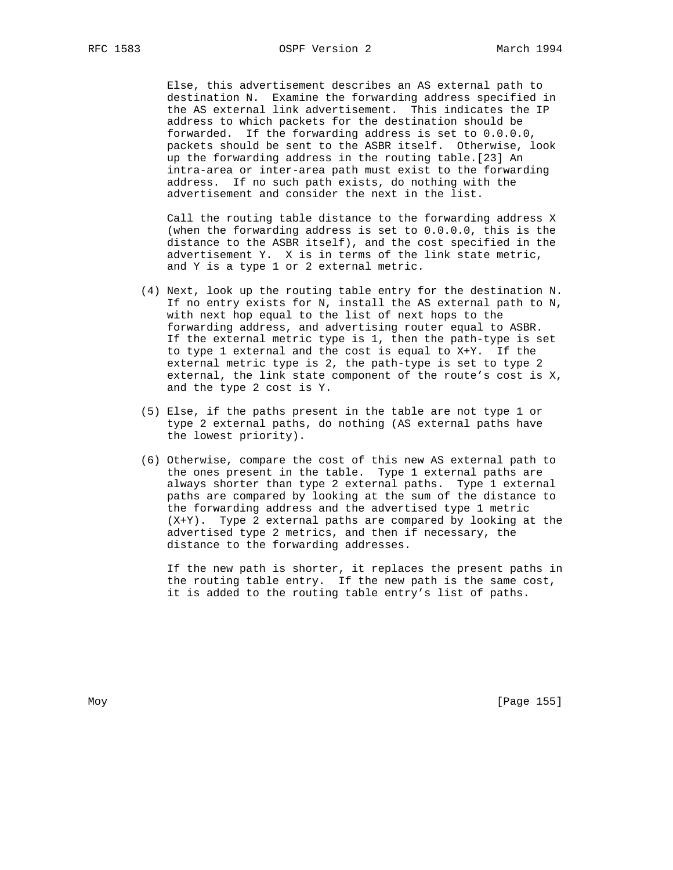Else, this advertisement describes an AS external path to destination N. Examine the forwarding address specified in the AS external link advertisement. This indicates the IP address to which packets for the destination should be forwarded. If the forwarding address is set to 0.0.0.0, packets should be sent to the ASBR itself. Otherwise, look up the forwarding address in the routing table.[23] An intra-area or inter-area path must exist to the forwarding address. If no such path exists, do nothing with the advertisement and consider the next in the list.

 Call the routing table distance to the forwarding address X (when the forwarding address is set to 0.0.0.0, this is the distance to the ASBR itself), and the cost specified in the advertisement Y. X is in terms of the link state metric, and Y is a type 1 or 2 external metric.

- (4) Next, look up the routing table entry for the destination N. If no entry exists for N, install the AS external path to N, with next hop equal to the list of next hops to the forwarding address, and advertising router equal to ASBR. If the external metric type is 1, then the path-type is set to type 1 external and the cost is equal to X+Y. If the external metric type is 2, the path-type is set to type 2 external, the link state component of the route's cost is X, and the type 2 cost is Y.
- (5) Else, if the paths present in the table are not type 1 or type 2 external paths, do nothing (AS external paths have the lowest priority).
- (6) Otherwise, compare the cost of this new AS external path to the ones present in the table. Type 1 external paths are always shorter than type 2 external paths. Type 1 external paths are compared by looking at the sum of the distance to the forwarding address and the advertised type 1 metric (X+Y). Type 2 external paths are compared by looking at the advertised type 2 metrics, and then if necessary, the distance to the forwarding addresses.

 If the new path is shorter, it replaces the present paths in the routing table entry. If the new path is the same cost, it is added to the routing table entry's list of paths.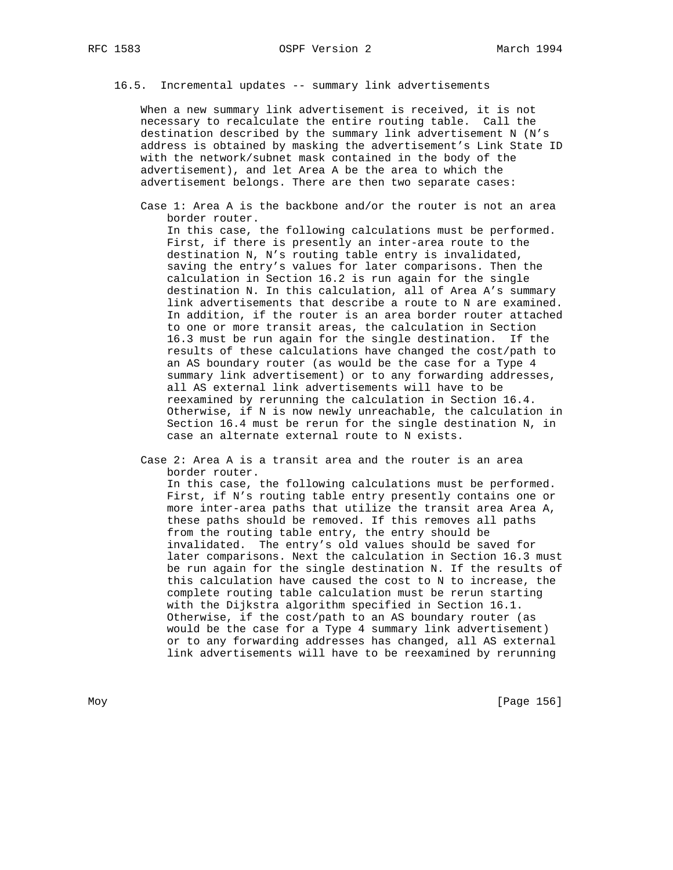16.5. Incremental updates -- summary link advertisements

 When a new summary link advertisement is received, it is not necessary to recalculate the entire routing table. Call the destination described by the summary link advertisement N (N's address is obtained by masking the advertisement's Link State ID with the network/subnet mask contained in the body of the advertisement), and let Area A be the area to which the advertisement belongs. There are then two separate cases:

 Case 1: Area A is the backbone and/or the router is not an area border router.

 In this case, the following calculations must be performed. First, if there is presently an inter-area route to the destination N, N's routing table entry is invalidated, saving the entry's values for later comparisons. Then the calculation in Section 16.2 is run again for the single destination N. In this calculation, all of Area A's summary link advertisements that describe a route to N are examined. In addition, if the router is an area border router attached to one or more transit areas, the calculation in Section 16.3 must be run again for the single destination. If the results of these calculations have changed the cost/path to an AS boundary router (as would be the case for a Type 4 summary link advertisement) or to any forwarding addresses, all AS external link advertisements will have to be reexamined by rerunning the calculation in Section 16.4. Otherwise, if N is now newly unreachable, the calculation in Section 16.4 must be rerun for the single destination N, in case an alternate external route to N exists.

 Case 2: Area A is a transit area and the router is an area border router.

 In this case, the following calculations must be performed. First, if N's routing table entry presently contains one or more inter-area paths that utilize the transit area Area A, these paths should be removed. If this removes all paths from the routing table entry, the entry should be invalidated. The entry's old values should be saved for later comparisons. Next the calculation in Section 16.3 must be run again for the single destination N. If the results of this calculation have caused the cost to N to increase, the complete routing table calculation must be rerun starting with the Dijkstra algorithm specified in Section 16.1. Otherwise, if the cost/path to an AS boundary router (as would be the case for a Type 4 summary link advertisement) or to any forwarding addresses has changed, all AS external link advertisements will have to be reexamined by rerunning

Moy [Page 156]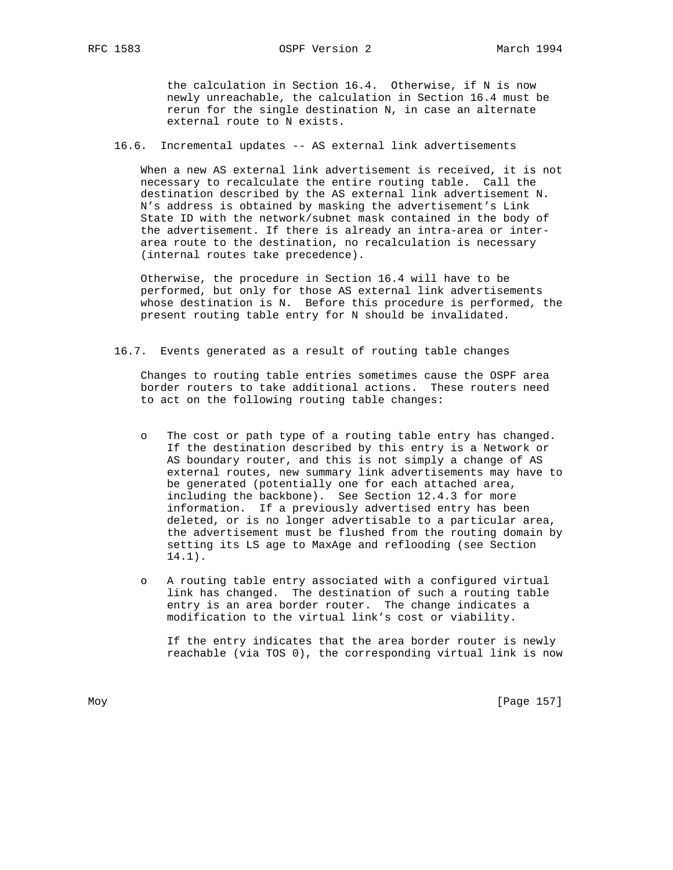the calculation in Section 16.4. Otherwise, if N is now newly unreachable, the calculation in Section 16.4 must be rerun for the single destination N, in case an alternate external route to N exists.

16.6. Incremental updates -- AS external link advertisements

 When a new AS external link advertisement is received, it is not necessary to recalculate the entire routing table. Call the destination described by the AS external link advertisement N. N's address is obtained by masking the advertisement's Link State ID with the network/subnet mask contained in the body of the advertisement. If there is already an intra-area or inter area route to the destination, no recalculation is necessary (internal routes take precedence).

 Otherwise, the procedure in Section 16.4 will have to be performed, but only for those AS external link advertisements whose destination is N. Before this procedure is performed, the present routing table entry for N should be invalidated.

16.7. Events generated as a result of routing table changes

 Changes to routing table entries sometimes cause the OSPF area border routers to take additional actions. These routers need to act on the following routing table changes:

- o The cost or path type of a routing table entry has changed. If the destination described by this entry is a Network or AS boundary router, and this is not simply a change of AS external routes, new summary link advertisements may have to be generated (potentially one for each attached area, including the backbone). See Section 12.4.3 for more information. If a previously advertised entry has been deleted, or is no longer advertisable to a particular area, the advertisement must be flushed from the routing domain by setting its LS age to MaxAge and reflooding (see Section 14.1).
- o A routing table entry associated with a configured virtual link has changed. The destination of such a routing table entry is an area border router. The change indicates a modification to the virtual link's cost or viability.

 If the entry indicates that the area border router is newly reachable (via TOS 0), the corresponding virtual link is now

Moy [Page 157]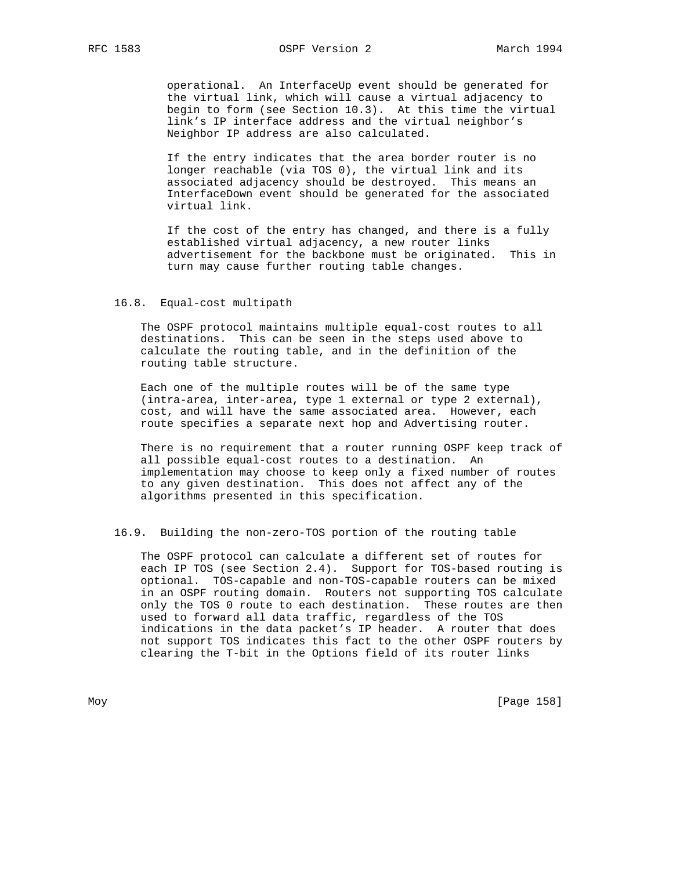operational. An InterfaceUp event should be generated for the virtual link, which will cause a virtual adjacency to begin to form (see Section 10.3). At this time the virtual link's IP interface address and the virtual neighbor's Neighbor IP address are also calculated.

 If the entry indicates that the area border router is no longer reachable (via TOS 0), the virtual link and its associated adjacency should be destroyed. This means an InterfaceDown event should be generated for the associated virtual link.

 If the cost of the entry has changed, and there is a fully established virtual adjacency, a new router links advertisement for the backbone must be originated. This in turn may cause further routing table changes.

## 16.8. Equal-cost multipath

 The OSPF protocol maintains multiple equal-cost routes to all destinations. This can be seen in the steps used above to calculate the routing table, and in the definition of the routing table structure.

 Each one of the multiple routes will be of the same type (intra-area, inter-area, type 1 external or type 2 external), cost, and will have the same associated area. However, each route specifies a separate next hop and Advertising router.

 There is no requirement that a router running OSPF keep track of all possible equal-cost routes to a destination. An implementation may choose to keep only a fixed number of routes to any given destination. This does not affect any of the algorithms presented in this specification.

#### 16.9. Building the non-zero-TOS portion of the routing table

 The OSPF protocol can calculate a different set of routes for each IP TOS (see Section 2.4). Support for TOS-based routing is optional. TOS-capable and non-TOS-capable routers can be mixed in an OSPF routing domain. Routers not supporting TOS calculate only the TOS 0 route to each destination. These routes are then used to forward all data traffic, regardless of the TOS indications in the data packet's IP header. A router that does not support TOS indicates this fact to the other OSPF routers by clearing the T-bit in the Options field of its router links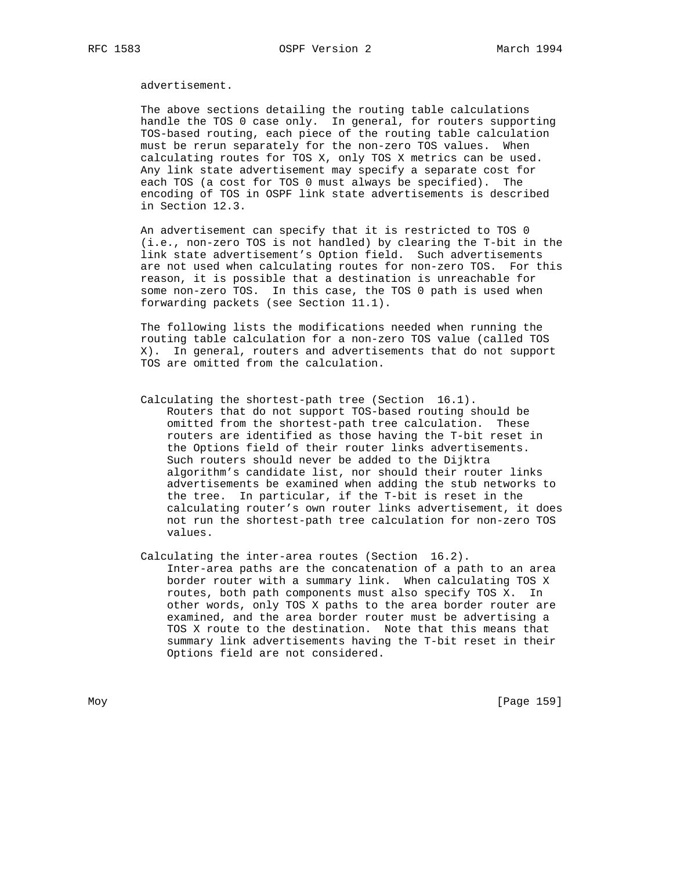advertisement.

 The above sections detailing the routing table calculations handle the TOS 0 case only. In general, for routers supporting TOS-based routing, each piece of the routing table calculation must be rerun separately for the non-zero TOS values. When calculating routes for TOS X, only TOS X metrics can be used. Any link state advertisement may specify a separate cost for each TOS (a cost for TOS 0 must always be specified). The encoding of TOS in OSPF link state advertisements is described in Section 12.3.

 An advertisement can specify that it is restricted to TOS 0 (i.e., non-zero TOS is not handled) by clearing the T-bit in the link state advertisement's Option field. Such advertisements are not used when calculating routes for non-zero TOS. For this reason, it is possible that a destination is unreachable for some non-zero TOS. In this case, the TOS 0 path is used when forwarding packets (see Section 11.1).

 The following lists the modifications needed when running the routing table calculation for a non-zero TOS value (called TOS X). In general, routers and advertisements that do not support TOS are omitted from the calculation.

- Calculating the shortest-path tree (Section 16.1). Routers that do not support TOS-based routing should be omitted from the shortest-path tree calculation. These routers are identified as those having the T-bit reset in the Options field of their router links advertisements. Such routers should never be added to the Dijktra algorithm's candidate list, nor should their router links advertisements be examined when adding the stub networks to the tree. In particular, if the T-bit is reset in the calculating router's own router links advertisement, it does not run the shortest-path tree calculation for non-zero TOS values.
- Calculating the inter-area routes (Section 16.2). Inter-area paths are the concatenation of a path to an area border router with a summary link. When calculating TOS X routes, both path components must also specify TOS X. In other words, only TOS X paths to the area border router are examined, and the area border router must be advertising a TOS X route to the destination. Note that this means that summary link advertisements having the T-bit reset in their Options field are not considered.

Moy [Page 159]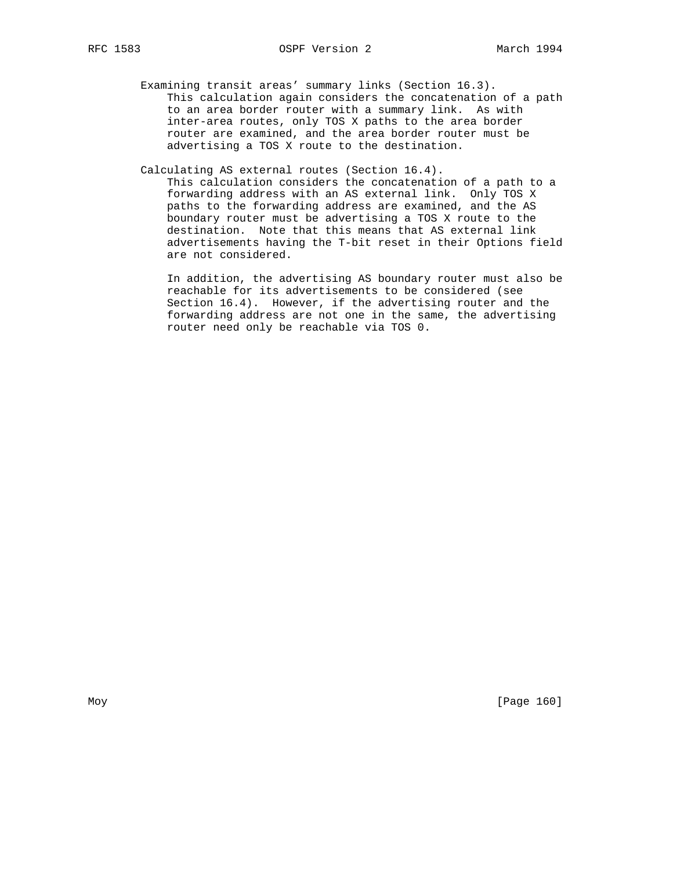Examining transit areas' summary links (Section 16.3). This calculation again considers the concatenation of a path to an area border router with a summary link. As with inter-area routes, only TOS X paths to the area border router are examined, and the area border router must be advertising a TOS X route to the destination.

Calculating AS external routes (Section 16.4).

 This calculation considers the concatenation of a path to a forwarding address with an AS external link. Only TOS X paths to the forwarding address are examined, and the AS boundary router must be advertising a TOS X route to the destination. Note that this means that AS external link advertisements having the T-bit reset in their Options field are not considered.

 In addition, the advertising AS boundary router must also be reachable for its advertisements to be considered (see Section 16.4). However, if the advertising router and the forwarding address are not one in the same, the advertising router need only be reachable via TOS 0.

Moy [Page 160]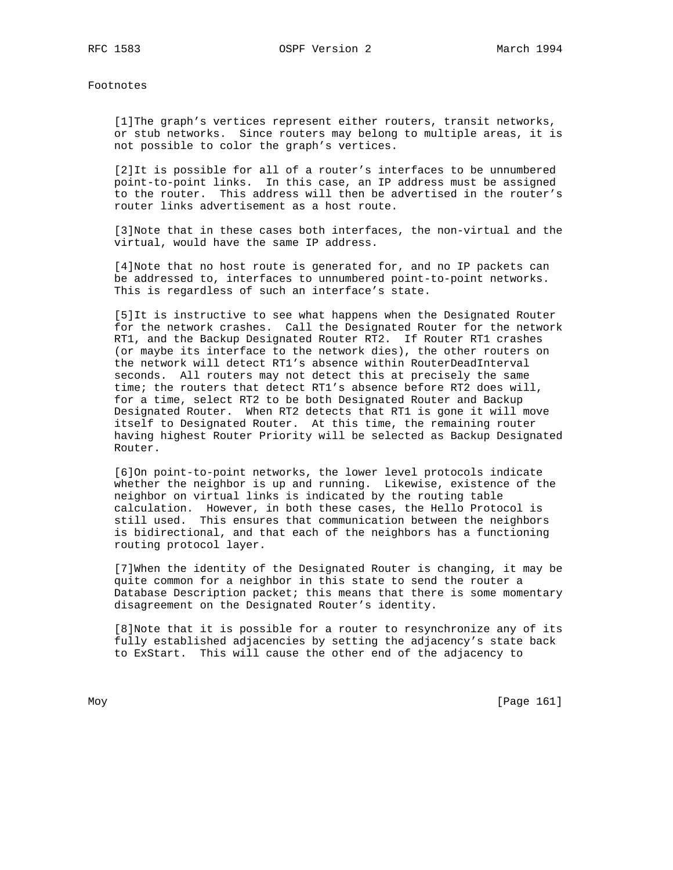Footnotes

 [1]The graph's vertices represent either routers, transit networks, or stub networks. Since routers may belong to multiple areas, it is not possible to color the graph's vertices.

 [2]It is possible for all of a router's interfaces to be unnumbered point-to-point links. In this case, an IP address must be assigned to the router. This address will then be advertised in the router's router links advertisement as a host route.

 [3]Note that in these cases both interfaces, the non-virtual and the virtual, would have the same IP address.

 [4]Note that no host route is generated for, and no IP packets can be addressed to, interfaces to unnumbered point-to-point networks. This is regardless of such an interface's state.

 [5]It is instructive to see what happens when the Designated Router for the network crashes. Call the Designated Router for the network RT1, and the Backup Designated Router RT2. If Router RT1 crashes (or maybe its interface to the network dies), the other routers on the network will detect RT1's absence within RouterDeadInterval seconds. All routers may not detect this at precisely the same time; the routers that detect RT1's absence before RT2 does will, for a time, select RT2 to be both Designated Router and Backup Designated Router. When RT2 detects that RT1 is gone it will move itself to Designated Router. At this time, the remaining router having highest Router Priority will be selected as Backup Designated Router.

 [6]On point-to-point networks, the lower level protocols indicate whether the neighbor is up and running. Likewise, existence of the neighbor on virtual links is indicated by the routing table calculation. However, in both these cases, the Hello Protocol is still used. This ensures that communication between the neighbors is bidirectional, and that each of the neighbors has a functioning routing protocol layer.

 [7]When the identity of the Designated Router is changing, it may be quite common for a neighbor in this state to send the router a Database Description packet; this means that there is some momentary disagreement on the Designated Router's identity.

 [8]Note that it is possible for a router to resynchronize any of its fully established adjacencies by setting the adjacency's state back to ExStart. This will cause the other end of the adjacency to

Moy [Page 161]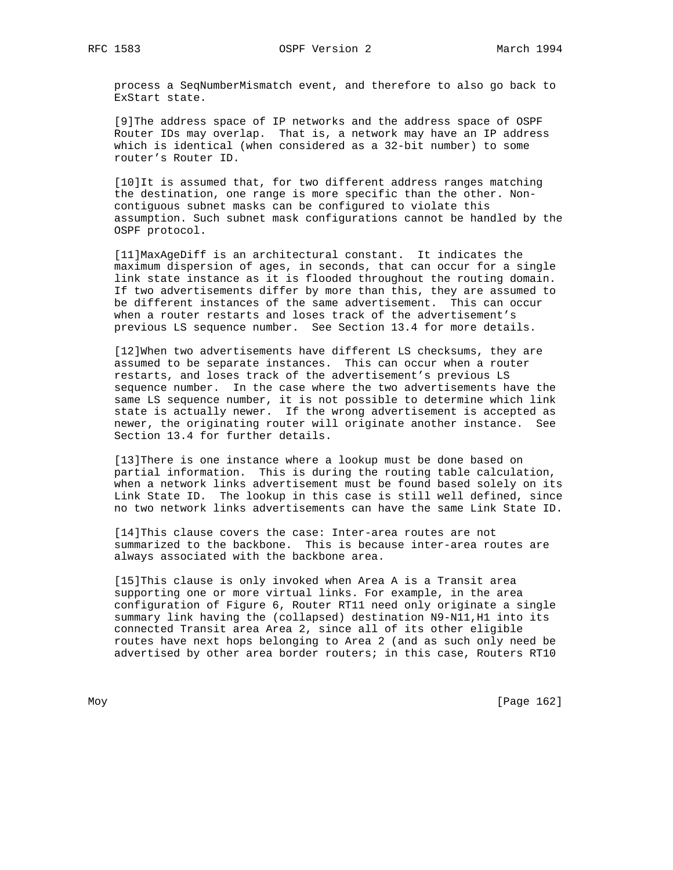process a SeqNumberMismatch event, and therefore to also go back to ExStart state.

 [9]The address space of IP networks and the address space of OSPF Router IDs may overlap. That is, a network may have an IP address which is identical (when considered as a 32-bit number) to some router's Router ID.

 [10]It is assumed that, for two different address ranges matching the destination, one range is more specific than the other. Non contiguous subnet masks can be configured to violate this assumption. Such subnet mask configurations cannot be handled by the OSPF protocol.

 [11]MaxAgeDiff is an architectural constant. It indicates the maximum dispersion of ages, in seconds, that can occur for a single link state instance as it is flooded throughout the routing domain. If two advertisements differ by more than this, they are assumed to be different instances of the same advertisement. This can occur when a router restarts and loses track of the advertisement's previous LS sequence number. See Section 13.4 for more details.

 [12]When two advertisements have different LS checksums, they are assumed to be separate instances. This can occur when a router restarts, and loses track of the advertisement's previous LS sequence number. In the case where the two advertisements have the same LS sequence number, it is not possible to determine which link state is actually newer. If the wrong advertisement is accepted as newer, the originating router will originate another instance. See Section 13.4 for further details.

 [13]There is one instance where a lookup must be done based on partial information. This is during the routing table calculation, when a network links advertisement must be found based solely on its Link State ID. The lookup in this case is still well defined, since no two network links advertisements can have the same Link State ID.

 [14]This clause covers the case: Inter-area routes are not summarized to the backbone. This is because inter-area routes are always associated with the backbone area.

 [15]This clause is only invoked when Area A is a Transit area supporting one or more virtual links. For example, in the area configuration of Figure 6, Router RT11 need only originate a single summary link having the (collapsed) destination N9-N11,H1 into its connected Transit area Area 2, since all of its other eligible routes have next hops belonging to Area 2 (and as such only need be advertised by other area border routers; in this case, Routers RT10

Moy [Page 162]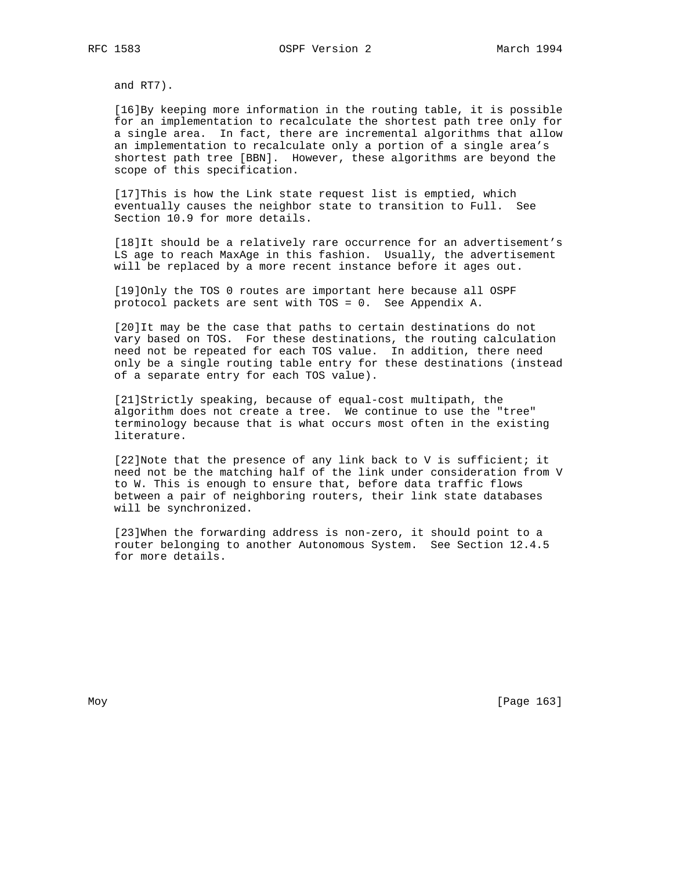and RT7).

 [16]By keeping more information in the routing table, it is possible for an implementation to recalculate the shortest path tree only for a single area. In fact, there are incremental algorithms that allow an implementation to recalculate only a portion of a single area's shortest path tree [BBN]. However, these algorithms are beyond the scope of this specification.

 [17]This is how the Link state request list is emptied, which eventually causes the neighbor state to transition to Full. See Section 10.9 for more details.

 [18]It should be a relatively rare occurrence for an advertisement's LS age to reach MaxAge in this fashion. Usually, the advertisement will be replaced by a more recent instance before it ages out.

 [19]Only the TOS 0 routes are important here because all OSPF protocol packets are sent with TOS = 0. See Appendix A.

 [20]It may be the case that paths to certain destinations do not vary based on TOS. For these destinations, the routing calculation need not be repeated for each TOS value. In addition, there need only be a single routing table entry for these destinations (instead of a separate entry for each TOS value).

 [21]Strictly speaking, because of equal-cost multipath, the algorithm does not create a tree. We continue to use the "tree" terminology because that is what occurs most often in the existing literature.

 [22]Note that the presence of any link back to V is sufficient; it need not be the matching half of the link under consideration from V to W. This is enough to ensure that, before data traffic flows between a pair of neighboring routers, their link state databases will be synchronized.

 [23]When the forwarding address is non-zero, it should point to a router belonging to another Autonomous System. See Section 12.4.5 for more details.

Moy [Page 163]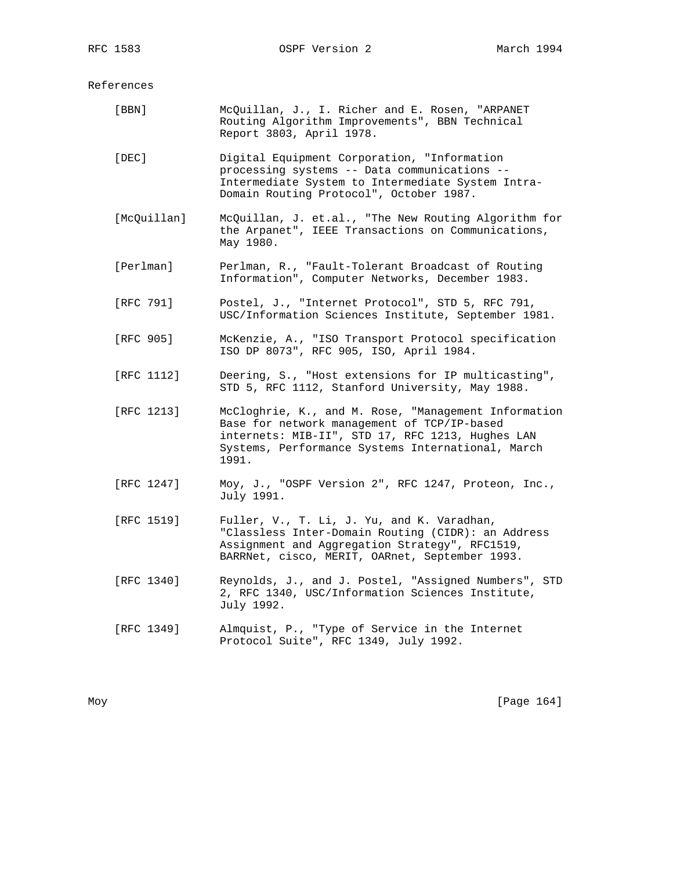References

| $[$ BBN $]$ | McQuillan, J., I. Richer and E. Rosen, "ARPANET<br>Routing Algorithm Improvements", BBN Technical<br>Report 3803, April 1978.                                                                                         |
|-------------|-----------------------------------------------------------------------------------------------------------------------------------------------------------------------------------------------------------------------|
| [DEC]       | Digital Equipment Corporation, "Information<br>processing systems -- Data communications --<br>Intermediate System to Intermediate System Intra-<br>Domain Routing Protocol", October 1987.                           |
| [McQuillan] | McQuillan, J. et.al., "The New Routing Algorithm for<br>the Arpanet", IEEE Transactions on Communications,<br>May 1980.                                                                                               |
| [Perlman]   | Perlman, R., "Fault-Tolerant Broadcast of Routing<br>Information", Computer Networks, December 1983.                                                                                                                  |
| [RFC 791]   | Postel, J., "Internet Protocol", STD 5, RFC 791,<br>USC/Information Sciences Institute, September 1981.                                                                                                               |
| [RFC 905]   | McKenzie, A., "ISO Transport Protocol specification<br>ISO DP 8073", RFC 905, ISO, April 1984.                                                                                                                        |
| [RFC 1112]  | Deering, S., "Host extensions for IP multicasting",<br>STD 5, RFC 1112, Stanford University, May 1988.                                                                                                                |
| [RFC 1213]  | McCloghrie, K., and M. Rose, "Management Information<br>Base for network management of TCP/IP-based<br>internets: MIB-II", STD 17, RFC 1213, Hughes LAN<br>Systems, Performance Systems International, March<br>1991. |
| [RFC 1247]  | Moy, J., "OSPF Version 2", RFC 1247, Proteon, Inc.,<br>July 1991.                                                                                                                                                     |
| [RFC 1519]  | Fuller, V., T. Li, J. Yu, and K. Varadhan,<br>"Classless Inter-Domain Routing (CIDR): an Address<br>Assignment and Aggregation Strategy", RFC1519,<br>BARRNet, cisco, MERIT, OARnet, September 1993.                  |
| [RFC 1340]  | Reynolds, J., and J. Postel, "Assigned Numbers", STD<br>2, RFC 1340, USC/Information Sciences Institute,<br>July 1992.                                                                                                |
| [RFC 1349]  | Almquist, P., "Type of Service in the Internet<br>Protocol Suite", RFC 1349, July 1992.                                                                                                                               |

Moy [Page 164]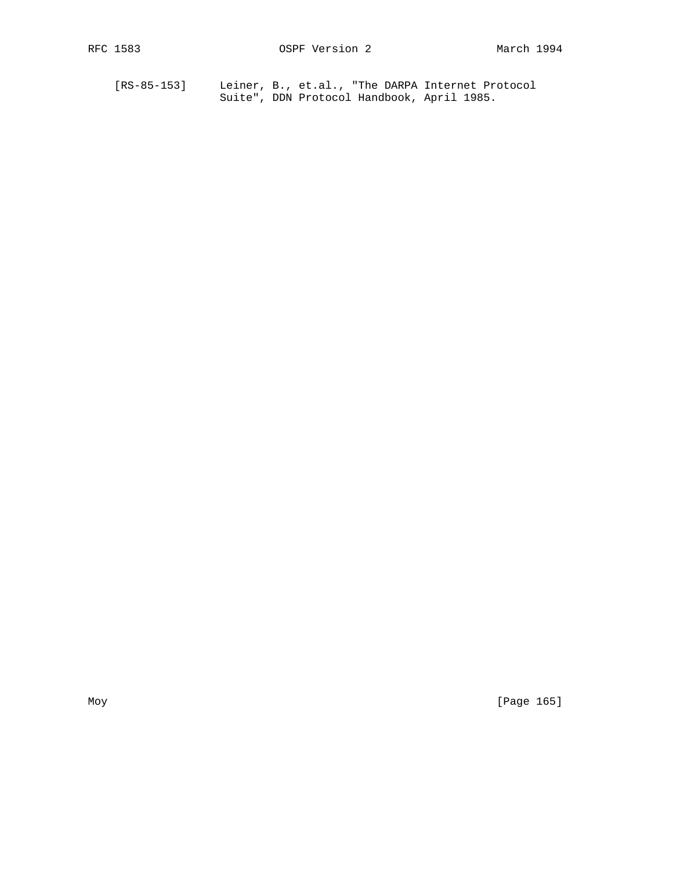[RS-85-153] Leiner, B., et.al., "The DARPA Internet Protocol Suite", DDN Protocol Handbook, April 1985.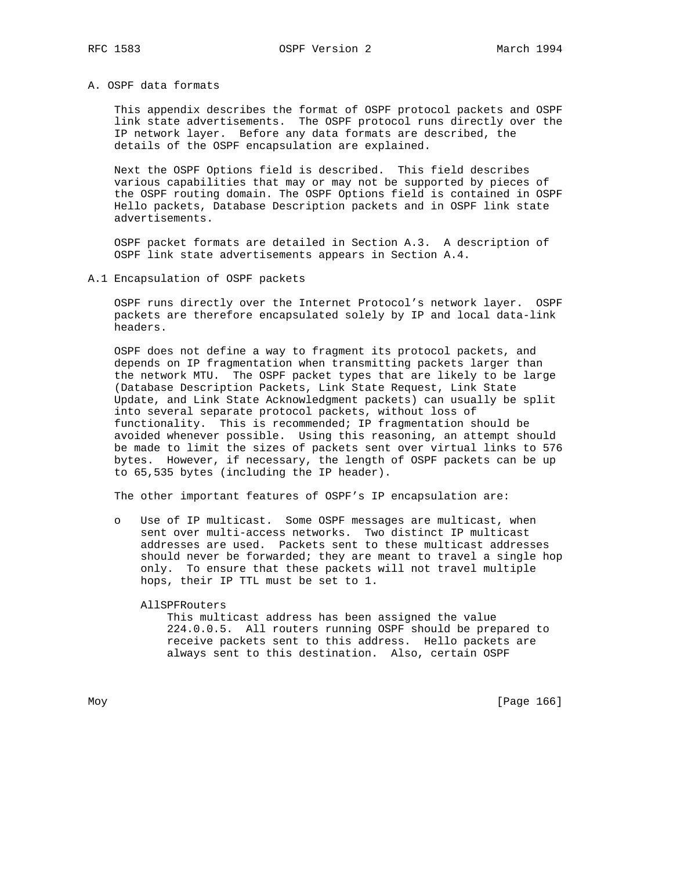## A. OSPF data formats

 This appendix describes the format of OSPF protocol packets and OSPF link state advertisements. The OSPF protocol runs directly over the IP network layer. Before any data formats are described, the details of the OSPF encapsulation are explained.

 Next the OSPF Options field is described. This field describes various capabilities that may or may not be supported by pieces of the OSPF routing domain. The OSPF Options field is contained in OSPF Hello packets, Database Description packets and in OSPF link state advertisements.

 OSPF packet formats are detailed in Section A.3. A description of OSPF link state advertisements appears in Section A.4.

#### A.1 Encapsulation of OSPF packets

 OSPF runs directly over the Internet Protocol's network layer. OSPF packets are therefore encapsulated solely by IP and local data-link headers.

 OSPF does not define a way to fragment its protocol packets, and depends on IP fragmentation when transmitting packets larger than the network MTU. The OSPF packet types that are likely to be large (Database Description Packets, Link State Request, Link State Update, and Link State Acknowledgment packets) can usually be split into several separate protocol packets, without loss of functionality. This is recommended; IP fragmentation should be avoided whenever possible. Using this reasoning, an attempt should be made to limit the sizes of packets sent over virtual links to 576 bytes. However, if necessary, the length of OSPF packets can be up to 65,535 bytes (including the IP header).

The other important features of OSPF's IP encapsulation are:

 o Use of IP multicast. Some OSPF messages are multicast, when sent over multi-access networks. Two distinct IP multicast addresses are used. Packets sent to these multicast addresses should never be forwarded; they are meant to travel a single hop only. To ensure that these packets will not travel multiple hops, their IP TTL must be set to 1.

#### AllSPFRouters

 This multicast address has been assigned the value 224.0.0.5. All routers running OSPF should be prepared to receive packets sent to this address. Hello packets are always sent to this destination. Also, certain OSPF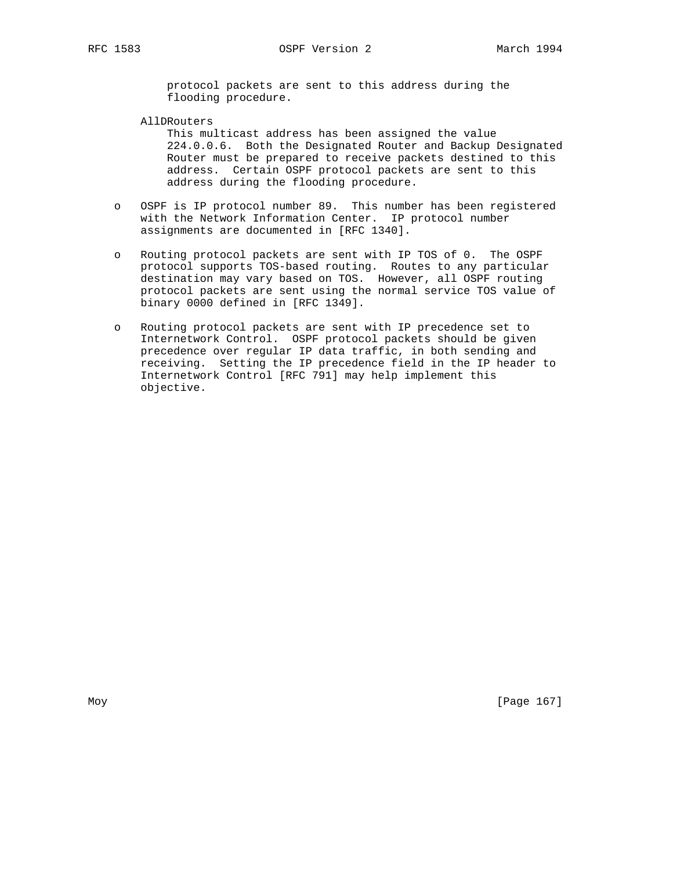protocol packets are sent to this address during the flooding procedure.

AllDRouters

 This multicast address has been assigned the value 224.0.0.6. Both the Designated Router and Backup Designated Router must be prepared to receive packets destined to this address. Certain OSPF protocol packets are sent to this address during the flooding procedure.

- o OSPF is IP protocol number 89. This number has been registered with the Network Information Center. IP protocol number assignments are documented in [RFC 1340].
- o Routing protocol packets are sent with IP TOS of 0. The OSPF protocol supports TOS-based routing. Routes to any particular destination may vary based on TOS. However, all OSPF routing protocol packets are sent using the normal service TOS value of binary 0000 defined in [RFC 1349].
- o Routing protocol packets are sent with IP precedence set to Internetwork Control. OSPF protocol packets should be given precedence over regular IP data traffic, in both sending and receiving. Setting the IP precedence field in the IP header to Internetwork Control [RFC 791] may help implement this objective.

Moy [Page 167]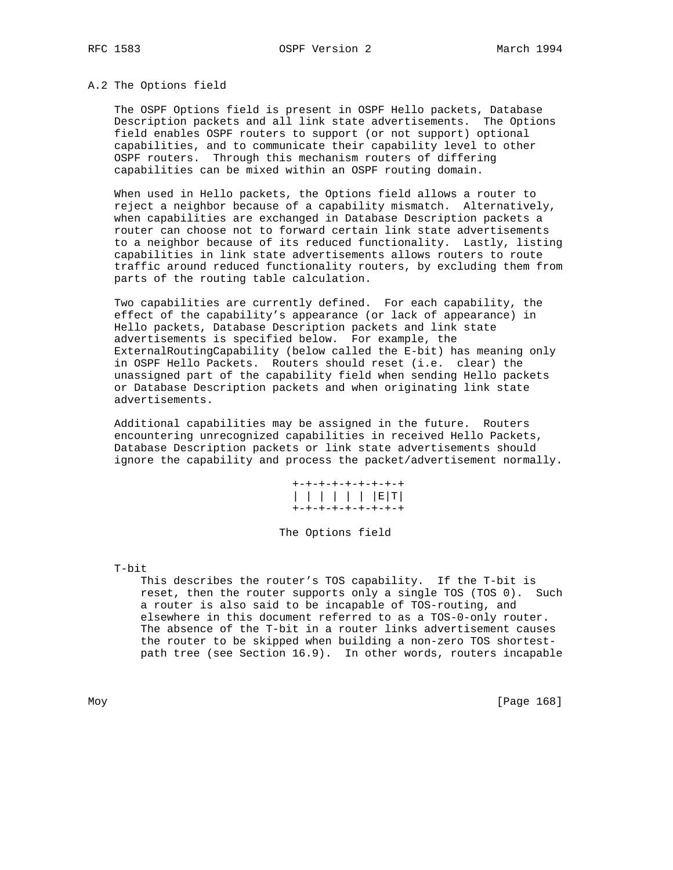#### A.2 The Options field

 The OSPF Options field is present in OSPF Hello packets, Database Description packets and all link state advertisements. The Options field enables OSPF routers to support (or not support) optional capabilities, and to communicate their capability level to other OSPF routers. Through this mechanism routers of differing capabilities can be mixed within an OSPF routing domain.

 When used in Hello packets, the Options field allows a router to reject a neighbor because of a capability mismatch. Alternatively, when capabilities are exchanged in Database Description packets a router can choose not to forward certain link state advertisements to a neighbor because of its reduced functionality. Lastly, listing capabilities in link state advertisements allows routers to route traffic around reduced functionality routers, by excluding them from parts of the routing table calculation.

 Two capabilities are currently defined. For each capability, the effect of the capability's appearance (or lack of appearance) in Hello packets, Database Description packets and link state advertisements is specified below. For example, the ExternalRoutingCapability (below called the E-bit) has meaning only in OSPF Hello Packets. Routers should reset (i.e. clear) the unassigned part of the capability field when sending Hello packets or Database Description packets and when originating link state advertisements.

 Additional capabilities may be assigned in the future. Routers encountering unrecognized capabilities in received Hello Packets, Database Description packets or link state advertisements should ignore the capability and process the packet/advertisement normally.

| +-+-+-+-+-+-+-+-+ |
|-------------------|
| E                 |
| +-+-+-+-+-+-+-+-+ |

#### The Options field

T-bit

 This describes the router's TOS capability. If the T-bit is reset, then the router supports only a single TOS (TOS 0). Such a router is also said to be incapable of TOS-routing, and elsewhere in this document referred to as a TOS-0-only router. The absence of the T-bit in a router links advertisement causes the router to be skipped when building a non-zero TOS shortest path tree (see Section 16.9). In other words, routers incapable

Moy [Page 168]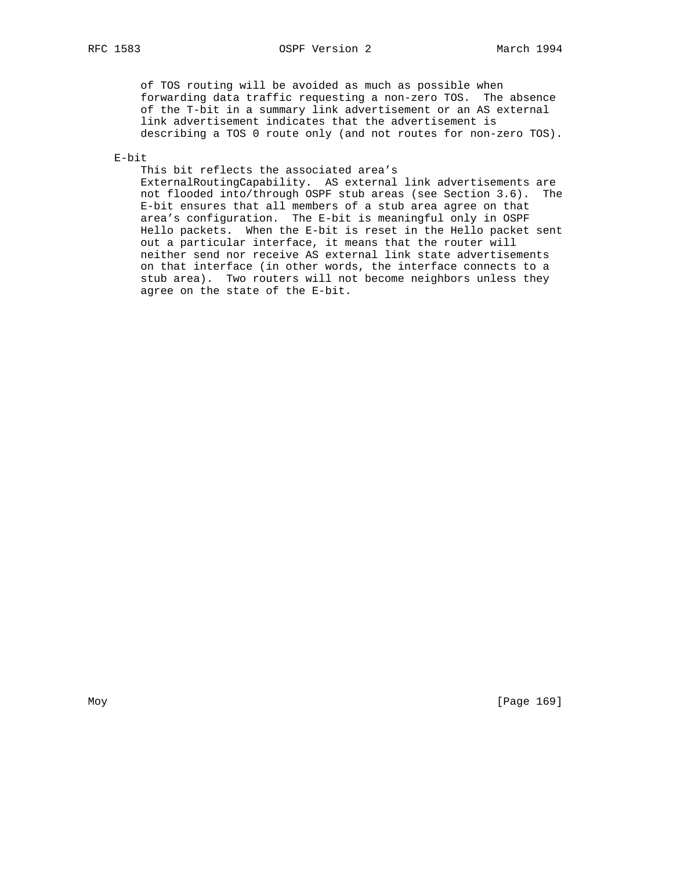of TOS routing will be avoided as much as possible when forwarding data traffic requesting a non-zero TOS. The absence of the T-bit in a summary link advertisement or an AS external link advertisement indicates that the advertisement is describing a TOS 0 route only (and not routes for non-zero TOS).

E-bit

 This bit reflects the associated area's ExternalRoutingCapability. AS external link advertisements are not flooded into/through OSPF stub areas (see Section 3.6). The E-bit ensures that all members of a stub area agree on that area's configuration. The E-bit is meaningful only in OSPF Hello packets. When the E-bit is reset in the Hello packet sent out a particular interface, it means that the router will neither send nor receive AS external link state advertisements on that interface (in other words, the interface connects to a stub area). Two routers will not become neighbors unless they agree on the state of the E-bit.

Moy [Page 169]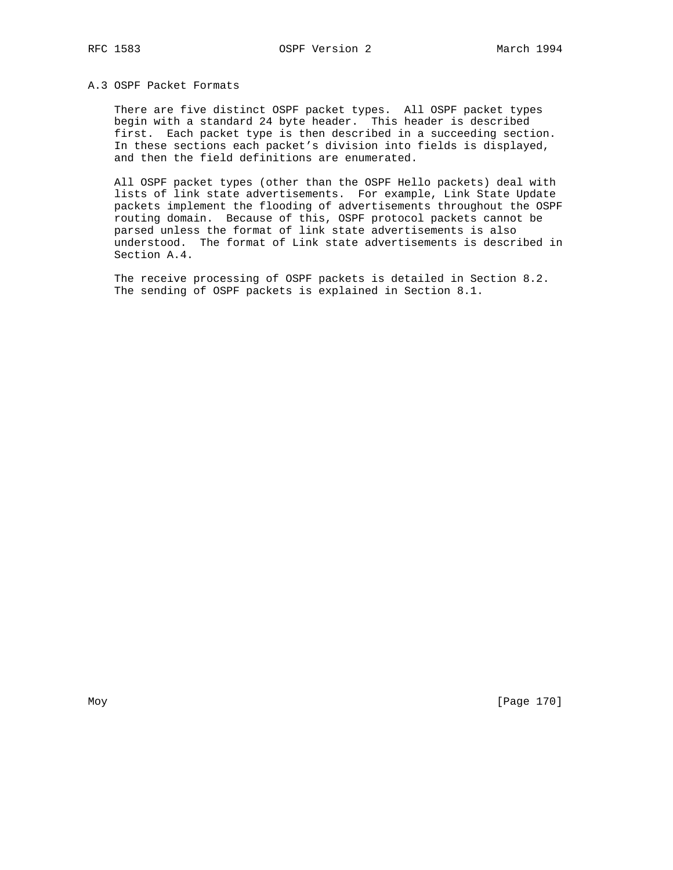# A.3 OSPF Packet Formats

 There are five distinct OSPF packet types. All OSPF packet types begin with a standard 24 byte header. This header is described first. Each packet type is then described in a succeeding section. In these sections each packet's division into fields is displayed, and then the field definitions are enumerated.

 All OSPF packet types (other than the OSPF Hello packets) deal with lists of link state advertisements. For example, Link State Update packets implement the flooding of advertisements throughout the OSPF routing domain. Because of this, OSPF protocol packets cannot be parsed unless the format of link state advertisements is also understood. The format of Link state advertisements is described in Section A.4.

 The receive processing of OSPF packets is detailed in Section 8.2. The sending of OSPF packets is explained in Section 8.1.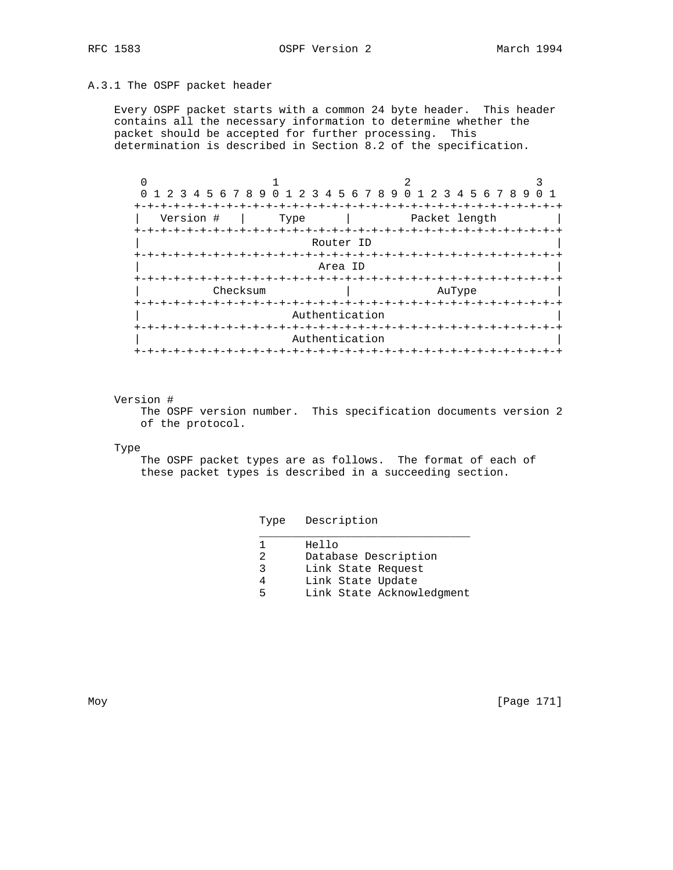RFC 1583 **OSPF** Version 2 March 1994

# A.3.1 The OSPF packet header

 Every OSPF packet starts with a common 24 byte header. This header contains all the necessary information to determine whether the packet should be accepted for further processing. This determination is described in Section 8.2 of the specification.

| 0 1 2 3 4 5 6 7 8 9 0 1 2 3 4 5 6 7 8 9 0 1 2 3 4 5 6 7 8 9 |                   |           |                             |  |
|-------------------------------------------------------------|-------------------|-----------|-----------------------------|--|
| $+ - + - +$                                                 |                   |           |                             |  |
| Version #                                                   | Type              |           | Packet length               |  |
| +-+-+-+-+-+-+-+-+                                           | --+-+-+-+-+-+-+-+ | Router ID | -+-+-+-+-+-+-+-+-+-+-+-+-+- |  |
|                                                             |                   |           |                             |  |
|                                                             | Area ID           |           |                             |  |
|                                                             |                   |           |                             |  |
| Checksum                                                    |                   |           | AuType                      |  |
|                                                             | Authentication    |           |                             |  |
|                                                             |                   |           |                             |  |
|                                                             | Authentication    |           |                             |  |
|                                                             | -+-+-+-+-+-+-+-+  |           |                             |  |

#### Version #

 The OSPF version number. This specification documents version 2 of the protocol.

Type

 The OSPF packet types are as follows. The format of each of these packet types is described in a succeeding section.

Type Description

|   | Hello                     |
|---|---------------------------|
|   | Database Description      |
| 2 | Link State Request        |
| 4 | Link State Update         |
| ᄃ | Link State Acknowledgment |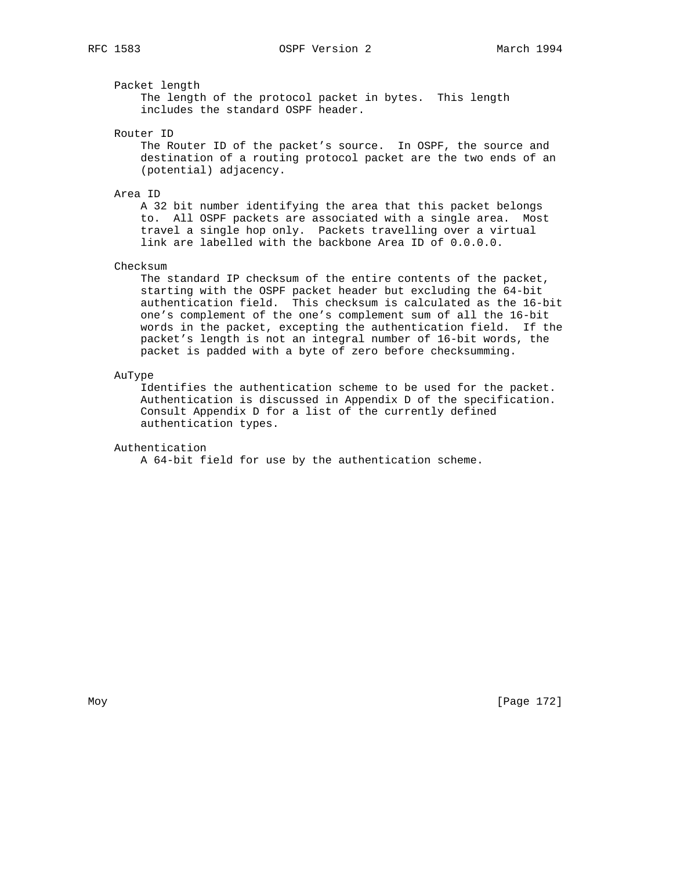Packet length

 The length of the protocol packet in bytes. This length includes the standard OSPF header.

Router ID

 The Router ID of the packet's source. In OSPF, the source and destination of a routing protocol packet are the two ends of an (potential) adjacency.

#### Area ID

 A 32 bit number identifying the area that this packet belongs to. All OSPF packets are associated with a single area. Most travel a single hop only. Packets travelling over a virtual link are labelled with the backbone Area ID of 0.0.0.0.

#### Checksum

 The standard IP checksum of the entire contents of the packet, starting with the OSPF packet header but excluding the 64-bit authentication field. This checksum is calculated as the 16-bit one's complement of the one's complement sum of all the 16-bit words in the packet, excepting the authentication field. If the packet's length is not an integral number of 16-bit words, the packet is padded with a byte of zero before checksumming.

## AuType

 Identifies the authentication scheme to be used for the packet. Authentication is discussed in Appendix D of the specification. Consult Appendix D for a list of the currently defined authentication types.

#### Authentication

A 64-bit field for use by the authentication scheme.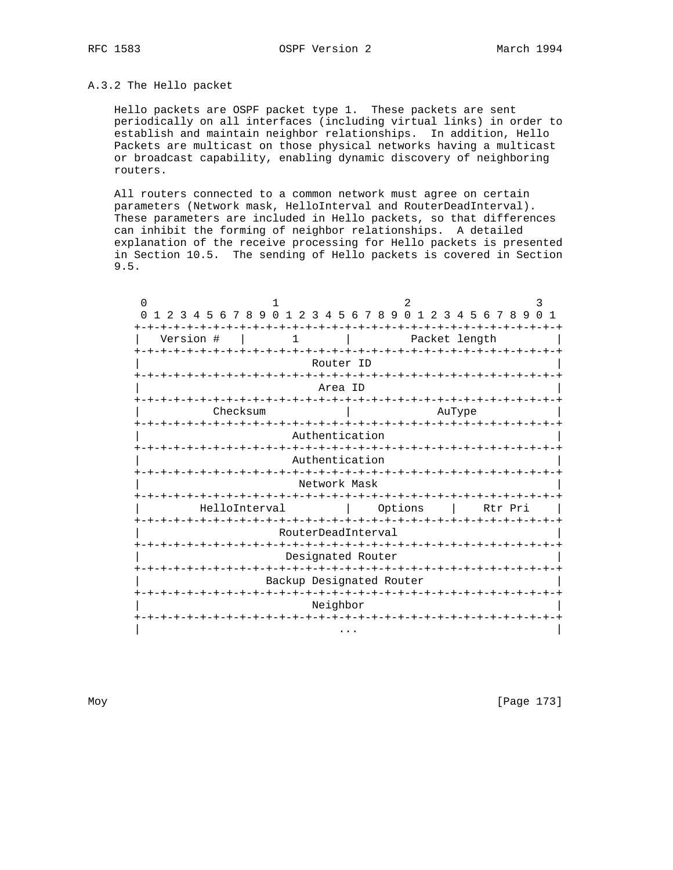# A.3.2 The Hello packet

 Hello packets are OSPF packet type 1. These packets are sent periodically on all interfaces (including virtual links) in order to establish and maintain neighbor relationships. In addition, Hello Packets are multicast on those physical networks having a multicast or broadcast capability, enabling dynamic discovery of neighboring routers.

 All routers connected to a common network must agree on certain parameters (Network mask, HelloInterval and RouterDeadInterval). These parameters are included in Hello packets, so that differences can inhibit the forming of neighbor relationships. A detailed explanation of the receive processing for Hello packets is presented in Section 10.5. The sending of Hello packets is covered in Section 9.5.

| $\Omega$<br>$\Omega$            | 1<br>9 0 1                   | $\overline{2}$<br>789<br>$\Omega$                   | $\overline{1}$                | 3<br>$\mathbf{1}$               |  |
|---------------------------------|------------------------------|-----------------------------------------------------|-------------------------------|---------------------------------|--|
| 678<br>45<br>3                  | $\overline{a}$<br>3<br>4     | -6<br>-5                                            | 2 3 4 5 6 7 8 9               | <sup>n</sup>                    |  |
| Version #                       | 1                            |                                                     | Packet length                 |                                 |  |
| +-+-+-+-+-+-+-+-+-+-+-+-+-+-+-+ | $-+ - + - + - + - + - + - +$ | Router ID                                           |                               | -+-+-+-+-+-+-+-+-+-+-+-+-+-+-+- |  |
|                                 |                              | Area ID                                             |                               |                                 |  |
| Checksum                        |                              | -+-+-+-+-+                                          | AuType                        |                                 |  |
| -+-+-+-+-+-+-+-+-               | Authentication               |                                                     |                               | +-+-+-+-+-+-+-+-+-+-+-+-+-+     |  |
|                                 | Authentication               |                                                     |                               |                                 |  |
|                                 | Network Mask                 |                                                     | -+-+-+-+-+-+-+-+-+-+-+        |                                 |  |
|                                 | -+-+-+-+<br>HelloInterval    | -+-+-+-+-+-+-+-+-+-+-+-+-+-<br>Options              |                               | Rtr Pri                         |  |
| -+-+-+-+-+-+-+-+-+              | RouterDeadInterval           | -+-+-+-+-+-+                                        |                               | -+-+-+-+                        |  |
|                                 |                              | -+-+-+-+-+-+-+-+-+-+-+-+-+-+-+<br>Designated Router |                               |                                 |  |
|                                 | -+-+-+-+-+-+-+-+             | Backup Designated Router                            | -+-+-+-+-+-+-+-+-+-+-+-+-+-+- |                                 |  |
|                                 | -+-+-+-+-+-+-+-+-+-+         |                                                     | -+-+-+-+-+                    |                                 |  |
|                                 | Neighbor                     |                                                     |                               |                                 |  |

Moy [Page 173]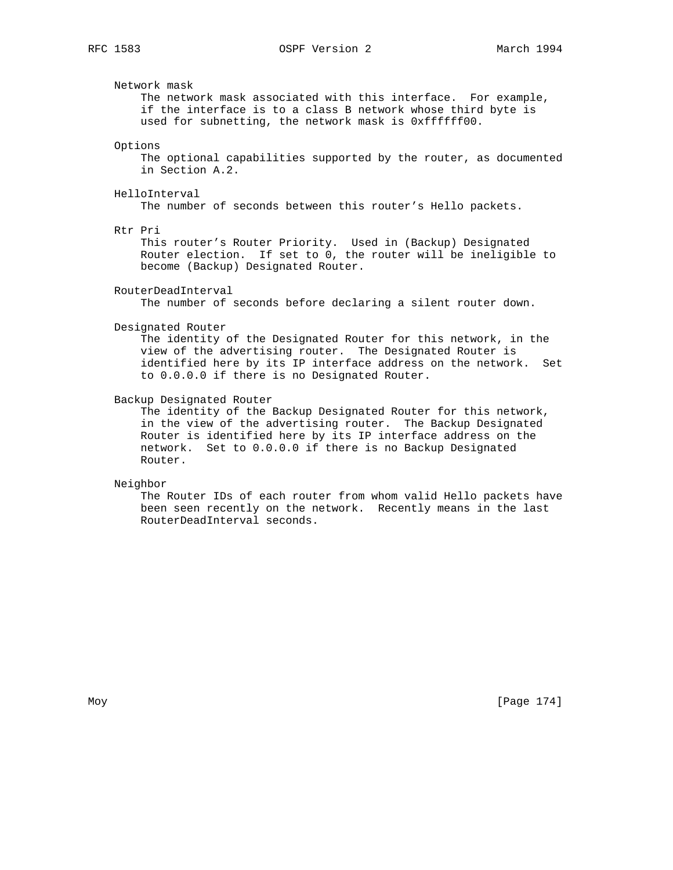## Network mask

 The network mask associated with this interface. For example, if the interface is to a class B network whose third byte is used for subnetting, the network mask is 0xffffff00.

## Options

 The optional capabilities supported by the router, as documented in Section A.2.

#### HelloInterval

The number of seconds between this router's Hello packets.

#### Rtr Pri

 This router's Router Priority. Used in (Backup) Designated Router election. If set to 0, the router will be ineligible to become (Backup) Designated Router.

#### RouterDeadInterval

The number of seconds before declaring a silent router down.

#### Designated Router

 The identity of the Designated Router for this network, in the view of the advertising router. The Designated Router is identified here by its IP interface address on the network. Set to 0.0.0.0 if there is no Designated Router.

#### Backup Designated Router

 The identity of the Backup Designated Router for this network, in the view of the advertising router. The Backup Designated Router is identified here by its IP interface address on the network. Set to 0.0.0.0 if there is no Backup Designated Router.

#### Neighbor

 The Router IDs of each router from whom valid Hello packets have been seen recently on the network. Recently means in the last RouterDeadInterval seconds.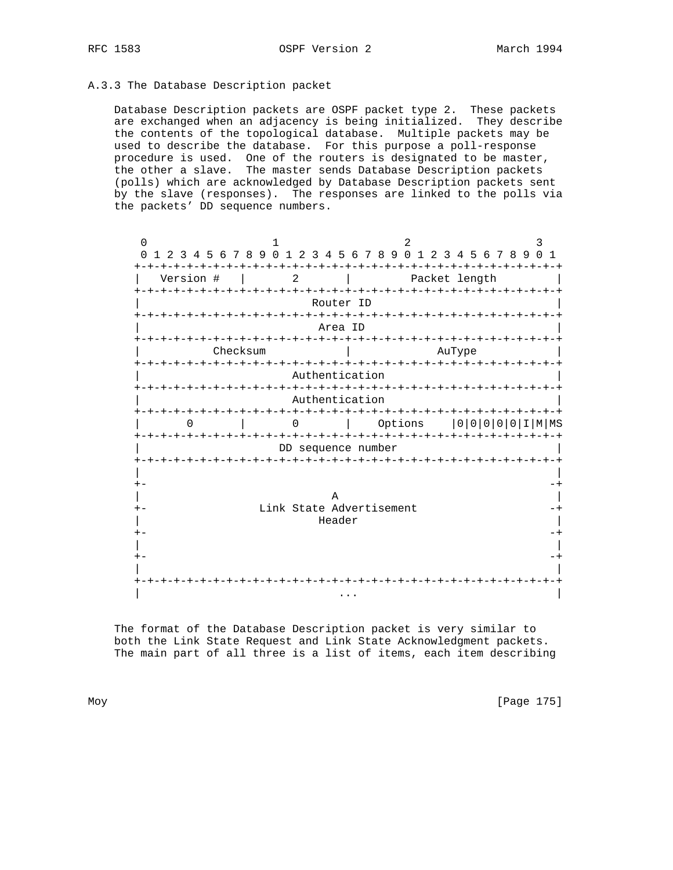# A.3.3 The Database Description packet

 Database Description packets are OSPF packet type 2. These packets are exchanged when an adjacency is being initialized. They describe the contents of the topological database. Multiple packets may be used to describe the database. For this purpose a poll-response procedure is used. One of the routers is designated to be master, the other a slave. The master sends Database Description packets (polls) which are acknowledged by Database Description packets sent by the slave (responses). The responses are linked to the polls via the packets' DD sequence numbers.

 $0$  1 2 3 0 1 2 3 4 5 6 7 8 9 0 1 2 3 4 5 6 7 8 9 0 1 2 3 4 5 6 7 8 9 0 1 +-+-+-+-+-+-+-+-+-+-+-+-+-+-+-+-+-+-+-+-+-+-+-+-+-+-+-+-+-+-+-+-+ | Version # | 2 | Packet length | +-+-+-+-+-+-+-+-+-+-+-+-+-+-+-+-+-+-+-+-+-+-+-+-+-+-+-+-+-+-+-+-+ Router ID +-+-+-+-+-+-+-+-+-+-+-+-+-+-+-+-+-+-+-+-+-+-+-+-+-+-+-+-+-+-+-+-+ | Area ID | +-+-+-+-+-+-+-+-+-+-+-+-+-+-+-+-+-+-+-+-+-+-+-+-+-+-+-+-+-+-+-+-+ | Checksum | AuType | +-+-+-+-+-+-+-+-+-+-+-+-+-+-+-+-+-+-+-+-+-+-+-+-+-+-+-+-+-+-+-+-+ Authentication +-+-+-+-+-+-+-+-+-+-+-+-+-+-+-+-+-+-+-+-+-+-+-+-+-+-+-+-+-+-+-+-+ Authentication +-+-+-+-+-+-+-+-+-+-+-+-+-+-+-+-+-+-+-+-+-+-+-+-+-+-+-+-+-+-+-+-+ | 0 | 0 | Options |0|0|0|0|0|I|M|MS +-+-+-+-+-+-+-+-+-+-+-+-+-+-+-+-+-+-+-+-+-+-+-+-+-+-+-+-+-+-+-+-+ DD sequence number +-+-+-+-+-+-+-+-+-+-+-+-+-+-+-+-+-+-+-+-+-+-+-+-+-+-+-+-+-+-+-+-+ | | +- -+ | A | +- Link State Advertisement -+ | Header | Header | Header | Header | Header | Header | Header | Header | Header | Header | Header | Header | H +- -+ | | +- -+ | | +-+-+-+-+-+-+-+-+-+-+-+-+-+-+-+-+-+-+-+-+-+-+-+-+-+-+-+-+-+-+-+-+ | ... | ... | ... | ... | ... | ... | ... | ... | ... | ... | ... | ... | ... | ... | ... | ... | ... | ... |

 The format of the Database Description packet is very similar to both the Link State Request and Link State Acknowledgment packets. The main part of all three is a list of items, each item describing

Moy [Page 175]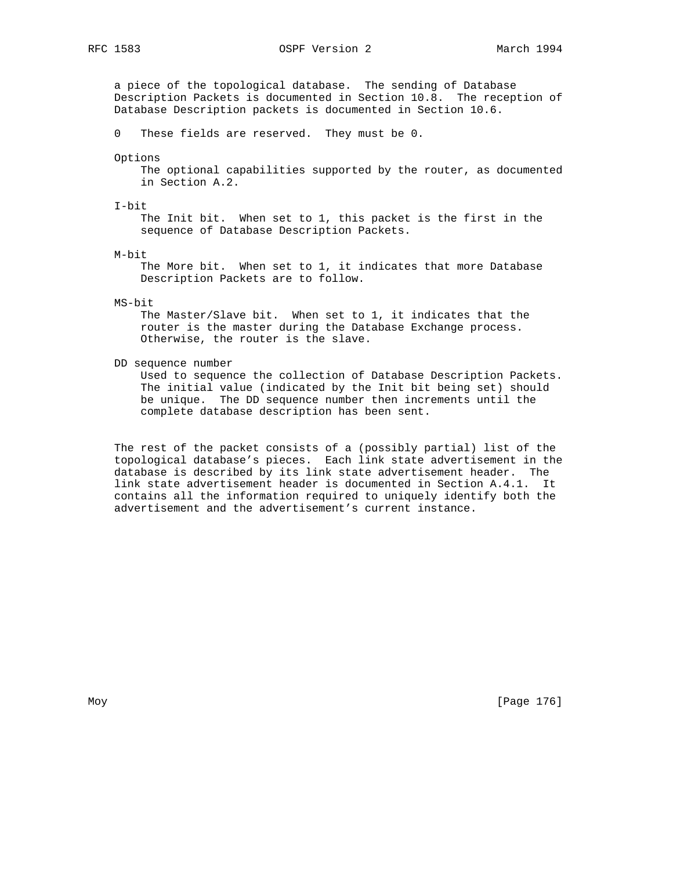RFC 1583 OSPF Version 2 March 1994

 a piece of the topological database. The sending of Database Description Packets is documented in Section 10.8. The reception of Database Description packets is documented in Section 10.6.

0 These fields are reserved. They must be 0.

Options

 The optional capabilities supported by the router, as documented in Section A.2.

I-bit

 The Init bit. When set to 1, this packet is the first in the sequence of Database Description Packets.

M-bit

 The More bit. When set to 1, it indicates that more Database Description Packets are to follow.

MS-bit

 The Master/Slave bit. When set to 1, it indicates that the router is the master during the Database Exchange process. Otherwise, the router is the slave.

DD sequence number

 Used to sequence the collection of Database Description Packets. The initial value (indicated by the Init bit being set) should be unique. The DD sequence number then increments until the complete database description has been sent.

 The rest of the packet consists of a (possibly partial) list of the topological database's pieces. Each link state advertisement in the database is described by its link state advertisement header. The link state advertisement header is documented in Section A.4.1. It contains all the information required to uniquely identify both the advertisement and the advertisement's current instance.

Moy [Page 176]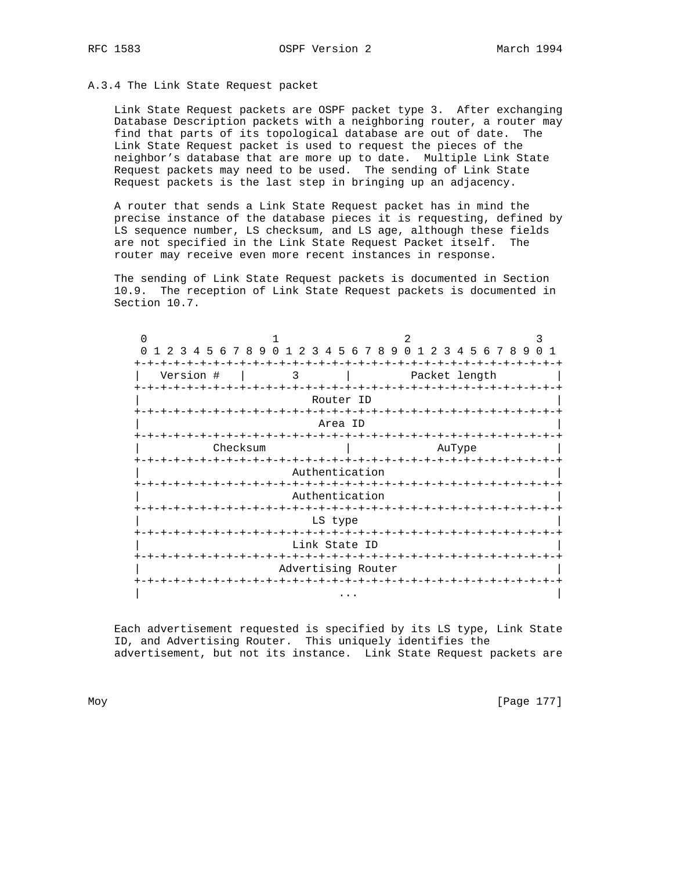## A.3.4 The Link State Request packet

 Link State Request packets are OSPF packet type 3. After exchanging Database Description packets with a neighboring router, a router may find that parts of its topological database are out of date. The Link State Request packet is used to request the pieces of the neighbor's database that are more up to date. Multiple Link State Request packets may need to be used. The sending of Link State Request packets is the last step in bringing up an adjacency.

 A router that sends a Link State Request packet has in mind the precise instance of the database pieces it is requesting, defined by LS sequence number, LS checksum, and LS age, although these fields are not specified in the Link State Request Packet itself. The router may receive even more recent instances in response.

 The sending of Link State Request packets is documented in Section 10.9. The reception of Link State Request packets is documented in Section 10.7.

| 3                                | 4 5 6 7 8 9 0                     | 2<br>$\overline{3}$ | 456                | 789<br>∩ | 2                               | 3 4 5 6 7 8 9 |  |
|----------------------------------|-----------------------------------|---------------------|--------------------|----------|---------------------------------|---------------|--|
|                                  |                                   |                     |                    |          |                                 |               |  |
| Version #                        |                                   | 3                   |                    |          | Packet length                   |               |  |
|                                  |                                   |                     |                    |          | -+-+-+-+-+                      |               |  |
|                                  |                                   |                     | Router ID          |          |                                 |               |  |
|                                  | -+-+-+-+-+-+-+-+-+-+-+-+          |                     |                    |          | -+-+-+-+-+-+-+-+-+-+            |               |  |
|                                  |                                   |                     | Area ID            |          |                                 |               |  |
|                                  |                                   |                     | -+-+-+-+-+-+-+-+   |          |                                 |               |  |
|                                  | Checksum                          |                     |                    |          | AuType                          |               |  |
| -+-+-+-+-+-+-+-+-+-+-+-+-+-+-+-+ |                                   |                     |                    |          | -+-+-+-+-+-+-+-+-+-+-+          |               |  |
|                                  |                                   |                     | Authentication     |          |                                 |               |  |
|                                  | -+-+-+-+-+                        |                     |                    |          | -+-+-+-+-+-+-+-+                |               |  |
|                                  |                                   |                     | Authentication     |          |                                 |               |  |
|                                  |                                   | -+-+-+-+-+-+-+-+-+  |                    |          | -+-+-+-+-+-+-+-+-+-+-+          |               |  |
|                                  |                                   |                     | LS type            |          |                                 |               |  |
|                                  | -+-+-+-+-+-+-+-+-+-+-+-+-+-+-+-+- |                     |                    |          |                                 |               |  |
|                                  | -+-+-+-+                          |                     | Link State ID      |          | -+-+-+-+-+-+-+-+-+-+-+-+-+-+-+- |               |  |
|                                  |                                   |                     | Advertising Router |          |                                 |               |  |
|                                  |                                   |                     |                    |          |                                 |               |  |
|                                  |                                   |                     |                    |          |                                 |               |  |
|                                  |                                   |                     |                    |          |                                 |               |  |

 Each advertisement requested is specified by its LS type, Link State ID, and Advertising Router. This uniquely identifies the advertisement, but not its instance. Link State Request packets are

Moy [Page 177]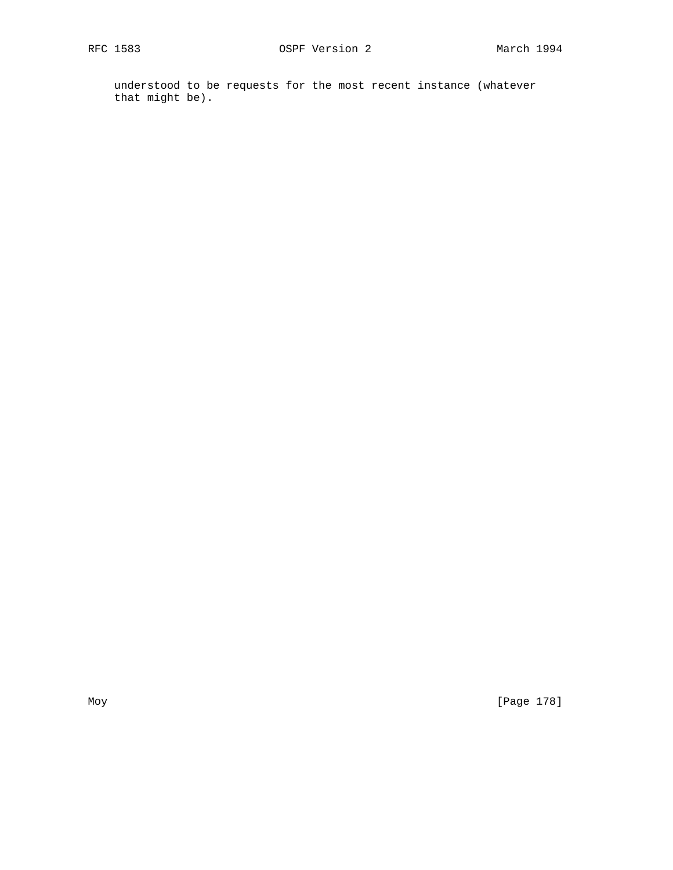understood to be requests for the most recent instance (whatever that might be).

Moy [Page 178]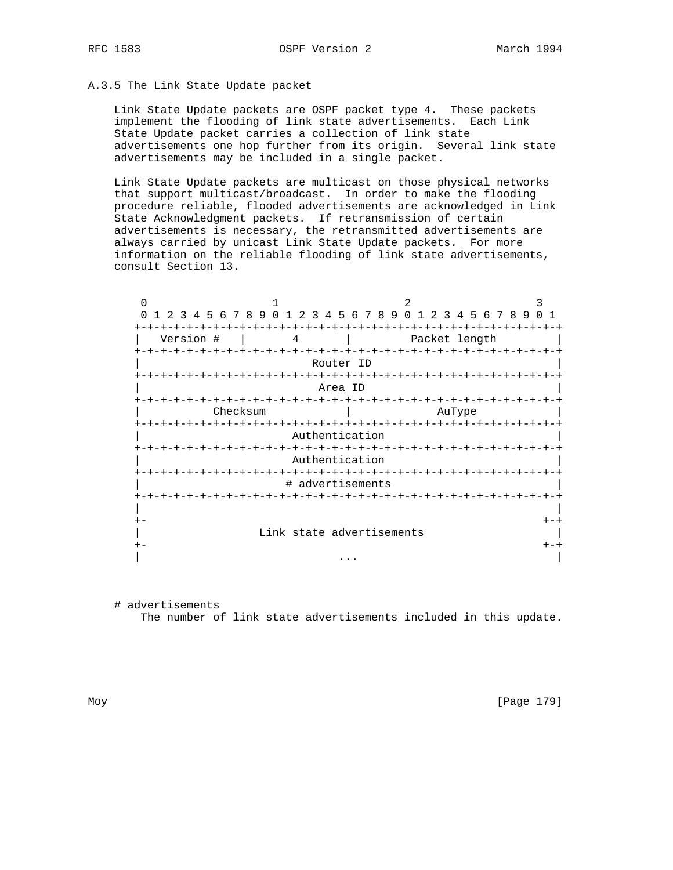# A.3.5 The Link State Update packet

 Link State Update packets are OSPF packet type 4. These packets implement the flooding of link state advertisements. Each Link State Update packet carries a collection of link state advertisements one hop further from its origin. Several link state advertisements may be included in a single packet.

 Link State Update packets are multicast on those physical networks that support multicast/broadcast. In order to make the flooding procedure reliable, flooded advertisements are acknowledged in Link State Acknowledgment packets. If retransmission of certain advertisements is necessary, the retransmitted advertisements are always carried by unicast Link State Update packets. For more information on the reliable flooding of link state advertisements, consult Section 13.

| N<br>$\Omega$<br>2<br>-3   | 4 5 6 7 8 9 0 1 2 3  | 456789                                        | $\Omega$                            | 2 3 4 5 6 7 8 9              |
|----------------------------|----------------------|-----------------------------------------------|-------------------------------------|------------------------------|
| Version #<br>$- + - + - +$ | 4                    | $- + - + - +$                                 | Packet length<br>-+-+-+-+-+-+-+-+-+ |                              |
|                            |                      | Router ID                                     |                                     |                              |
|                            | $-+ - + - + - + - +$ |                                               |                                     |                              |
|                            |                      | Area ID<br>-+-+-+-+-+-+-+-+-+-+               |                                     |                              |
|                            | Checksum             |                                               | AuType                              |                              |
|                            |                      | Authentication                                |                                     |                              |
|                            | $- + - + - + -$      | $+ - + - + - + - + - + - +$<br>Authentication |                                     | -+-+-+-+-+-+-+-+-+-+-+-+-+-+ |
|                            |                      | # advertisements                              |                                     |                              |
|                            | -+-+-+-+-+-+-+-+-+   |                                               |                                     | -+-+-+-+-+-+-+-+-+-+-+-+-+   |
| $+ -$                      |                      |                                               |                                     |                              |
|                            |                      | Link state advertisements                     |                                     |                              |
| $+ -$                      |                      |                                               |                                     |                              |
|                            |                      |                                               |                                     |                              |

 # advertisements The number of link state advertisements included in this update.

Moy [Page 179]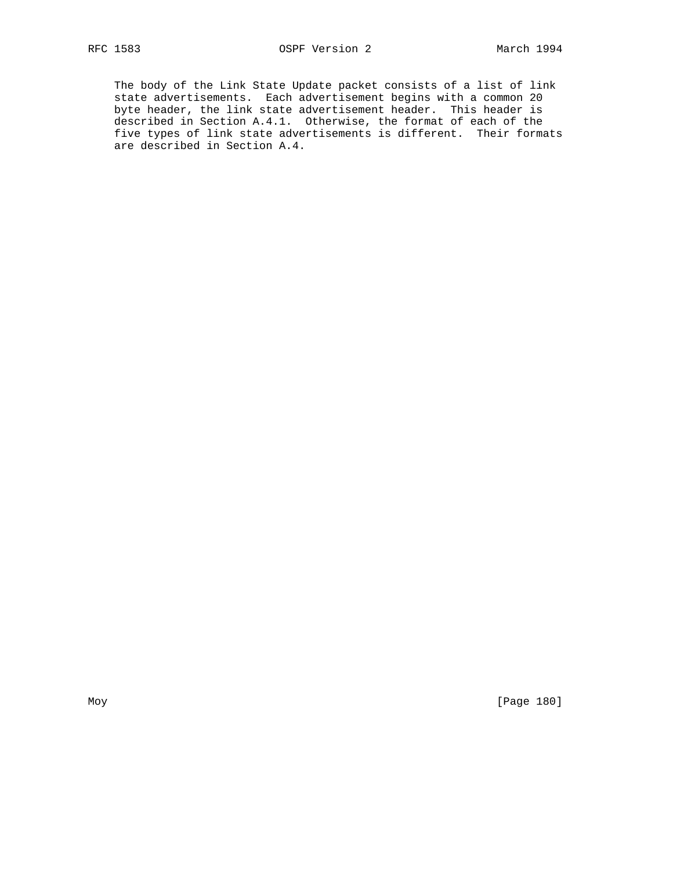The body of the Link State Update packet consists of a list of link state advertisements. Each advertisement begins with a common 20 byte header, the link state advertisement header. This header is described in Section A.4.1. Otherwise, the format of each of the five types of link state advertisements is different. Their formats are described in Section A.4.

Moy [Page 180]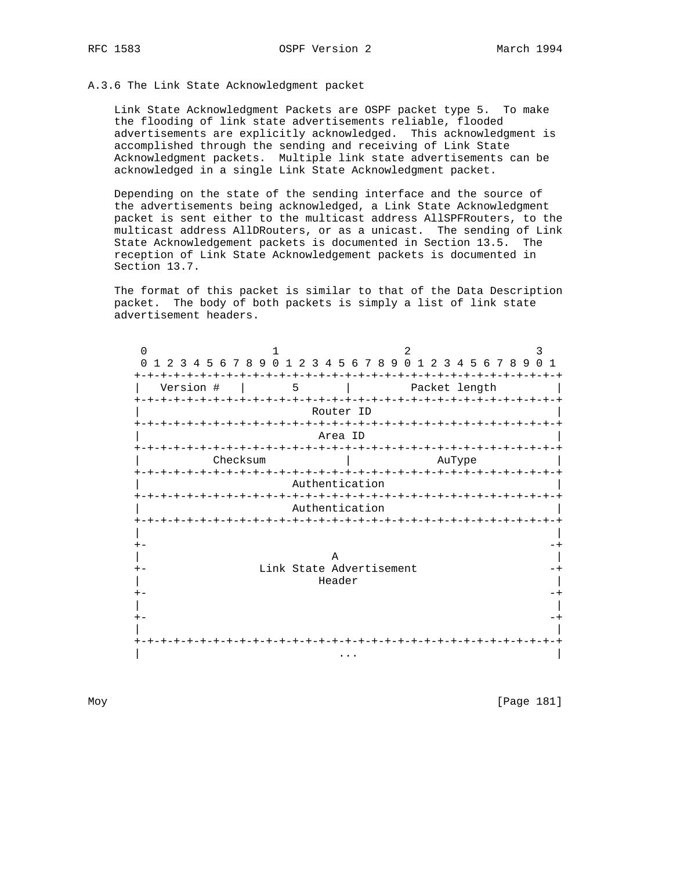# A.3.6 The Link State Acknowledgment packet

 Link State Acknowledgment Packets are OSPF packet type 5. To make the flooding of link state advertisements reliable, flooded advertisements are explicitly acknowledged. This acknowledgment is accomplished through the sending and receiving of Link State Acknowledgment packets. Multiple link state advertisements can be acknowledged in a single Link State Acknowledgment packet.

 Depending on the state of the sending interface and the source of the advertisements being acknowledged, a Link State Acknowledgment packet is sent either to the multicast address AllSPFRouters, to the multicast address AllDRouters, or as a unicast. The sending of Link State Acknowledgement packets is documented in Section 13.5. The reception of Link State Acknowledgement packets is documented in Section 13.7.

 The format of this packet is similar to that of the Data Description packet. The body of both packets is simply a list of link state advertisement headers.

 $0$  1 2 3 0 1 2 3 4 5 6 7 8 9 0 1 2 3 4 5 6 7 8 9 0 1 2 3 4 5 6 7 8 9 0 1 +-+-+-+-+-+-+-+-+-+-+-+-+-+-+-+-+-+-+-+-+-+-+-+-+-+-+-+-+-+-+-+-+ | Version # | 5 | Packet length | +-+-+-+-+-+-+-+-+-+-+-+-+-+-+-+-+-+-+-+-+-+-+-+-+-+-+-+-+-+-+-+-+ Router ID +-+-+-+-+-+-+-+-+-+-+-+-+-+-+-+-+-+-+-+-+-+-+-+-+-+-+-+-+-+-+-+-+ | Area ID | +-+-+-+-+-+-+-+-+-+-+-+-+-+-+-+-+-+-+-+-+-+-+-+-+-+-+-+-+-+-+-+-+ | Checksum | AuType +-+-+-+-+-+-+-+-+-+-+-+-+-+-+-+-+-+-+-+-+-+-+-+-+-+-+-+-+-+-+-+-+ Authentication +-+-+-+-+-+-+-+-+-+-+-+-+-+-+-+-+-+-+-+-+-+-+-+-+-+-+-+-+-+-+-+-+ Authentication +-+-+-+-+-+-+-+-+-+-+-+-+-+-+-+-+-+-+-+-+-+-+-+-+-+-+-+-+-+-+-+-+ | | +- -+ | A | +- Link State Advertisement -+ | Header | +- -+ | | +- -+ | | +-+-+-+-+-+-+-+-+-+-+-+-+-+-+-+-+-+-+-+-+-+-+-+-+-+-+-+-+-+-+-+-+ | ... | ... | ... | ... | ... | ... | ... | ... | ... | ... | ... | ... | ... | ... | ... | ... | ... | ... | .<br>| ... | ... | ... | ... | ... | ... | ... | ... | ... | ... | ... | ... | ... | .

Moy [Page 181]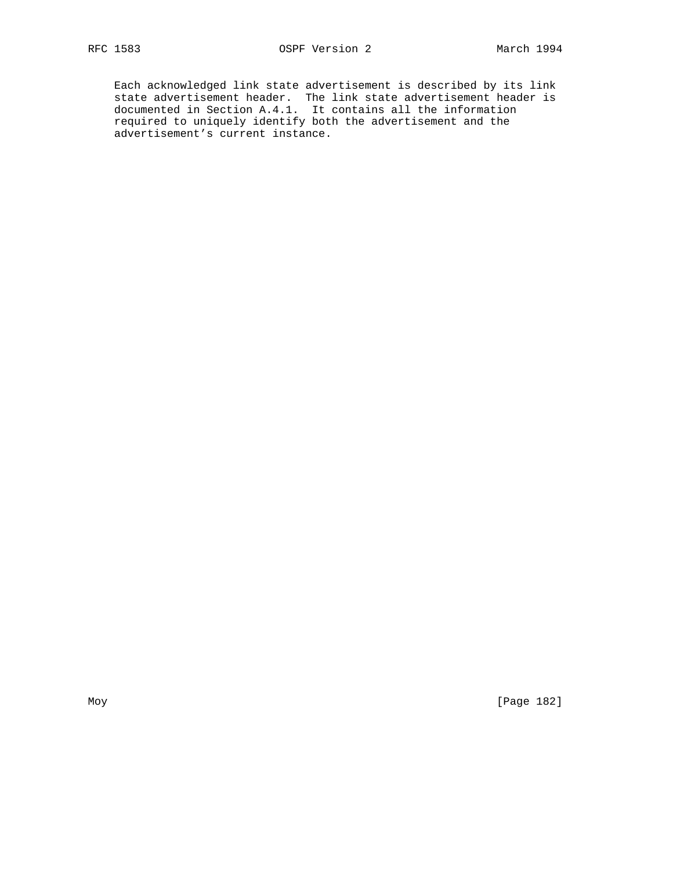Each acknowledged link state advertisement is described by its link state advertisement header. The link state advertisement header is documented in Section A.4.1. It contains all the information required to uniquely identify both the advertisement and the advertisement's current instance.

Moy [Page 182]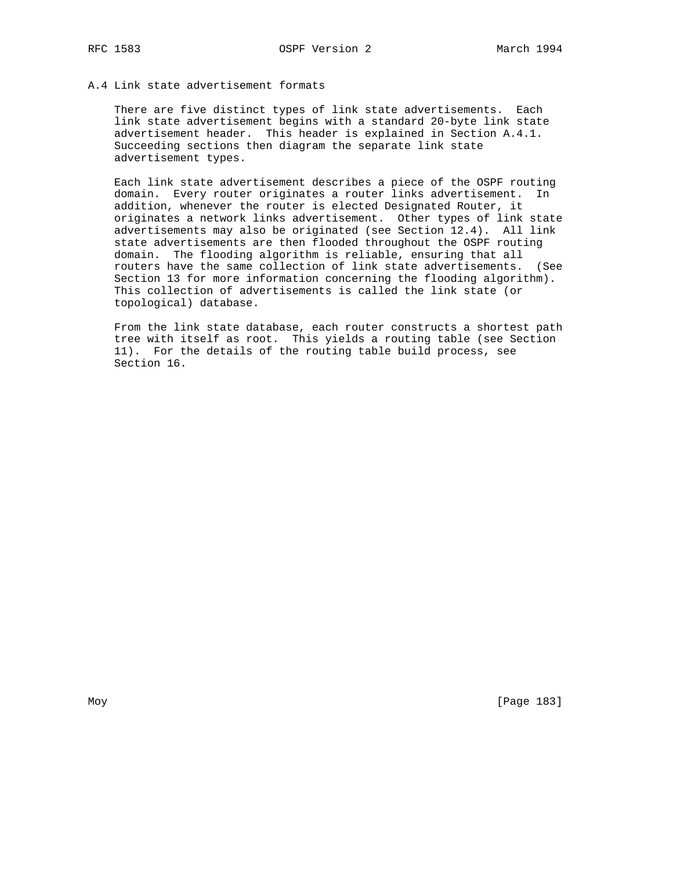# A.4 Link state advertisement formats

 There are five distinct types of link state advertisements. Each link state advertisement begins with a standard 20-byte link state advertisement header. This header is explained in Section A.4.1. Succeeding sections then diagram the separate link state advertisement types.

 Each link state advertisement describes a piece of the OSPF routing domain. Every router originates a router links advertisement. In addition, whenever the router is elected Designated Router, it originates a network links advertisement. Other types of link state advertisements may also be originated (see Section 12.4). All link state advertisements are then flooded throughout the OSPF routing domain. The flooding algorithm is reliable, ensuring that all routers have the same collection of link state advertisements. (See Section 13 for more information concerning the flooding algorithm). This collection of advertisements is called the link state (or topological) database.

 From the link state database, each router constructs a shortest path tree with itself as root. This yields a routing table (see Section 11). For the details of the routing table build process, see Section 16.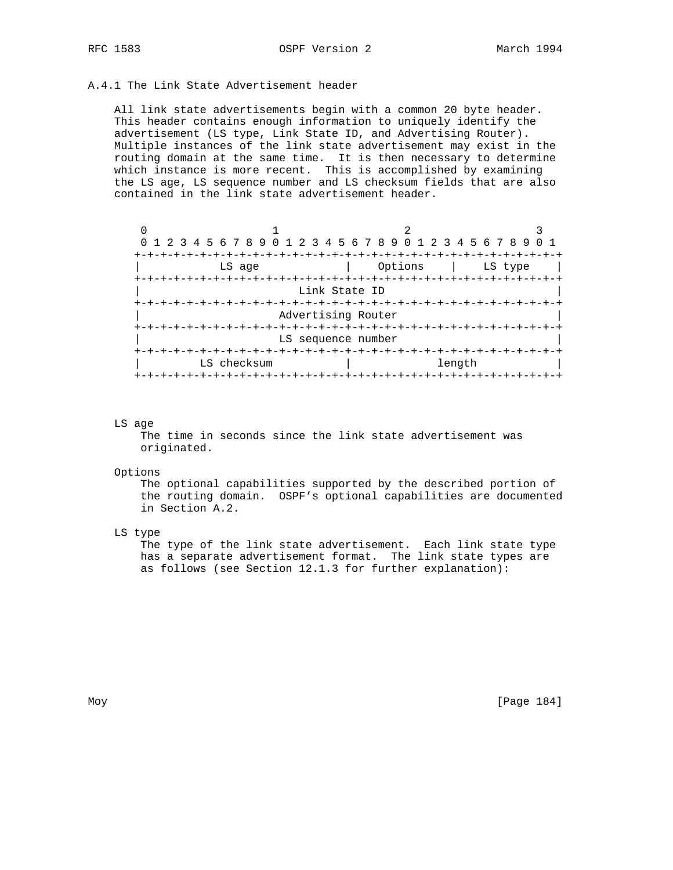# A.4.1 The Link State Advertisement header

 All link state advertisements begin with a common 20 byte header. This header contains enough information to uniquely identify the advertisement (LS type, Link State ID, and Advertising Router). Multiple instances of the link state advertisement may exist in the routing domain at the same time. It is then necessary to determine which instance is more recent. This is accomplished by examining the LS age, LS sequence number and LS checksum fields that are also contained in the link state advertisement header.

| 0 1 2 3 4 5 6 7 8 9 0 1 2 3 4 5 6 7 8 9 0 1 2 3 4 5 6 7 8 9 |                    |                    |  |  |  |  |  |
|-------------------------------------------------------------|--------------------|--------------------|--|--|--|--|--|
|                                                             |                    |                    |  |  |  |  |  |
| LS age                                                      |                    | Options<br>LS type |  |  |  |  |  |
|                                                             |                    |                    |  |  |  |  |  |
|                                                             | Link State ID      |                    |  |  |  |  |  |
|                                                             |                    |                    |  |  |  |  |  |
|                                                             | Advertising Router |                    |  |  |  |  |  |
|                                                             |                    |                    |  |  |  |  |  |
| LS sequence number                                          |                    |                    |  |  |  |  |  |
| $+ - + -$                                                   |                    |                    |  |  |  |  |  |
| LS checksum                                                 |                    | length             |  |  |  |  |  |
|                                                             |                    |                    |  |  |  |  |  |

#### LS age

 The time in seconds since the link state advertisement was originated.

#### Options

 The optional capabilities supported by the described portion of the routing domain. OSPF's optional capabilities are documented in Section A.2.

LS type

 The type of the link state advertisement. Each link state type has a separate advertisement format. The link state types are as follows (see Section 12.1.3 for further explanation):

Moy [Page 184]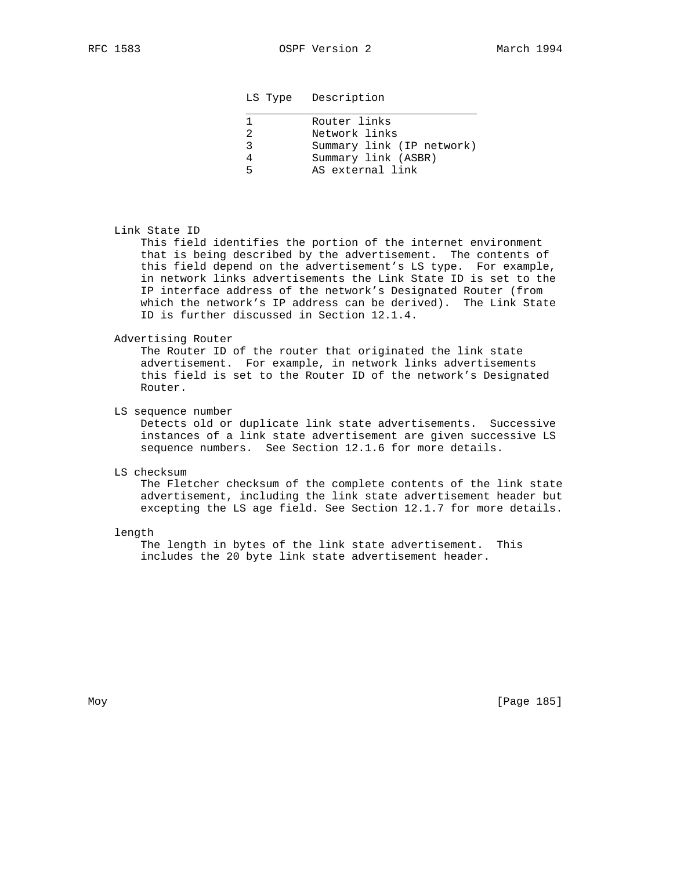#### LS Type Description

| Router links              |
|---------------------------|
| Network links             |
| Summary link (IP network) |
| Summary link (ASBR)       |
| AS external link          |
|                           |

#### Link State ID

 This field identifies the portion of the internet environment that is being described by the advertisement. The contents of this field depend on the advertisement's LS type. For example, in network links advertisements the Link State ID is set to the IP interface address of the network's Designated Router (from which the network's IP address can be derived). The Link State ID is further discussed in Section 12.1.4.

## Advertising Router

 The Router ID of the router that originated the link state advertisement. For example, in network links advertisements this field is set to the Router ID of the network's Designated Router.

LS sequence number

 Detects old or duplicate link state advertisements. Successive instances of a link state advertisement are given successive LS sequence numbers. See Section 12.1.6 for more details.

#### LS checksum

 The Fletcher checksum of the complete contents of the link state advertisement, including the link state advertisement header but excepting the LS age field. See Section 12.1.7 for more details.

#### length

 The length in bytes of the link state advertisement. This includes the 20 byte link state advertisement header.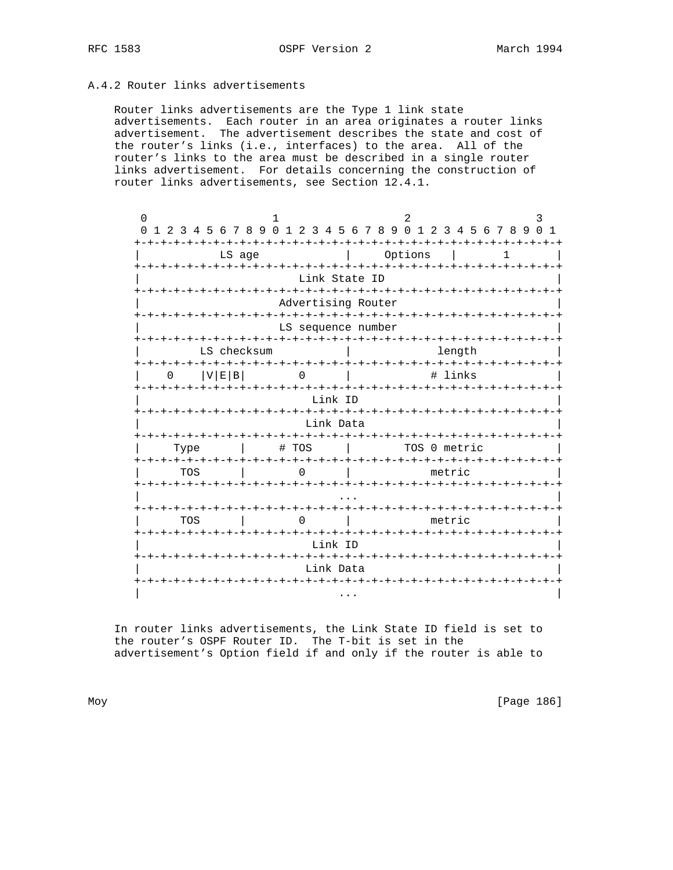# A.4.2 Router links advertisements

 Router links advertisements are the Type 1 link state advertisements. Each router in an area originates a router links advertisement. The advertisement describes the state and cost of the router's links (i.e., interfaces) to the area. All of the router's links to the area must be described in a single router links advertisement. For details concerning the construction of router links advertisements, see Section 12.4.1.

|                                    |                                  | 3                                                                                                                                                                                                                                                                                  |  |  |  |  |  |  |
|------------------------------------|----------------------------------|------------------------------------------------------------------------------------------------------------------------------------------------------------------------------------------------------------------------------------------------------------------------------------|--|--|--|--|--|--|
|                                    |                                  | $\Omega$<br>$\mathbf{1}$                                                                                                                                                                                                                                                           |  |  |  |  |  |  |
| LS age                             | Options                          | 1                                                                                                                                                                                                                                                                                  |  |  |  |  |  |  |
|                                    |                                  | -+-+-+-+-+-+-+-+-+                                                                                                                                                                                                                                                                 |  |  |  |  |  |  |
|                                    |                                  |                                                                                                                                                                                                                                                                                    |  |  |  |  |  |  |
|                                    |                                  |                                                                                                                                                                                                                                                                                    |  |  |  |  |  |  |
|                                    |                                  |                                                                                                                                                                                                                                                                                    |  |  |  |  |  |  |
| LS checksum                        | length                           |                                                                                                                                                                                                                                                                                    |  |  |  |  |  |  |
|                                    | # links                          |                                                                                                                                                                                                                                                                                    |  |  |  |  |  |  |
|                                    |                                  |                                                                                                                                                                                                                                                                                    |  |  |  |  |  |  |
|                                    |                                  |                                                                                                                                                                                                                                                                                    |  |  |  |  |  |  |
| # TOS                              | TOS 0 metric                     |                                                                                                                                                                                                                                                                                    |  |  |  |  |  |  |
|                                    | metric                           |                                                                                                                                                                                                                                                                                    |  |  |  |  |  |  |
|                                    |                                  |                                                                                                                                                                                                                                                                                    |  |  |  |  |  |  |
|                                    | metric                           |                                                                                                                                                                                                                                                                                    |  |  |  |  |  |  |
|                                    |                                  | -+-+-+-+-+-+-+-+-+-+                                                                                                                                                                                                                                                               |  |  |  |  |  |  |
| $+ \cdot$<br>-+-+-+-+<br>Link Data |                                  |                                                                                                                                                                                                                                                                                    |  |  |  |  |  |  |
|                                    |                                  |                                                                                                                                                                                                                                                                                    |  |  |  |  |  |  |
|                                    | -+-+-+<br>ーナーナーナーナーナ<br>-+-+-+-+ | 0 1 2 3 4 5 6 7 8 9 0 1 2 3 4 5 6 7 8 9 0 1 2 3 4 5 6 7 8 9<br>ーナーナーナーナ<br>Link State ID<br>Advertising Router<br>LS sequence number<br>-+-+-+-+-+-+-+-+-+-+-+-+-+-<br>-+-+-+-+-+-+-+-+-+-+-+<br>Link ID<br>-+-+<br>Link Data<br>-+-+-+-+-+-+-+-+-+-+-+-+<br>-+-+-+-+-+<br>Link ID |  |  |  |  |  |  |

 In router links advertisements, the Link State ID field is set to the router's OSPF Router ID. The T-bit is set in the advertisement's Option field if and only if the router is able to

Moy [Page 186]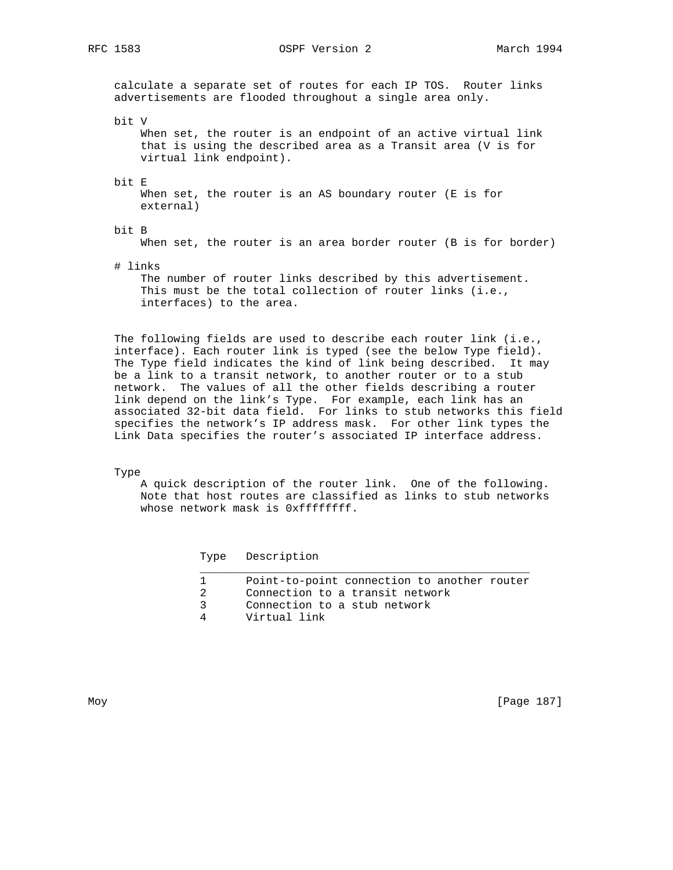RFC 1583 OSPF Version 2 March 1994

 calculate a separate set of routes for each IP TOS. Router links advertisements are flooded throughout a single area only.

bit V

 When set, the router is an endpoint of an active virtual link that is using the described area as a Transit area (V is for virtual link endpoint).

bit E

When set, the router is an AS boundary router (E is for external)

# bit B

When set, the router is an area border router (B is for border)

# links

 The number of router links described by this advertisement. This must be the total collection of router links (i.e., interfaces) to the area.

 The following fields are used to describe each router link (i.e., interface). Each router link is typed (see the below Type field). The Type field indicates the kind of link being described. It may be a link to a transit network, to another router or to a stub network. The values of all the other fields describing a router link depend on the link's Type. For example, each link has an associated 32-bit data field. For links to stub networks this field specifies the network's IP address mask. For other link types the Link Data specifies the router's associated IP interface address.

Type

 A quick description of the router link. One of the following. Note that host routes are classified as links to stub networks whose network mask is 0xffffffff.

Type Description

| Point-to-point connection to another router |
|---------------------------------------------|
| Connection to a transit network             |
| Connection to a stub network                |
| Virtual link                                |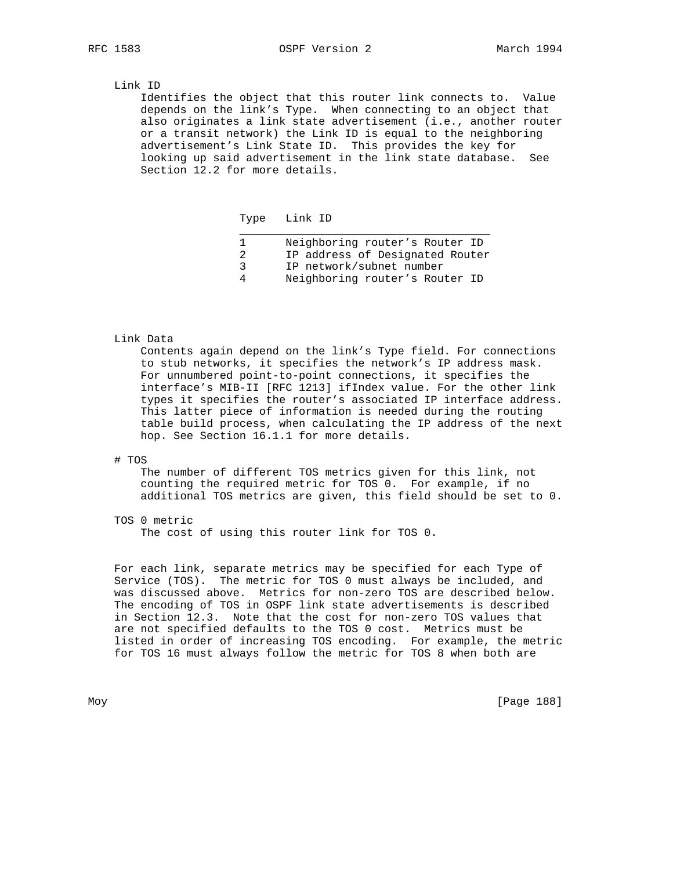#### Link ID

 Identifies the object that this router link connects to. Value depends on the link's Type. When connecting to an object that also originates a link state advertisement (i.e., another router or a transit network) the Link ID is equal to the neighboring advertisement's Link State ID. This provides the key for looking up said advertisement in the link state database. See Section 12.2 for more details.

Type Link ID

|   | Neighboring router's Router ID  |
|---|---------------------------------|
|   | IP address of Designated Router |
|   | IP network/subnet number        |
| 4 | Neighboring router's Router ID  |

#### Link Data

 Contents again depend on the link's Type field. For connections to stub networks, it specifies the network's IP address mask. For unnumbered point-to-point connections, it specifies the interface's MIB-II [RFC 1213] ifIndex value. For the other link types it specifies the router's associated IP interface address. This latter piece of information is needed during the routing table build process, when calculating the IP address of the next hop. See Section 16.1.1 for more details.

#### # TOS

 The number of different TOS metrics given for this link, not counting the required metric for TOS 0. For example, if no additional TOS metrics are given, this field should be set to 0.

TOS 0 metric

The cost of using this router link for TOS 0.

 For each link, separate metrics may be specified for each Type of Service (TOS). The metric for TOS 0 must always be included, and was discussed above. Metrics for non-zero TOS are described below. The encoding of TOS in OSPF link state advertisements is described in Section 12.3. Note that the cost for non-zero TOS values that are not specified defaults to the TOS 0 cost. Metrics must be listed in order of increasing TOS encoding. For example, the metric for TOS 16 must always follow the metric for TOS 8 when both are

Moy [Page 188]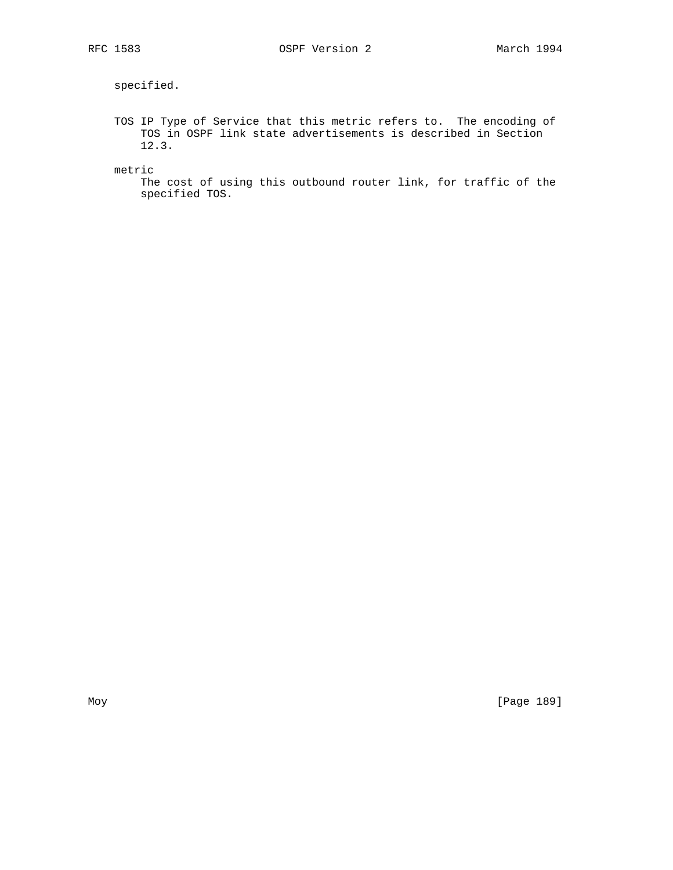specified.

 TOS IP Type of Service that this metric refers to. The encoding of TOS in OSPF link state advertisements is described in Section 12.3.

metric

 The cost of using this outbound router link, for traffic of the specified TOS.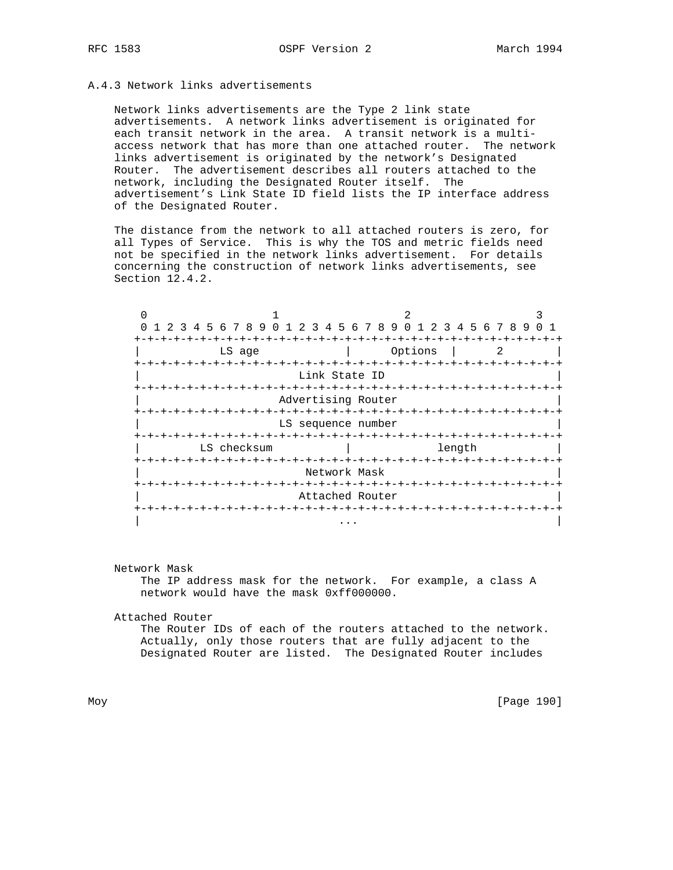# A.4.3 Network links advertisements

 Network links advertisements are the Type 2 link state advertisements. A network links advertisement is originated for each transit network in the area. A transit network is a multi access network that has more than one attached router. The network links advertisement is originated by the network's Designated Router. The advertisement describes all routers attached to the network, including the Designated Router itself. The advertisement's Link State ID field lists the IP interface address of the Designated Router.

 The distance from the network to all attached routers is zero, for all Types of Service. This is why the TOS and metric fields need not be specified in the network links advertisement. For details concerning the construction of network links advertisements, see Section 12.4.2.

| 0 1 2 3 4 5 6 7 8 9 0 1 2 3 4 5 6 7 8 9 0 1 2 3 4 5 6 7 8 9 |                        |              |            |                          |  |  |  |   |  |
|-------------------------------------------------------------|------------------------|--------------|------------|--------------------------|--|--|--|---|--|
|                                                             |                        |              |            |                          |  |  |  |   |  |
| LS age                                                      |                        |              |            | Options                  |  |  |  | 2 |  |
| -+-+-+-+-+-+-+-+-+-+                                        |                        |              |            | -+-+-+-+-+-+-+-+-+-+-+   |  |  |  |   |  |
|                                                             | Link State ID          |              |            |                          |  |  |  |   |  |
|                                                             |                        |              |            |                          |  |  |  |   |  |
|                                                             | Advertising Router     |              |            |                          |  |  |  |   |  |
|                                                             |                        |              |            |                          |  |  |  |   |  |
|                                                             | LS sequence number     |              |            |                          |  |  |  |   |  |
|                                                             |                        |              |            |                          |  |  |  |   |  |
| LS checksum                                                 | length                 |              |            |                          |  |  |  |   |  |
| -+-+-+-+-+-+-+-+                                            |                        |              |            | $-+ - + - + - + - + - +$ |  |  |  |   |  |
|                                                             |                        | Network Mask |            |                          |  |  |  |   |  |
|                                                             | -+-+-+-+-+-+-+-+-+-+-+ |              |            |                          |  |  |  |   |  |
|                                                             | Attached Router        |              |            |                          |  |  |  |   |  |
|                                                             | -+-+-+-+-+-+-+-+-+     |              | -+-+-+-+-+ |                          |  |  |  |   |  |
|                                                             |                        |              |            |                          |  |  |  |   |  |
|                                                             |                        | .            |            |                          |  |  |  |   |  |

#### Network Mask

 The IP address mask for the network. For example, a class A network would have the mask 0xff000000.

#### Attached Router

 The Router IDs of each of the routers attached to the network. Actually, only those routers that are fully adjacent to the Designated Router are listed. The Designated Router includes

Moy [Page 190]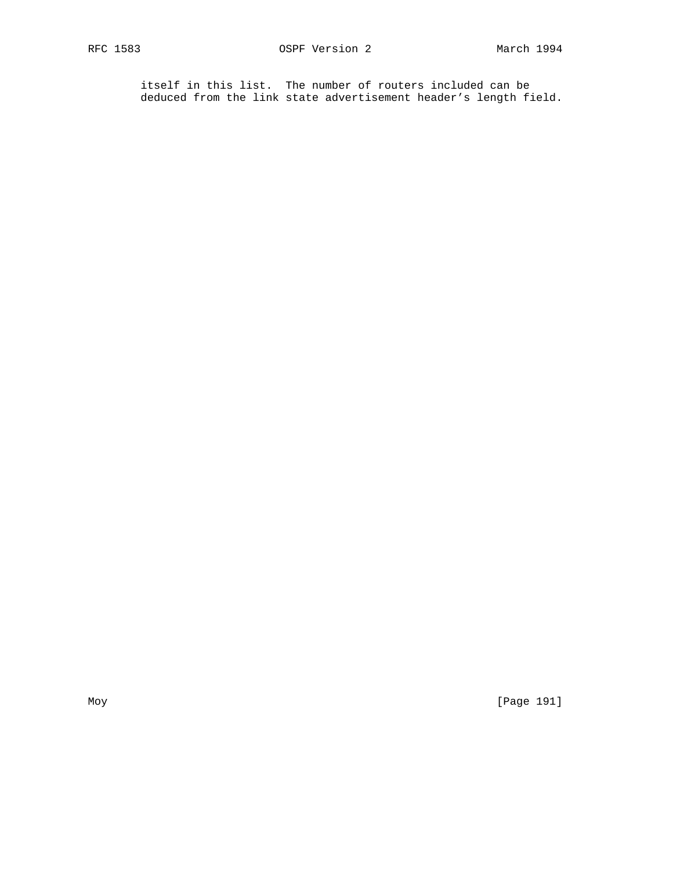itself in this list. The number of routers included can be deduced from the link state advertisement header's length field.

Moy [Page 191]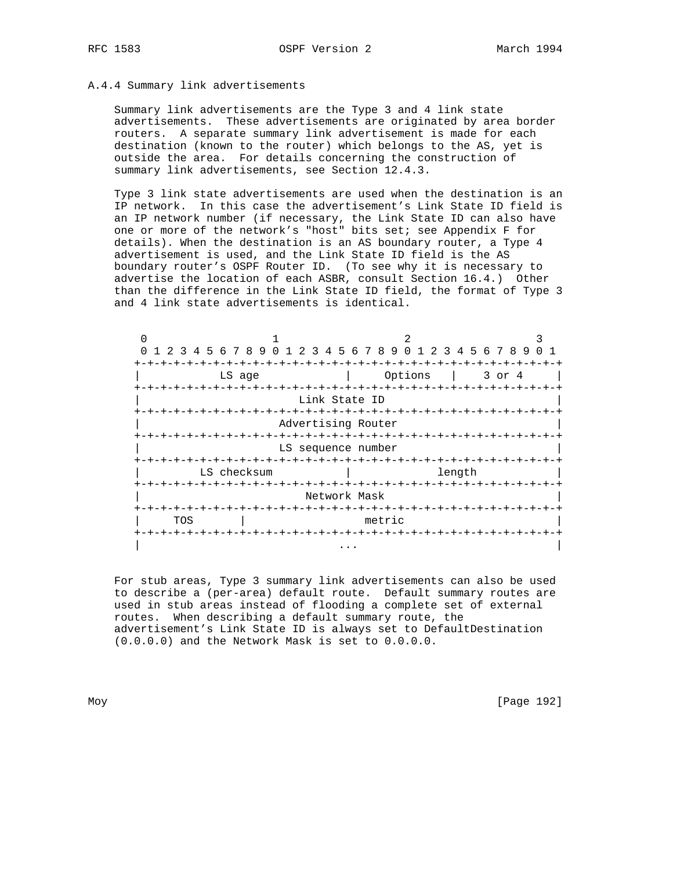## A.4.4 Summary link advertisements

 Summary link advertisements are the Type 3 and 4 link state advertisements. These advertisements are originated by area border routers. A separate summary link advertisement is made for each destination (known to the router) which belongs to the AS, yet is outside the area. For details concerning the construction of summary link advertisements, see Section 12.4.3.

 Type 3 link state advertisements are used when the destination is an IP network. In this case the advertisement's Link State ID field is an IP network number (if necessary, the Link State ID can also have one or more of the network's "host" bits set; see Appendix F for details). When the destination is an AS boundary router, a Type 4 advertisement is used, and the Link State ID field is the AS boundary router's OSPF Router ID. (To see why it is necessary to advertise the location of each ASBR, consult Section 16.4.) Other than the difference in the Link State ID field, the format of Type 3 and 4 link state advertisements is identical.

|                     | 1 2 3 4 5 6 7 8 9 0 1 2 3 4 5 6 7 8 9 0 1 2 3 4 5 6 7 8 9 |                    |                                              |        |
|---------------------|-----------------------------------------------------------|--------------------|----------------------------------------------|--------|
|                     |                                                           |                    |                                              |        |
|                     | LS age                                                    |                    | Options                                      | 3 or 4 |
| +-+-+-+-+-+-+-+-+-+ | +-+-+-+-+-+-+-+-+-+-+-+-+-+-+-+-+-+                       | Link State ID      | -+-+-+-+-+<br>-+-+-+-+-+-+-+-+-+-+-+-+-+-+-+ |        |
|                     |                                                           | Advertising Router |                                              |        |
|                     |                                                           | LS sequence number |                                              |        |
|                     | LS checksum                                               |                    | length                                       |        |
|                     |                                                           |                    |                                              |        |
|                     |                                                           | Network Mask       |                                              |        |
|                     |                                                           |                    |                                              |        |
| TOS                 |                                                           | metric             |                                              |        |
|                     |                                                           |                    |                                              |        |
|                     |                                                           |                    |                                              |        |

 For stub areas, Type 3 summary link advertisements can also be used to describe a (per-area) default route. Default summary routes are used in stub areas instead of flooding a complete set of external routes. When describing a default summary route, the advertisement's Link State ID is always set to DefaultDestination (0.0.0.0) and the Network Mask is set to 0.0.0.0.

Moy [Page 192]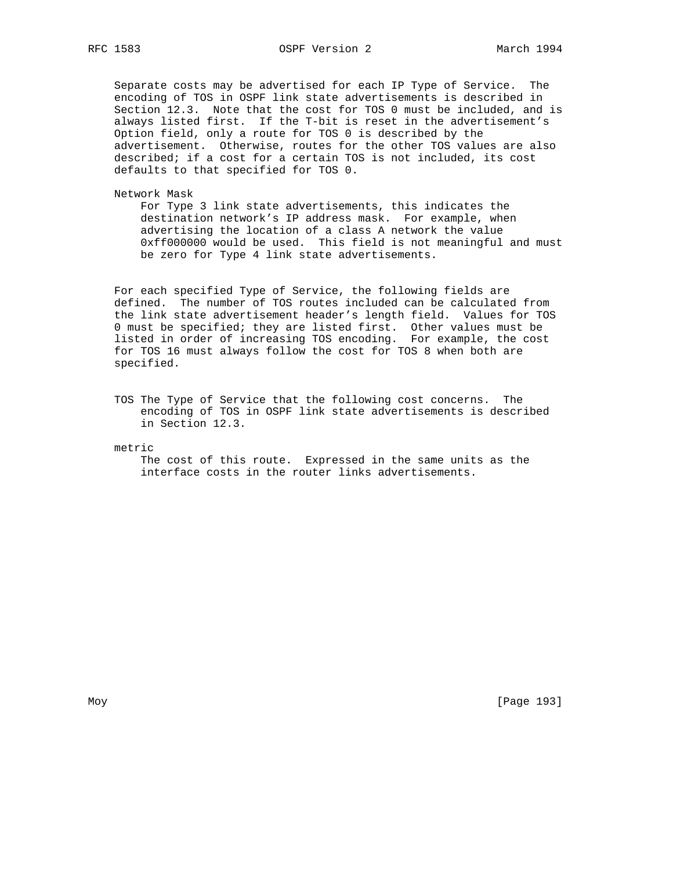Separate costs may be advertised for each IP Type of Service. The encoding of TOS in OSPF link state advertisements is described in Section 12.3. Note that the cost for TOS 0 must be included, and is always listed first. If the T-bit is reset in the advertisement's Option field, only a route for TOS 0 is described by the advertisement. Otherwise, routes for the other TOS values are also described; if a cost for a certain TOS is not included, its cost defaults to that specified for TOS 0.

Network Mask

 For Type 3 link state advertisements, this indicates the destination network's IP address mask. For example, when advertising the location of a class A network the value 0xff000000 would be used. This field is not meaningful and must be zero for Type 4 link state advertisements.

 For each specified Type of Service, the following fields are defined. The number of TOS routes included can be calculated from the link state advertisement header's length field. Values for TOS 0 must be specified; they are listed first. Other values must be listed in order of increasing TOS encoding. For example, the cost for TOS 16 must always follow the cost for TOS 8 when both are specified.

 TOS The Type of Service that the following cost concerns. The encoding of TOS in OSPF link state advertisements is described in Section 12.3.

metric

 The cost of this route. Expressed in the same units as the interface costs in the router links advertisements.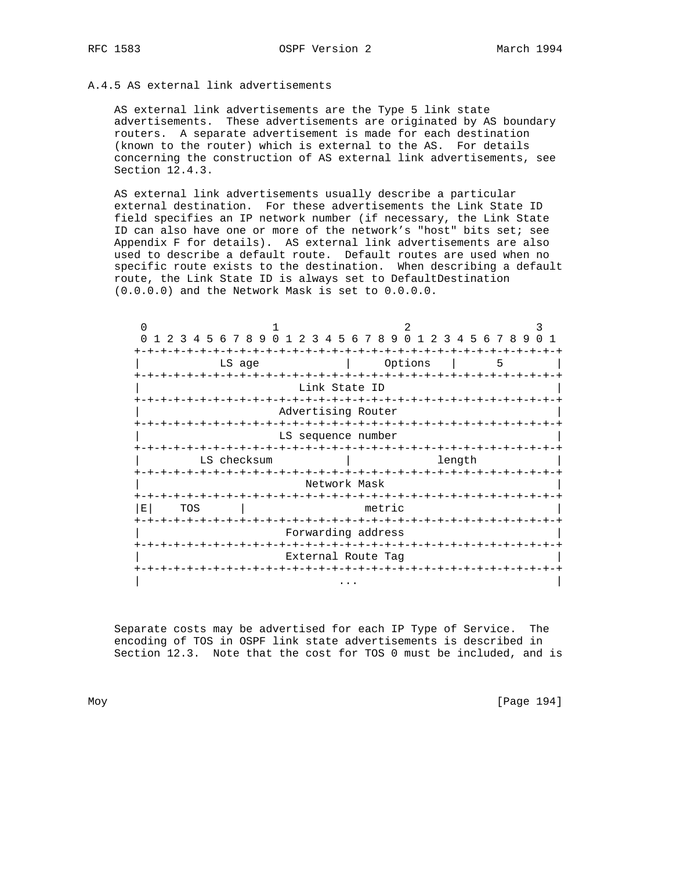# A.4.5 AS external link advertisements

 AS external link advertisements are the Type 5 link state advertisements. These advertisements are originated by AS boundary routers. A separate advertisement is made for each destination (known to the router) which is external to the AS. For details concerning the construction of AS external link advertisements, see Section 12.4.3.

 AS external link advertisements usually describe a particular external destination. For these advertisements the Link State ID field specifies an IP network number (if necessary, the Link State ID can also have one or more of the network's "host" bits set; see Appendix F for details). AS external link advertisements are also used to describe a default route. Default routes are used when no specific route exists to the destination. When describing a default route, the Link State ID is always set to DefaultDestination (0.0.0.0) and the Network Mask is set to 0.0.0.0.

| $1 \t2 \t3$ | 4 5 6 7 8 9 0 1 2 3 4 5 6 7 8 9 |             |                      |                    |                              |        |                        |             |        |   | 0 1 2 3 4 5 6 7 8 9 |  |
|-------------|---------------------------------|-------------|----------------------|--------------------|------------------------------|--------|------------------------|-------------|--------|---|---------------------|--|
|             |                                 |             |                      |                    |                              |        |                        |             |        |   |                     |  |
|             |                                 | LS age      |                      |                    |                              |        | Options                |             |        | 5 |                     |  |
|             |                                 |             |                      | Link State ID      |                              |        |                        |             |        |   |                     |  |
|             |                                 |             |                      |                    |                              |        |                        |             |        |   |                     |  |
|             |                                 |             |                      | -+-+-+-+-+-+-+     |                              |        | -+-+-+-+-+-+-+-+-+-+-+ |             |        |   |                     |  |
|             |                                 |             |                      | Advertising Router |                              |        |                        |             |        |   |                     |  |
|             |                                 |             |                      | LS sequence number |                              |        |                        |             |        |   |                     |  |
|             |                                 |             |                      |                    |                              |        |                        |             |        |   |                     |  |
|             |                                 | LS checksum |                      |                    |                              |        |                        |             | length |   |                     |  |
|             |                                 |             |                      |                    |                              |        |                        | -+-+-+-+-+- |        |   |                     |  |
|             |                                 |             |                      | Network Mask       |                              |        |                        |             |        |   |                     |  |
|             |                                 |             |                      | -+-+-+-+-+-+-+-+   |                              |        | -+-+-+-+-+-+-+-+-+-+-+ |             |        |   |                     |  |
| Е           | TOS                             |             |                      |                    |                              | metric |                        |             |        |   |                     |  |
|             | -+-+-+-+                        |             | $-+ - + - + - + - +$ |                    | -+-+-+-+-+-+-+-+-+-+-+-+-+-+ |        |                        |             |        |   |                     |  |
|             |                                 |             |                      | Forwarding address |                              |        |                        |             |        |   |                     |  |
|             |                                 |             |                      |                    |                              |        |                        |             |        |   |                     |  |
|             |                                 |             |                      | External Route Tag |                              |        |                        |             |        |   |                     |  |
|             |                                 |             |                      |                    |                              |        |                        |             |        |   |                     |  |
|             |                                 |             |                      |                    |                              |        |                        |             |        |   |                     |  |

 Separate costs may be advertised for each IP Type of Service. The encoding of TOS in OSPF link state advertisements is described in Section 12.3. Note that the cost for TOS 0 must be included, and is

Moy [Page 194]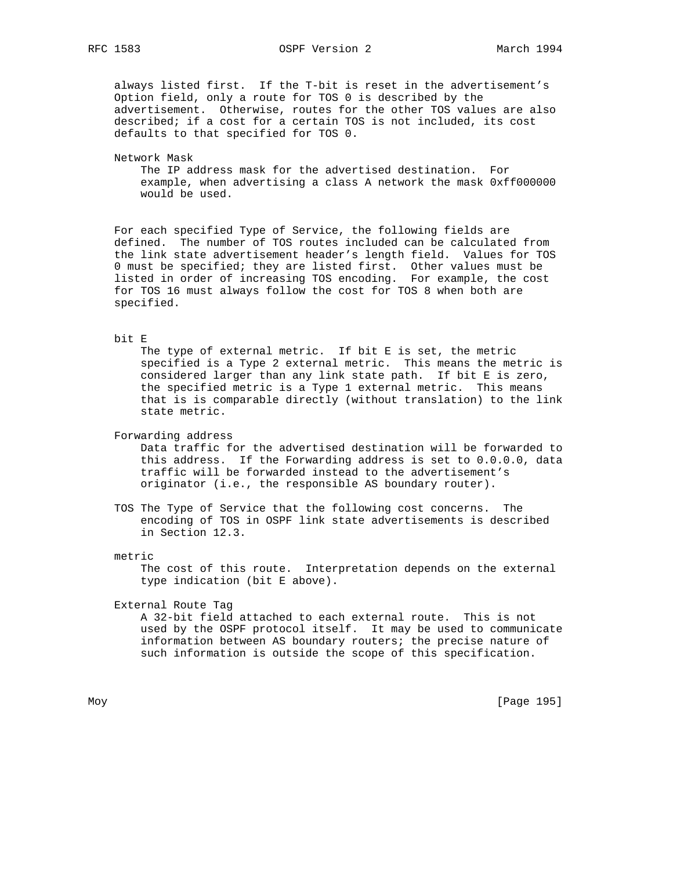RFC 1583 OSPF Version 2 March 1994

 always listed first. If the T-bit is reset in the advertisement's Option field, only a route for TOS 0 is described by the advertisement. Otherwise, routes for the other TOS values are also described; if a cost for a certain TOS is not included, its cost defaults to that specified for TOS 0.

## Network Mask

 The IP address mask for the advertised destination. For example, when advertising a class A network the mask 0xff000000 would be used.

 For each specified Type of Service, the following fields are defined. The number of TOS routes included can be calculated from the link state advertisement header's length field. Values for TOS 0 must be specified; they are listed first. Other values must be listed in order of increasing TOS encoding. For example, the cost for TOS 16 must always follow the cost for TOS 8 when both are specified.

#### bit E

The type of external metric. If bit E is set, the metric specified is a Type 2 external metric. This means the metric is considered larger than any link state path. If bit E is zero, the specified metric is a Type 1 external metric. This means that is is comparable directly (without translation) to the link state metric.

Forwarding address

 Data traffic for the advertised destination will be forwarded to this address. If the Forwarding address is set to 0.0.0.0, data traffic will be forwarded instead to the advertisement's originator (i.e., the responsible AS boundary router).

 TOS The Type of Service that the following cost concerns. The encoding of TOS in OSPF link state advertisements is described in Section 12.3.

#### metric

 The cost of this route. Interpretation depends on the external type indication (bit E above).

External Route Tag

 A 32-bit field attached to each external route. This is not used by the OSPF protocol itself. It may be used to communicate information between AS boundary routers; the precise nature of such information is outside the scope of this specification.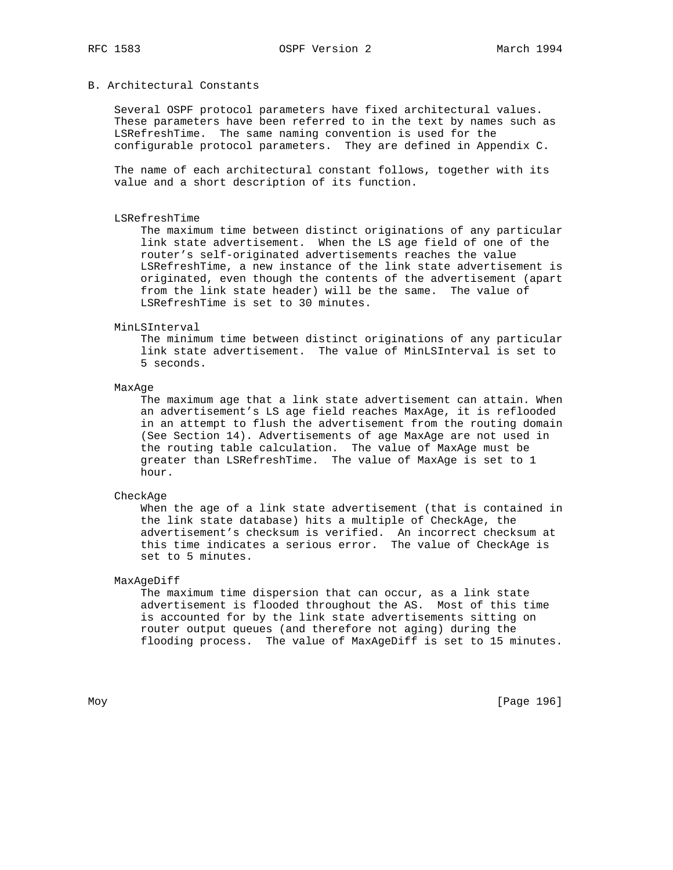## B. Architectural Constants

 Several OSPF protocol parameters have fixed architectural values. These parameters have been referred to in the text by names such as LSRefreshTime. The same naming convention is used for the configurable protocol parameters. They are defined in Appendix C.

 The name of each architectural constant follows, together with its value and a short description of its function.

#### LSRefreshTime

 The maximum time between distinct originations of any particular link state advertisement. When the LS age field of one of the router's self-originated advertisements reaches the value LSRefreshTime, a new instance of the link state advertisement is originated, even though the contents of the advertisement (apart from the link state header) will be the same. The value of LSRefreshTime is set to 30 minutes.

#### MinLSInterval

 The minimum time between distinct originations of any particular link state advertisement. The value of MinLSInterval is set to 5 seconds.

#### MaxAge

 The maximum age that a link state advertisement can attain. When an advertisement's LS age field reaches MaxAge, it is reflooded in an attempt to flush the advertisement from the routing domain (See Section 14). Advertisements of age MaxAge are not used in the routing table calculation. The value of MaxAge must be greater than LSRefreshTime. The value of MaxAge is set to 1 hour.

#### CheckAge

 When the age of a link state advertisement (that is contained in the link state database) hits a multiple of CheckAge, the advertisement's checksum is verified. An incorrect checksum at this time indicates a serious error. The value of CheckAge is set to 5 minutes.

## MaxAgeDiff

 The maximum time dispersion that can occur, as a link state advertisement is flooded throughout the AS. Most of this time is accounted for by the link state advertisements sitting on router output queues (and therefore not aging) during the flooding process. The value of MaxAgeDiff is set to 15 minutes.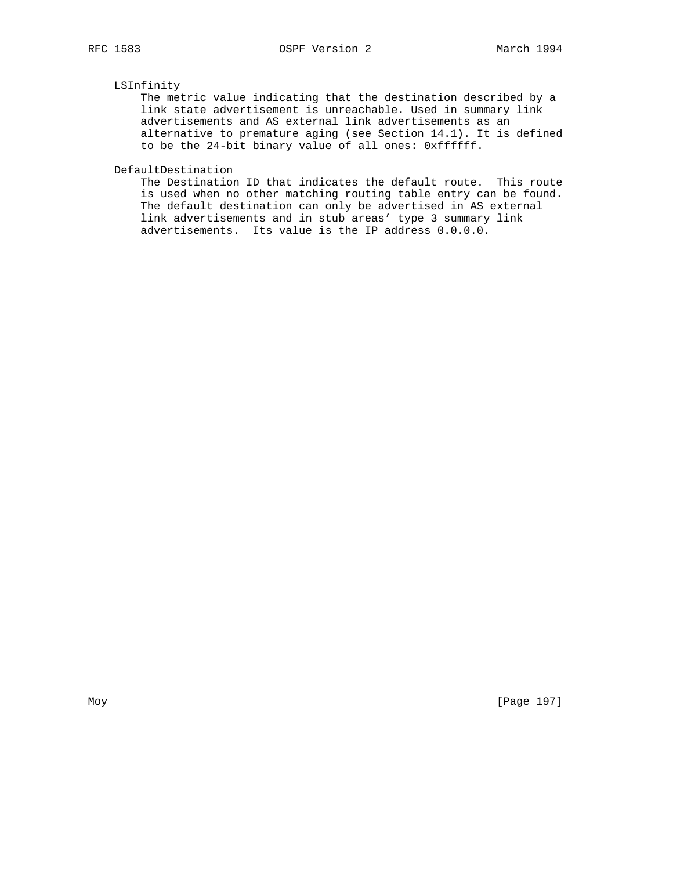## LSInfinity

 The metric value indicating that the destination described by a link state advertisement is unreachable. Used in summary link advertisements and AS external link advertisements as an alternative to premature aging (see Section 14.1). It is defined to be the 24-bit binary value of all ones: 0xffffff.

DefaultDestination

 The Destination ID that indicates the default route. This route is used when no other matching routing table entry can be found. The default destination can only be advertised in AS external link advertisements and in stub areas' type 3 summary link advertisements. Its value is the IP address 0.0.0.0.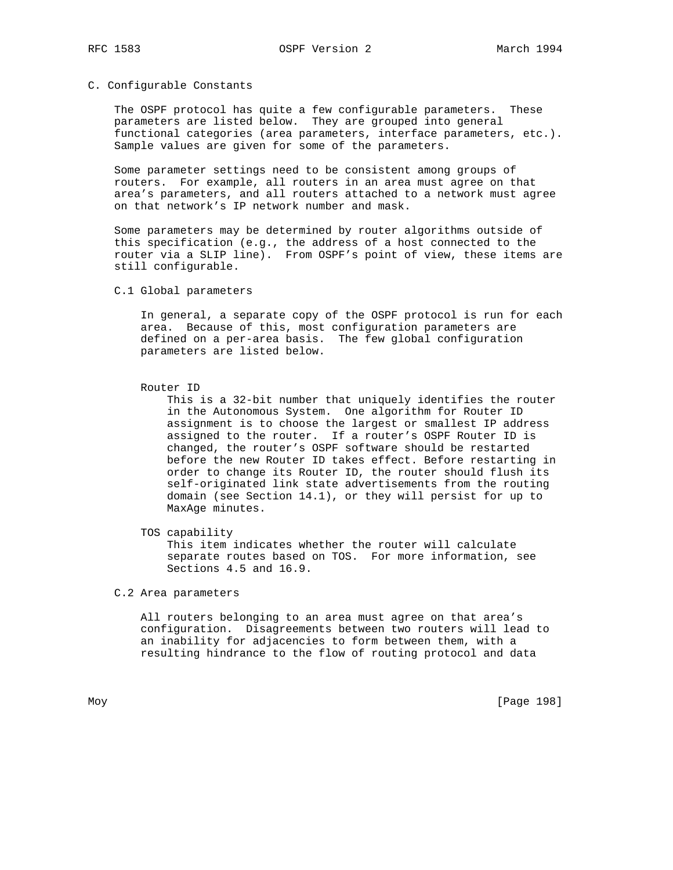## C. Configurable Constants

 The OSPF protocol has quite a few configurable parameters. These parameters are listed below. They are grouped into general functional categories (area parameters, interface parameters, etc.). Sample values are given for some of the parameters.

 Some parameter settings need to be consistent among groups of routers. For example, all routers in an area must agree on that area's parameters, and all routers attached to a network must agree on that network's IP network number and mask.

 Some parameters may be determined by router algorithms outside of this specification (e.g., the address of a host connected to the router via a SLIP line). From OSPF's point of view, these items are still configurable.

C.1 Global parameters

 In general, a separate copy of the OSPF protocol is run for each area. Because of this, most configuration parameters are defined on a per-area basis. The few global configuration parameters are listed below.

Router ID

 This is a 32-bit number that uniquely identifies the router in the Autonomous System. One algorithm for Router ID assignment is to choose the largest or smallest IP address assigned to the router. If a router's OSPF Router ID is changed, the router's OSPF software should be restarted before the new Router ID takes effect. Before restarting in order to change its Router ID, the router should flush its self-originated link state advertisements from the routing domain (see Section 14.1), or they will persist for up to MaxAge minutes.

TOS capability

 This item indicates whether the router will calculate separate routes based on TOS. For more information, see Sections 4.5 and 16.9.

C.2 Area parameters

 All routers belonging to an area must agree on that area's configuration. Disagreements between two routers will lead to an inability for adjacencies to form between them, with a resulting hindrance to the flow of routing protocol and data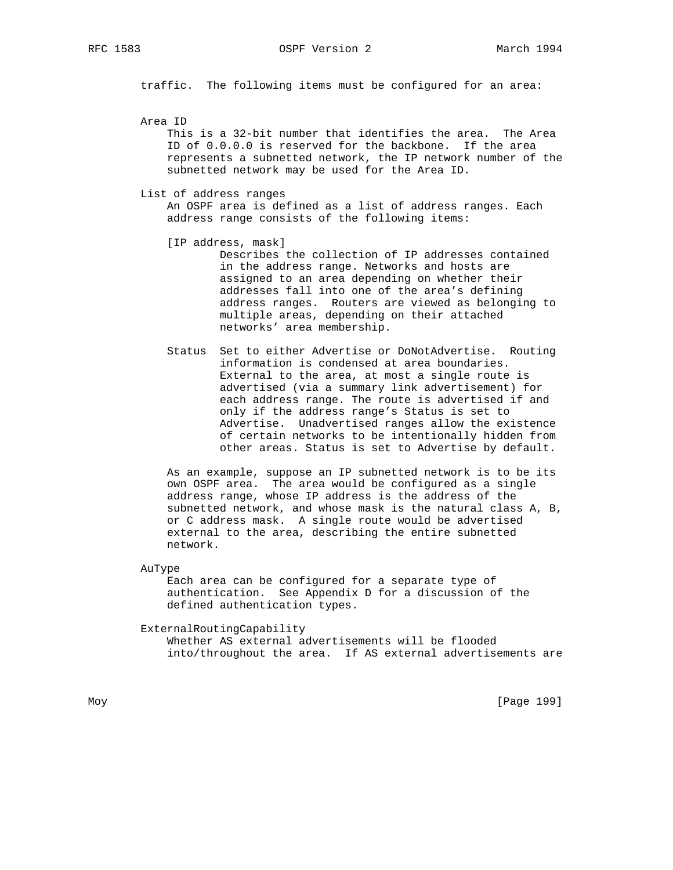RFC 1583 OSPF Version 2 March 1994

traffic. The following items must be configured for an area:

Area ID

 This is a 32-bit number that identifies the area. The Area ID of 0.0.0.0 is reserved for the backbone. If the area represents a subnetted network, the IP network number of the subnetted network may be used for the Area ID.

List of address ranges

 An OSPF area is defined as a list of address ranges. Each address range consists of the following items:

- [IP address, mask] Describes the collection of IP addresses contained in the address range. Networks and hosts are assigned to an area depending on whether their addresses fall into one of the area's defining address ranges. Routers are viewed as belonging to multiple areas, depending on their attached networks' area membership.
- Status Set to either Advertise or DoNotAdvertise. Routing information is condensed at area boundaries. External to the area, at most a single route is advertised (via a summary link advertisement) for each address range. The route is advertised if and only if the address range's Status is set to Advertise. Unadvertised ranges allow the existence of certain networks to be intentionally hidden from other areas. Status is set to Advertise by default.

 As an example, suppose an IP subnetted network is to be its own OSPF area. The area would be configured as a single address range, whose IP address is the address of the subnetted network, and whose mask is the natural class A, B, or C address mask. A single route would be advertised external to the area, describing the entire subnetted network.

AuType

 Each area can be configured for a separate type of authentication. See Appendix D for a discussion of the defined authentication types.

#### ExternalRoutingCapability

 Whether AS external advertisements will be flooded into/throughout the area. If AS external advertisements are

Moy [Page 199]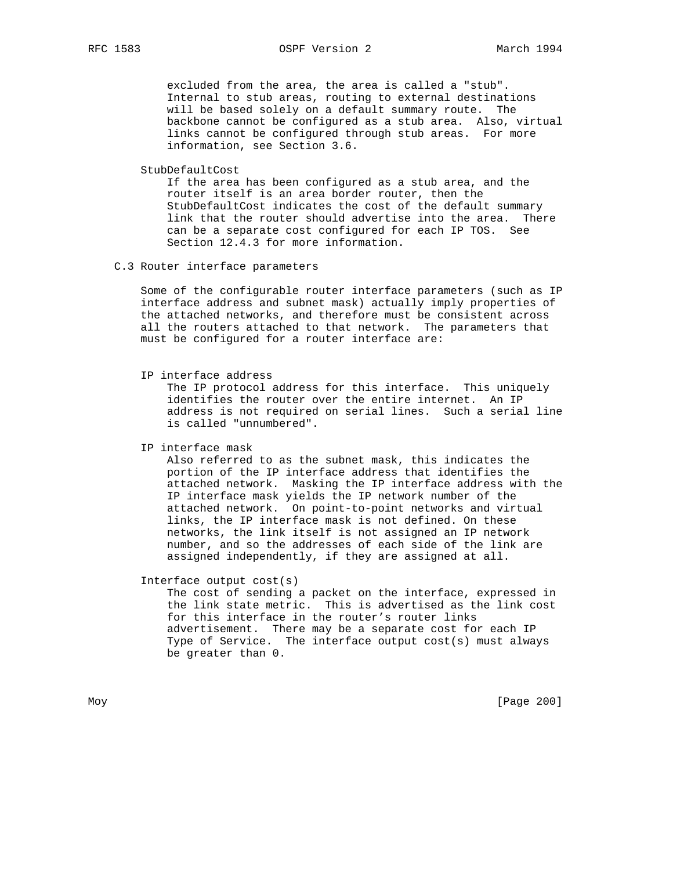## RFC 1583 OSPF Version 2 March 1994

 excluded from the area, the area is called a "stub". Internal to stub areas, routing to external destinations will be based solely on a default summary route. The backbone cannot be configured as a stub area. Also, virtual links cannot be configured through stub areas. For more information, see Section 3.6.

StubDefaultCost

 If the area has been configured as a stub area, and the router itself is an area border router, then the StubDefaultCost indicates the cost of the default summary link that the router should advertise into the area. There can be a separate cost configured for each IP TOS. See Section 12.4.3 for more information.

## C.3 Router interface parameters

 Some of the configurable router interface parameters (such as IP interface address and subnet mask) actually imply properties of the attached networks, and therefore must be consistent across all the routers attached to that network. The parameters that must be configured for a router interface are:

IP interface address

 The IP protocol address for this interface. This uniquely identifies the router over the entire internet. An IP address is not required on serial lines. Such a serial line is called "unnumbered".

IP interface mask

 Also referred to as the subnet mask, this indicates the portion of the IP interface address that identifies the attached network. Masking the IP interface address with the IP interface mask yields the IP network number of the attached network. On point-to-point networks and virtual links, the IP interface mask is not defined. On these networks, the link itself is not assigned an IP network number, and so the addresses of each side of the link are assigned independently, if they are assigned at all.

Interface output cost(s)

 The cost of sending a packet on the interface, expressed in the link state metric. This is advertised as the link cost for this interface in the router's router links advertisement. There may be a separate cost for each IP Type of Service. The interface output cost(s) must always be greater than 0.

Moy [Page 200]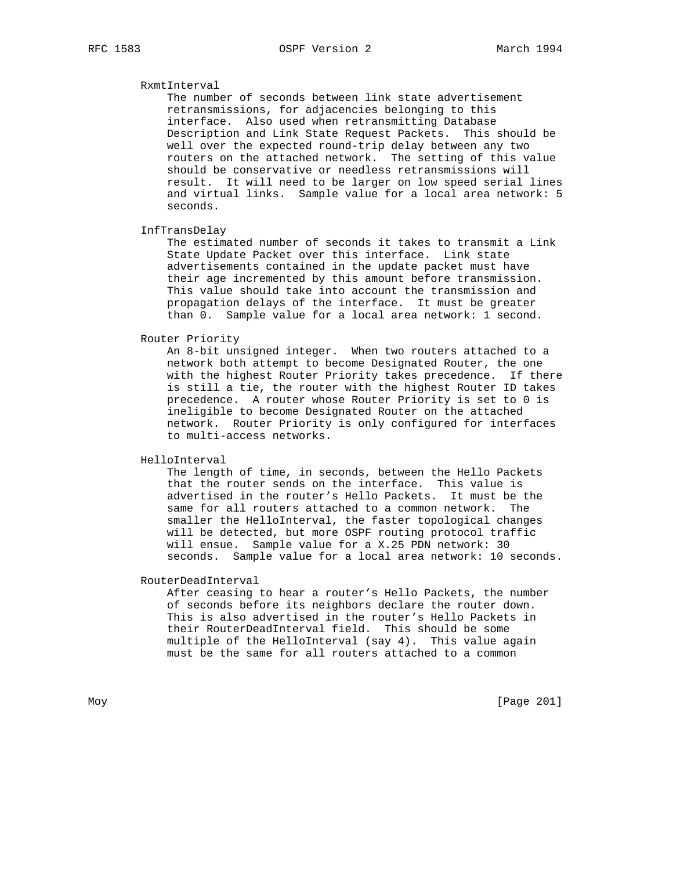# RxmtInterval

 The number of seconds between link state advertisement retransmissions, for adjacencies belonging to this interface. Also used when retransmitting Database Description and Link State Request Packets. This should be well over the expected round-trip delay between any two routers on the attached network. The setting of this value should be conservative or needless retransmissions will result. It will need to be larger on low speed serial lines and virtual links. Sample value for a local area network: 5 seconds.

InfTransDelay

 The estimated number of seconds it takes to transmit a Link State Update Packet over this interface. Link state advertisements contained in the update packet must have their age incremented by this amount before transmission. This value should take into account the transmission and propagation delays of the interface. It must be greater than 0. Sample value for a local area network: 1 second.

## Router Priority

 An 8-bit unsigned integer. When two routers attached to a network both attempt to become Designated Router, the one with the highest Router Priority takes precedence. If there is still a tie, the router with the highest Router ID takes precedence. A router whose Router Priority is set to 0 is ineligible to become Designated Router on the attached network. Router Priority is only configured for interfaces to multi-access networks.

HelloInterval

 The length of time, in seconds, between the Hello Packets that the router sends on the interface. This value is advertised in the router's Hello Packets. It must be the same for all routers attached to a common network. The smaller the HelloInterval, the faster topological changes will be detected, but more OSPF routing protocol traffic will ensue. Sample value for a X.25 PDN network: 30 seconds. Sample value for a local area network: 10 seconds.

RouterDeadInterval

 After ceasing to hear a router's Hello Packets, the number of seconds before its neighbors declare the router down. This is also advertised in the router's Hello Packets in their RouterDeadInterval field. This should be some multiple of the HelloInterval (say 4). This value again must be the same for all routers attached to a common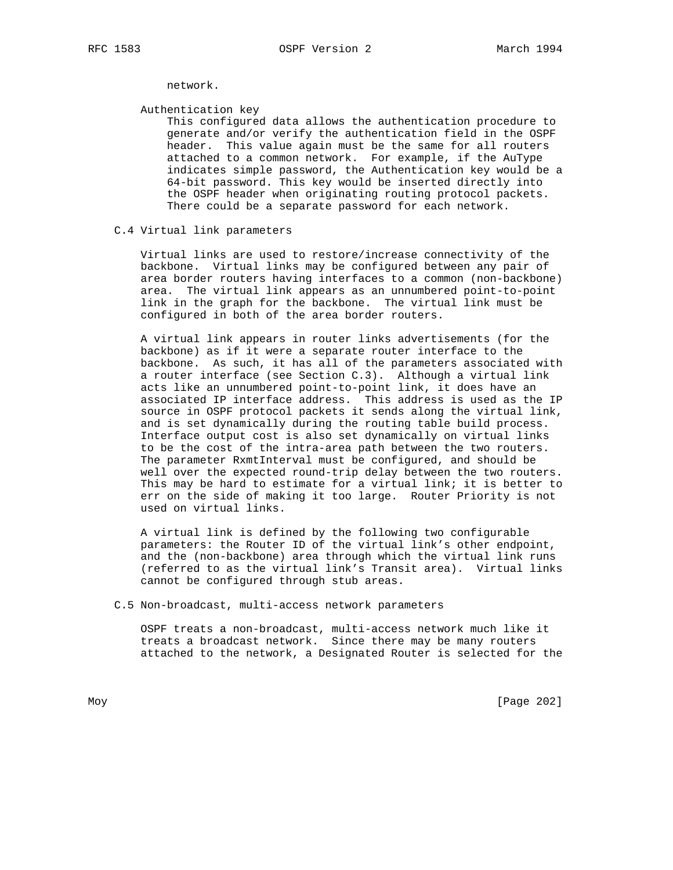network.

Authentication key

 This configured data allows the authentication procedure to generate and/or verify the authentication field in the OSPF header. This value again must be the same for all routers attached to a common network. For example, if the AuType indicates simple password, the Authentication key would be a 64-bit password. This key would be inserted directly into the OSPF header when originating routing protocol packets. There could be a separate password for each network.

## C.4 Virtual link parameters

 Virtual links are used to restore/increase connectivity of the backbone. Virtual links may be configured between any pair of area border routers having interfaces to a common (non-backbone) area. The virtual link appears as an unnumbered point-to-point link in the graph for the backbone. The virtual link must be configured in both of the area border routers.

 A virtual link appears in router links advertisements (for the backbone) as if it were a separate router interface to the backbone. As such, it has all of the parameters associated with a router interface (see Section C.3). Although a virtual link acts like an unnumbered point-to-point link, it does have an associated IP interface address. This address is used as the IP source in OSPF protocol packets it sends along the virtual link, and is set dynamically during the routing table build process. Interface output cost is also set dynamically on virtual links to be the cost of the intra-area path between the two routers. The parameter RxmtInterval must be configured, and should be well over the expected round-trip delay between the two routers. This may be hard to estimate for a virtual link; it is better to err on the side of making it too large. Router Priority is not used on virtual links.

 A virtual link is defined by the following two configurable parameters: the Router ID of the virtual link's other endpoint, and the (non-backbone) area through which the virtual link runs (referred to as the virtual link's Transit area). Virtual links cannot be configured through stub areas.

C.5 Non-broadcast, multi-access network parameters

 OSPF treats a non-broadcast, multi-access network much like it treats a broadcast network. Since there may be many routers attached to the network, a Designated Router is selected for the

Moy [Page 202]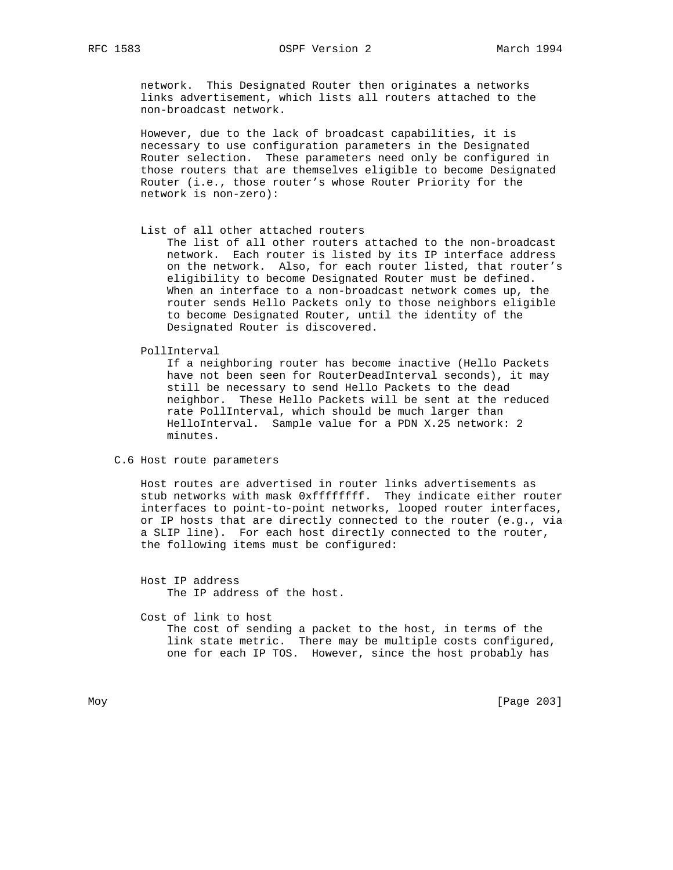network. This Designated Router then originates a networks links advertisement, which lists all routers attached to the non-broadcast network.

 However, due to the lack of broadcast capabilities, it is necessary to use configuration parameters in the Designated Router selection. These parameters need only be configured in those routers that are themselves eligible to become Designated Router (i.e., those router's whose Router Priority for the network is non-zero):

## List of all other attached routers

 The list of all other routers attached to the non-broadcast network. Each router is listed by its IP interface address on the network. Also, for each router listed, that router's eligibility to become Designated Router must be defined. When an interface to a non-broadcast network comes up, the router sends Hello Packets only to those neighbors eligible to become Designated Router, until the identity of the Designated Router is discovered.

#### PollInterval

 If a neighboring router has become inactive (Hello Packets have not been seen for RouterDeadInterval seconds), it may still be necessary to send Hello Packets to the dead neighbor. These Hello Packets will be sent at the reduced rate PollInterval, which should be much larger than HelloInterval. Sample value for a PDN X.25 network: 2 minutes.

C.6 Host route parameters

 Host routes are advertised in router links advertisements as stub networks with mask 0xffffffff. They indicate either router interfaces to point-to-point networks, looped router interfaces, or IP hosts that are directly connected to the router (e.g., via a SLIP line). For each host directly connected to the router, the following items must be configured:

 Host IP address The IP address of the host.

 Cost of link to host The cost of sending a packet to the host, in terms of the link state metric. There may be multiple costs configured, one for each IP TOS. However, since the host probably has

Moy [Page 203]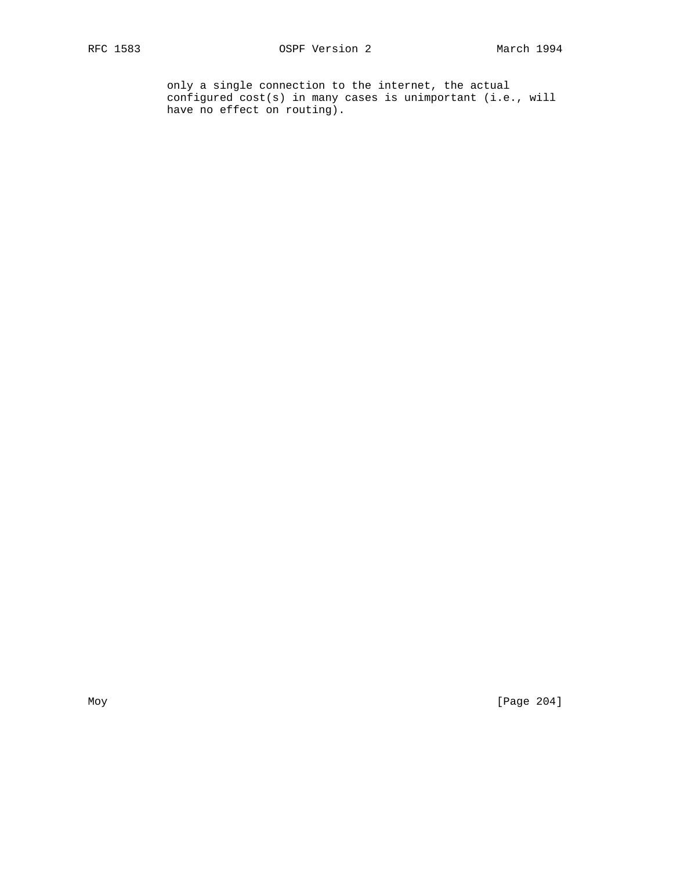only a single connection to the internet, the actual configured cost(s) in many cases is unimportant (i.e., will have no effect on routing).

Moy [Page 204]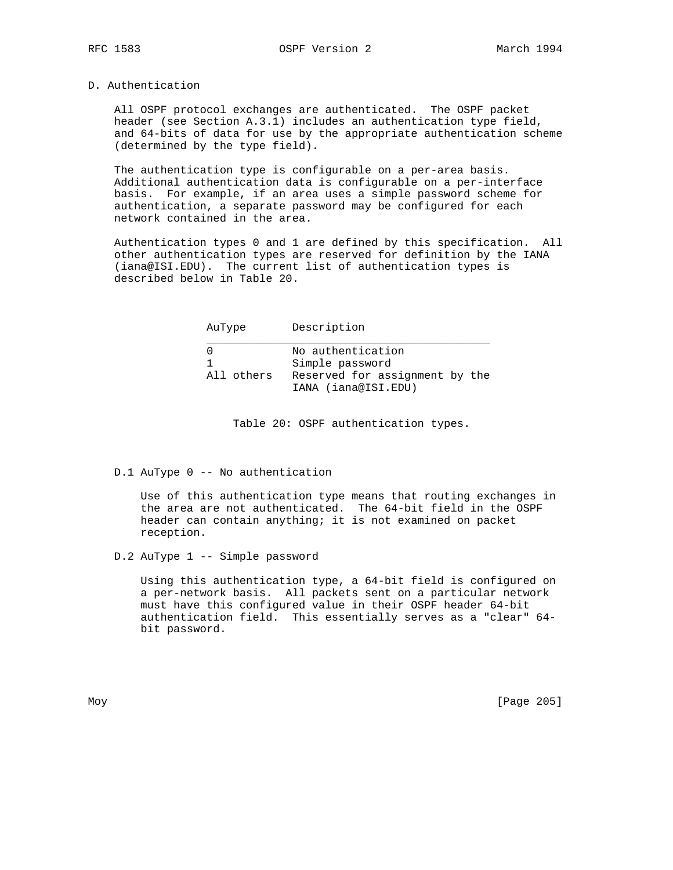## D. Authentication

 All OSPF protocol exchanges are authenticated. The OSPF packet header (see Section A.3.1) includes an authentication type field, and 64-bits of data for use by the appropriate authentication scheme (determined by the type field).

 The authentication type is configurable on a per-area basis. Additional authentication data is configurable on a per-interface basis. For example, if an area uses a simple password scheme for authentication, a separate password may be configured for each network contained in the area.

 Authentication types 0 and 1 are defined by this specification. All other authentication types are reserved for definition by the IANA (iana@ISI.EDU). The current list of authentication types is described below in Table 20.

| AuType     | Description                                                            |
|------------|------------------------------------------------------------------------|
| All others | No authentication<br>Simple password<br>Reserved for assignment by the |
|            | IANA (iana@ISI.EDU)                                                    |

Table 20: OSPF authentication types.

D.1 AuType 0 -- No authentication

 Use of this authentication type means that routing exchanges in the area are not authenticated. The 64-bit field in the OSPF header can contain anything; it is not examined on packet reception.

D.2 AuType 1 -- Simple password

 Using this authentication type, a 64-bit field is configured on a per-network basis. All packets sent on a particular network must have this configured value in their OSPF header 64-bit authentication field. This essentially serves as a "clear" 64 bit password.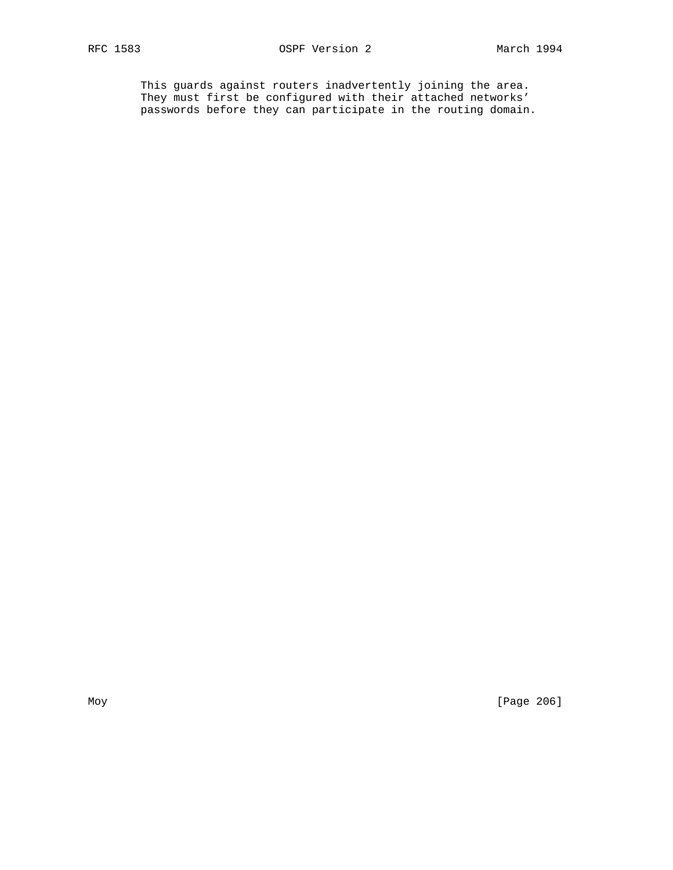This guards against routers inadvertently joining the area. They must first be configured with their attached networks' passwords before they can participate in the routing domain.

Moy [Page 206]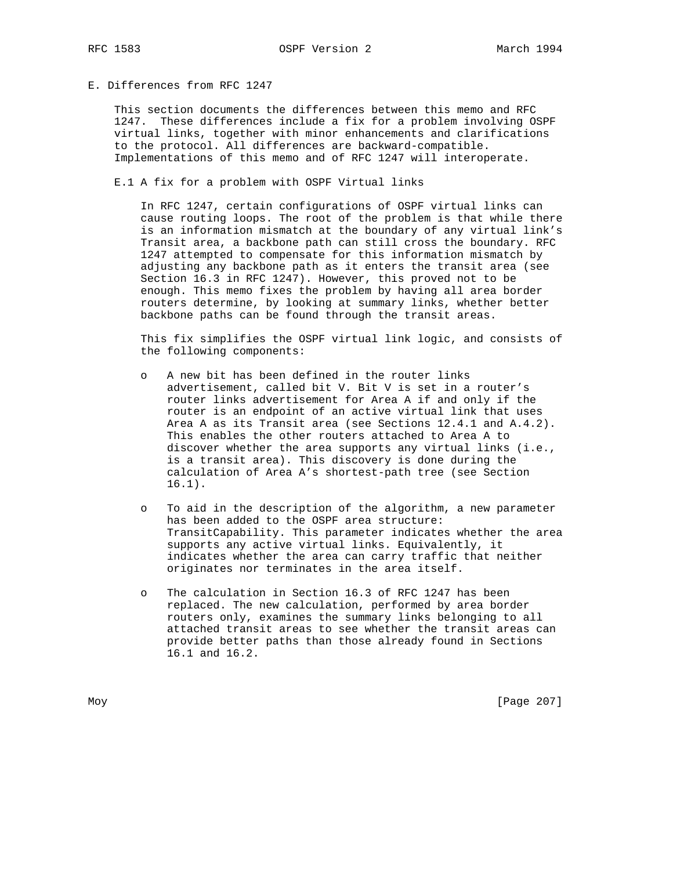# E. Differences from RFC 1247

 This section documents the differences between this memo and RFC 1247. These differences include a fix for a problem involving OSPF virtual links, together with minor enhancements and clarifications to the protocol. All differences are backward-compatible. Implementations of this memo and of RFC 1247 will interoperate.

E.1 A fix for a problem with OSPF Virtual links

 In RFC 1247, certain configurations of OSPF virtual links can cause routing loops. The root of the problem is that while there is an information mismatch at the boundary of any virtual link's Transit area, a backbone path can still cross the boundary. RFC 1247 attempted to compensate for this information mismatch by adjusting any backbone path as it enters the transit area (see Section 16.3 in RFC 1247). However, this proved not to be enough. This memo fixes the problem by having all area border routers determine, by looking at summary links, whether better backbone paths can be found through the transit areas.

 This fix simplifies the OSPF virtual link logic, and consists of the following components:

- o A new bit has been defined in the router links advertisement, called bit V. Bit V is set in a router's router links advertisement for Area A if and only if the router is an endpoint of an active virtual link that uses Area A as its Transit area (see Sections 12.4.1 and A.4.2). This enables the other routers attached to Area A to discover whether the area supports any virtual links (i.e., is a transit area). This discovery is done during the calculation of Area A's shortest-path tree (see Section 16.1).
- o To aid in the description of the algorithm, a new parameter has been added to the OSPF area structure: TransitCapability. This parameter indicates whether the area supports any active virtual links. Equivalently, it indicates whether the area can carry traffic that neither originates nor terminates in the area itself.
- o The calculation in Section 16.3 of RFC 1247 has been replaced. The new calculation, performed by area border routers only, examines the summary links belonging to all attached transit areas to see whether the transit areas can provide better paths than those already found in Sections 16.1 and 16.2.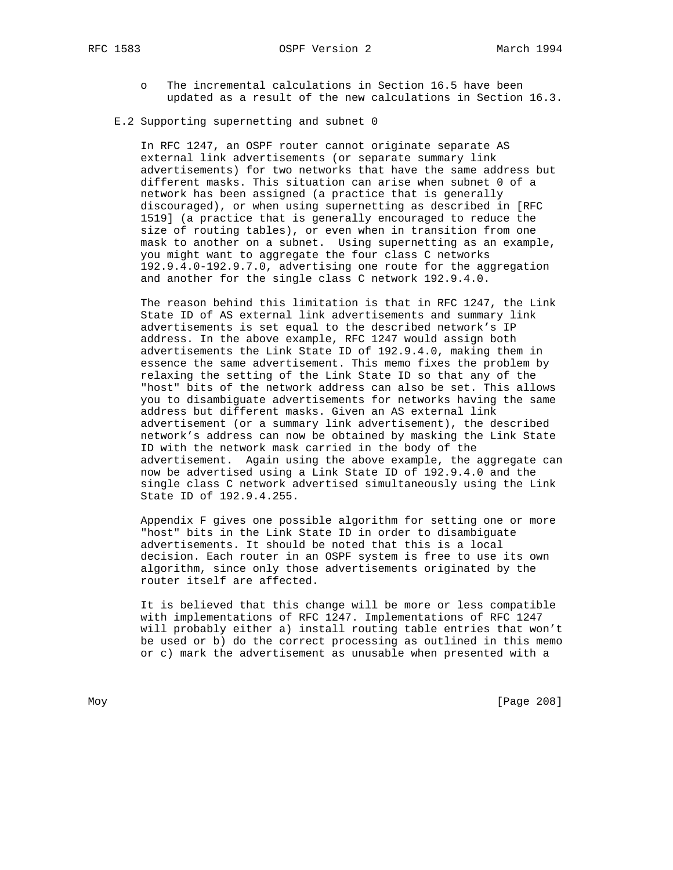- - o The incremental calculations in Section 16.5 have been updated as a result of the new calculations in Section 16.3.

## E.2 Supporting supernetting and subnet 0

 In RFC 1247, an OSPF router cannot originate separate AS external link advertisements (or separate summary link advertisements) for two networks that have the same address but different masks. This situation can arise when subnet 0 of a network has been assigned (a practice that is generally discouraged), or when using supernetting as described in [RFC 1519] (a practice that is generally encouraged to reduce the size of routing tables), or even when in transition from one mask to another on a subnet. Using supernetting as an example, you might want to aggregate the four class C networks 192.9.4.0-192.9.7.0, advertising one route for the aggregation and another for the single class C network 192.9.4.0.

 The reason behind this limitation is that in RFC 1247, the Link State ID of AS external link advertisements and summary link advertisements is set equal to the described network's IP address. In the above example, RFC 1247 would assign both advertisements the Link State ID of 192.9.4.0, making them in essence the same advertisement. This memo fixes the problem by relaxing the setting of the Link State ID so that any of the "host" bits of the network address can also be set. This allows you to disambiguate advertisements for networks having the same address but different masks. Given an AS external link advertisement (or a summary link advertisement), the described network's address can now be obtained by masking the Link State ID with the network mask carried in the body of the advertisement. Again using the above example, the aggregate can now be advertised using a Link State ID of 192.9.4.0 and the single class C network advertised simultaneously using the Link State ID of 192.9.4.255.

 Appendix F gives one possible algorithm for setting one or more "host" bits in the Link State ID in order to disambiguate advertisements. It should be noted that this is a local decision. Each router in an OSPF system is free to use its own algorithm, since only those advertisements originated by the router itself are affected.

 It is believed that this change will be more or less compatible with implementations of RFC 1247. Implementations of RFC 1247 will probably either a) install routing table entries that won't be used or b) do the correct processing as outlined in this memo or c) mark the advertisement as unusable when presented with a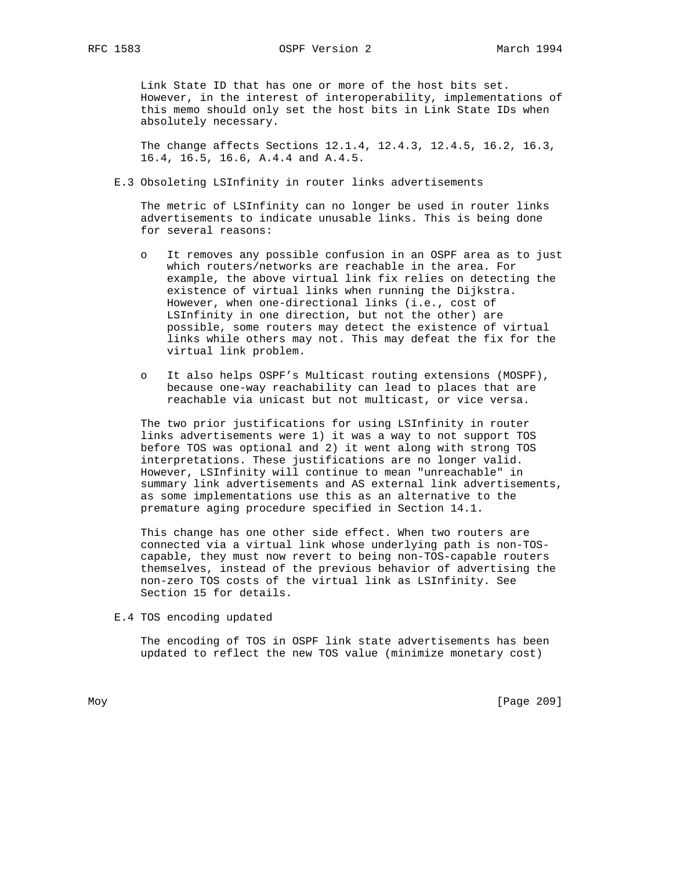Link State ID that has one or more of the host bits set. However, in the interest of interoperability, implementations of this memo should only set the host bits in Link State IDs when absolutely necessary.

 The change affects Sections 12.1.4, 12.4.3, 12.4.5, 16.2, 16.3, 16.4, 16.5, 16.6, A.4.4 and A.4.5.

E.3 Obsoleting LSInfinity in router links advertisements

 The metric of LSInfinity can no longer be used in router links advertisements to indicate unusable links. This is being done for several reasons:

- o It removes any possible confusion in an OSPF area as to just which routers/networks are reachable in the area. For example, the above virtual link fix relies on detecting the existence of virtual links when running the Dijkstra. However, when one-directional links (i.e., cost of LSInfinity in one direction, but not the other) are possible, some routers may detect the existence of virtual links while others may not. This may defeat the fix for the virtual link problem.
- o It also helps OSPF's Multicast routing extensions (MOSPF), because one-way reachability can lead to places that are reachable via unicast but not multicast, or vice versa.

 The two prior justifications for using LSInfinity in router links advertisements were 1) it was a way to not support TOS before TOS was optional and 2) it went along with strong TOS interpretations. These justifications are no longer valid. However, LSInfinity will continue to mean "unreachable" in summary link advertisements and AS external link advertisements, as some implementations use this as an alternative to the premature aging procedure specified in Section 14.1.

 This change has one other side effect. When two routers are connected via a virtual link whose underlying path is non-TOS capable, they must now revert to being non-TOS-capable routers themselves, instead of the previous behavior of advertising the non-zero TOS costs of the virtual link as LSInfinity. See Section 15 for details.

E.4 TOS encoding updated

 The encoding of TOS in OSPF link state advertisements has been updated to reflect the new TOS value (minimize monetary cost)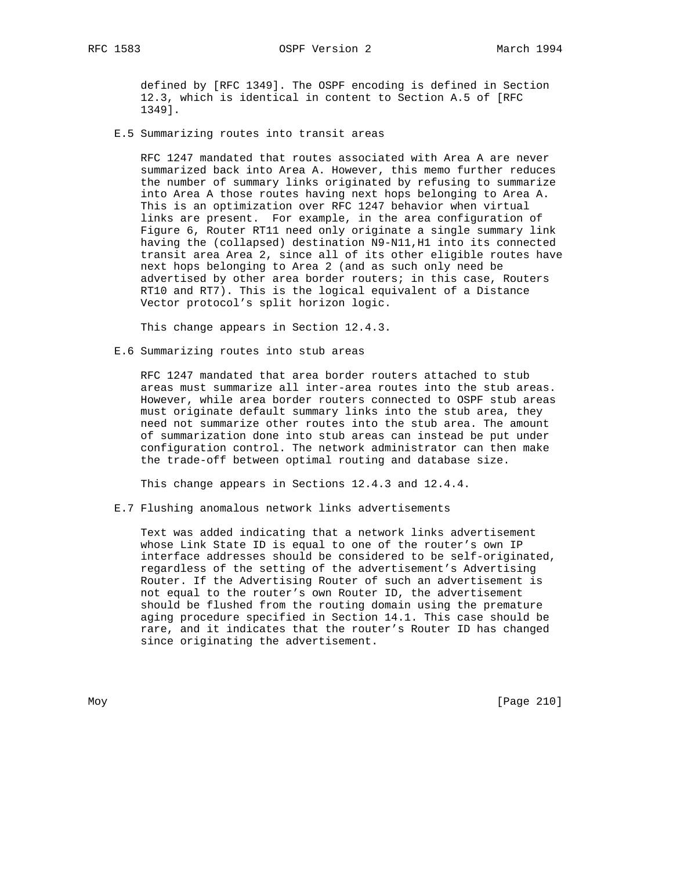defined by [RFC 1349]. The OSPF encoding is defined in Section 12.3, which is identical in content to Section A.5 of [RFC 1349].

E.5 Summarizing routes into transit areas

 RFC 1247 mandated that routes associated with Area A are never summarized back into Area A. However, this memo further reduces the number of summary links originated by refusing to summarize into Area A those routes having next hops belonging to Area A. This is an optimization over RFC 1247 behavior when virtual links are present. For example, in the area configuration of Figure 6, Router RT11 need only originate a single summary link having the (collapsed) destination N9-N11,H1 into its connected transit area Area 2, since all of its other eligible routes have next hops belonging to Area 2 (and as such only need be advertised by other area border routers; in this case, Routers RT10 and RT7). This is the logical equivalent of a Distance Vector protocol's split horizon logic.

This change appears in Section 12.4.3.

E.6 Summarizing routes into stub areas

 RFC 1247 mandated that area border routers attached to stub areas must summarize all inter-area routes into the stub areas. However, while area border routers connected to OSPF stub areas must originate default summary links into the stub area, they need not summarize other routes into the stub area. The amount of summarization done into stub areas can instead be put under configuration control. The network administrator can then make the trade-off between optimal routing and database size.

This change appears in Sections 12.4.3 and 12.4.4.

E.7 Flushing anomalous network links advertisements

 Text was added indicating that a network links advertisement whose Link State ID is equal to one of the router's own IP interface addresses should be considered to be self-originated, regardless of the setting of the advertisement's Advertising Router. If the Advertising Router of such an advertisement is not equal to the router's own Router ID, the advertisement should be flushed from the routing domain using the premature aging procedure specified in Section 14.1. This case should be rare, and it indicates that the router's Router ID has changed since originating the advertisement.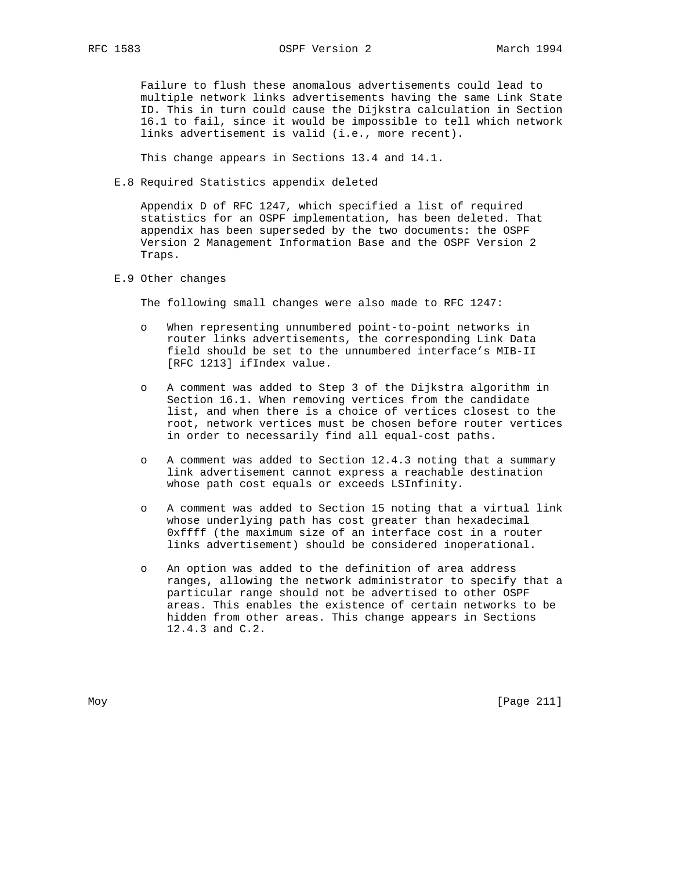Failure to flush these anomalous advertisements could lead to multiple network links advertisements having the same Link State ID. This in turn could cause the Dijkstra calculation in Section 16.1 to fail, since it would be impossible to tell which network links advertisement is valid (i.e., more recent).

This change appears in Sections 13.4 and 14.1.

E.8 Required Statistics appendix deleted

 Appendix D of RFC 1247, which specified a list of required statistics for an OSPF implementation, has been deleted. That appendix has been superseded by the two documents: the OSPF Version 2 Management Information Base and the OSPF Version 2 Traps.

## E.9 Other changes

The following small changes were also made to RFC 1247:

- When representing unnumbered point-to-point networks in router links advertisements, the corresponding Link Data field should be set to the unnumbered interface's MIB-II [RFC 1213] ifIndex value.
- o A comment was added to Step 3 of the Dijkstra algorithm in Section 16.1. When removing vertices from the candidate list, and when there is a choice of vertices closest to the root, network vertices must be chosen before router vertices in order to necessarily find all equal-cost paths.
- o A comment was added to Section 12.4.3 noting that a summary link advertisement cannot express a reachable destination whose path cost equals or exceeds LSInfinity.
- o A comment was added to Section 15 noting that a virtual link whose underlying path has cost greater than hexadecimal 0xffff (the maximum size of an interface cost in a router links advertisement) should be considered inoperational.
- o An option was added to the definition of area address ranges, allowing the network administrator to specify that a particular range should not be advertised to other OSPF areas. This enables the existence of certain networks to be hidden from other areas. This change appears in Sections 12.4.3 and C.2.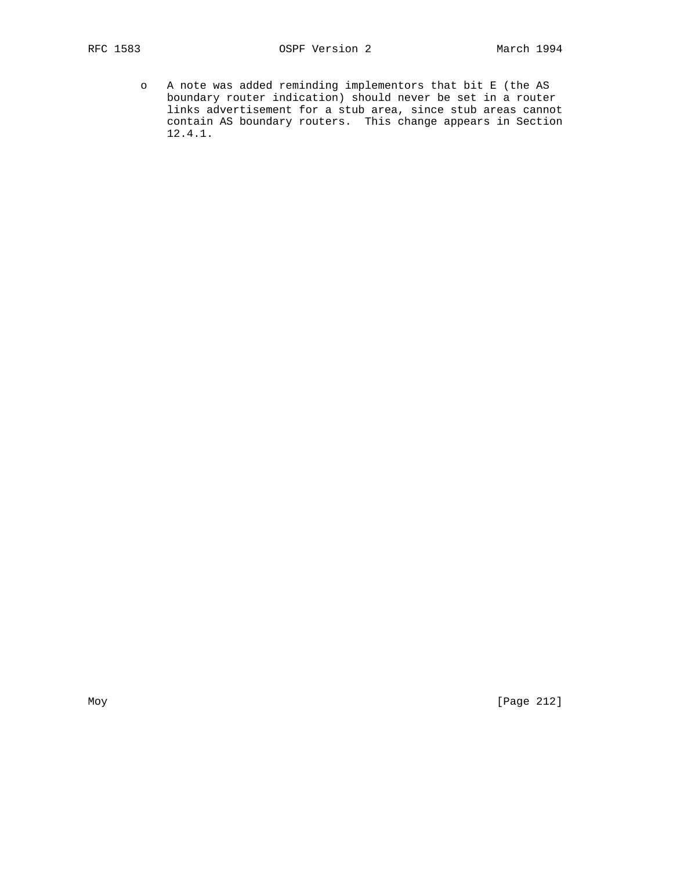o A note was added reminding implementors that bit E (the AS boundary router indication) should never be set in a router links advertisement for a stub area, since stub areas cannot contain AS boundary routers. This change appears in Section 12.4.1.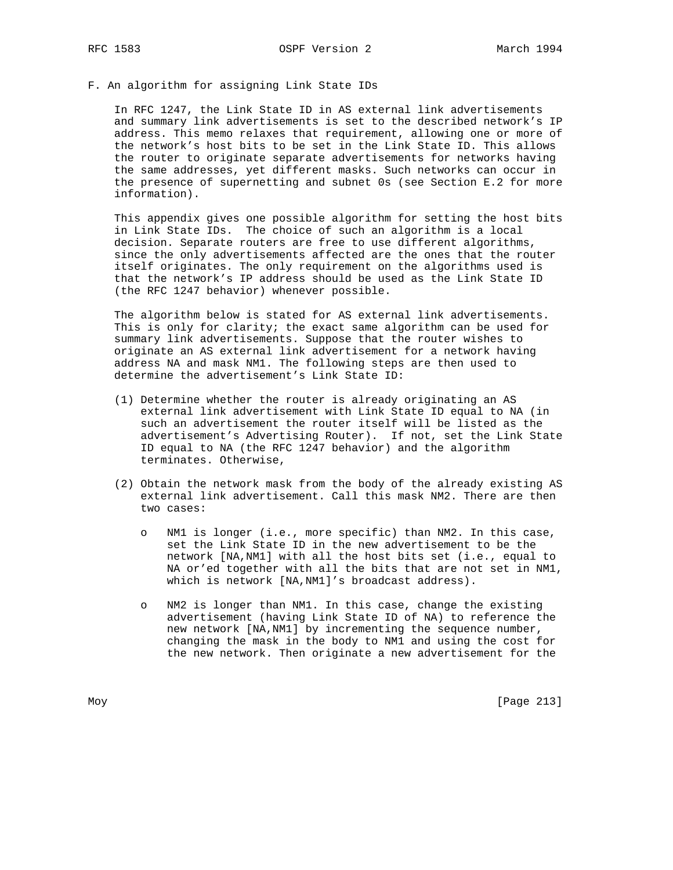F. An algorithm for assigning Link State IDs

 In RFC 1247, the Link State ID in AS external link advertisements and summary link advertisements is set to the described network's IP address. This memo relaxes that requirement, allowing one or more of the network's host bits to be set in the Link State ID. This allows the router to originate separate advertisements for networks having the same addresses, yet different masks. Such networks can occur in the presence of supernetting and subnet 0s (see Section E.2 for more information).

 This appendix gives one possible algorithm for setting the host bits in Link State IDs. The choice of such an algorithm is a local decision. Separate routers are free to use different algorithms, since the only advertisements affected are the ones that the router itself originates. The only requirement on the algorithms used is that the network's IP address should be used as the Link State ID (the RFC 1247 behavior) whenever possible.

 The algorithm below is stated for AS external link advertisements. This is only for clarity; the exact same algorithm can be used for summary link advertisements. Suppose that the router wishes to originate an AS external link advertisement for a network having address NA and mask NM1. The following steps are then used to determine the advertisement's Link State ID:

- (1) Determine whether the router is already originating an AS external link advertisement with Link State ID equal to NA (in such an advertisement the router itself will be listed as the advertisement's Advertising Router). If not, set the Link State ID equal to NA (the RFC 1247 behavior) and the algorithm terminates. Otherwise,
- (2) Obtain the network mask from the body of the already existing AS external link advertisement. Call this mask NM2. There are then two cases:
	- o NM1 is longer (i.e., more specific) than NM2. In this case, set the Link State ID in the new advertisement to be the network [NA,NM1] with all the host bits set (i.e., equal to NA or'ed together with all the bits that are not set in NM1, which is network [NA,NM1]'s broadcast address).
	- o NM2 is longer than NM1. In this case, change the existing advertisement (having Link State ID of NA) to reference the new network [NA,NM1] by incrementing the sequence number, changing the mask in the body to NM1 and using the cost for the new network. Then originate a new advertisement for the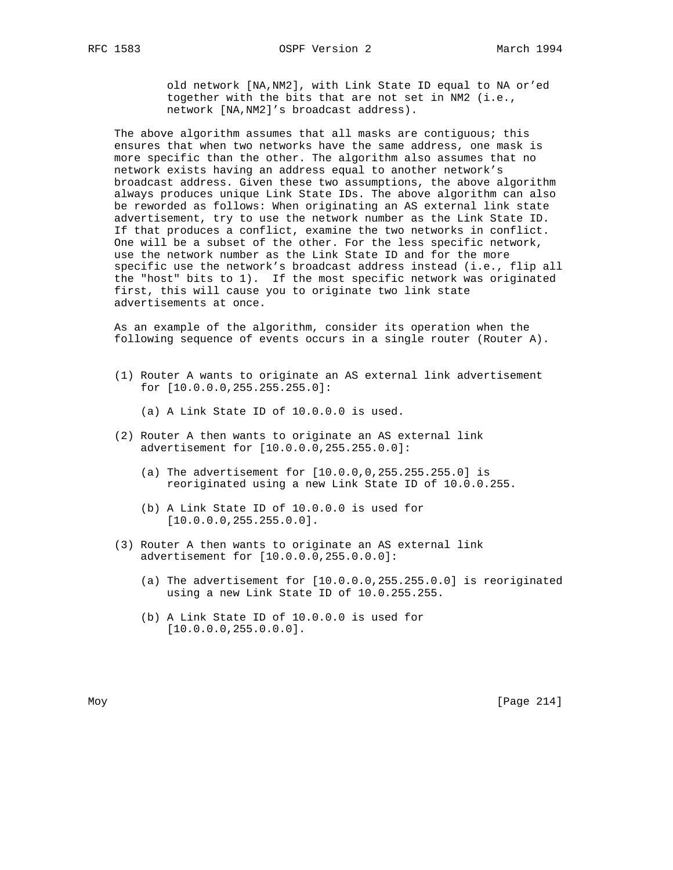old network [NA,NM2], with Link State ID equal to NA or'ed together with the bits that are not set in NM2 (i.e., network [NA,NM2]'s broadcast address).

The above algorithm assumes that all masks are contiguous; this ensures that when two networks have the same address, one mask is more specific than the other. The algorithm also assumes that no network exists having an address equal to another network's broadcast address. Given these two assumptions, the above algorithm always produces unique Link State IDs. The above algorithm can also be reworded as follows: When originating an AS external link state advertisement, try to use the network number as the Link State ID. If that produces a conflict, examine the two networks in conflict. One will be a subset of the other. For the less specific network, use the network number as the Link State ID and for the more specific use the network's broadcast address instead (i.e., flip all the "host" bits to 1). If the most specific network was originated first, this will cause you to originate two link state advertisements at once.

 As an example of the algorithm, consider its operation when the following sequence of events occurs in a single router (Router A).

 (1) Router A wants to originate an AS external link advertisement for [10.0.0.0,255.255.255.0]:

(a) A Link State ID of 10.0.0.0 is used.

- (2) Router A then wants to originate an AS external link advertisement for [10.0.0.0,255.255.0.0]:
	- (a) The advertisement for [10.0.0,0,255.255.255.0] is reoriginated using a new Link State ID of 10.0.0.255.
	- (b) A Link State ID of 10.0.0.0 is used for [10.0.0.0,255.255.0.0].
- (3) Router A then wants to originate an AS external link advertisement for [10.0.0.0,255.0.0.0]:
	- (a) The advertisement for [10.0.0.0,255.255.0.0] is reoriginated using a new Link State ID of 10.0.255.255.
	- (b) A Link State ID of 10.0.0.0 is used for [10.0.0.0,255.0.0.0].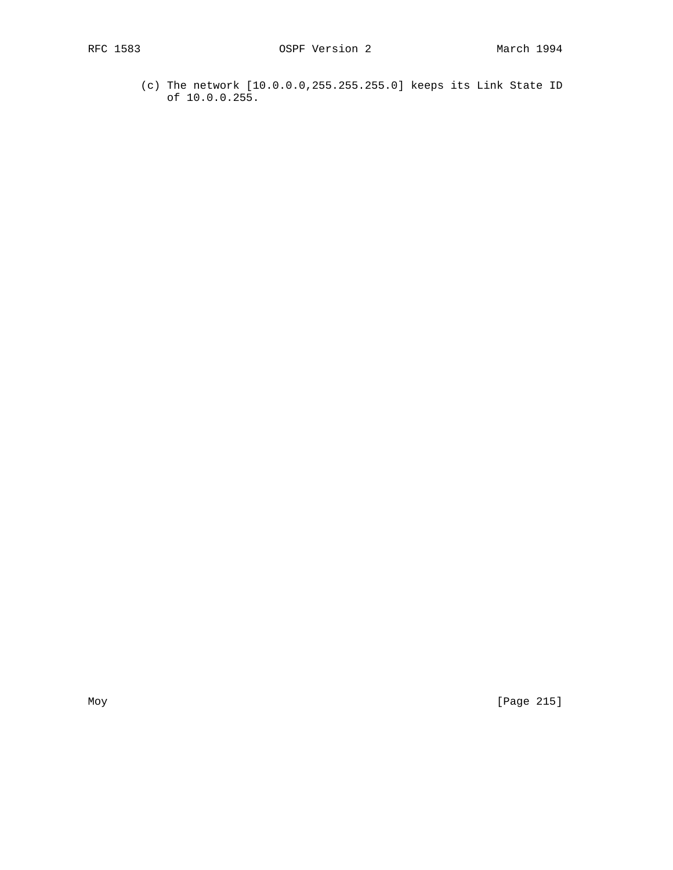(c) The network [10.0.0.0,255.255.255.0] keeps its Link State ID of 10.0.0.255.

Moy [Page 215]